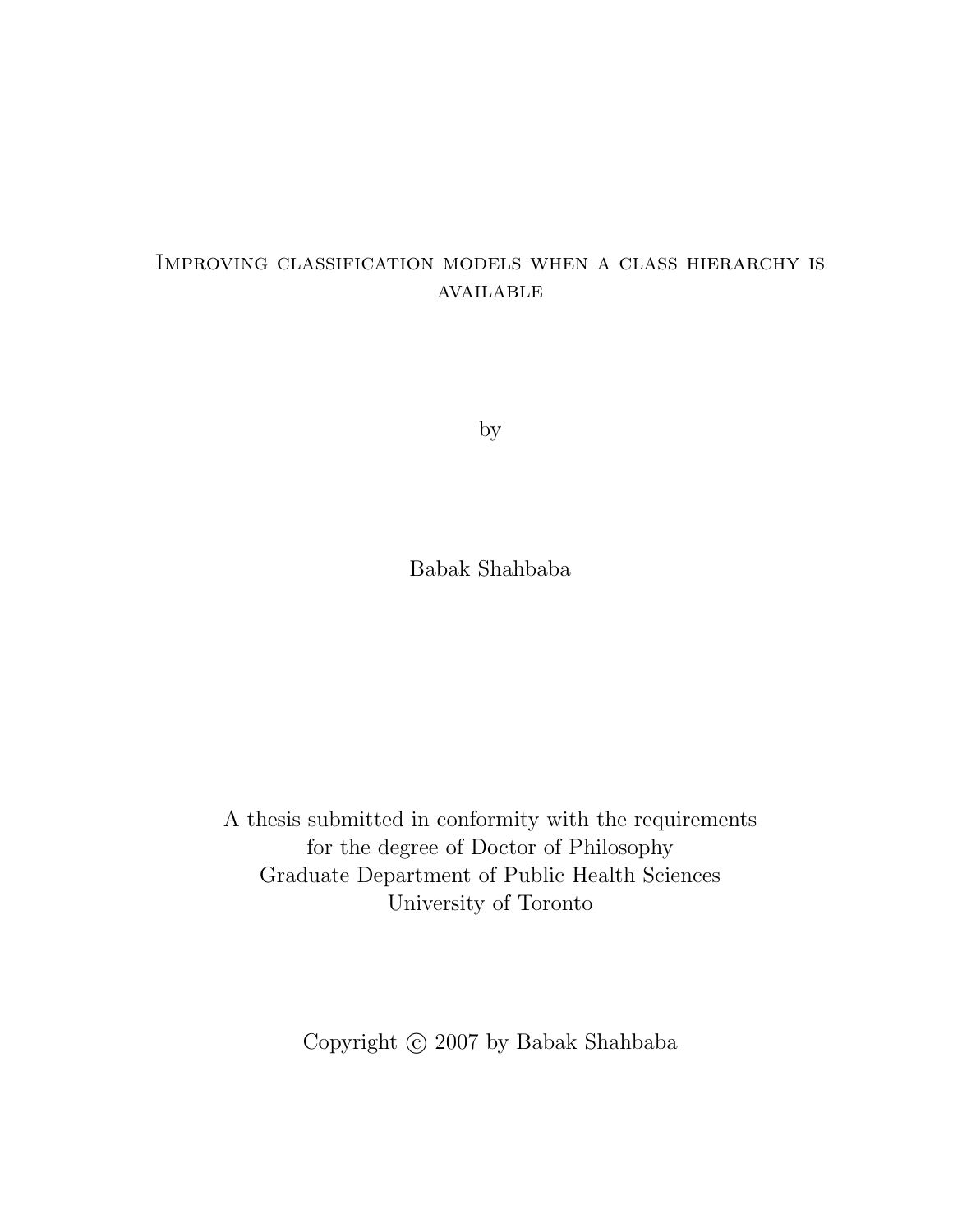#### Improving classification models when a class hierarchy is available

by

Babak Shahbaba

A thesis submitted in conformity with the requirements for the degree of Doctor of Philosophy Graduate Department of Public Health Sciences University of Toronto

Copyright  $\odot$  2007 by Babak Shahbaba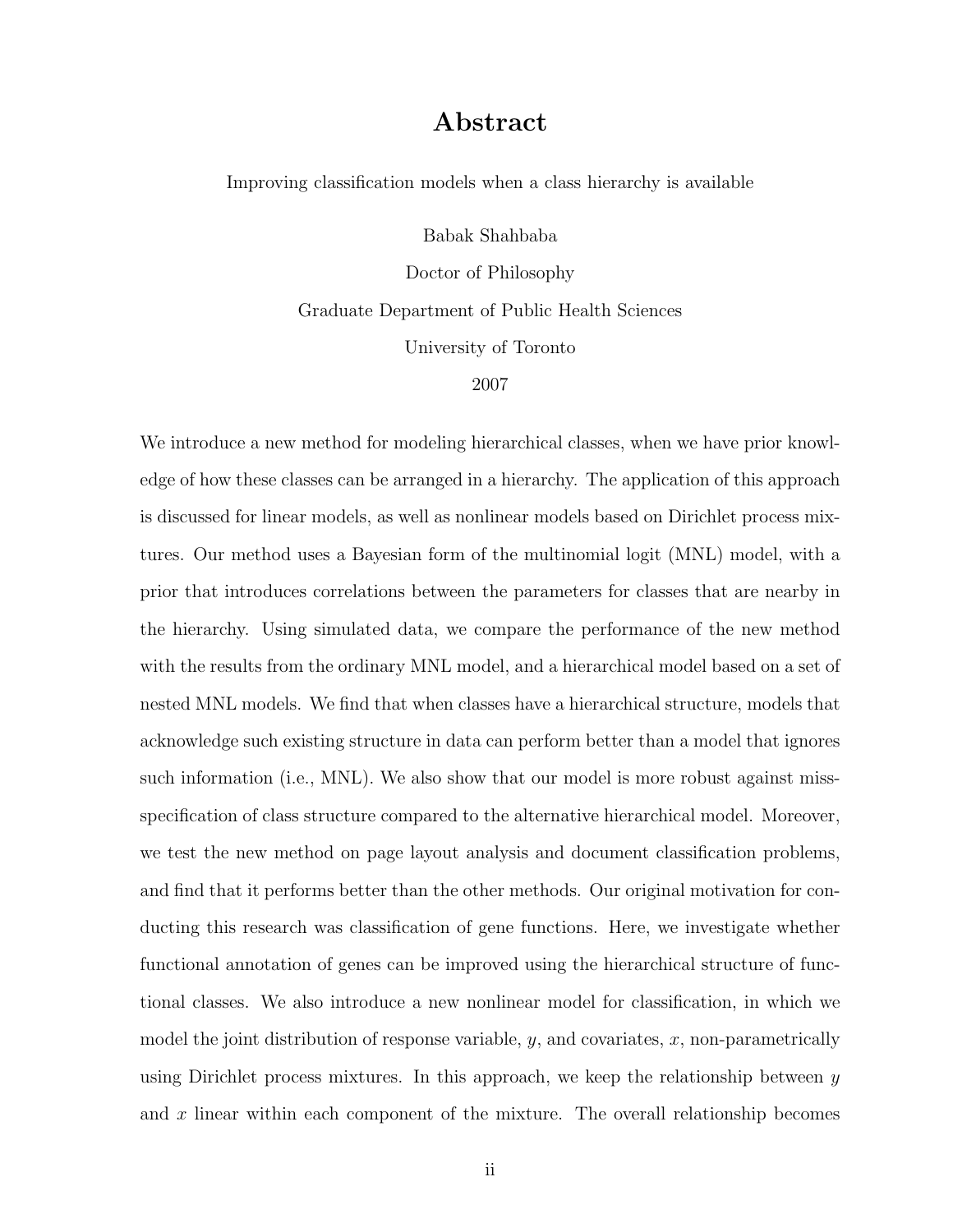#### Abstract

Improving classification models when a class hierarchy is available

Babak Shahbaba

Doctor of Philosophy Graduate Department of Public Health Sciences University of Toronto

2007

We introduce a new method for modeling hierarchical classes, when we have prior knowledge of how these classes can be arranged in a hierarchy. The application of this approach is discussed for linear models, as well as nonlinear models based on Dirichlet process mixtures. Our method uses a Bayesian form of the multinomial logit (MNL) model, with a prior that introduces correlations between the parameters for classes that are nearby in the hierarchy. Using simulated data, we compare the performance of the new method with the results from the ordinary MNL model, and a hierarchical model based on a set of nested MNL models. We find that when classes have a hierarchical structure, models that acknowledge such existing structure in data can perform better than a model that ignores such information (i.e., MNL). We also show that our model is more robust against missspecification of class structure compared to the alternative hierarchical model. Moreover, we test the new method on page layout analysis and document classification problems, and find that it performs better than the other methods. Our original motivation for conducting this research was classification of gene functions. Here, we investigate whether functional annotation of genes can be improved using the hierarchical structure of functional classes. We also introduce a new nonlinear model for classification, in which we model the joint distribution of response variable,  $y$ , and covariates,  $x$ , non-parametrically using Dirichlet process mixtures. In this approach, we keep the relationship between  $y$ and  $x$  linear within each component of the mixture. The overall relationship becomes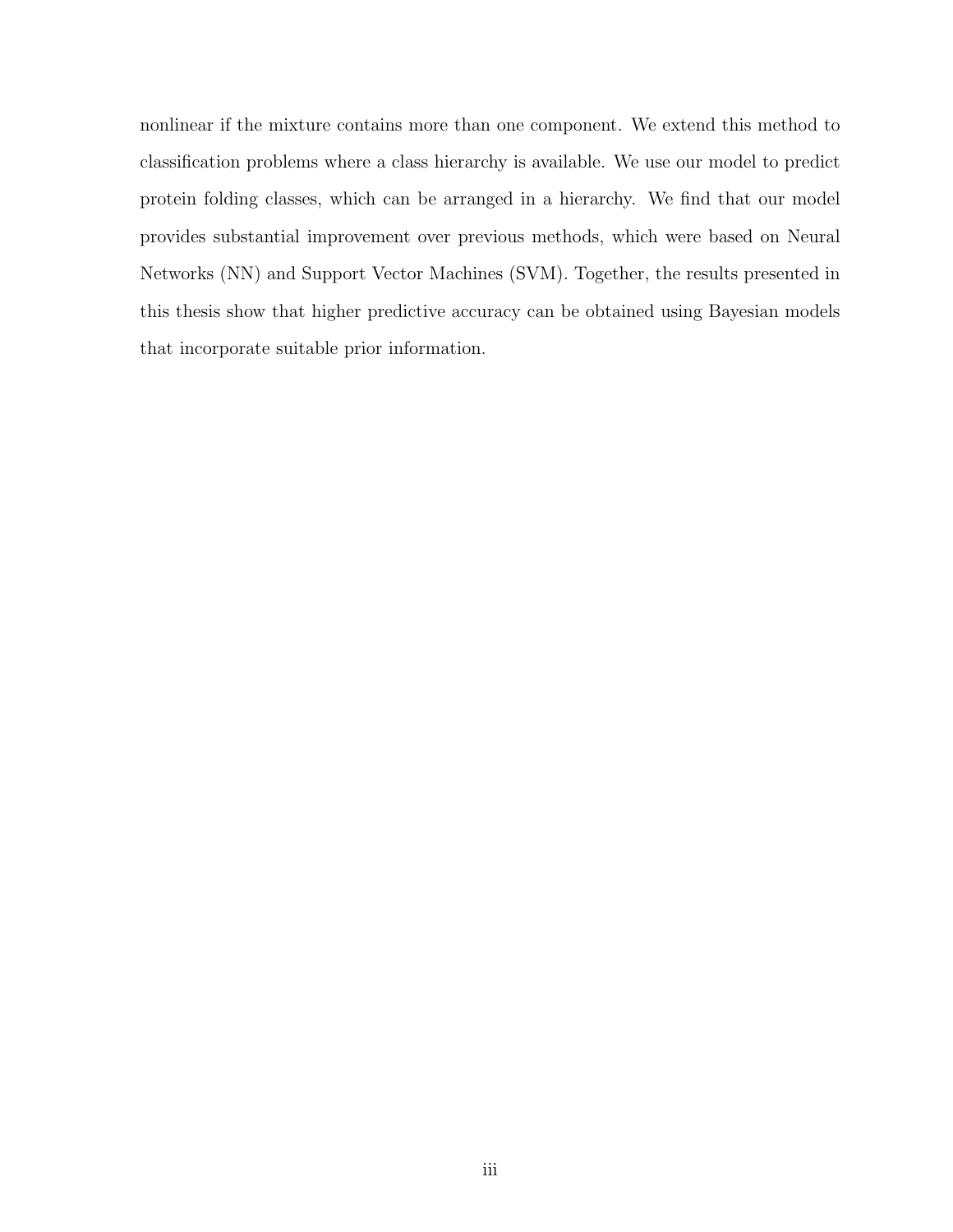nonlinear if the mixture contains more than one component. We extend this method to classification problems where a class hierarchy is available. We use our model to predict protein folding classes, which can be arranged in a hierarchy. We find that our model provides substantial improvement over previous methods, which were based on Neural Networks (NN) and Support Vector Machines (SVM). Together, the results presented in this thesis show that higher predictive accuracy can be obtained using Bayesian models that incorporate suitable prior information.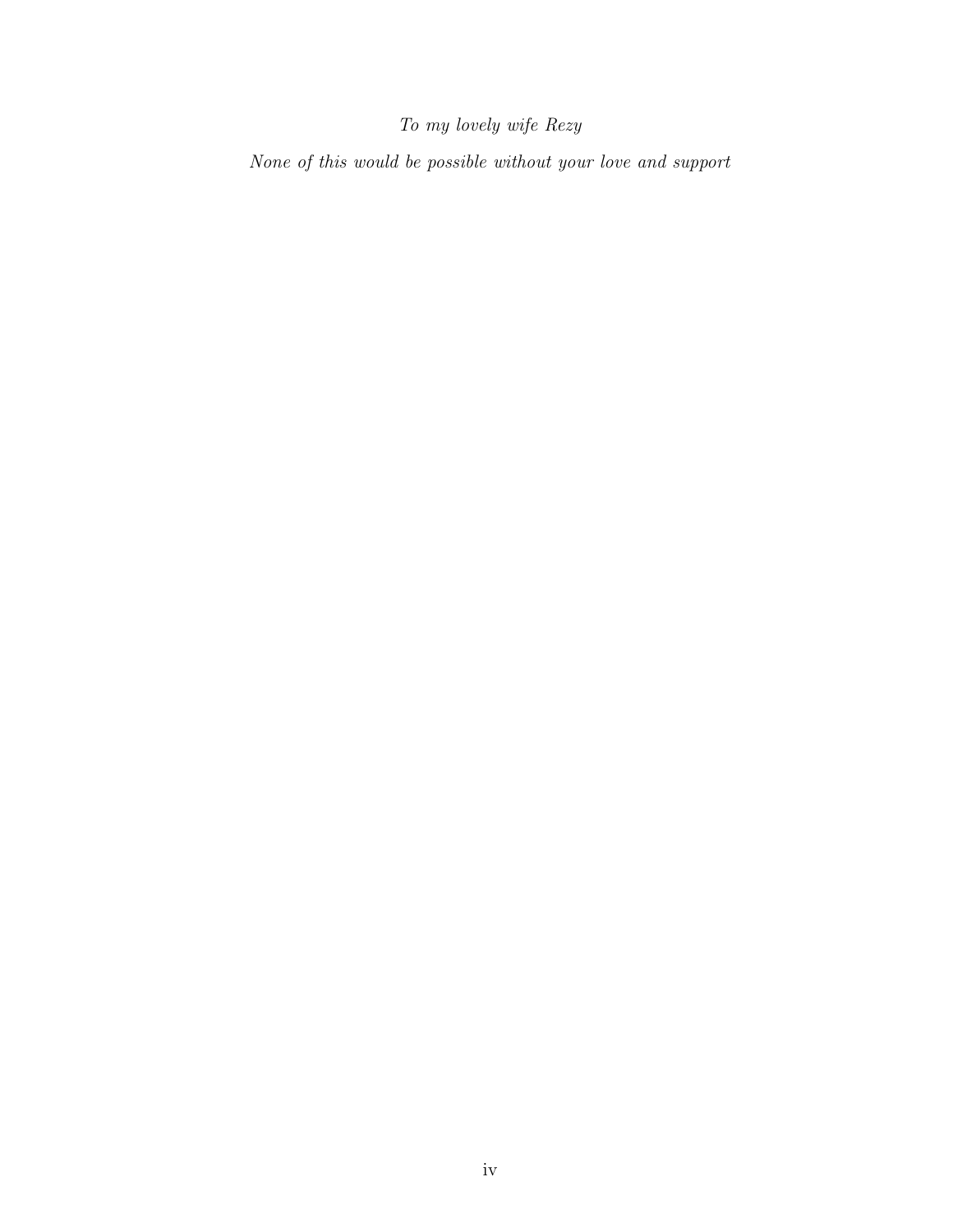#### To my lovely wife Rezy

None of this would be possible without your love and support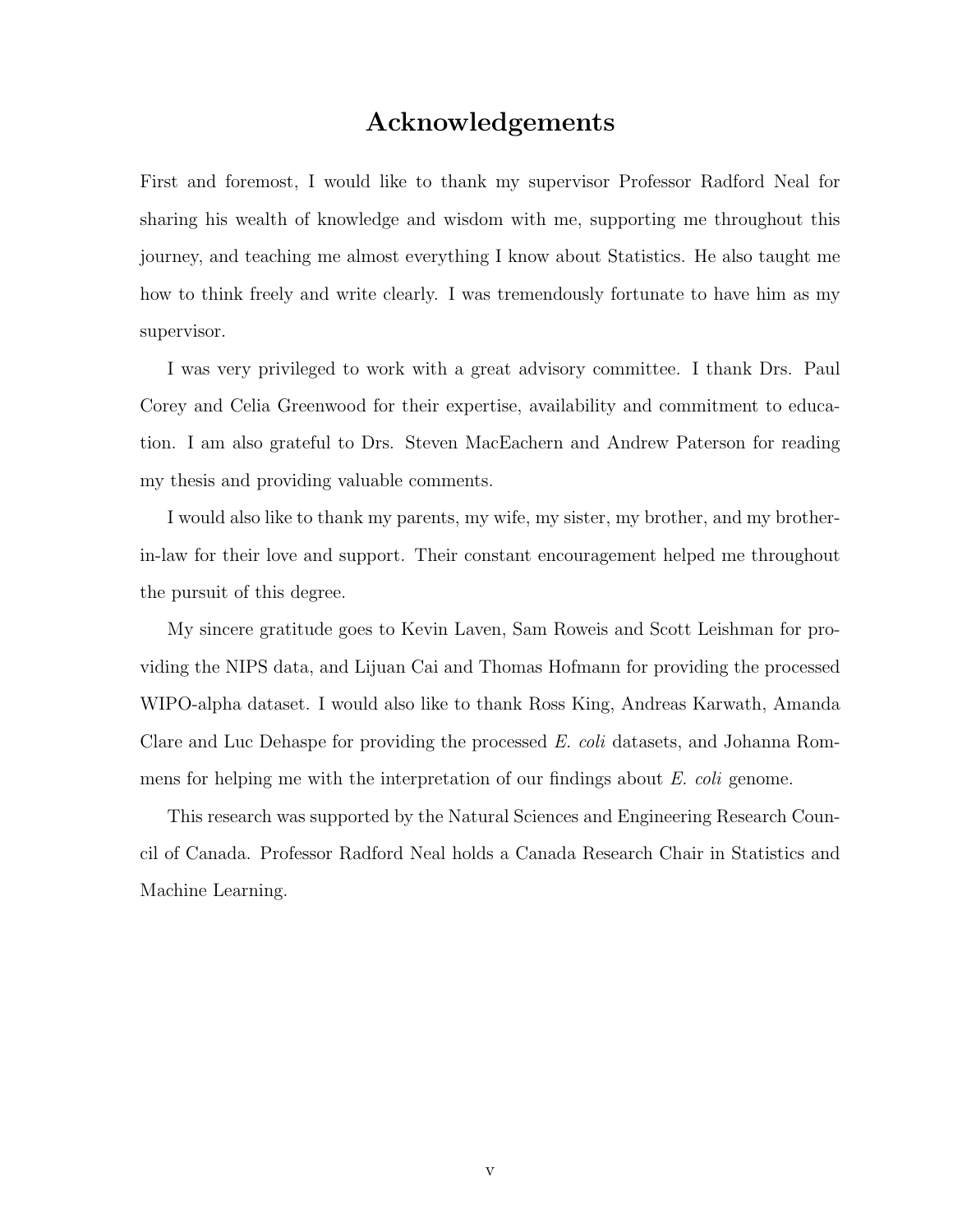#### Acknowledgements

First and foremost, I would like to thank my supervisor Professor Radford Neal for sharing his wealth of knowledge and wisdom with me, supporting me throughout this journey, and teaching me almost everything I know about Statistics. He also taught me how to think freely and write clearly. I was tremendously fortunate to have him as my supervisor.

I was very privileged to work with a great advisory committee. I thank Drs. Paul Corey and Celia Greenwood for their expertise, availability and commitment to education. I am also grateful to Drs. Steven MacEachern and Andrew Paterson for reading my thesis and providing valuable comments.

I would also like to thank my parents, my wife, my sister, my brother, and my brotherin-law for their love and support. Their constant encouragement helped me throughout the pursuit of this degree.

My sincere gratitude goes to Kevin Laven, Sam Roweis and Scott Leishman for providing the NIPS data, and Lijuan Cai and Thomas Hofmann for providing the processed WIPO-alpha dataset. I would also like to thank Ross King, Andreas Karwath, Amanda Clare and Luc Dehaspe for providing the processed E. coli datasets, and Johanna Rommens for helping me with the interpretation of our findings about E. coli genome.

This research was supported by the Natural Sciences and Engineering Research Council of Canada. Professor Radford Neal holds a Canada Research Chair in Statistics and Machine Learning.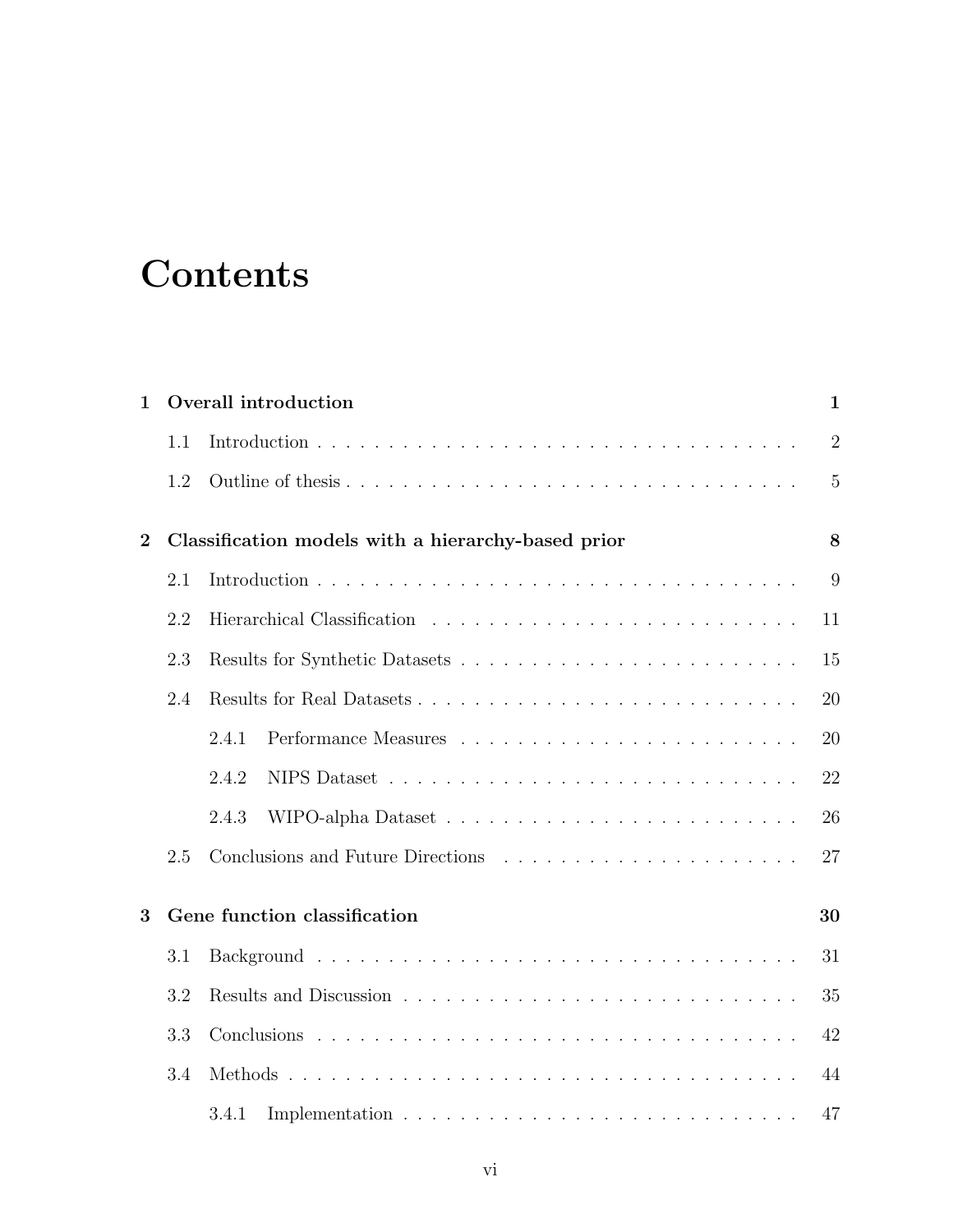### **Contents**

| $\mathbf 1$                       |     | Overall introduction                               | $\mathbf{1}$   |  |  |
|-----------------------------------|-----|----------------------------------------------------|----------------|--|--|
|                                   | 1.1 |                                                    | $\overline{2}$ |  |  |
|                                   | 1.2 |                                                    | 5              |  |  |
| $\overline{2}$                    |     | Classification models with a hierarchy-based prior | 8              |  |  |
|                                   | 2.1 |                                                    | 9              |  |  |
|                                   | 2.2 |                                                    | 11             |  |  |
|                                   | 2.3 |                                                    | 15             |  |  |
|                                   | 2.4 |                                                    | 20             |  |  |
|                                   |     | 2.4.1                                              | 20             |  |  |
|                                   |     | 2.4.2                                              | 22             |  |  |
|                                   |     | 2.4.3                                              | 26             |  |  |
|                                   | 2.5 |                                                    | 27             |  |  |
| 3<br>Gene function classification |     |                                                    |                |  |  |
|                                   | 3.1 |                                                    | 31             |  |  |
|                                   | 3.2 |                                                    | 35             |  |  |
|                                   | 3.3 |                                                    | 42             |  |  |
|                                   | 3.4 |                                                    | 44             |  |  |
|                                   |     | 3.4.1                                              | 47             |  |  |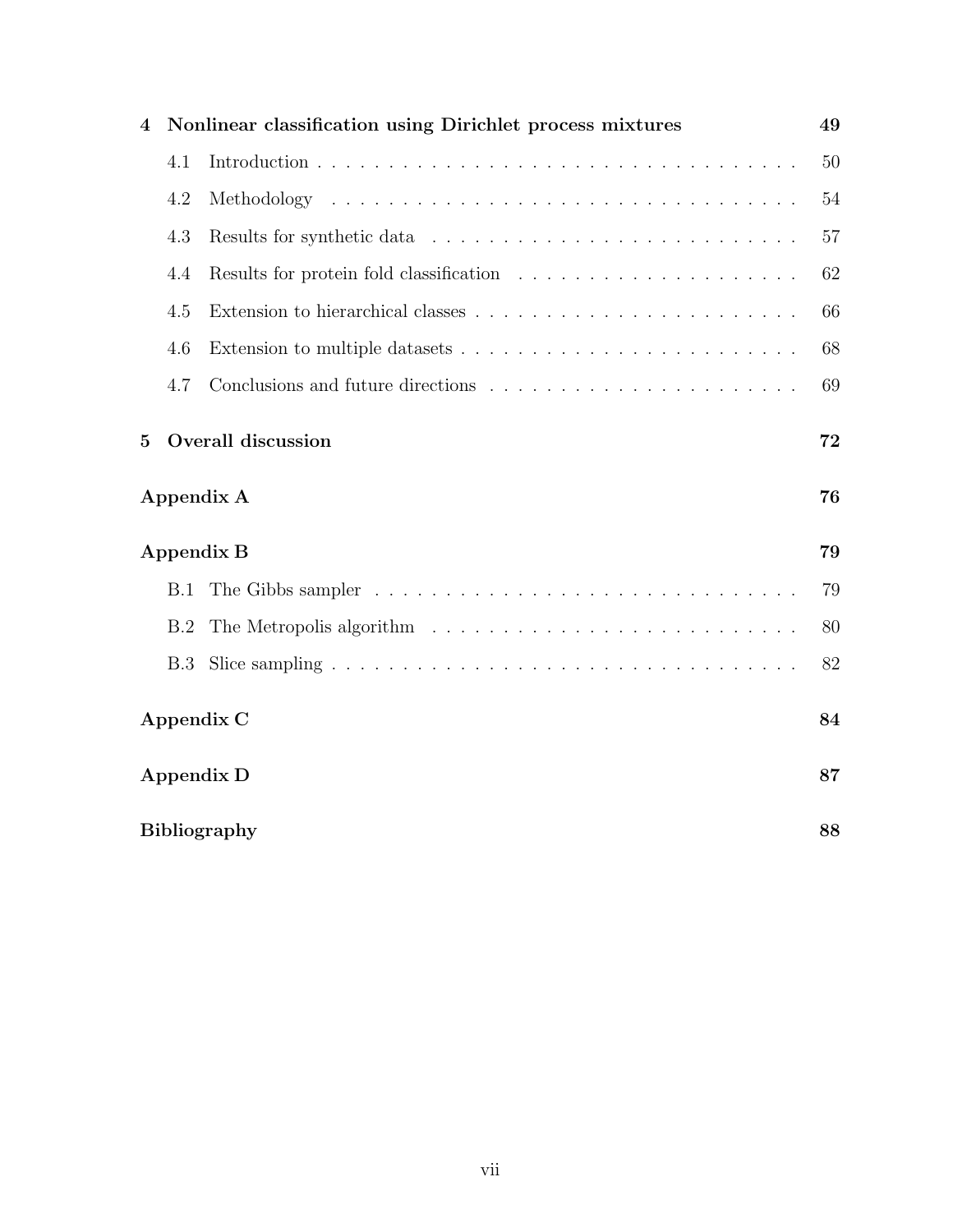| 4            |                           | Nonlinear classification using Dirichlet process mixtures                                     | 49 |  |  |  |  |  |
|--------------|---------------------------|-----------------------------------------------------------------------------------------------|----|--|--|--|--|--|
|              | 4.1                       |                                                                                               | 50 |  |  |  |  |  |
|              | 4.2                       |                                                                                               | 54 |  |  |  |  |  |
|              | 4.3                       |                                                                                               | 57 |  |  |  |  |  |
|              | 4.4                       |                                                                                               | 62 |  |  |  |  |  |
|              | 4.5                       |                                                                                               | 66 |  |  |  |  |  |
|              | 4.6                       |                                                                                               | 68 |  |  |  |  |  |
|              | 4.7                       |                                                                                               | 69 |  |  |  |  |  |
| $\mathbf{5}$ | <b>Overall discussion</b> |                                                                                               |    |  |  |  |  |  |
|              | Appendix A                |                                                                                               |    |  |  |  |  |  |
|              |                           | Appendix B                                                                                    | 79 |  |  |  |  |  |
|              | B.1                       |                                                                                               | 79 |  |  |  |  |  |
|              | B.2                       | The Metropolis algorithm $\ldots \ldots \ldots \ldots \ldots \ldots \ldots \ldots$            | 80 |  |  |  |  |  |
|              | B.3                       | Slice sampling $\ldots \ldots \ldots \ldots \ldots \ldots \ldots \ldots \ldots \ldots \ldots$ | 82 |  |  |  |  |  |
|              | Appendix C                |                                                                                               |    |  |  |  |  |  |
|              |                           |                                                                                               | 84 |  |  |  |  |  |
|              |                           | <b>Appendix D</b>                                                                             | 87 |  |  |  |  |  |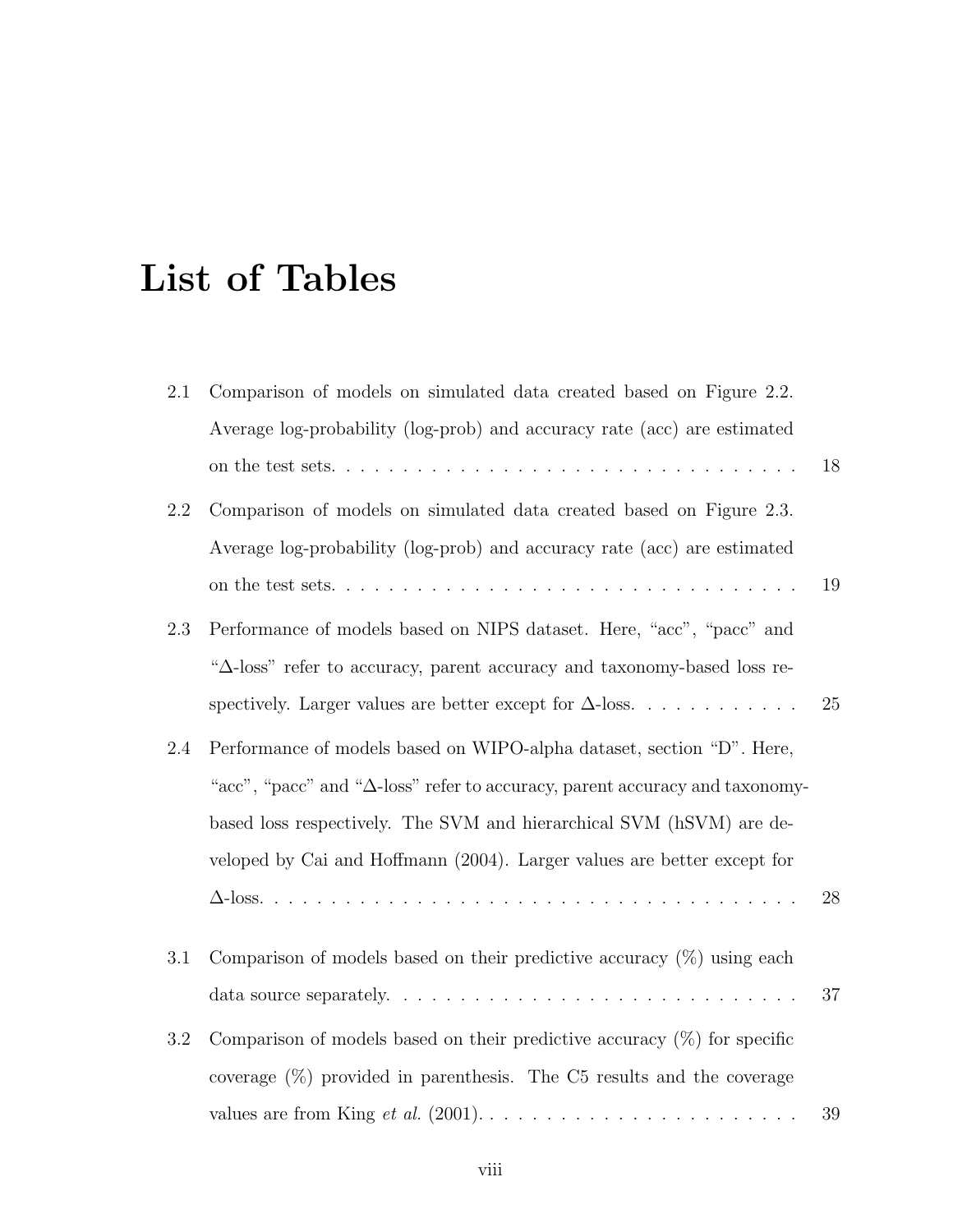### List of Tables

| 2.1     | Comparison of models on simulated data created based on Figure 2.2.                          |        |
|---------|----------------------------------------------------------------------------------------------|--------|
|         | Average log-probability (log-prob) and accuracy rate (acc) are estimated                     |        |
|         |                                                                                              | 18     |
| 2.2     | Comparison of models on simulated data created based on Figure 2.3.                          |        |
|         | Average log-probability (log-prob) and accuracy rate (acc) are estimated                     |        |
|         |                                                                                              | 19     |
| 2.3     | Performance of models based on NIPS dataset. Here, "acc", "pacc" and                         |        |
|         | " $\Delta$ -loss" refer to accuracy, parent accuracy and taxonomy-based loss re-             |        |
|         | spectively. Larger values are better except for $\Delta$ -loss.                              | 25     |
| 2.4     | Performance of models based on WIPO-alpha dataset, section "D". Here,                        |        |
|         | " $acc$ ", " $pace$ " and " $\Delta$ -loss" refer to accuracy, parent accuracy and taxonomy- |        |
|         | based loss respectively. The SVM and hierarchical SVM (hSVM) are de-                         |        |
|         | veloped by Cai and Hoffmann (2004). Larger values are better except for                      |        |
|         |                                                                                              | $28\,$ |
|         |                                                                                              |        |
| $3.1\,$ | Comparison of models based on their predictive accuracy $(\%)$ using each                    |        |
|         |                                                                                              | 37     |
| 3.2     | Comparison of models based on their predictive accuracy $(\%)$ for specific                  |        |
|         | coverage $(\%)$ provided in parenthesis. The C5 results and the coverage                     |        |
|         |                                                                                              | 39     |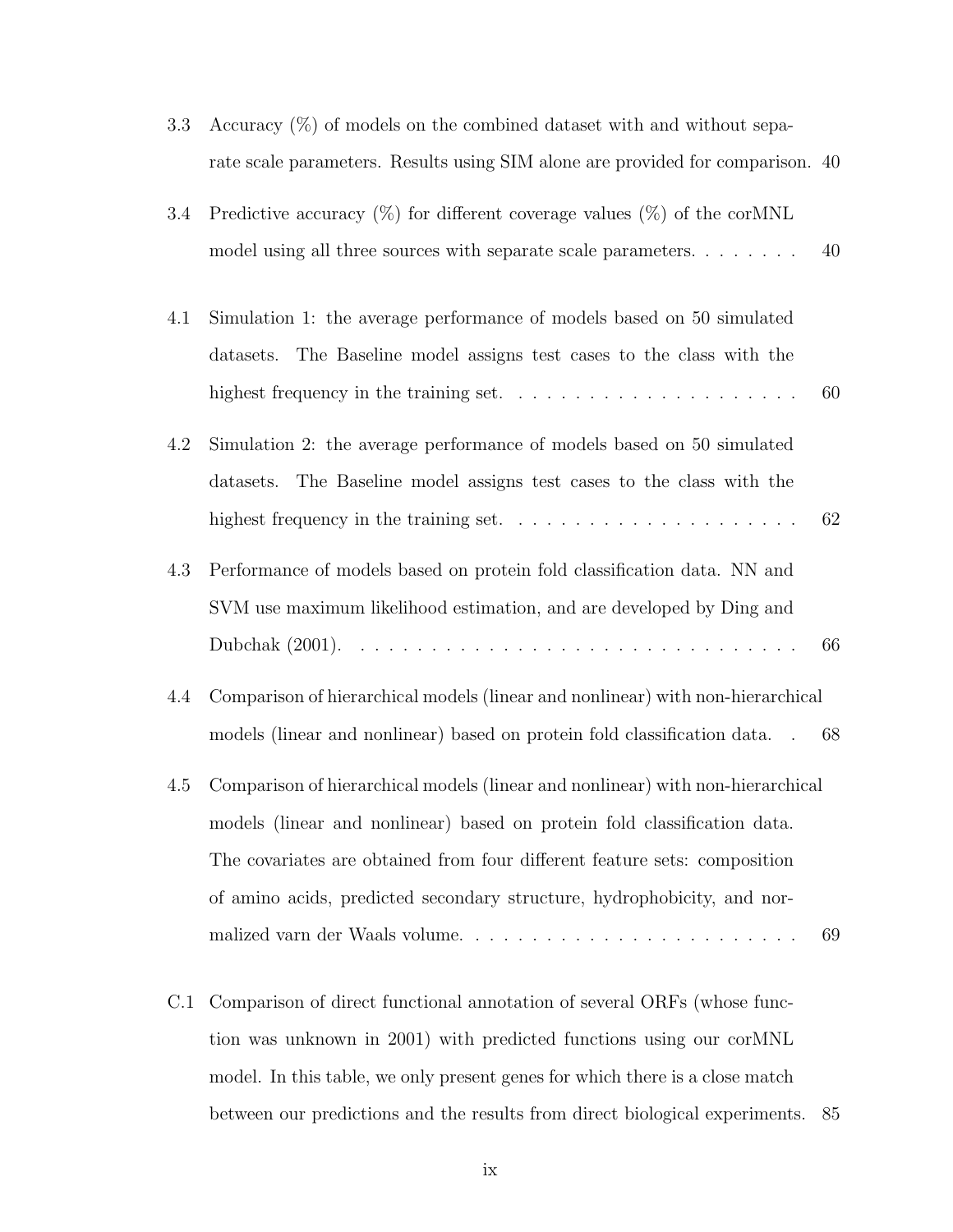| 3.3 | Accuracy $(\%)$ of models on the combined dataset with and without sepa-                    |    |
|-----|---------------------------------------------------------------------------------------------|----|
|     | rate scale parameters. Results using SIM alone are provided for comparison. 40              |    |
| 3.4 | Predictive accuracy $(\%)$ for different coverage values $(\%)$ of the corMNL               |    |
|     | model using all three sources with separate scale parameters                                | 40 |
| 4.1 | Simulation 1: the average performance of models based on 50 simulated                       |    |
|     | The Baseline model assigns test cases to the class with the<br>datasets.                    |    |
|     | highest frequency in the training set. $\ldots \ldots \ldots \ldots \ldots \ldots \ldots$   | 60 |
| 4.2 | Simulation 2: the average performance of models based on 50 simulated                       |    |
|     | The Baseline model assigns test cases to the class with the<br>datasets.                    |    |
|     |                                                                                             | 62 |
| 4.3 | Performance of models based on protein fold classification data. NN and                     |    |
|     | SVM use maximum likelihood estimation, and are developed by Ding and                        |    |
|     |                                                                                             | 66 |
| 4.4 | Comparison of hierarchical models (linear and nonlinear) with non-hierarchical              |    |
|     | models (linear and nonlinear) based on protein fold classification data.<br>$\sim 10^{-11}$ | 68 |
| 4.5 | Comparison of hierarchical models (linear and nonlinear) with non-hierarchical              |    |
|     | models (linear and nonlinear) based on protein fold classification data.                    |    |
|     | The covariates are obtained from four different feature sets: composition                   |    |
|     | of amino acids, predicted secondary structure, hydrophobicity, and nor-                     |    |
|     |                                                                                             | 69 |
| C.1 | Comparison of direct functional annotation of several ORFs (whose func-                     |    |

tion was unknown in 2001) with predicted functions using our corMNL model. In this table, we only present genes for which there is a close match between our predictions and the results from direct biological experiments. 85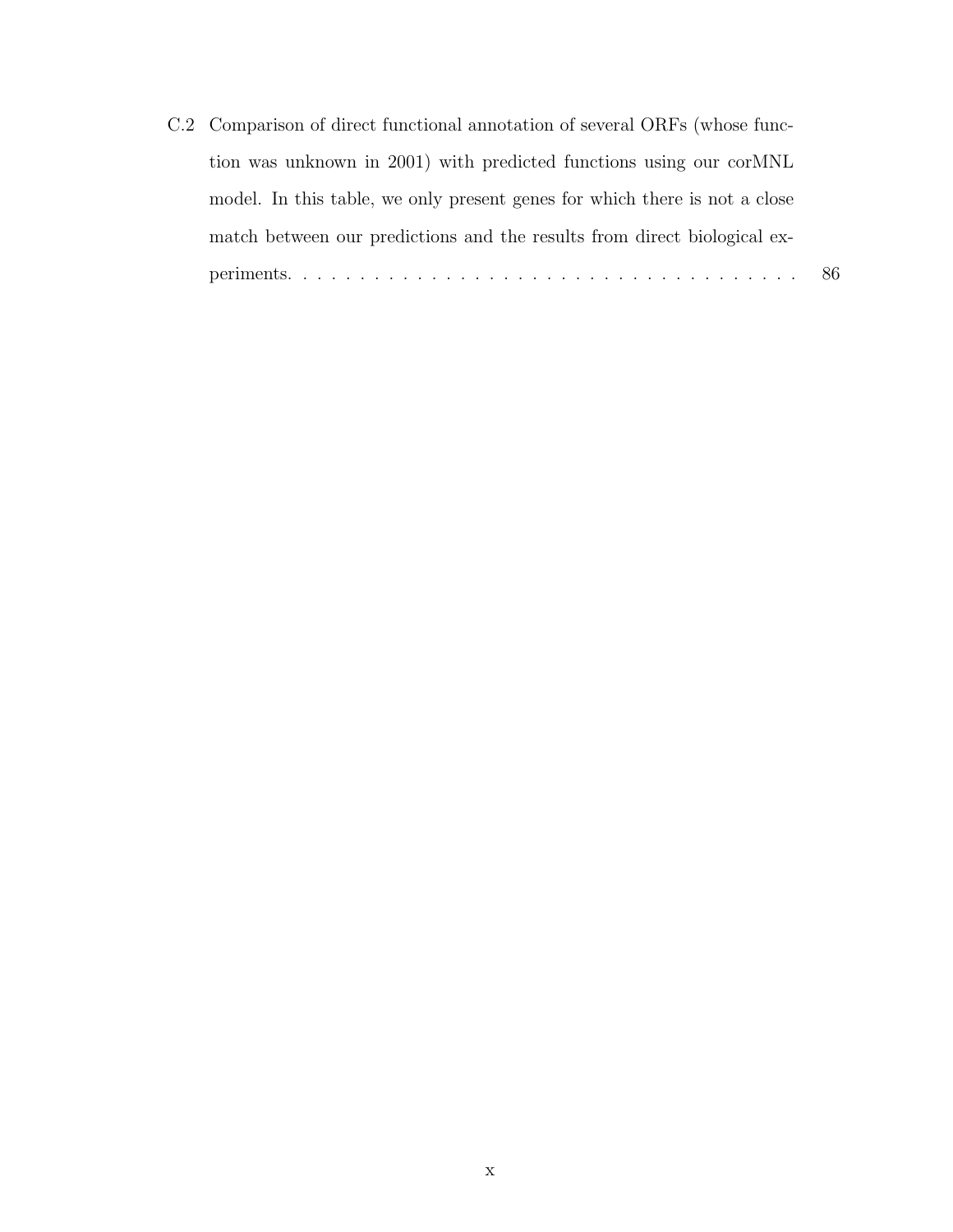C.2 Comparison of direct functional annotation of several ORFs (whose function was unknown in 2001) with predicted functions using our corMNL model. In this table, we only present genes for which there is not a close match between our predictions and the results from direct biological experiments. . . . . . . . . . . . . . . . . . . . . . . . . . . . . . . . . . . . 86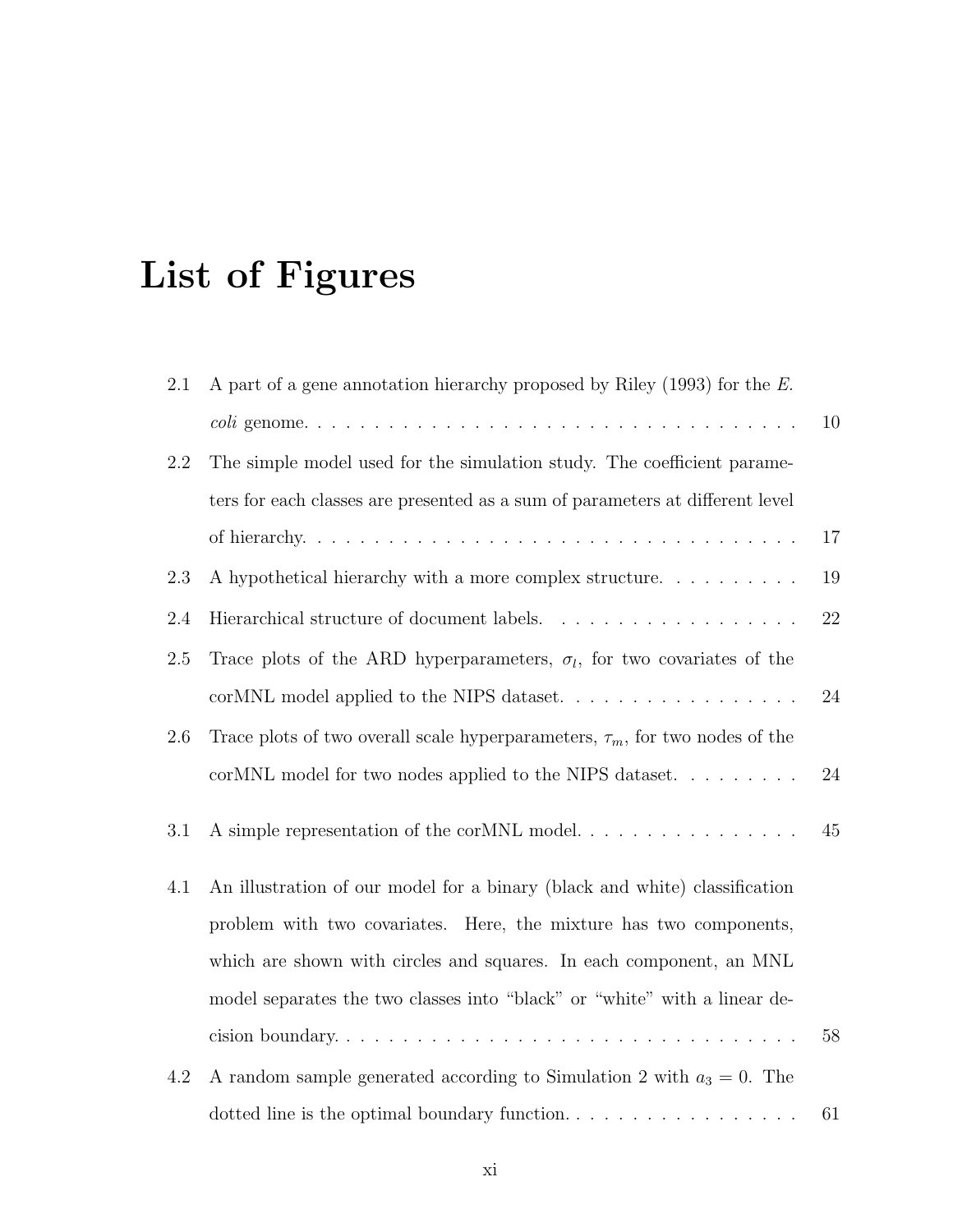# List of Figures

| 2.1 | A part of a gene annotation hierarchy proposed by Riley $(1993)$ for the E.       |    |
|-----|-----------------------------------------------------------------------------------|----|
|     |                                                                                   | 10 |
| 2.2 | The simple model used for the simulation study. The coefficient parame-           |    |
|     | ters for each classes are presented as a sum of parameters at different level     |    |
|     |                                                                                   | 17 |
| 2.3 | A hypothetical hierarchy with a more complex structure.                           | 19 |
| 2.4 |                                                                                   | 22 |
| 2.5 | Trace plots of the ARD hyperparameters, $\sigma_l$ , for two covariates of the    |    |
|     | corMNL model applied to the NIPS dataset                                          | 24 |
| 2.6 | Trace plots of two overall scale hyperparameters, $\tau_m$ , for two nodes of the |    |
|     | corMNL model for two nodes applied to the NIPS dataset.                           | 24 |
| 3.1 | A simple representation of the corMNL model                                       | 45 |
| 4.1 | An illustration of our model for a binary (black and white) classification        |    |
|     | problem with two covariates. Here, the mixture has two components,                |    |
|     | which are shown with circles and squares. In each component, an MNL               |    |
|     | model separates the two classes into "black" or "white" with a linear de-         |    |
|     | cision boundary                                                                   | 58 |
| 4.2 | A random sample generated according to Simulation 2 with $a_3 = 0$ . The          |    |
|     |                                                                                   | 61 |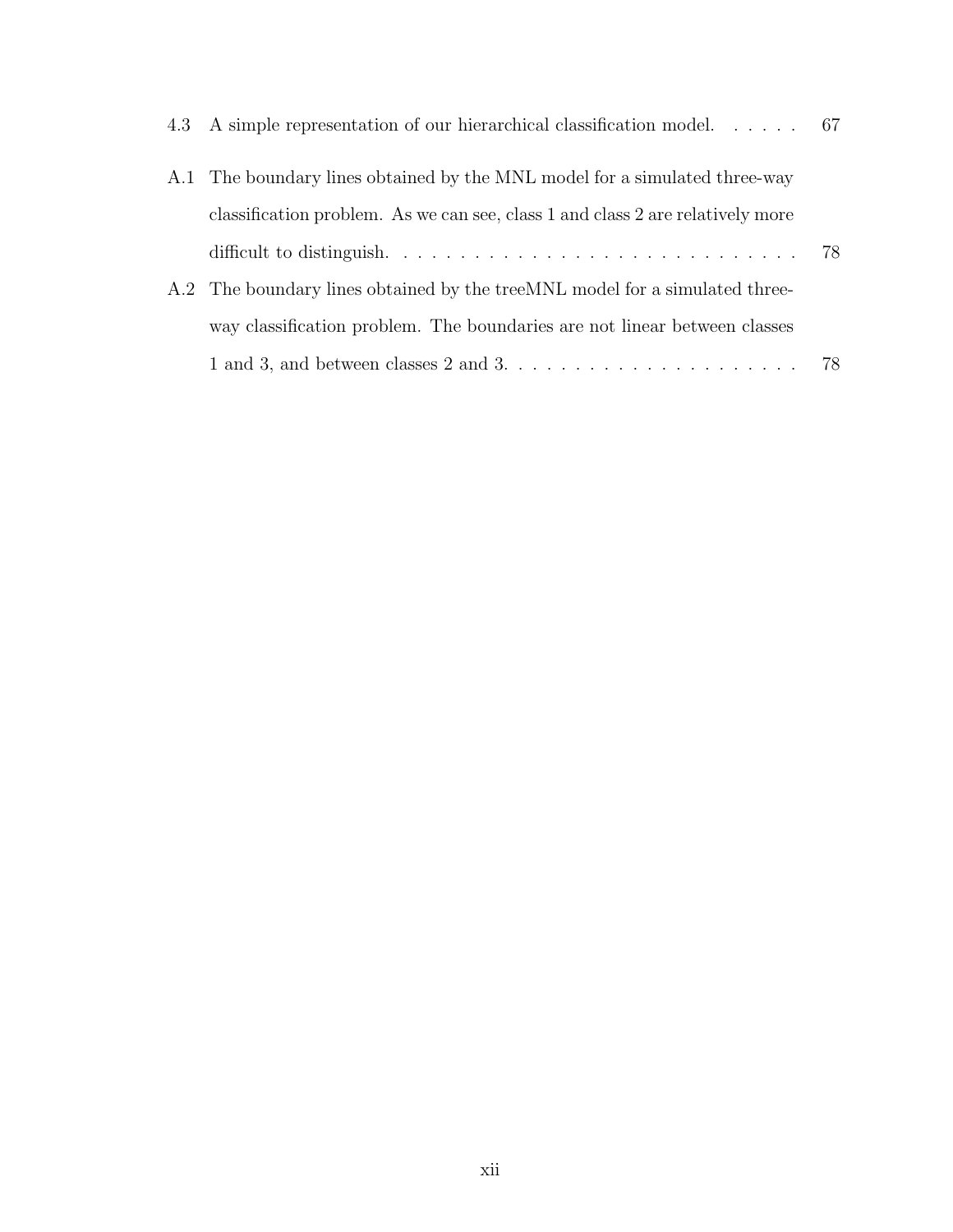| 4.3 A simple representation of our hierarchical classification model 67        |  |
|--------------------------------------------------------------------------------|--|
| A.1 The boundary lines obtained by the MNL model for a simulated three-way     |  |
| classification problem. As we can see, class 1 and class 2 are relatively more |  |
|                                                                                |  |
| A.2 The boundary lines obtained by the treeMNL model for a simulated three-    |  |
| way classification problem. The boundaries are not linear between classes      |  |
|                                                                                |  |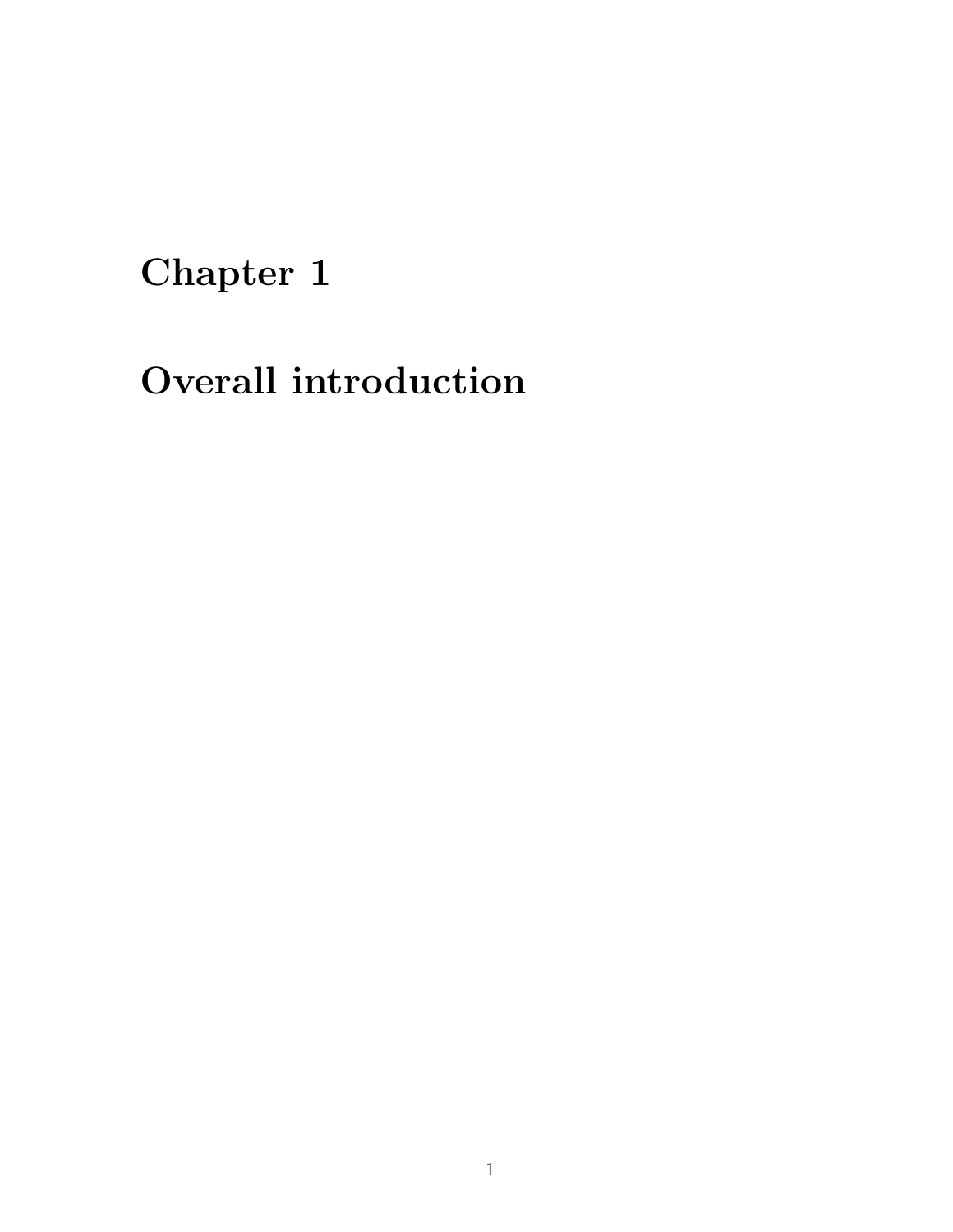### Chapter 1

## Overall introduction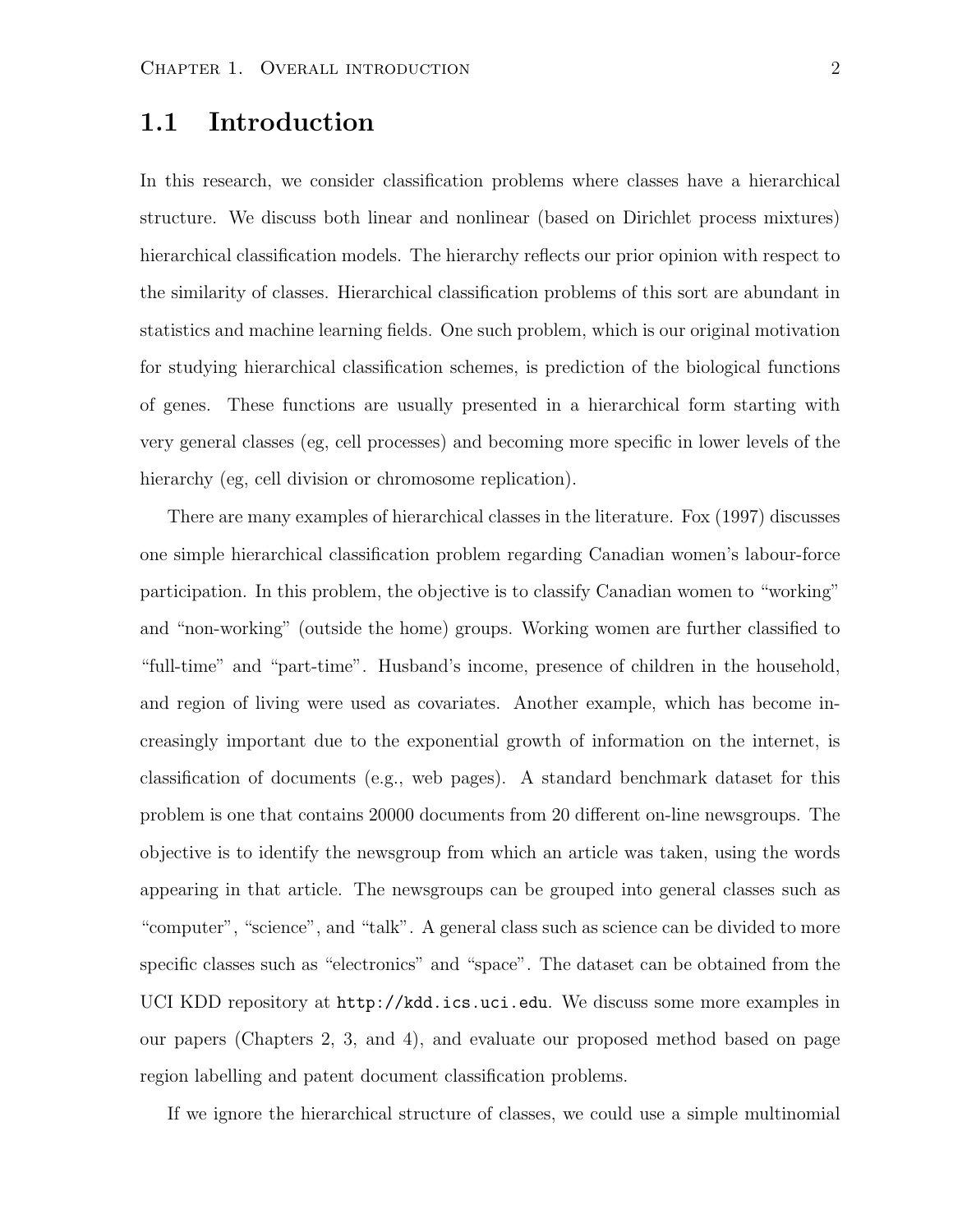#### 1.1 Introduction

In this research, we consider classification problems where classes have a hierarchical structure. We discuss both linear and nonlinear (based on Dirichlet process mixtures) hierarchical classification models. The hierarchy reflects our prior opinion with respect to the similarity of classes. Hierarchical classification problems of this sort are abundant in statistics and machine learning fields. One such problem, which is our original motivation for studying hierarchical classification schemes, is prediction of the biological functions of genes. These functions are usually presented in a hierarchical form starting with very general classes (eg, cell processes) and becoming more specific in lower levels of the hierarchy (eg, cell division or chromosome replication).

There are many examples of hierarchical classes in the literature. Fox (1997) discusses one simple hierarchical classification problem regarding Canadian women's labour-force participation. In this problem, the objective is to classify Canadian women to "working" and "non-working" (outside the home) groups. Working women are further classified to "full-time" and "part-time". Husband's income, presence of children in the household, and region of living were used as covariates. Another example, which has become increasingly important due to the exponential growth of information on the internet, is classification of documents (e.g., web pages). A standard benchmark dataset for this problem is one that contains 20000 documents from 20 different on-line newsgroups. The objective is to identify the newsgroup from which an article was taken, using the words appearing in that article. The newsgroups can be grouped into general classes such as "computer", "science", and "talk". A general class such as science can be divided to more specific classes such as "electronics" and "space". The dataset can be obtained from the UCI KDD repository at http://kdd.ics.uci.edu. We discuss some more examples in our papers (Chapters 2, 3, and 4), and evaluate our proposed method based on page region labelling and patent document classification problems.

If we ignore the hierarchical structure of classes, we could use a simple multinomial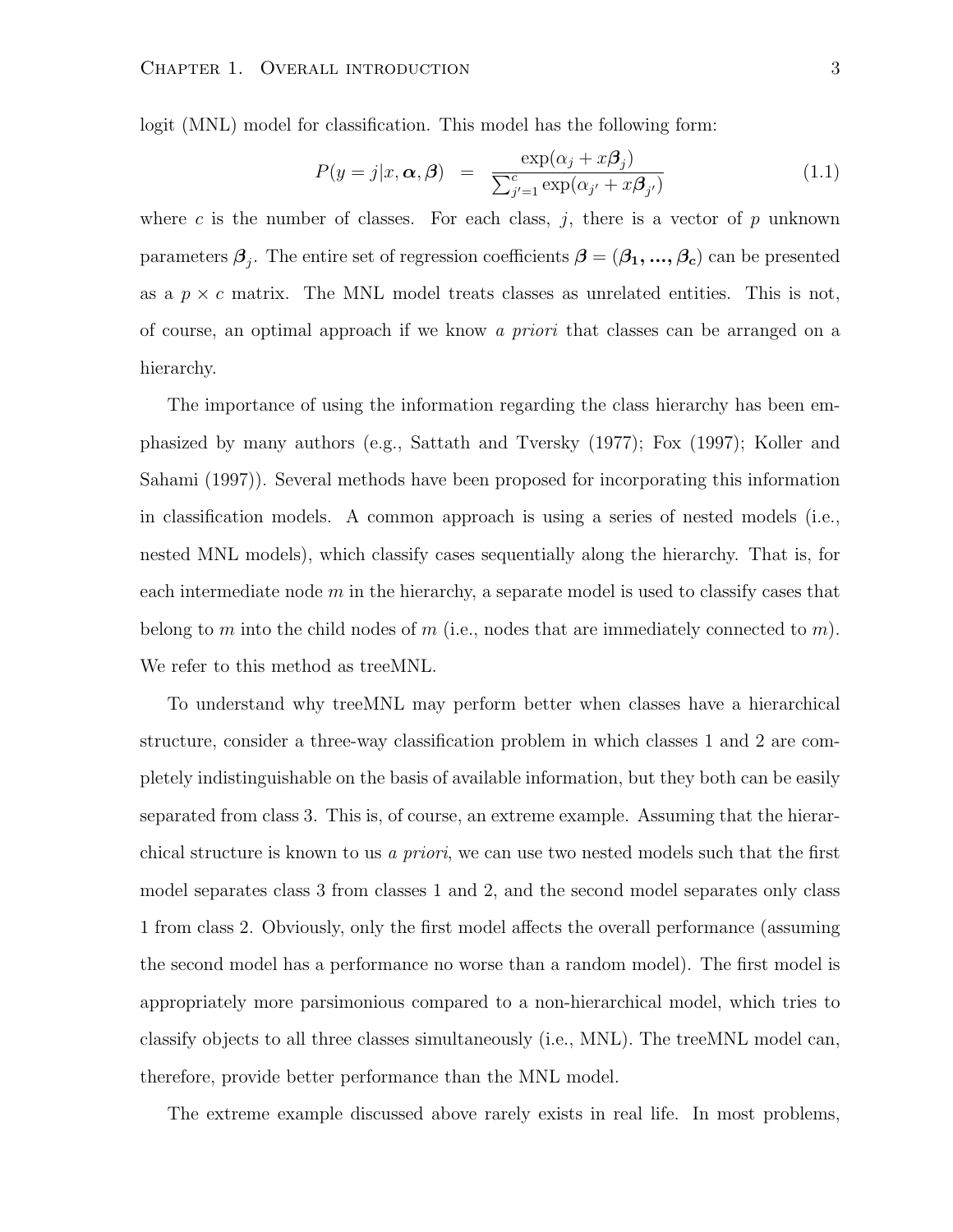logit (MNL) model for classification. This model has the following form:

$$
P(y=j|x,\alpha,\beta) = \frac{\exp(\alpha_j + x\beta_j)}{\sum_{j'=1}^{c} \exp(\alpha_{j'} + x\beta_{j'})}
$$
(1.1)

where c is the number of classes. For each class,  $j$ , there is a vector of  $p$  unknown parameters  $\boldsymbol{\beta}_j$ . The entire set of regression coefficients  $\boldsymbol{\beta}=(\beta_1,...,\beta_c)$  can be presented as a  $p \times c$  matrix. The MNL model treats classes as unrelated entities. This is not, of course, an optimal approach if we know a priori that classes can be arranged on a hierarchy.

The importance of using the information regarding the class hierarchy has been emphasized by many authors (e.g., Sattath and Tversky (1977); Fox (1997); Koller and Sahami (1997)). Several methods have been proposed for incorporating this information in classification models. A common approach is using a series of nested models (i.e., nested MNL models), which classify cases sequentially along the hierarchy. That is, for each intermediate node  $m$  in the hierarchy, a separate model is used to classify cases that belong to m into the child nodes of m (i.e., nodes that are immediately connected to m). We refer to this method as treeMNL.

To understand why treeMNL may perform better when classes have a hierarchical structure, consider a three-way classification problem in which classes 1 and 2 are completely indistinguishable on the basis of available information, but they both can be easily separated from class 3. This is, of course, an extreme example. Assuming that the hierarchical structure is known to us a priori, we can use two nested models such that the first model separates class 3 from classes 1 and 2, and the second model separates only class 1 from class 2. Obviously, only the first model affects the overall performance (assuming the second model has a performance no worse than a random model). The first model is appropriately more parsimonious compared to a non-hierarchical model, which tries to classify objects to all three classes simultaneously (i.e., MNL). The treeMNL model can, therefore, provide better performance than the MNL model.

The extreme example discussed above rarely exists in real life. In most problems,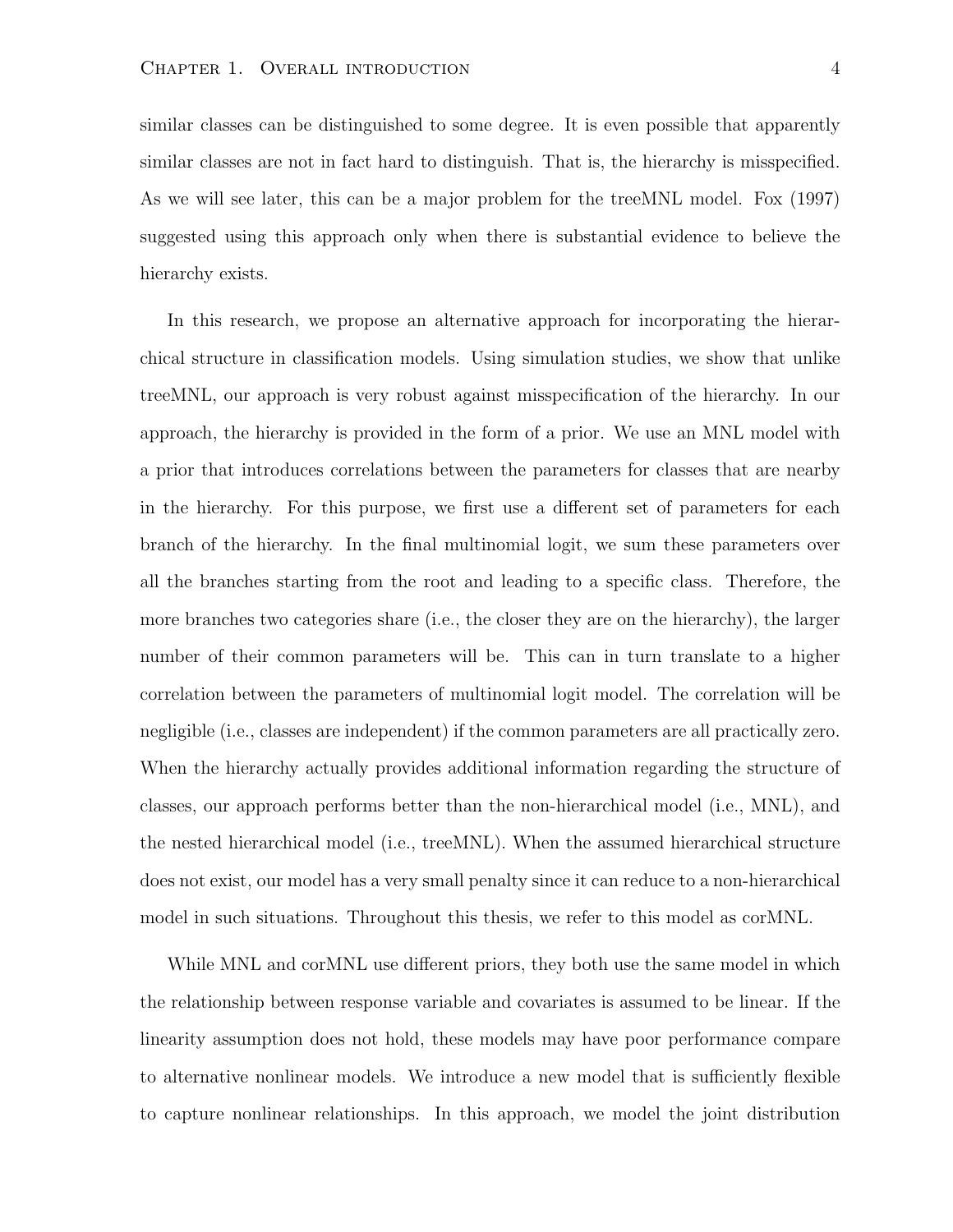similar classes can be distinguished to some degree. It is even possible that apparently similar classes are not in fact hard to distinguish. That is, the hierarchy is misspecified. As we will see later, this can be a major problem for the treeMNL model. Fox (1997) suggested using this approach only when there is substantial evidence to believe the hierarchy exists.

In this research, we propose an alternative approach for incorporating the hierarchical structure in classification models. Using simulation studies, we show that unlike treeMNL, our approach is very robust against misspecification of the hierarchy. In our approach, the hierarchy is provided in the form of a prior. We use an MNL model with a prior that introduces correlations between the parameters for classes that are nearby in the hierarchy. For this purpose, we first use a different set of parameters for each branch of the hierarchy. In the final multinomial logit, we sum these parameters over all the branches starting from the root and leading to a specific class. Therefore, the more branches two categories share (i.e., the closer they are on the hierarchy), the larger number of their common parameters will be. This can in turn translate to a higher correlation between the parameters of multinomial logit model. The correlation will be negligible (i.e., classes are independent) if the common parameters are all practically zero. When the hierarchy actually provides additional information regarding the structure of classes, our approach performs better than the non-hierarchical model (i.e., MNL), and the nested hierarchical model (i.e., treeMNL). When the assumed hierarchical structure does not exist, our model has a very small penalty since it can reduce to a non-hierarchical model in such situations. Throughout this thesis, we refer to this model as corMNL.

While MNL and corMNL use different priors, they both use the same model in which the relationship between response variable and covariates is assumed to be linear. If the linearity assumption does not hold, these models may have poor performance compare to alternative nonlinear models. We introduce a new model that is sufficiently flexible to capture nonlinear relationships. In this approach, we model the joint distribution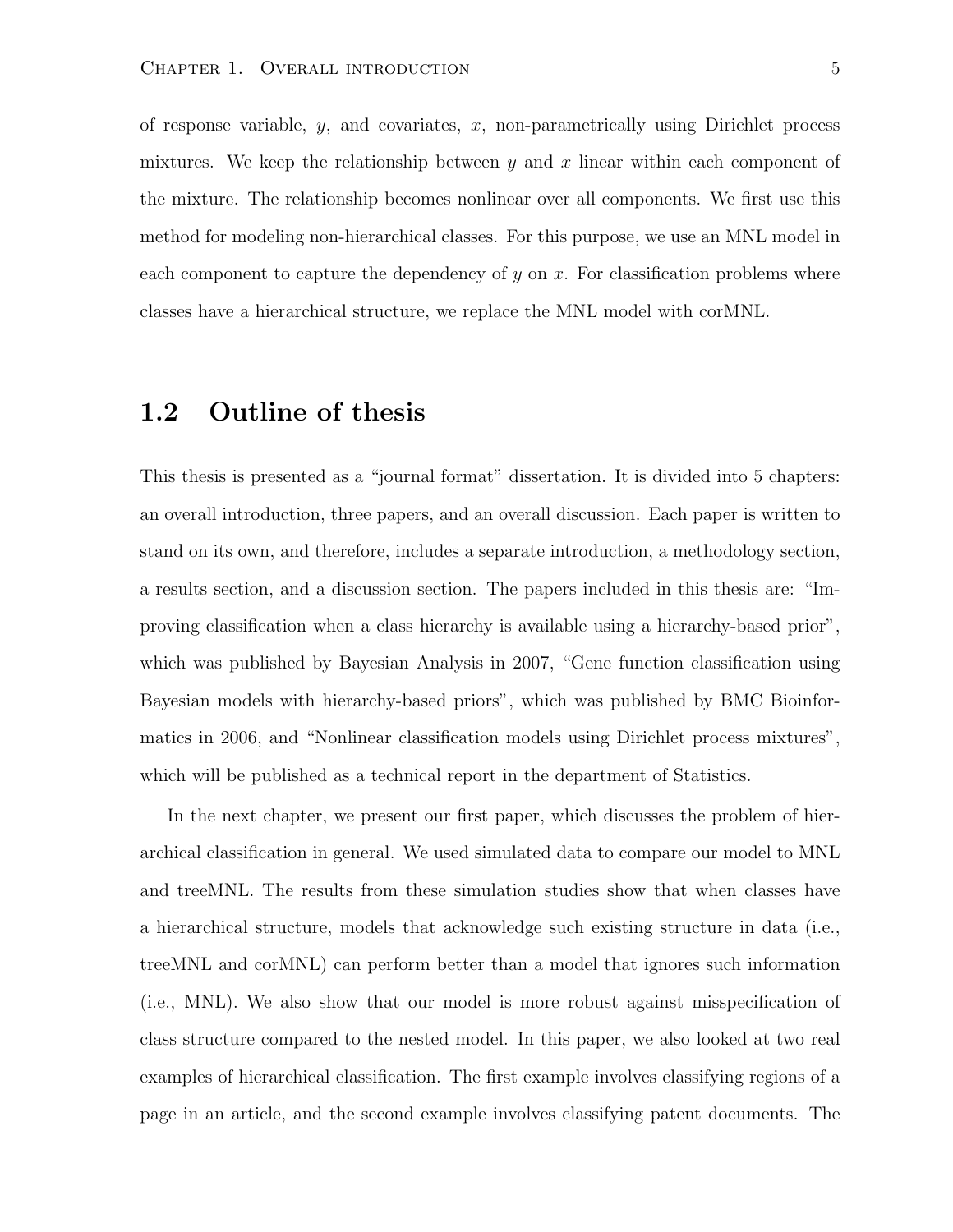of response variable,  $y$ , and covariates,  $x$ , non-parametrically using Dirichlet process mixtures. We keep the relationship between y and x linear within each component of the mixture. The relationship becomes nonlinear over all components. We first use this method for modeling non-hierarchical classes. For this purpose, we use an MNL model in each component to capture the dependency of y on x. For classification problems where classes have a hierarchical structure, we replace the MNL model with corMNL.

#### 1.2 Outline of thesis

This thesis is presented as a "journal format" dissertation. It is divided into 5 chapters: an overall introduction, three papers, and an overall discussion. Each paper is written to stand on its own, and therefore, includes a separate introduction, a methodology section, a results section, and a discussion section. The papers included in this thesis are: "Improving classification when a class hierarchy is available using a hierarchy-based prior", which was published by Bayesian Analysis in 2007, "Gene function classification using Bayesian models with hierarchy-based priors", which was published by BMC Bioinformatics in 2006, and "Nonlinear classification models using Dirichlet process mixtures", which will be published as a technical report in the department of Statistics.

In the next chapter, we present our first paper, which discusses the problem of hierarchical classification in general. We used simulated data to compare our model to MNL and treeMNL. The results from these simulation studies show that when classes have a hierarchical structure, models that acknowledge such existing structure in data (i.e., treeMNL and corMNL) can perform better than a model that ignores such information (i.e., MNL). We also show that our model is more robust against misspecification of class structure compared to the nested model. In this paper, we also looked at two real examples of hierarchical classification. The first example involves classifying regions of a page in an article, and the second example involves classifying patent documents. The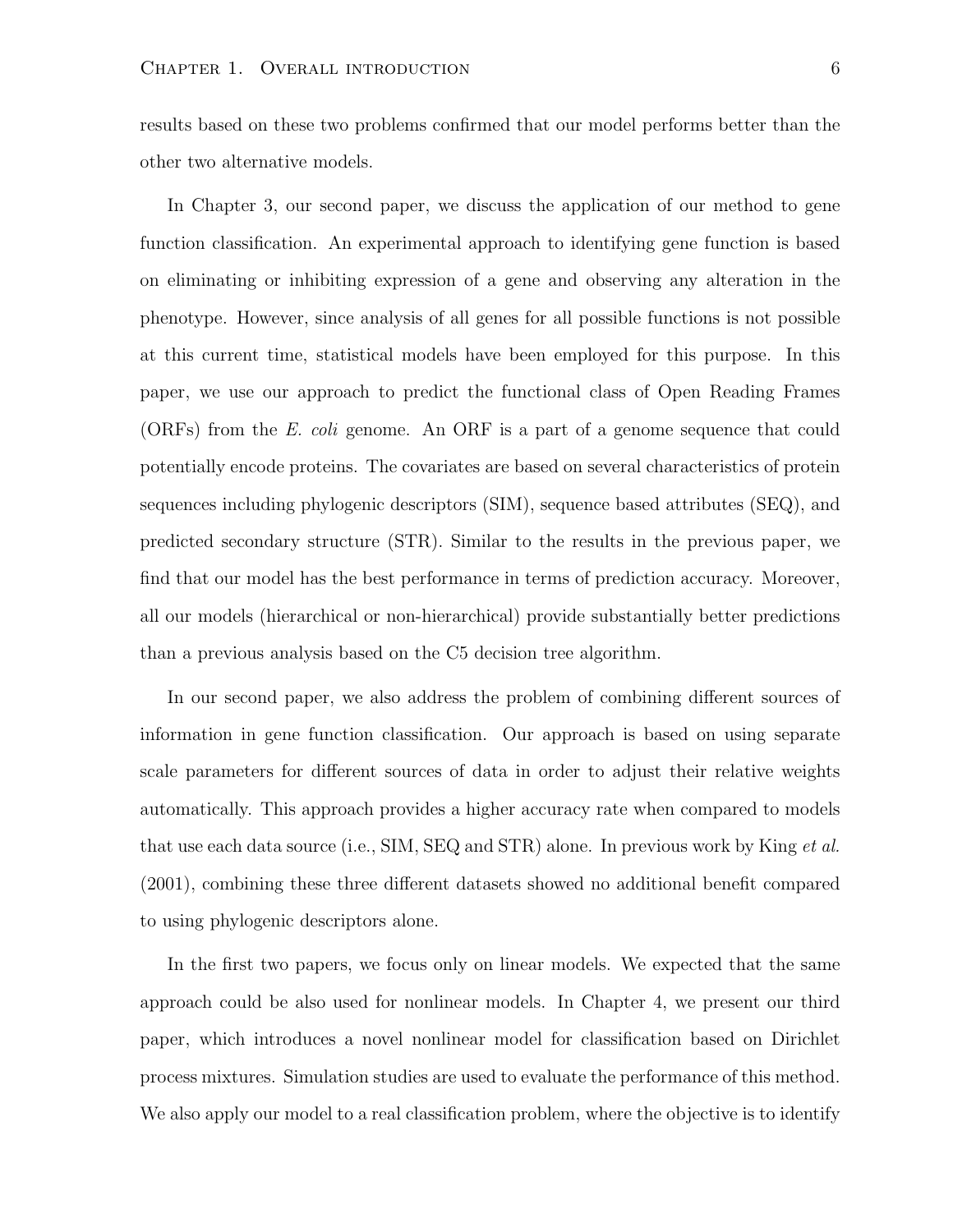results based on these two problems confirmed that our model performs better than the other two alternative models.

In Chapter 3, our second paper, we discuss the application of our method to gene function classification. An experimental approach to identifying gene function is based on eliminating or inhibiting expression of a gene and observing any alteration in the phenotype. However, since analysis of all genes for all possible functions is not possible at this current time, statistical models have been employed for this purpose. In this paper, we use our approach to predict the functional class of Open Reading Frames (ORFs) from the E. coli genome. An ORF is a part of a genome sequence that could potentially encode proteins. The covariates are based on several characteristics of protein sequences including phylogenic descriptors (SIM), sequence based attributes (SEQ), and predicted secondary structure (STR). Similar to the results in the previous paper, we find that our model has the best performance in terms of prediction accuracy. Moreover, all our models (hierarchical or non-hierarchical) provide substantially better predictions than a previous analysis based on the C5 decision tree algorithm.

In our second paper, we also address the problem of combining different sources of information in gene function classification. Our approach is based on using separate scale parameters for different sources of data in order to adjust their relative weights automatically. This approach provides a higher accuracy rate when compared to models that use each data source (i.e., SIM, SEQ and STR) alone. In previous work by King *et al.* (2001), combining these three different datasets showed no additional benefit compared to using phylogenic descriptors alone.

In the first two papers, we focus only on linear models. We expected that the same approach could be also used for nonlinear models. In Chapter 4, we present our third paper, which introduces a novel nonlinear model for classification based on Dirichlet process mixtures. Simulation studies are used to evaluate the performance of this method. We also apply our model to a real classification problem, where the objective is to identify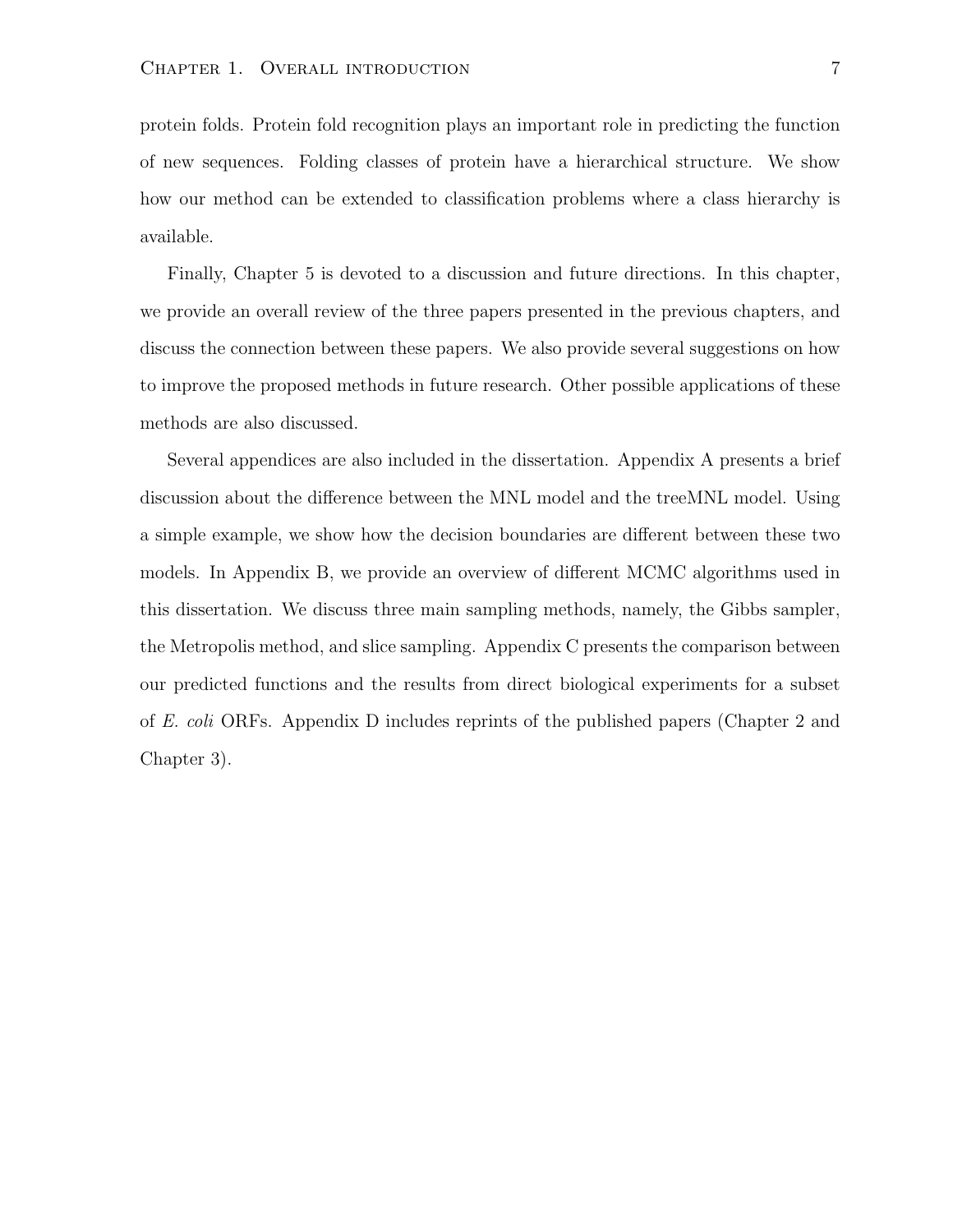protein folds. Protein fold recognition plays an important role in predicting the function of new sequences. Folding classes of protein have a hierarchical structure. We show how our method can be extended to classification problems where a class hierarchy is available.

Finally, Chapter 5 is devoted to a discussion and future directions. In this chapter, we provide an overall review of the three papers presented in the previous chapters, and discuss the connection between these papers. We also provide several suggestions on how to improve the proposed methods in future research. Other possible applications of these methods are also discussed.

Several appendices are also included in the dissertation. Appendix A presents a brief discussion about the difference between the MNL model and the treeMNL model. Using a simple example, we show how the decision boundaries are different between these two models. In Appendix B, we provide an overview of different MCMC algorithms used in this dissertation. We discuss three main sampling methods, namely, the Gibbs sampler, the Metropolis method, and slice sampling. Appendix C presents the comparison between our predicted functions and the results from direct biological experiments for a subset of E. coli ORFs. Appendix D includes reprints of the published papers (Chapter 2 and Chapter 3).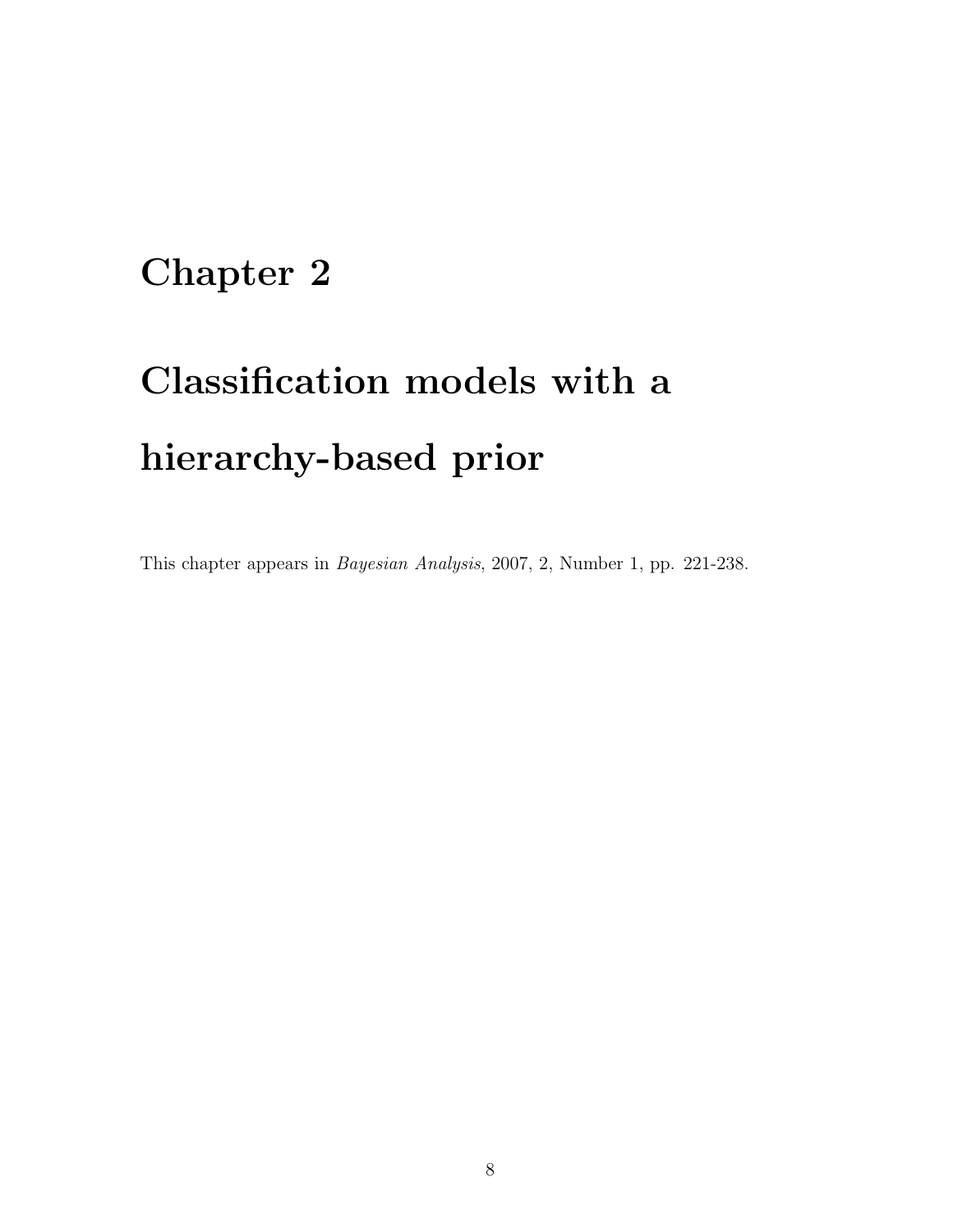### Chapter 2

# Classification models with a hierarchy-based prior

This chapter appears in Bayesian Analysis, 2007, 2, Number 1, pp. 221-238.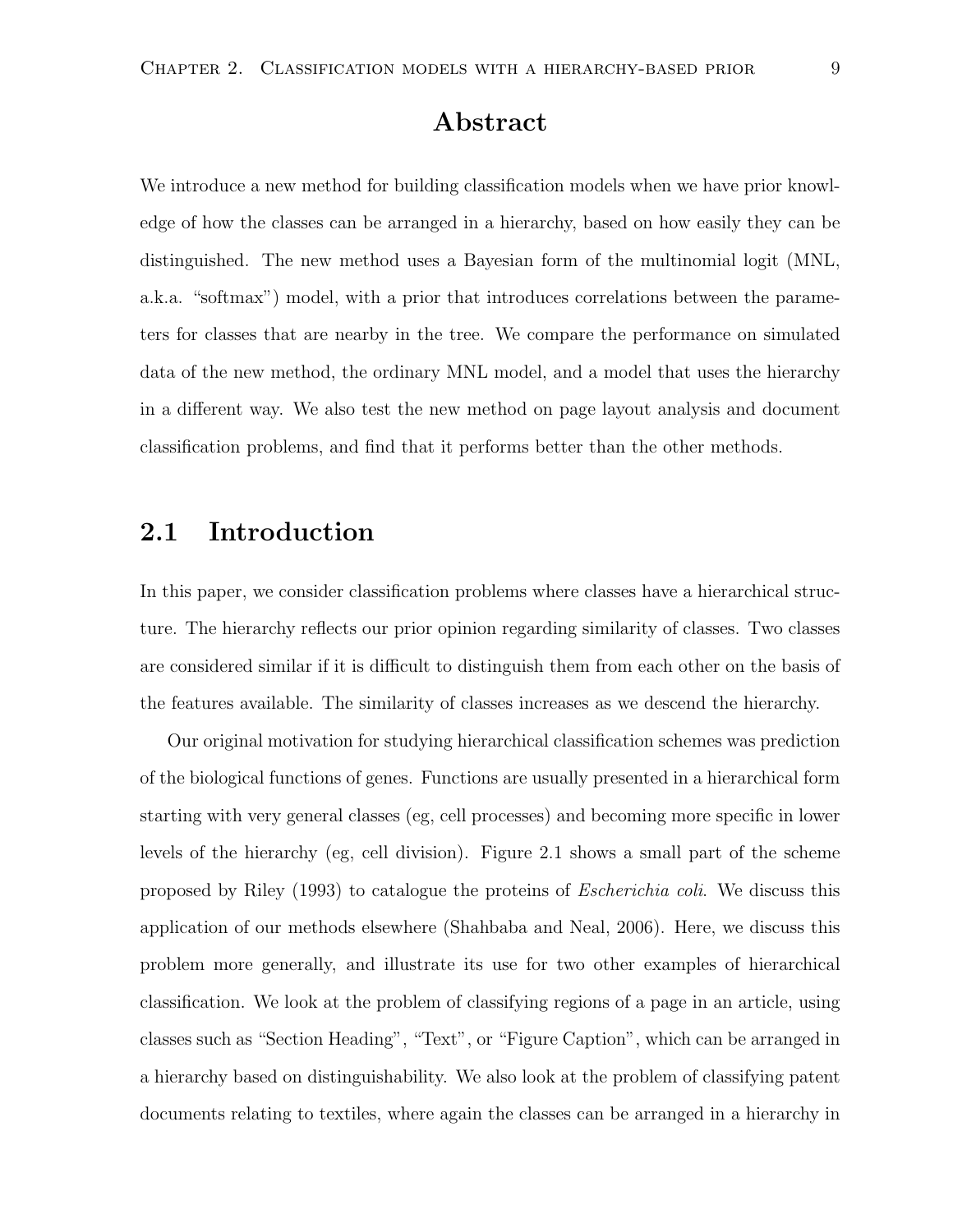#### Abstract

We introduce a new method for building classification models when we have prior knowledge of how the classes can be arranged in a hierarchy, based on how easily they can be distinguished. The new method uses a Bayesian form of the multinomial logit (MNL, a.k.a. "softmax") model, with a prior that introduces correlations between the parameters for classes that are nearby in the tree. We compare the performance on simulated data of the new method, the ordinary MNL model, and a model that uses the hierarchy in a different way. We also test the new method on page layout analysis and document classification problems, and find that it performs better than the other methods.

#### 2.1 Introduction

In this paper, we consider classification problems where classes have a hierarchical structure. The hierarchy reflects our prior opinion regarding similarity of classes. Two classes are considered similar if it is difficult to distinguish them from each other on the basis of the features available. The similarity of classes increases as we descend the hierarchy.

Our original motivation for studying hierarchical classification schemes was prediction of the biological functions of genes. Functions are usually presented in a hierarchical form starting with very general classes (eg, cell processes) and becoming more specific in lower levels of the hierarchy (eg, cell division). Figure 2.1 shows a small part of the scheme proposed by Riley (1993) to catalogue the proteins of Escherichia coli. We discuss this application of our methods elsewhere (Shahbaba and Neal, 2006). Here, we discuss this problem more generally, and illustrate its use for two other examples of hierarchical classification. We look at the problem of classifying regions of a page in an article, using classes such as "Section Heading", "Text", or "Figure Caption", which can be arranged in a hierarchy based on distinguishability. We also look at the problem of classifying patent documents relating to textiles, where again the classes can be arranged in a hierarchy in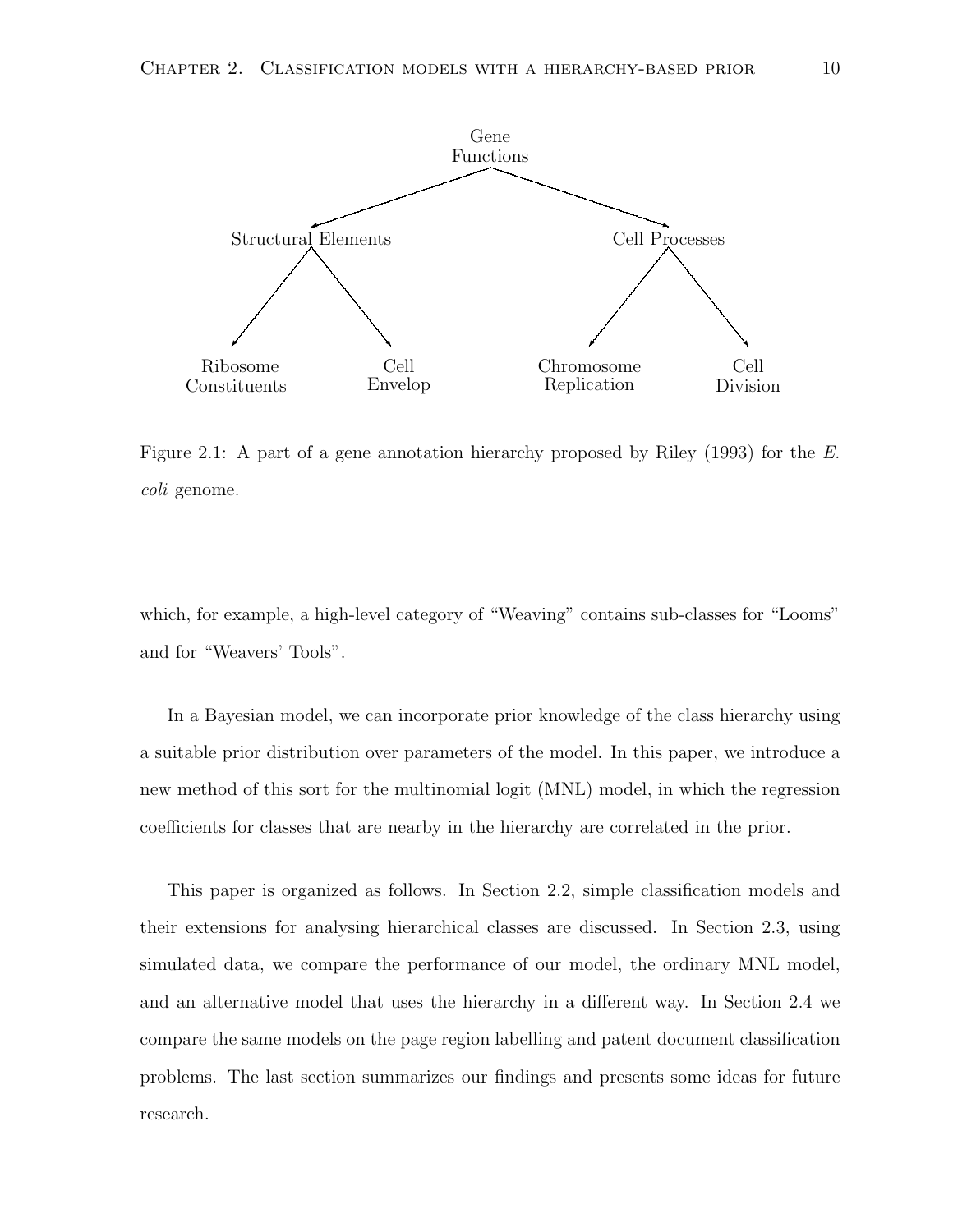

Figure 2.1: A part of a gene annotation hierarchy proposed by Riley (1993) for the E. coli genome.

which, for example, a high-level category of "Weaving" contains sub-classes for "Looms" and for "Weavers' Tools".

In a Bayesian model, we can incorporate prior knowledge of the class hierarchy using a suitable prior distribution over parameters of the model. In this paper, we introduce a new method of this sort for the multinomial logit (MNL) model, in which the regression coefficients for classes that are nearby in the hierarchy are correlated in the prior.

This paper is organized as follows. In Section 2.2, simple classification models and their extensions for analysing hierarchical classes are discussed. In Section 2.3, using simulated data, we compare the performance of our model, the ordinary MNL model, and an alternative model that uses the hierarchy in a different way. In Section 2.4 we compare the same models on the page region labelling and patent document classification problems. The last section summarizes our findings and presents some ideas for future research.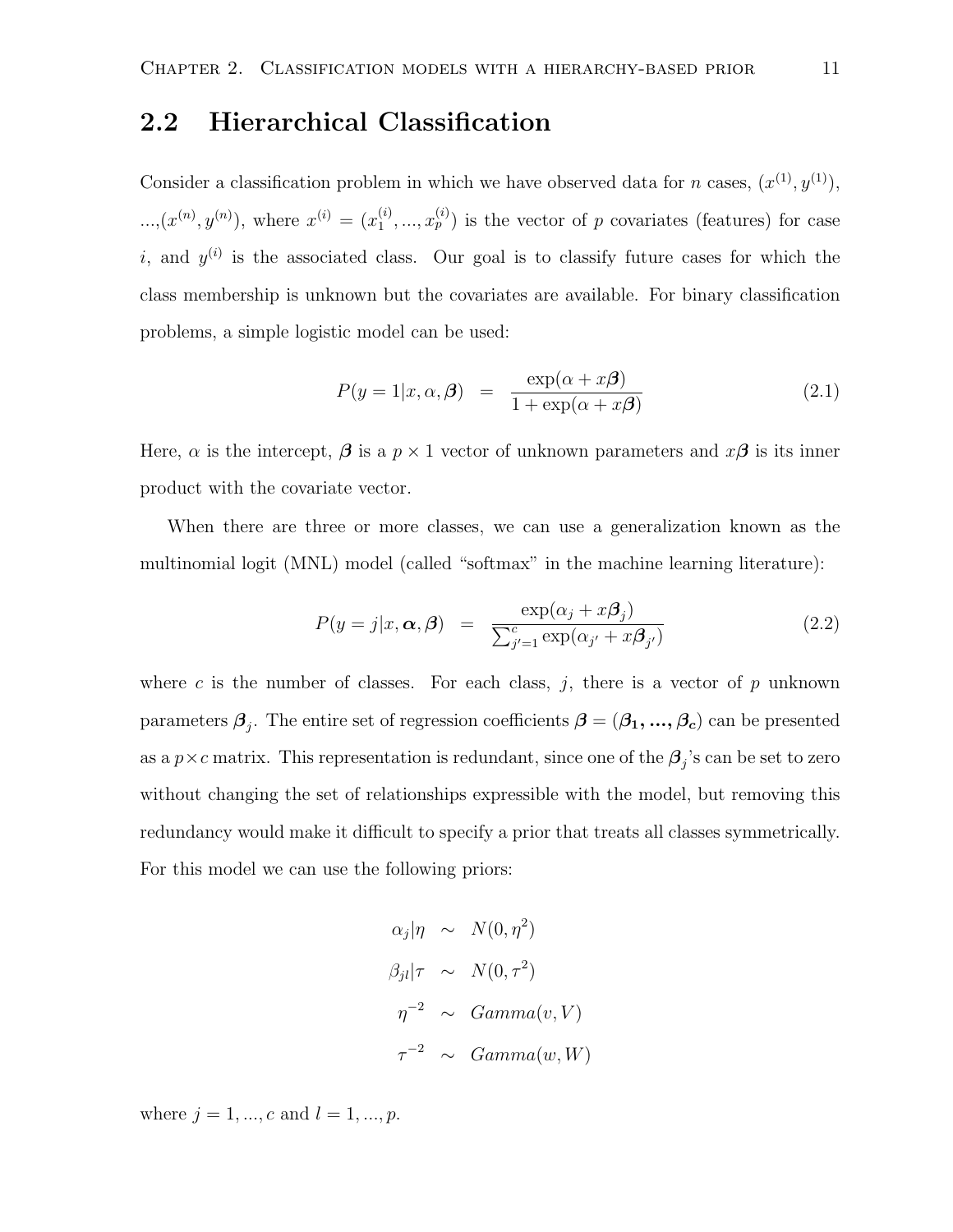#### 2.2 Hierarchical Classification

Consider a classification problem in which we have observed data for n cases,  $(x^{(1)}, y^{(1)})$ ,  $..., (x^{(n)}, y^{(n)}),$  where  $x^{(i)} = (x_1^{(i)})$  $\mathbf{1}_{1}, \ldots, \mathbf{1}_{p}^{(i)}$  is the vector of p covariates (features) for case i, and  $y^{(i)}$  is the associated class. Our goal is to classify future cases for which the class membership is unknown but the covariates are available. For binary classification problems, a simple logistic model can be used:

$$
P(y = 1|x, \alpha, \beta) = \frac{\exp(\alpha + x\beta)}{1 + \exp(\alpha + x\beta)}
$$
(2.1)

Here,  $\alpha$  is the intercept,  $\beta$  is a  $p \times 1$  vector of unknown parameters and  $x\beta$  is its inner product with the covariate vector.

When there are three or more classes, we can use a generalization known as the multinomial logit (MNL) model (called "softmax" in the machine learning literature):

$$
P(y = j|x, \alpha, \beta) = \frac{\exp(\alpha_j + x\beta_j)}{\sum_{j'=1}^{c} \exp(\alpha_{j'} + x\beta_{j'})}
$$
(2.2)

where c is the number of classes. For each class,  $j$ , there is a vector of  $p$  unknown parameters  $\boldsymbol{\beta}_j$ . The entire set of regression coefficients  $\boldsymbol{\beta}=(\beta_1,...,\beta_c)$  can be presented as a  $p \times c$  matrix. This representation is redundant, since one of the  $\beta_j$ 's can be set to zero without changing the set of relationships expressible with the model, but removing this redundancy would make it difficult to specify a prior that treats all classes symmetrically. For this model we can use the following priors:

$$
\alpha_j|\eta \sim N(0, \eta^2)
$$
  
\n
$$
\beta_{jl}|\tau \sim N(0, \tau^2)
$$
  
\n
$$
\eta^{-2} \sim Gamma(v, V)
$$
  
\n
$$
\tau^{-2} \sim Gamma(w, W)
$$

where  $j = 1, ..., c$  and  $l = 1, ..., p$ .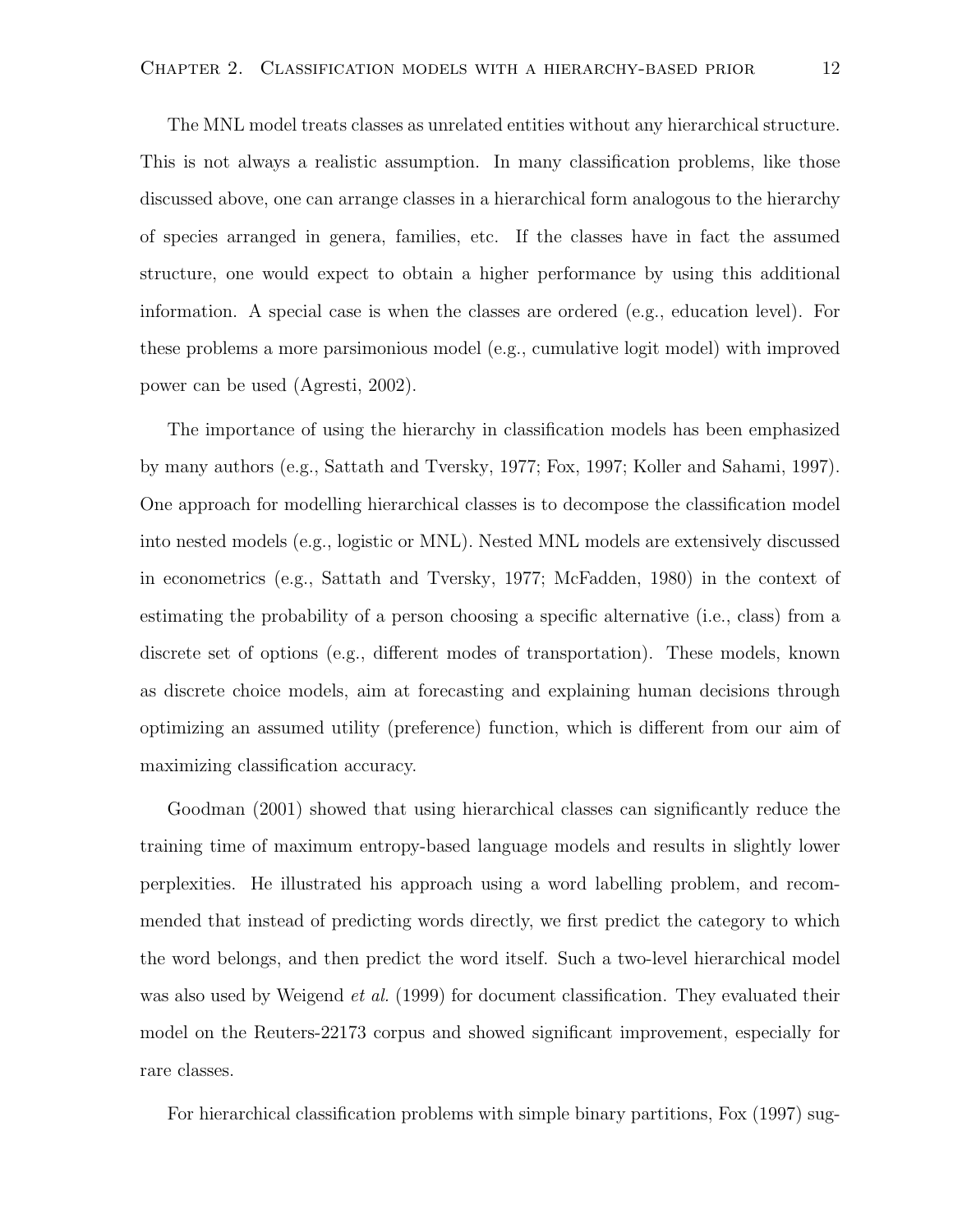The MNL model treats classes as unrelated entities without any hierarchical structure. This is not always a realistic assumption. In many classification problems, like those discussed above, one can arrange classes in a hierarchical form analogous to the hierarchy of species arranged in genera, families, etc. If the classes have in fact the assumed structure, one would expect to obtain a higher performance by using this additional information. A special case is when the classes are ordered (e.g., education level). For these problems a more parsimonious model (e.g., cumulative logit model) with improved power can be used (Agresti, 2002).

The importance of using the hierarchy in classification models has been emphasized by many authors (e.g., Sattath and Tversky, 1977; Fox, 1997; Koller and Sahami, 1997). One approach for modelling hierarchical classes is to decompose the classification model into nested models (e.g., logistic or MNL). Nested MNL models are extensively discussed in econometrics (e.g., Sattath and Tversky, 1977; McFadden, 1980) in the context of estimating the probability of a person choosing a specific alternative (i.e., class) from a discrete set of options (e.g., different modes of transportation). These models, known as discrete choice models, aim at forecasting and explaining human decisions through optimizing an assumed utility (preference) function, which is different from our aim of maximizing classification accuracy.

Goodman (2001) showed that using hierarchical classes can significantly reduce the training time of maximum entropy-based language models and results in slightly lower perplexities. He illustrated his approach using a word labelling problem, and recommended that instead of predicting words directly, we first predict the category to which the word belongs, and then predict the word itself. Such a two-level hierarchical model was also used by Weigend *et al.* (1999) for document classification. They evaluated their model on the Reuters-22173 corpus and showed significant improvement, especially for rare classes.

For hierarchical classification problems with simple binary partitions, Fox (1997) sug-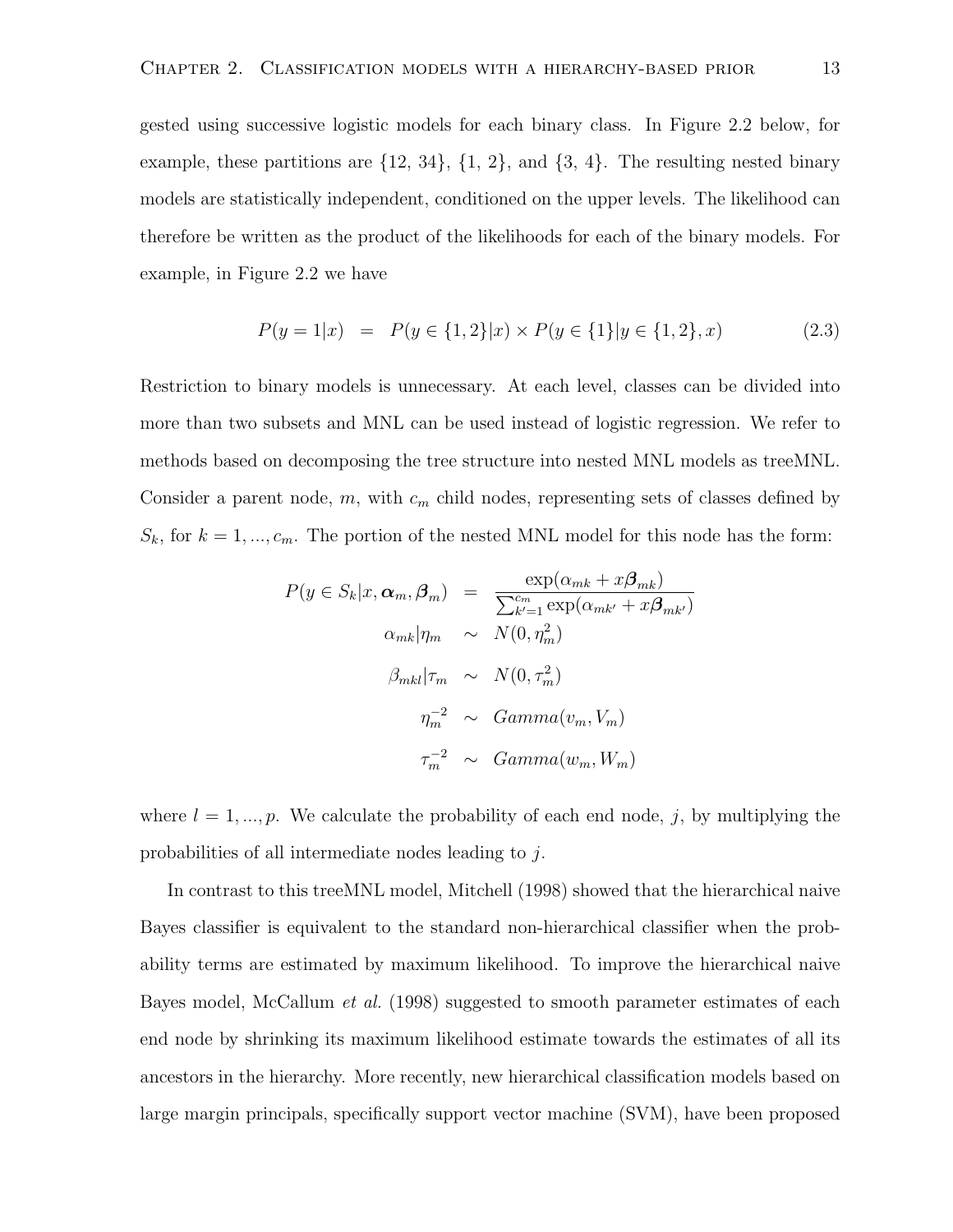gested using successive logistic models for each binary class. In Figure 2.2 below, for example, these partitions are  $\{12, 34\}$ ,  $\{1, 2\}$ , and  $\{3, 4\}$ . The resulting nested binary models are statistically independent, conditioned on the upper levels. The likelihood can therefore be written as the product of the likelihoods for each of the binary models. For example, in Figure 2.2 we have

$$
P(y = 1|x) = P(y \in \{1, 2\}|x) \times P(y \in \{1\}|y \in \{1, 2\}, x)
$$
\n(2.3)

Restriction to binary models is unnecessary. At each level, classes can be divided into more than two subsets and MNL can be used instead of logistic regression. We refer to methods based on decomposing the tree structure into nested MNL models as treeMNL. Consider a parent node,  $m$ , with  $c_m$  child nodes, representing sets of classes defined by  $S_k$ , for  $k = 1, ..., c_m$ . The portion of the nested MNL model for this node has the form:

$$
P(y \in S_k | x, \alpha_m, \beta_m) = \frac{\exp(\alpha_{mk} + x\beta_{mk})}{\sum_{k'=1}^{c_m} \exp(\alpha_{mk'} + x\beta_{mk'})}
$$

$$
\alpha_{mk} |\eta_m \sim N(0, \eta_m^2)
$$

$$
\beta_{mkl} |\tau_m \sim N(0, \tau_m^2)
$$

$$
\eta_m^{-2} \sim Gamma(v_m, V_m)
$$

$$
\tau_m^{-2} \sim Gamma(w_m, W_m)
$$

where  $l = 1, ..., p$ . We calculate the probability of each end node, j, by multiplying the probabilities of all intermediate nodes leading to j.

In contrast to this treeMNL model, Mitchell (1998) showed that the hierarchical naive Bayes classifier is equivalent to the standard non-hierarchical classifier when the probability terms are estimated by maximum likelihood. To improve the hierarchical naive Bayes model, McCallum *et al.* (1998) suggested to smooth parameter estimates of each end node by shrinking its maximum likelihood estimate towards the estimates of all its ancestors in the hierarchy. More recently, new hierarchical classification models based on large margin principals, specifically support vector machine (SVM), have been proposed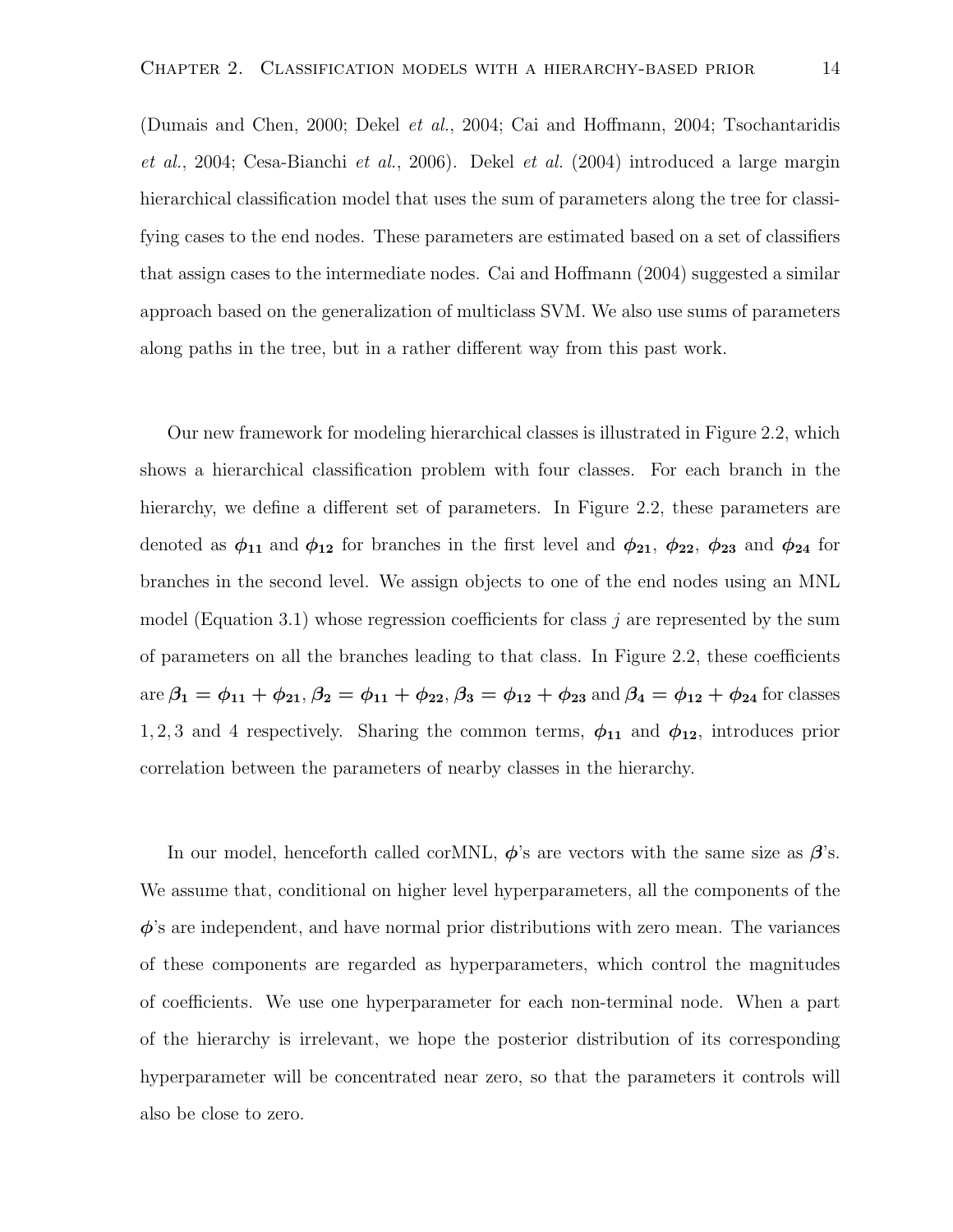(Dumais and Chen, 2000; Dekel et al., 2004; Cai and Hoffmann, 2004; Tsochantaridis et al., 2004; Cesa-Bianchi et al., 2006). Dekel et al. (2004) introduced a large margin hierarchical classification model that uses the sum of parameters along the tree for classifying cases to the end nodes. These parameters are estimated based on a set of classifiers that assign cases to the intermediate nodes. Cai and Hoffmann (2004) suggested a similar approach based on the generalization of multiclass SVM. We also use sums of parameters along paths in the tree, but in a rather different way from this past work.

Our new framework for modeling hierarchical classes is illustrated in Figure 2.2, which shows a hierarchical classification problem with four classes. For each branch in the hierarchy, we define a different set of parameters. In Figure 2.2, these parameters are denoted as  $\phi_{11}$  and  $\phi_{12}$  for branches in the first level and  $\phi_{21}$ ,  $\phi_{22}$ ,  $\phi_{23}$  and  $\phi_{24}$  for branches in the second level. We assign objects to one of the end nodes using an MNL model (Equation 3.1) whose regression coefficients for class j are represented by the sum of parameters on all the branches leading to that class. In Figure 2.2, these coefficients are  $\beta_1 = \phi_{11} + \phi_{21}$ ,  $\beta_2 = \phi_{11} + \phi_{22}$ ,  $\beta_3 = \phi_{12} + \phi_{23}$  and  $\beta_4 = \phi_{12} + \phi_{24}$  for classes 1, 2, 3 and 4 respectively. Sharing the common terms,  $\phi_{11}$  and  $\phi_{12}$ , introduces prior correlation between the parameters of nearby classes in the hierarchy.

In our model, henceforth called corMNL,  $\phi$ 's are vectors with the same size as  $\beta$ 's. We assume that, conditional on higher level hyperparameters, all the components of the  $\phi$ 's are independent, and have normal prior distributions with zero mean. The variances of these components are regarded as hyperparameters, which control the magnitudes of coefficients. We use one hyperparameter for each non-terminal node. When a part of the hierarchy is irrelevant, we hope the posterior distribution of its corresponding hyperparameter will be concentrated near zero, so that the parameters it controls will also be close to zero.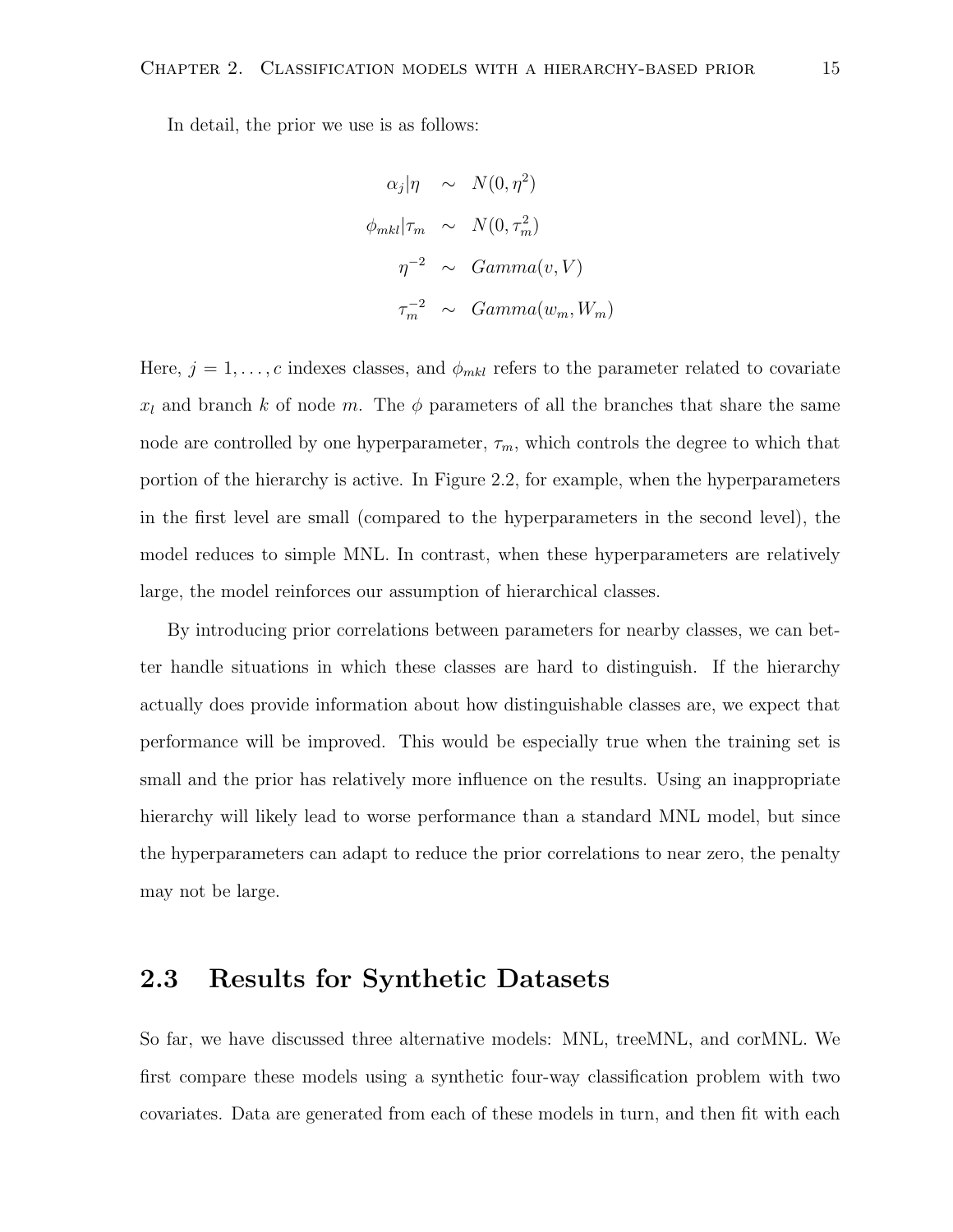In detail, the prior we use is as follows:

$$
\alpha_j |\eta \sim N(0, \eta^2)
$$
  
\n
$$
\phi_{mkl} |\tau_m \sim N(0, \tau_m^2)
$$
  
\n
$$
\eta^{-2} \sim Gamma(v, V)
$$
  
\n
$$
\tau_m^{-2} \sim Gamma(w_m, W_m)
$$

Here,  $j = 1, \ldots, c$  indexes classes, and  $\phi_{mkl}$  refers to the parameter related to covariate  $x_l$  and branch k of node m. The  $\phi$  parameters of all the branches that share the same node are controlled by one hyperparameter,  $\tau_m$ , which controls the degree to which that portion of the hierarchy is active. In Figure 2.2, for example, when the hyperparameters in the first level are small (compared to the hyperparameters in the second level), the model reduces to simple MNL. In contrast, when these hyperparameters are relatively large, the model reinforces our assumption of hierarchical classes.

By introducing prior correlations between parameters for nearby classes, we can better handle situations in which these classes are hard to distinguish. If the hierarchy actually does provide information about how distinguishable classes are, we expect that performance will be improved. This would be especially true when the training set is small and the prior has relatively more influence on the results. Using an inappropriate hierarchy will likely lead to worse performance than a standard MNL model, but since the hyperparameters can adapt to reduce the prior correlations to near zero, the penalty may not be large.

#### 2.3 Results for Synthetic Datasets

So far, we have discussed three alternative models: MNL, treeMNL, and corMNL. We first compare these models using a synthetic four-way classification problem with two covariates. Data are generated from each of these models in turn, and then fit with each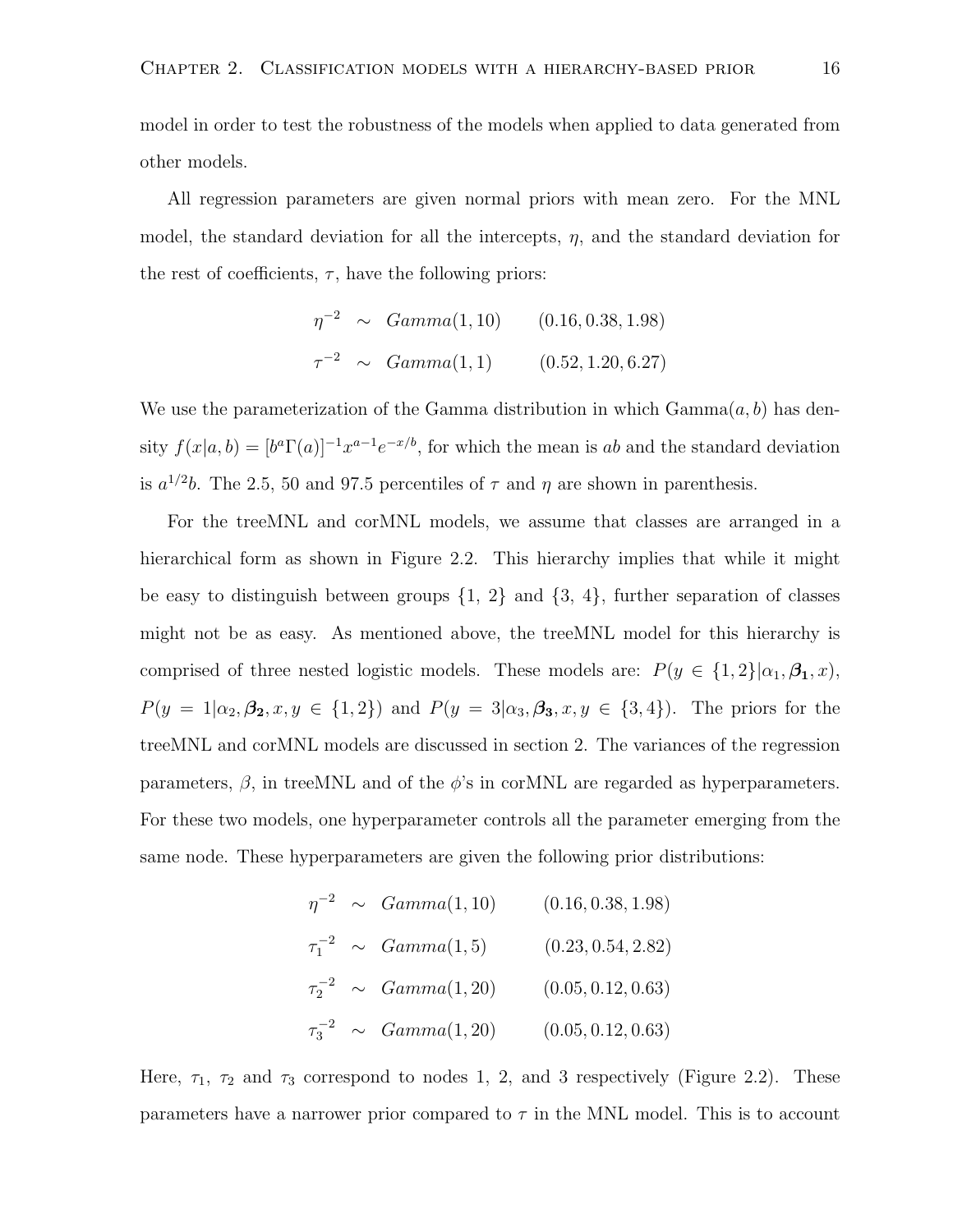model in order to test the robustness of the models when applied to data generated from other models.

All regression parameters are given normal priors with mean zero. For the MNL model, the standard deviation for all the intercepts,  $\eta$ , and the standard deviation for the rest of coefficients,  $\tau$ , have the following priors:

$$
\eta^{-2} \sim Gamma(1, 10) \qquad (0.16, 0.38, 1.98)
$$
  

$$
\tau^{-2} \sim Gamma(1, 1) \qquad (0.52, 1.20, 6.27)
$$

We use the parameterization of the Gamma distribution in which  $Gamma(a, b)$  has density  $f(x|a, b) = [b^a \Gamma(a)]^{-1} x^{a-1} e^{-x/b}$ , for which the mean is ab and the standard deviation is  $a^{1/2}b$ . The 2.5, 50 and 97.5 percentiles of  $\tau$  and  $\eta$  are shown in parenthesis.

For the treeMNL and corMNL models, we assume that classes are arranged in a hierarchical form as shown in Figure 2.2. This hierarchy implies that while it might be easy to distinguish between groups  $\{1, 2\}$  and  $\{3, 4\}$ , further separation of classes might not be as easy. As mentioned above, the treeMNL model for this hierarchy is comprised of three nested logistic models. These models are:  $P(y \in \{1,2\}|\alpha_1,\beta_1,x)$ ,  $P(y = 1 | \alpha_2, \beta_2, x, y \in \{1, 2\})$  and  $P(y = 3 | \alpha_3, \beta_3, x, y \in \{3, 4\})$ . The priors for the treeMNL and corMNL models are discussed in section 2. The variances of the regression parameters,  $\beta$ , in treeMNL and of the  $\phi$ 's in corMNL are regarded as hyperparameters. For these two models, one hyperparameter controls all the parameter emerging from the same node. These hyperparameters are given the following prior distributions:

$$
\eta^{-2} \sim Gamma(1, 10) \qquad (0.16, 0.38, 1.98)
$$
  
\n
$$
\tau_1^{-2} \sim Gamma(1, 5) \qquad (0.23, 0.54, 2.82)
$$
  
\n
$$
\tau_2^{-2} \sim Gamma(1, 20) \qquad (0.05, 0.12, 0.63)
$$
  
\n
$$
\tau_3^{-2} \sim Gamma(1, 20) \qquad (0.05, 0.12, 0.63)
$$

Here,  $\tau_1$ ,  $\tau_2$  and  $\tau_3$  correspond to nodes 1, 2, and 3 respectively (Figure 2.2). These parameters have a narrower prior compared to  $\tau$  in the MNL model. This is to account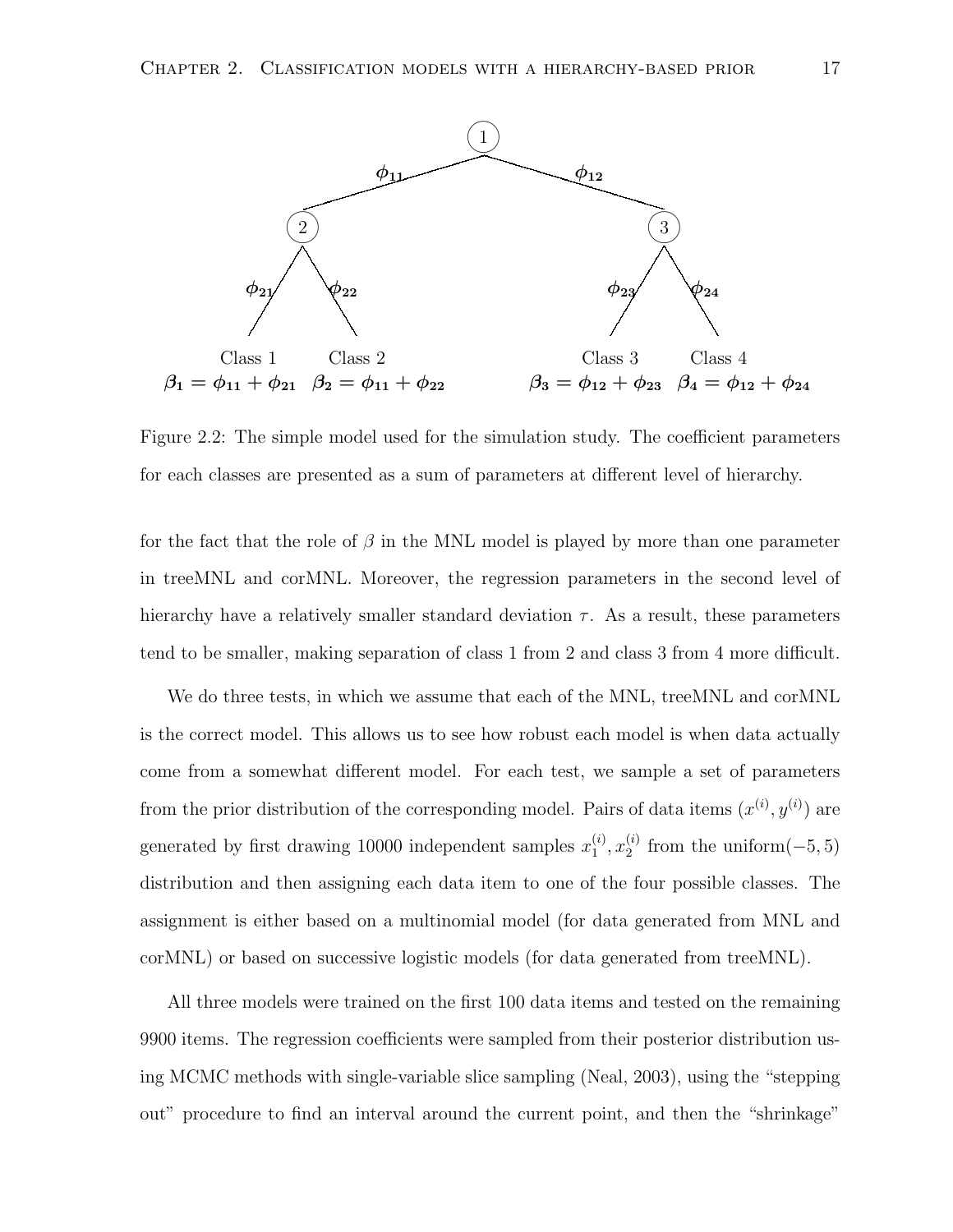

Figure 2.2: The simple model used for the simulation study. The coefficient parameters for each classes are presented as a sum of parameters at different level of hierarchy.

for the fact that the role of  $\beta$  in the MNL model is played by more than one parameter in treeMNL and corMNL. Moreover, the regression parameters in the second level of hierarchy have a relatively smaller standard deviation  $\tau$ . As a result, these parameters tend to be smaller, making separation of class 1 from 2 and class 3 from 4 more difficult.

We do three tests, in which we assume that each of the MNL, treeMNL and corMNL is the correct model. This allows us to see how robust each model is when data actually come from a somewhat different model. For each test, we sample a set of parameters from the prior distribution of the corresponding model. Pairs of data items  $(x^{(i)}, y^{(i)})$  are generated by first drawing 10000 independent samples  $x_1^{(i)}$  $\binom{i}{1}, x_2^{(i)}$  $_2^{(i)}$  from the uniform $(-5, 5)$ distribution and then assigning each data item to one of the four possible classes. The assignment is either based on a multinomial model (for data generated from MNL and corMNL) or based on successive logistic models (for data generated from treeMNL).

All three models were trained on the first 100 data items and tested on the remaining 9900 items. The regression coefficients were sampled from their posterior distribution using MCMC methods with single-variable slice sampling (Neal, 2003), using the "stepping out" procedure to find an interval around the current point, and then the "shrinkage"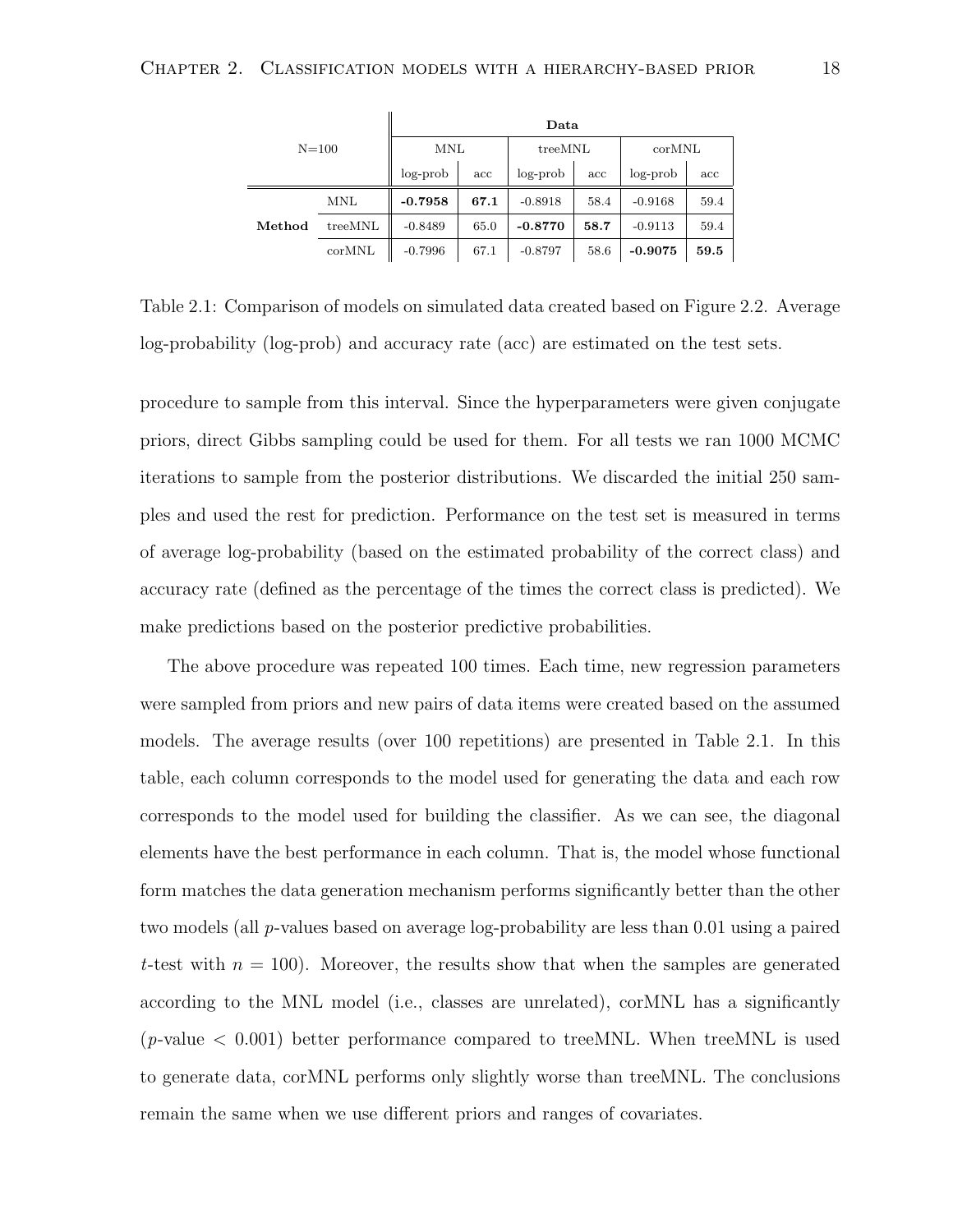| $N = 100$ |            | Data       |      |           |      |           |      |  |
|-----------|------------|------------|------|-----------|------|-----------|------|--|
|           |            | <b>MNL</b> |      | treeMNL   |      | corMNL    |      |  |
|           |            | $log-prob$ | acc  | log-prob  | acc  | log-prob  | acc  |  |
|           | <b>MNL</b> | $-0.7958$  | 67.1 | $-0.8918$ | 58.4 | $-0.9168$ | 59.4 |  |
| Method    | treeMNL    | $-0.8489$  | 65.0 | $-0.8770$ | 58.7 | $-0.9113$ | 59.4 |  |
|           | corMNL     | $-0.7996$  | 67.1 | $-0.8797$ | 58.6 | $-0.9075$ | 59.5 |  |

Table 2.1: Comparison of models on simulated data created based on Figure 2.2. Average log-probability (log-prob) and accuracy rate (acc) are estimated on the test sets.

procedure to sample from this interval. Since the hyperparameters were given conjugate priors, direct Gibbs sampling could be used for them. For all tests we ran 1000 MCMC iterations to sample from the posterior distributions. We discarded the initial 250 samples and used the rest for prediction. Performance on the test set is measured in terms of average log-probability (based on the estimated probability of the correct class) and accuracy rate (defined as the percentage of the times the correct class is predicted). We make predictions based on the posterior predictive probabilities.

The above procedure was repeated 100 times. Each time, new regression parameters were sampled from priors and new pairs of data items were created based on the assumed models. The average results (over 100 repetitions) are presented in Table 2.1. In this table, each column corresponds to the model used for generating the data and each row corresponds to the model used for building the classifier. As we can see, the diagonal elements have the best performance in each column. That is, the model whose functional form matches the data generation mechanism performs significantly better than the other two models (all p-values based on average log-probability are less than 0.01 using a paired t-test with  $n = 100$ . Moreover, the results show that when the samples are generated according to the MNL model (i.e., classes are unrelated), corMNL has a significantly  $(p\text{-value} < 0.001)$  better performance compared to treeMNL. When treeMNL is used to generate data, corMNL performs only slightly worse than treeMNL. The conclusions remain the same when we use different priors and ranges of covariates.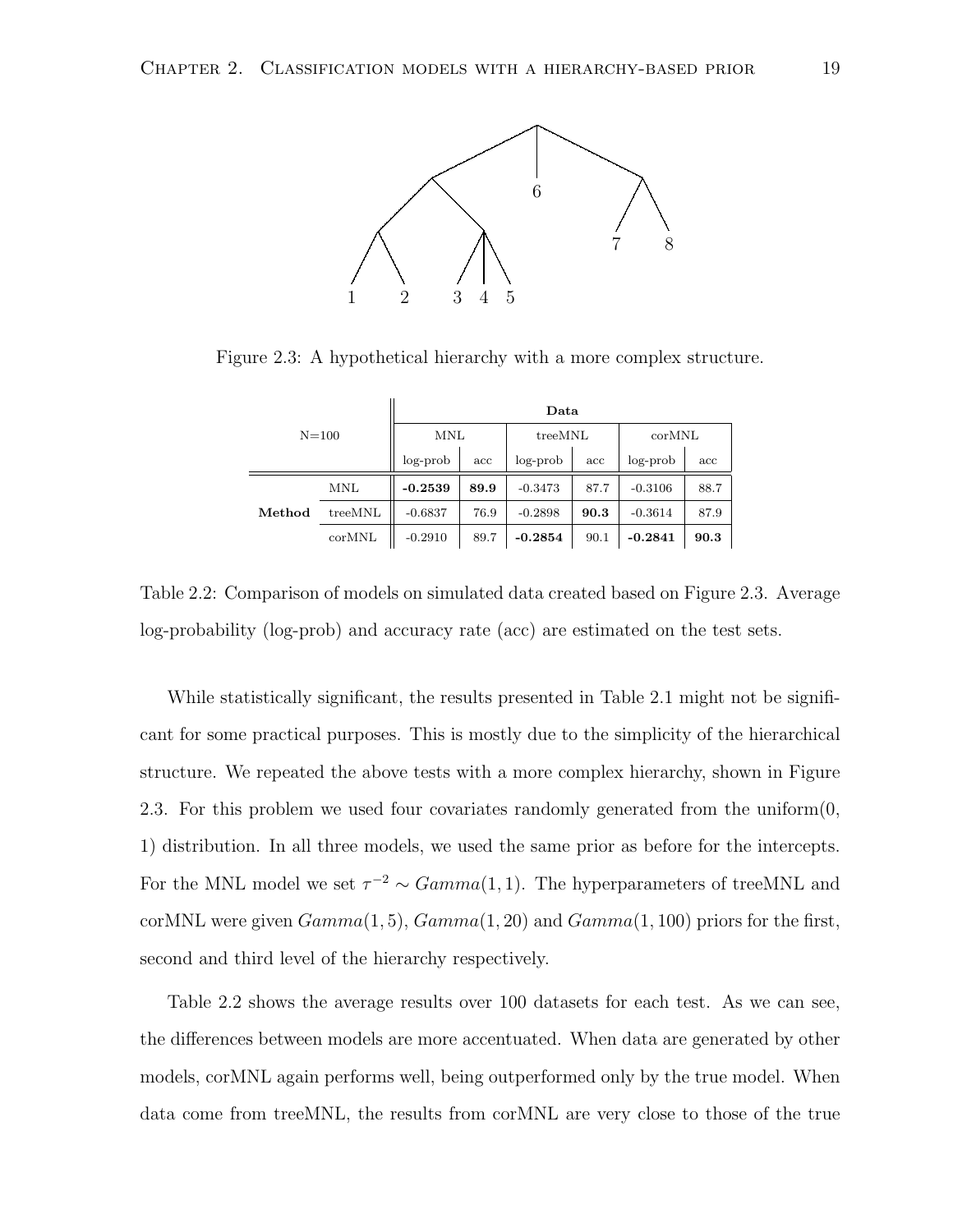

Figure 2.3: A hypothetical hierarchy with a more complex structure.

| $N = 100$ |            | Data       |      |           |      |                 |      |  |
|-----------|------------|------------|------|-----------|------|-----------------|------|--|
|           |            | <b>MNL</b> |      | treeMNL   |      | $_{\rm corMNL}$ |      |  |
|           |            | $log-prob$ | acc  | log-prob  | acc  | log-prob        | acc  |  |
|           | <b>MNL</b> | $-0.2539$  | 89.9 | $-0.3473$ | 87.7 | $-0.3106$       | 88.7 |  |
| Method    | treeMNL    | $-0.6837$  | 76.9 | $-0.2898$ | 90.3 | $-0.3614$       | 87.9 |  |
|           | corMNL     | $-0.2910$  | 89.7 | $-0.2854$ | 90.1 | $-0.2841$       | 90.3 |  |

Table 2.2: Comparison of models on simulated data created based on Figure 2.3. Average log-probability (log-prob) and accuracy rate (acc) are estimated on the test sets.

While statistically significant, the results presented in Table 2.1 might not be significant for some practical purposes. This is mostly due to the simplicity of the hierarchical structure. We repeated the above tests with a more complex hierarchy, shown in Figure 2.3. For this problem we used four covariates randomly generated from the uniform(0, 1) distribution. In all three models, we used the same prior as before for the intercepts. For the MNL model we set  $\tau^{-2} \sim Gamma(1, 1)$ . The hyperparameters of treeMNL and corMNL were given  $Gamma(1, 5)$ ,  $Gamma(1, 20)$  and  $Gamma(1, 100)$  priors for the first, second and third level of the hierarchy respectively.

Table 2.2 shows the average results over 100 datasets for each test. As we can see, the differences between models are more accentuated. When data are generated by other models, corMNL again performs well, being outperformed only by the true model. When data come from treeMNL, the results from corMNL are very close to those of the true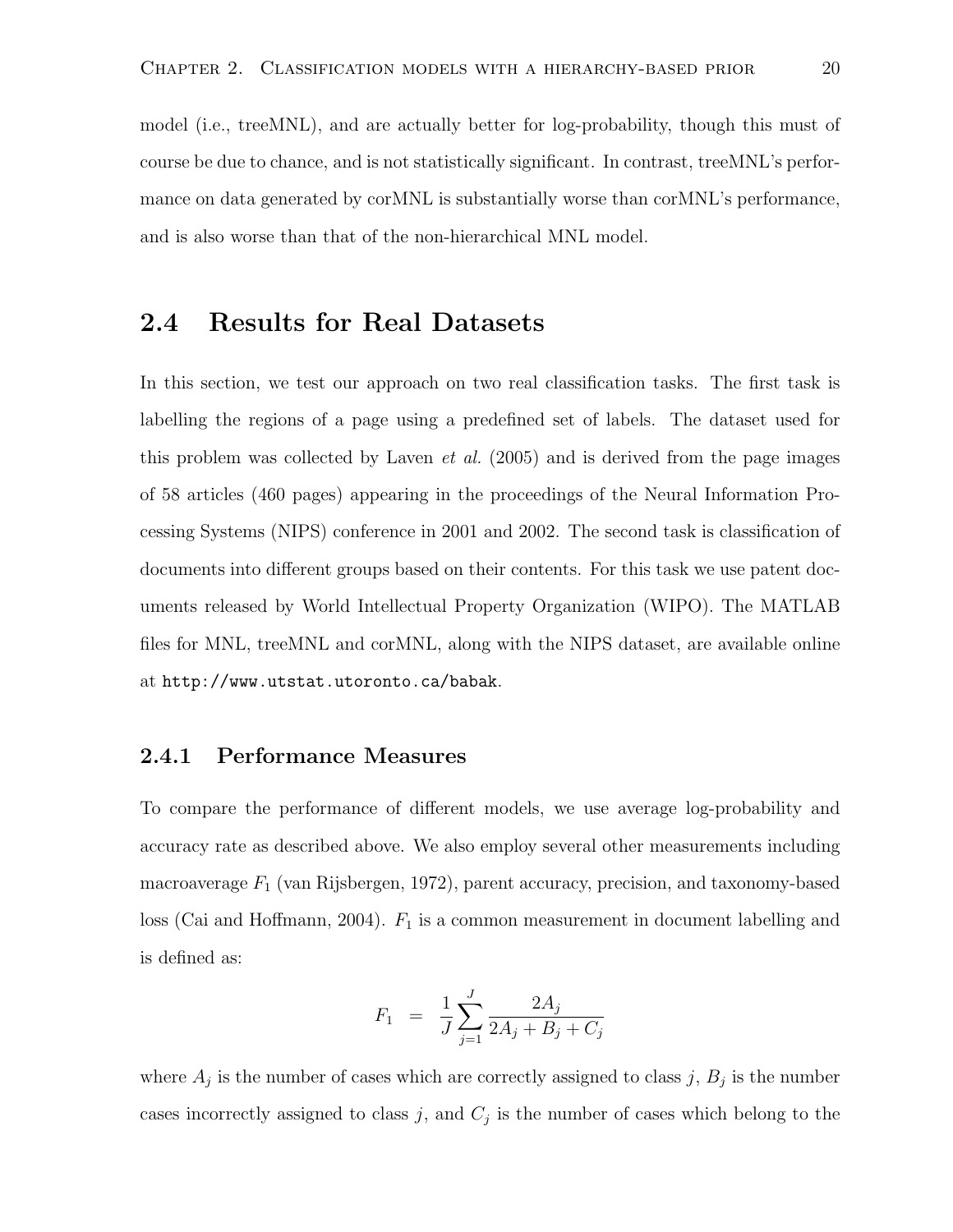model (i.e., treeMNL), and are actually better for log-probability, though this must of course be due to chance, and is not statistically significant. In contrast, treeMNL's performance on data generated by corMNL is substantially worse than corMNL's performance, and is also worse than that of the non-hierarchical MNL model.

#### 2.4 Results for Real Datasets

In this section, we test our approach on two real classification tasks. The first task is labelling the regions of a page using a predefined set of labels. The dataset used for this problem was collected by Laven *et al.* (2005) and is derived from the page images of 58 articles (460 pages) appearing in the proceedings of the Neural Information Processing Systems (NIPS) conference in 2001 and 2002. The second task is classification of documents into different groups based on their contents. For this task we use patent documents released by World Intellectual Property Organization (WIPO). The MATLAB files for MNL, treeMNL and corMNL, along with the NIPS dataset, are available online at http://www.utstat.utoronto.ca/babak.

#### 2.4.1 Performance Measures

To compare the performance of different models, we use average log-probability and accuracy rate as described above. We also employ several other measurements including macroaverage  $F_1$  (van Rijsbergen, 1972), parent accuracy, precision, and taxonomy-based loss (Cai and Hoffmann, 2004).  $F_1$  is a common measurement in document labelling and is defined as:

$$
F_1 = \frac{1}{J} \sum_{j=1}^{J} \frac{2A_j}{2A_j + B_j + C_j}
$$

where  $A_j$  is the number of cases which are correctly assigned to class j,  $B_j$  is the number cases incorrectly assigned to class j, and  $C_j$  is the number of cases which belong to the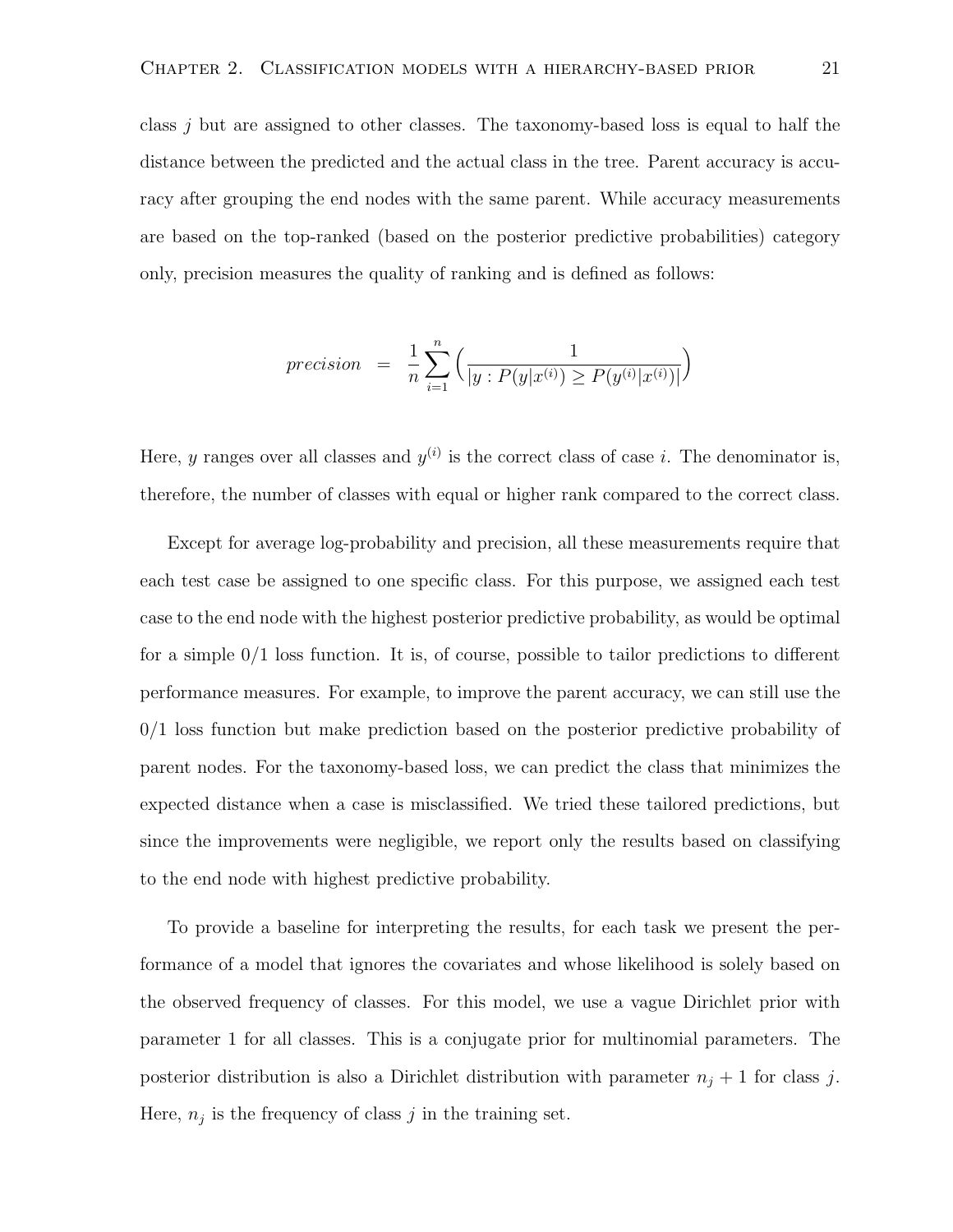class j but are assigned to other classes. The taxonomy-based loss is equal to half the distance between the predicted and the actual class in the tree. Parent accuracy is accuracy after grouping the end nodes with the same parent. While accuracy measurements are based on the top-ranked (based on the posterior predictive probabilities) category only, precision measures the quality of ranking and is defined as follows:

$$
precision = \frac{1}{n} \sum_{i=1}^{n} \left( \frac{1}{|y : P(y|x^{(i)}) \ge P(y^{(i)}|x^{(i)})|} \right)
$$

Here, y ranges over all classes and  $y^{(i)}$  is the correct class of case i. The denominator is, therefore, the number of classes with equal or higher rank compared to the correct class.

Except for average log-probability and precision, all these measurements require that each test case be assigned to one specific class. For this purpose, we assigned each test case to the end node with the highest posterior predictive probability, as would be optimal for a simple 0/1 loss function. It is, of course, possible to tailor predictions to different performance measures. For example, to improve the parent accuracy, we can still use the 0/1 loss function but make prediction based on the posterior predictive probability of parent nodes. For the taxonomy-based loss, we can predict the class that minimizes the expected distance when a case is misclassified. We tried these tailored predictions, but since the improvements were negligible, we report only the results based on classifying to the end node with highest predictive probability.

To provide a baseline for interpreting the results, for each task we present the performance of a model that ignores the covariates and whose likelihood is solely based on the observed frequency of classes. For this model, we use a vague Dirichlet prior with parameter 1 for all classes. This is a conjugate prior for multinomial parameters. The posterior distribution is also a Dirichlet distribution with parameter  $n_j + 1$  for class j. Here,  $n_j$  is the frequency of class j in the training set.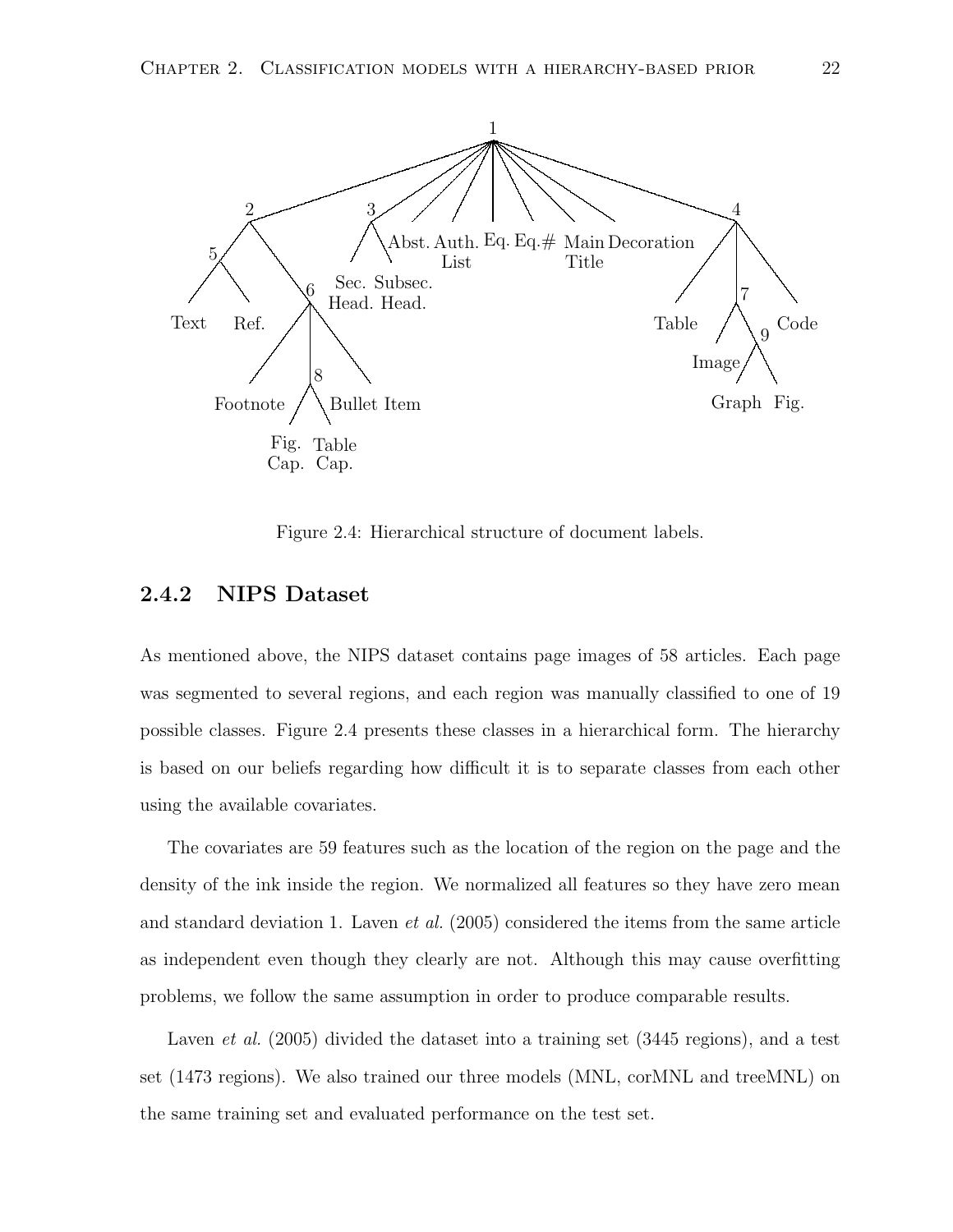

Figure 2.4: Hierarchical structure of document labels.

#### 2.4.2 NIPS Dataset

As mentioned above, the NIPS dataset contains page images of 58 articles. Each page was segmented to several regions, and each region was manually classified to one of 19 possible classes. Figure 2.4 presents these classes in a hierarchical form. The hierarchy is based on our beliefs regarding how difficult it is to separate classes from each other using the available covariates.

The covariates are 59 features such as the location of the region on the page and the density of the ink inside the region. We normalized all features so they have zero mean and standard deviation 1. Laven et al. (2005) considered the items from the same article as independent even though they clearly are not. Although this may cause overfitting problems, we follow the same assumption in order to produce comparable results.

Laven *et al.* (2005) divided the dataset into a training set (3445 regions), and a test set (1473 regions). We also trained our three models (MNL, corMNL and treeMNL) on the same training set and evaluated performance on the test set.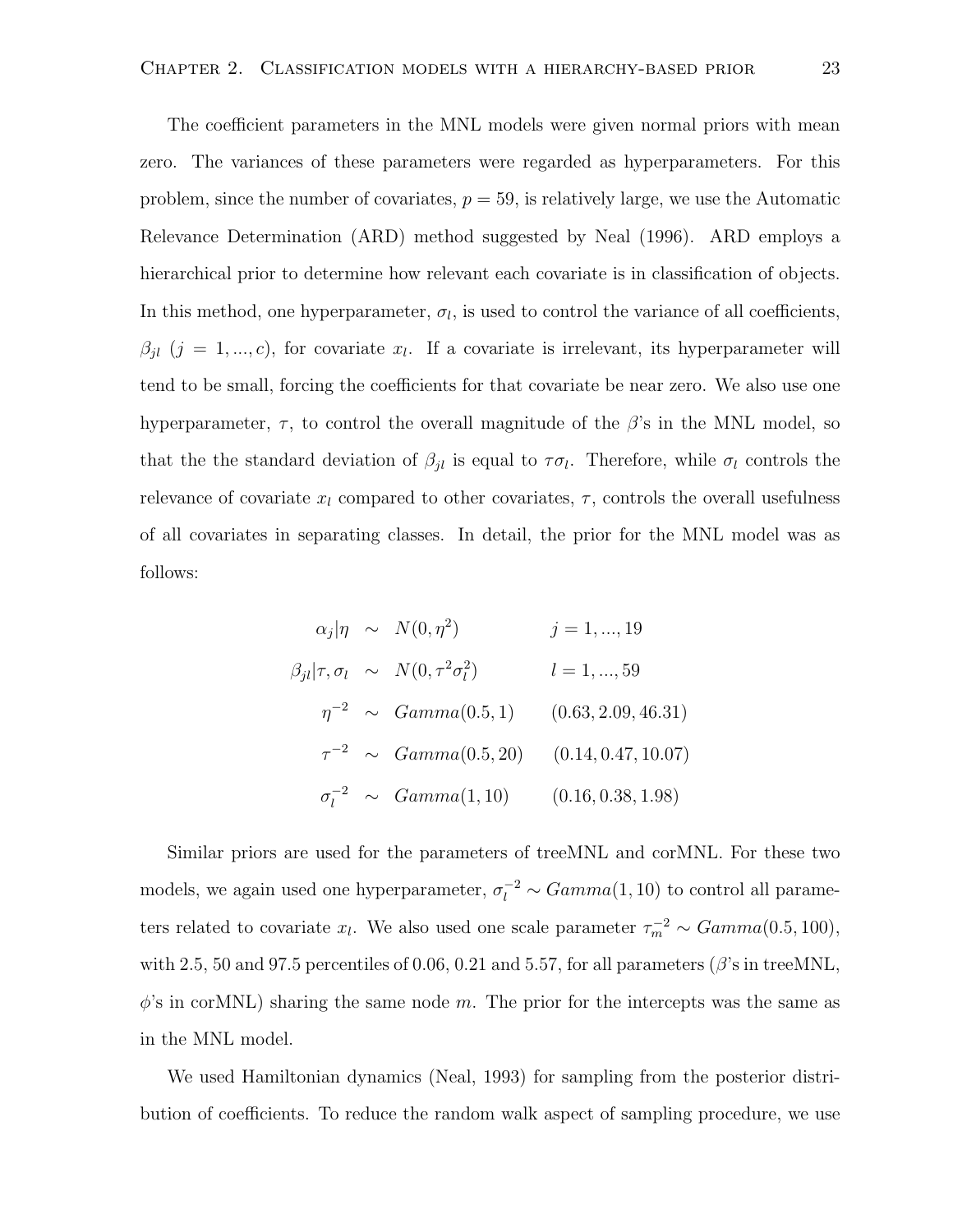The coefficient parameters in the MNL models were given normal priors with mean zero. The variances of these parameters were regarded as hyperparameters. For this problem, since the number of covariates,  $p = 59$ , is relatively large, we use the Automatic Relevance Determination (ARD) method suggested by Neal (1996). ARD employs a hierarchical prior to determine how relevant each covariate is in classification of objects. In this method, one hyperparameter,  $\sigma_l$ , is used to control the variance of all coefficients,  $\beta_{jl}$   $(j = 1, ..., c)$ , for covariate  $x_l$ . If a covariate is irrelevant, its hyperparameter will tend to be small, forcing the coefficients for that covariate be near zero. We also use one hyperparameter,  $\tau$ , to control the overall magnitude of the  $\beta$ 's in the MNL model, so that the the standard deviation of  $\beta_{jl}$  is equal to  $\tau \sigma_l$ . Therefore, while  $\sigma_l$  controls the relevance of covariate  $x_l$  compared to other covariates,  $\tau$ , controls the overall usefulness of all covariates in separating classes. In detail, the prior for the MNL model was as follows:

$$
\alpha_j|\eta \sim N(0, \eta^2) \qquad j = 1, ..., 19
$$
  
\n
$$
\beta_{jl}|\tau, \sigma_l \sim N(0, \tau^2 \sigma_l^2) \qquad l = 1, ..., 59
$$
  
\n
$$
\eta^{-2} \sim Gamma(0.5, 1) \qquad (0.63, 2.09, 46.31)
$$
  
\n
$$
\tau^{-2} \sim Gamma(0.5, 20) \qquad (0.14, 0.47, 10.07)
$$
  
\n
$$
\sigma_l^{-2} \sim Gamma(1, 10) \qquad (0.16, 0.38, 1.98)
$$

Similar priors are used for the parameters of treeMNL and corMNL. For these two models, we again used one hyperparameter,  $\sigma_l^{-2} \sim Gamma(1, 10)$  to control all parameters related to covariate  $x_l$ . We also used one scale parameter  $\tau_m^{-2} \sim Gamma(0.5, 100)$ , with 2.5, 50 and 97.5 percentiles of 0.06, 0.21 and 5.57, for all parameters ( $\beta$ 's in treeMNL,  $\phi$ 's in corMNL) sharing the same node m. The prior for the intercepts was the same as in the MNL model.

We used Hamiltonian dynamics (Neal, 1993) for sampling from the posterior distribution of coefficients. To reduce the random walk aspect of sampling procedure, we use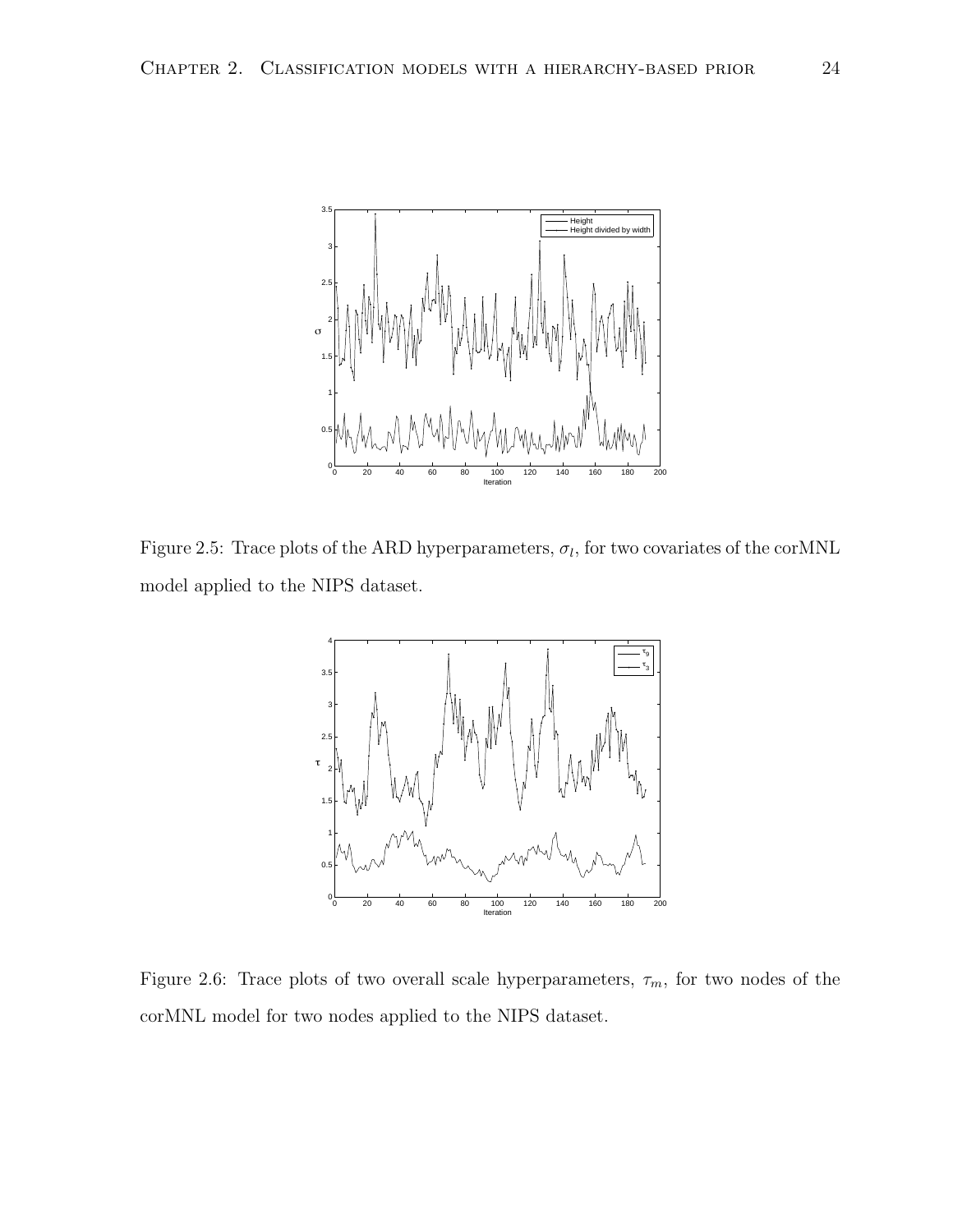

Figure 2.5: Trace plots of the ARD hyperparameters,  $\sigma_l$ , for two covariates of the corMNL model applied to the NIPS dataset.



Figure 2.6: Trace plots of two overall scale hyperparameters,  $\tau_m$ , for two nodes of the corMNL model for two nodes applied to the NIPS dataset.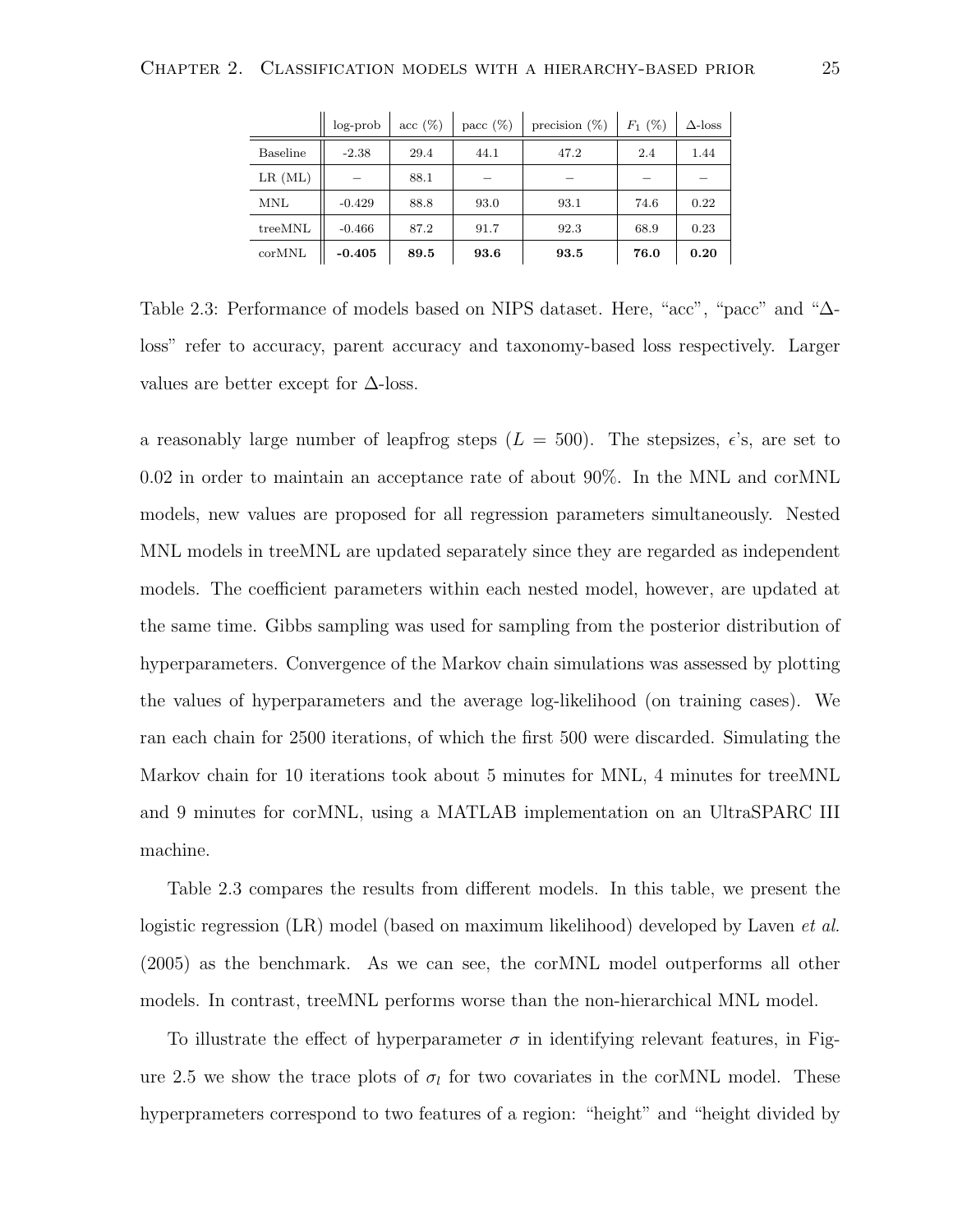|            | $log-prob$ | $\sec(\%)$ | pacc $(\%)$ | precision $(\%)$ | $F_1(%)$ | $\Delta$ -loss |
|------------|------------|------------|-------------|------------------|----------|----------------|
| Baseline   | $-2.38$    | 29.4       | 44.1        | 47.2             | 2.4      | 1.44           |
| $LR$ (ML)  |            | 88.1       |             |                  |          |                |
| <b>MNL</b> | $-0.429$   | 88.8       | 93.0        | 93.1             | 74.6     | 0.22           |
| treeMNL    | $-0.466$   | 87.2       | 91.7        | 92.3             | 68.9     | 0.23           |
| corMNL     | $-0.405$   | 89.5       | 93.6        | 93.5             | 76.0     | 0.20           |

Table 2.3: Performance of models based on NIPS dataset. Here, "acc", "pacc" and "∆ loss" refer to accuracy, parent accuracy and taxonomy-based loss respectively. Larger values are better except for  $\Delta$ -loss.

a reasonably large number of leapfrog steps  $(L = 500)$ . The stepsizes,  $\epsilon$ 's, are set to 0.02 in order to maintain an acceptance rate of about 90%. In the MNL and corMNL models, new values are proposed for all regression parameters simultaneously. Nested MNL models in treeMNL are updated separately since they are regarded as independent models. The coefficient parameters within each nested model, however, are updated at the same time. Gibbs sampling was used for sampling from the posterior distribution of hyperparameters. Convergence of the Markov chain simulations was assessed by plotting the values of hyperparameters and the average log-likelihood (on training cases). We ran each chain for 2500 iterations, of which the first 500 were discarded. Simulating the Markov chain for 10 iterations took about 5 minutes for MNL, 4 minutes for treeMNL and 9 minutes for corMNL, using a MATLAB implementation on an UltraSPARC III machine.

Table 2.3 compares the results from different models. In this table, we present the logistic regression (LR) model (based on maximum likelihood) developed by Laven *et al.* (2005) as the benchmark. As we can see, the corMNL model outperforms all other models. In contrast, treeMNL performs worse than the non-hierarchical MNL model.

To illustrate the effect of hyperparameter  $\sigma$  in identifying relevant features, in Figure 2.5 we show the trace plots of  $\sigma_l$  for two covariates in the corMNL model. These hyperprameters correspond to two features of a region: "height" and "height divided by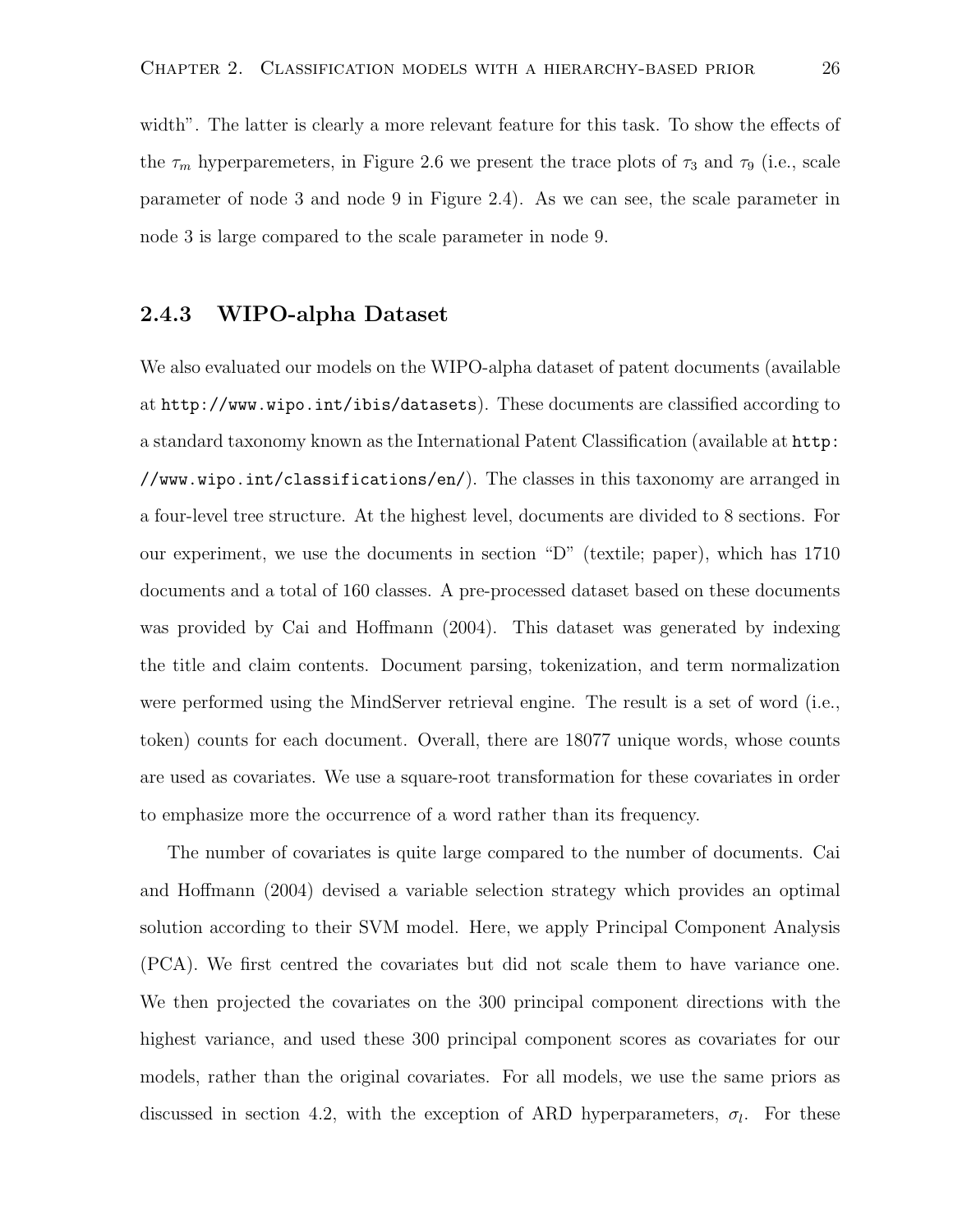width". The latter is clearly a more relevant feature for this task. To show the effects of the  $\tau_m$  hyperparemeters, in Figure 2.6 we present the trace plots of  $\tau_3$  and  $\tau_9$  (i.e., scale parameter of node 3 and node 9 in Figure 2.4). As we can see, the scale parameter in node 3 is large compared to the scale parameter in node 9.

#### 2.4.3 WIPO-alpha Dataset

We also evaluated our models on the WIPO-alpha dataset of patent documents (available at http://www.wipo.int/ibis/datasets). These documents are classified according to a standard taxonomy known as the International Patent Classification (available at http: //www.wipo.int/classifications/en/). The classes in this taxonomy are arranged in a four-level tree structure. At the highest level, documents are divided to 8 sections. For our experiment, we use the documents in section "D" (textile; paper), which has 1710 documents and a total of 160 classes. A pre-processed dataset based on these documents was provided by Cai and Hoffmann (2004). This dataset was generated by indexing the title and claim contents. Document parsing, tokenization, and term normalization were performed using the MindServer retrieval engine. The result is a set of word (i.e., token) counts for each document. Overall, there are 18077 unique words, whose counts are used as covariates. We use a square-root transformation for these covariates in order to emphasize more the occurrence of a word rather than its frequency.

The number of covariates is quite large compared to the number of documents. Cai and Hoffmann (2004) devised a variable selection strategy which provides an optimal solution according to their SVM model. Here, we apply Principal Component Analysis (PCA). We first centred the covariates but did not scale them to have variance one. We then projected the covariates on the 300 principal component directions with the highest variance, and used these 300 principal component scores as covariates for our models, rather than the original covariates. For all models, we use the same priors as discussed in section 4.2, with the exception of ARD hyperparameters,  $\sigma_l$ . For these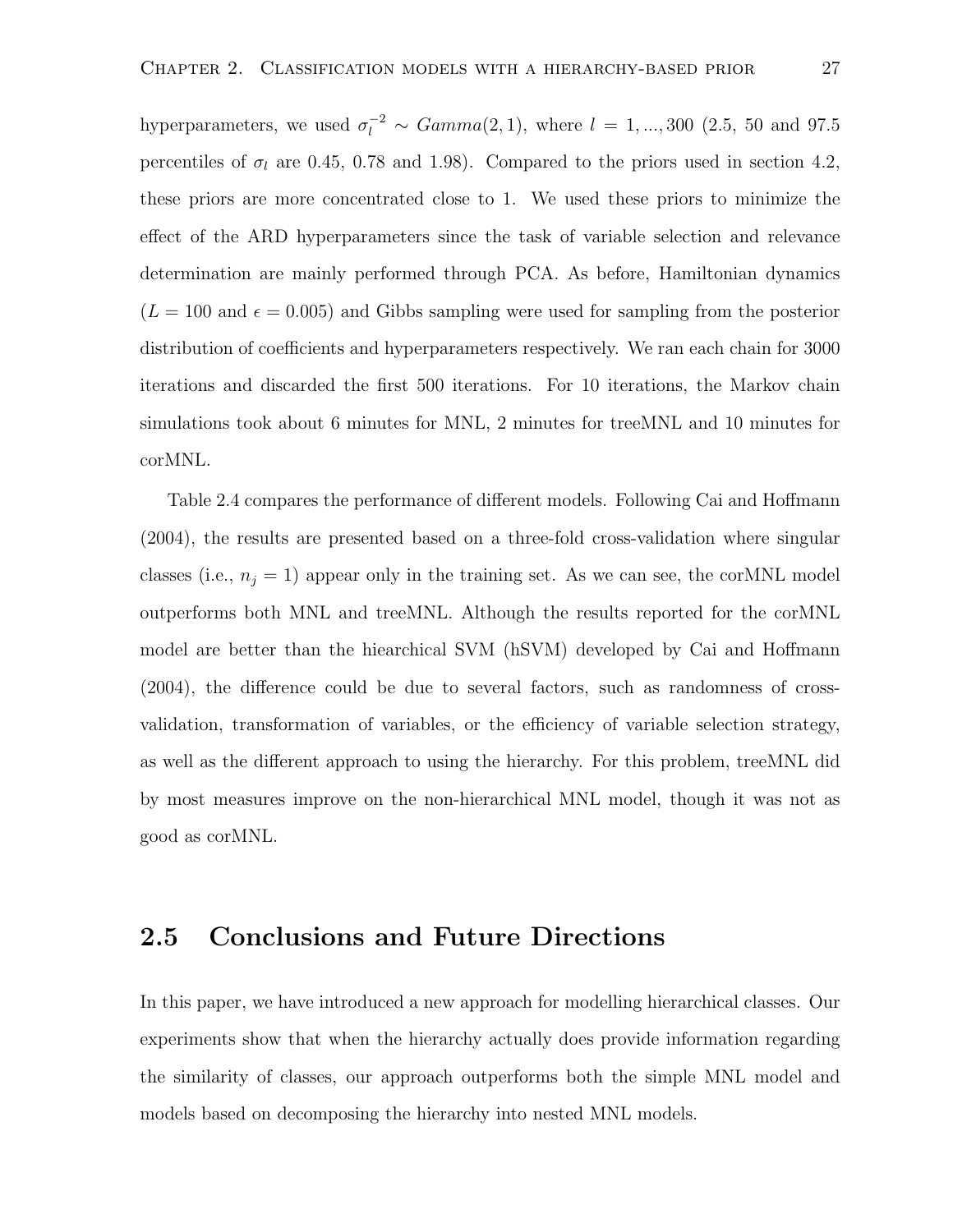hyperparameters, we used  $\sigma_l^{-2} \sim Gamma(2, 1)$ , where  $l = 1, ..., 300$  (2.5, 50 and 97.5) percentiles of  $\sigma_l$  are 0.45, 0.78 and 1.98). Compared to the priors used in section 4.2, these priors are more concentrated close to 1. We used these priors to minimize the effect of the ARD hyperparameters since the task of variable selection and relevance determination are mainly performed through PCA. As before, Hamiltonian dynamics  $(L = 100 \text{ and } \epsilon = 0.005)$  and Gibbs sampling were used for sampling from the posterior distribution of coefficients and hyperparameters respectively. We ran each chain for 3000 iterations and discarded the first 500 iterations. For 10 iterations, the Markov chain simulations took about 6 minutes for MNL, 2 minutes for treeMNL and 10 minutes for corMNL.

Table 2.4 compares the performance of different models. Following Cai and Hoffmann (2004), the results are presented based on a three-fold cross-validation where singular classes (i.e.,  $n_j = 1$ ) appear only in the training set. As we can see, the corMNL model outperforms both MNL and treeMNL. Although the results reported for the corMNL model are better than the hiearchical SVM (hSVM) developed by Cai and Hoffmann (2004), the difference could be due to several factors, such as randomness of crossvalidation, transformation of variables, or the efficiency of variable selection strategy, as well as the different approach to using the hierarchy. For this problem, treeMNL did by most measures improve on the non-hierarchical MNL model, though it was not as good as corMNL.

#### 2.5 Conclusions and Future Directions

In this paper, we have introduced a new approach for modelling hierarchical classes. Our experiments show that when the hierarchy actually does provide information regarding the similarity of classes, our approach outperforms both the simple MNL model and models based on decomposing the hierarchy into nested MNL models.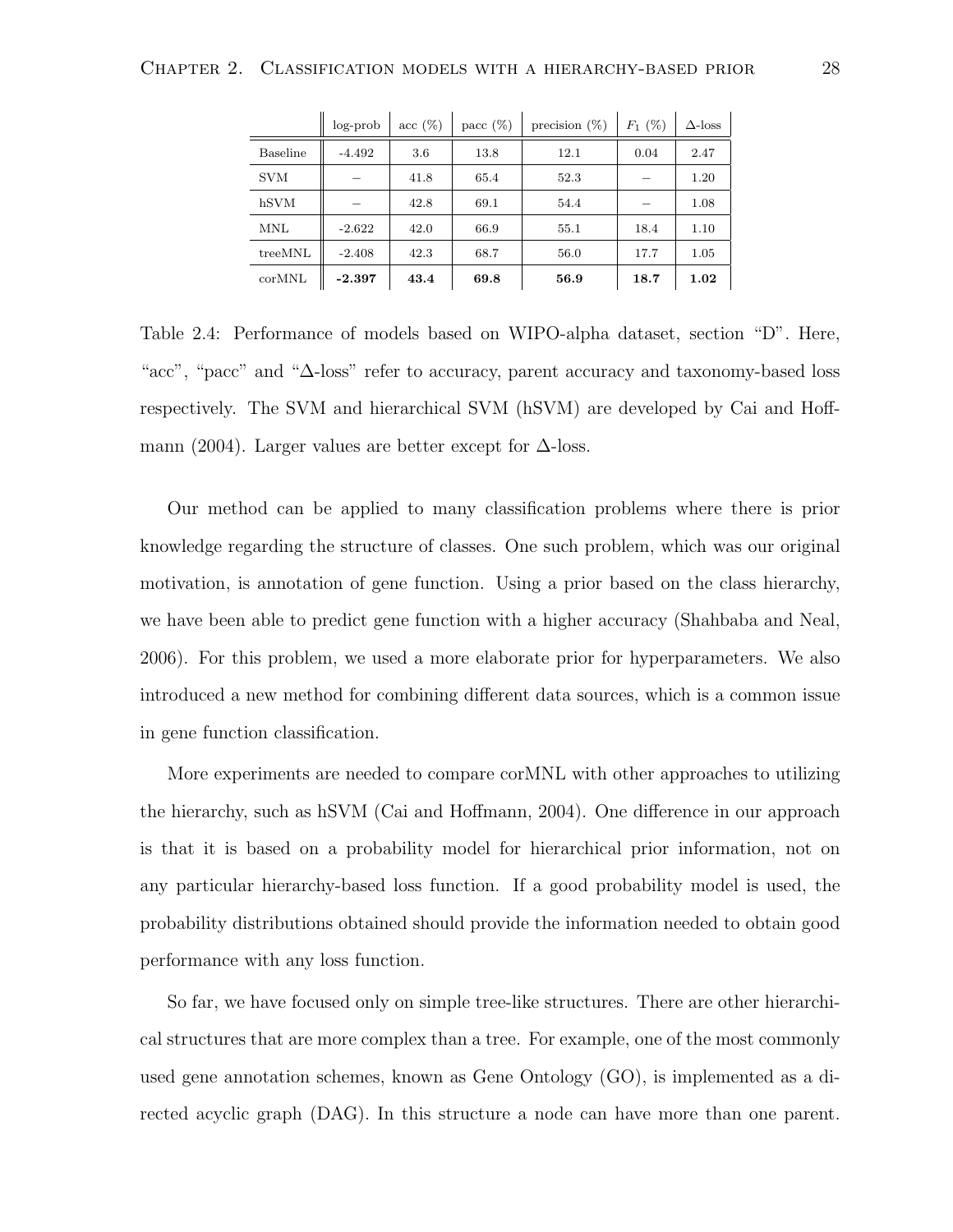|                 | $log$ -prob | $\sec(\%)$ | pacc $(\%)$ | precision $(\%)$ | $F_1$ (%) | $\Delta$ -loss |
|-----------------|-------------|------------|-------------|------------------|-----------|----------------|
| <b>Baseline</b> | $-4.492$    | 3.6        | 13.8        | 12.1             | 0.04      | 2.47           |
| <b>SVM</b>      |             | 41.8       | 65.4        | 52.3             |           | 1.20           |
| hSVM            |             | 42.8       | 69.1        | 54.4             |           | 1.08           |
| MNL             | $-2.622$    | 42.0       | 66.9        | 55.1             | 18.4      | 1.10           |
| treeMNL         | $-2.408$    | 42.3       | 68.7        | 56.0             | 17.7      | 1.05           |
| corMNL          | $-2.397$    | 43.4       | 69.8        | 56.9             | 18.7      | 1.02           |

Table 2.4: Performance of models based on WIPO-alpha dataset, section "D". Here, "acc", "pacc" and "∆-loss" refer to accuracy, parent accuracy and taxonomy-based loss respectively. The SVM and hierarchical SVM (hSVM) are developed by Cai and Hoffmann (2004). Larger values are better except for  $\Delta$ -loss.

Our method can be applied to many classification problems where there is prior knowledge regarding the structure of classes. One such problem, which was our original motivation, is annotation of gene function. Using a prior based on the class hierarchy, we have been able to predict gene function with a higher accuracy (Shahbaba and Neal, 2006). For this problem, we used a more elaborate prior for hyperparameters. We also introduced a new method for combining different data sources, which is a common issue in gene function classification.

More experiments are needed to compare corMNL with other approaches to utilizing the hierarchy, such as hSVM (Cai and Hoffmann, 2004). One difference in our approach is that it is based on a probability model for hierarchical prior information, not on any particular hierarchy-based loss function. If a good probability model is used, the probability distributions obtained should provide the information needed to obtain good performance with any loss function.

So far, we have focused only on simple tree-like structures. There are other hierarchical structures that are more complex than a tree. For example, one of the most commonly used gene annotation schemes, known as Gene Ontology (GO), is implemented as a directed acyclic graph (DAG). In this structure a node can have more than one parent.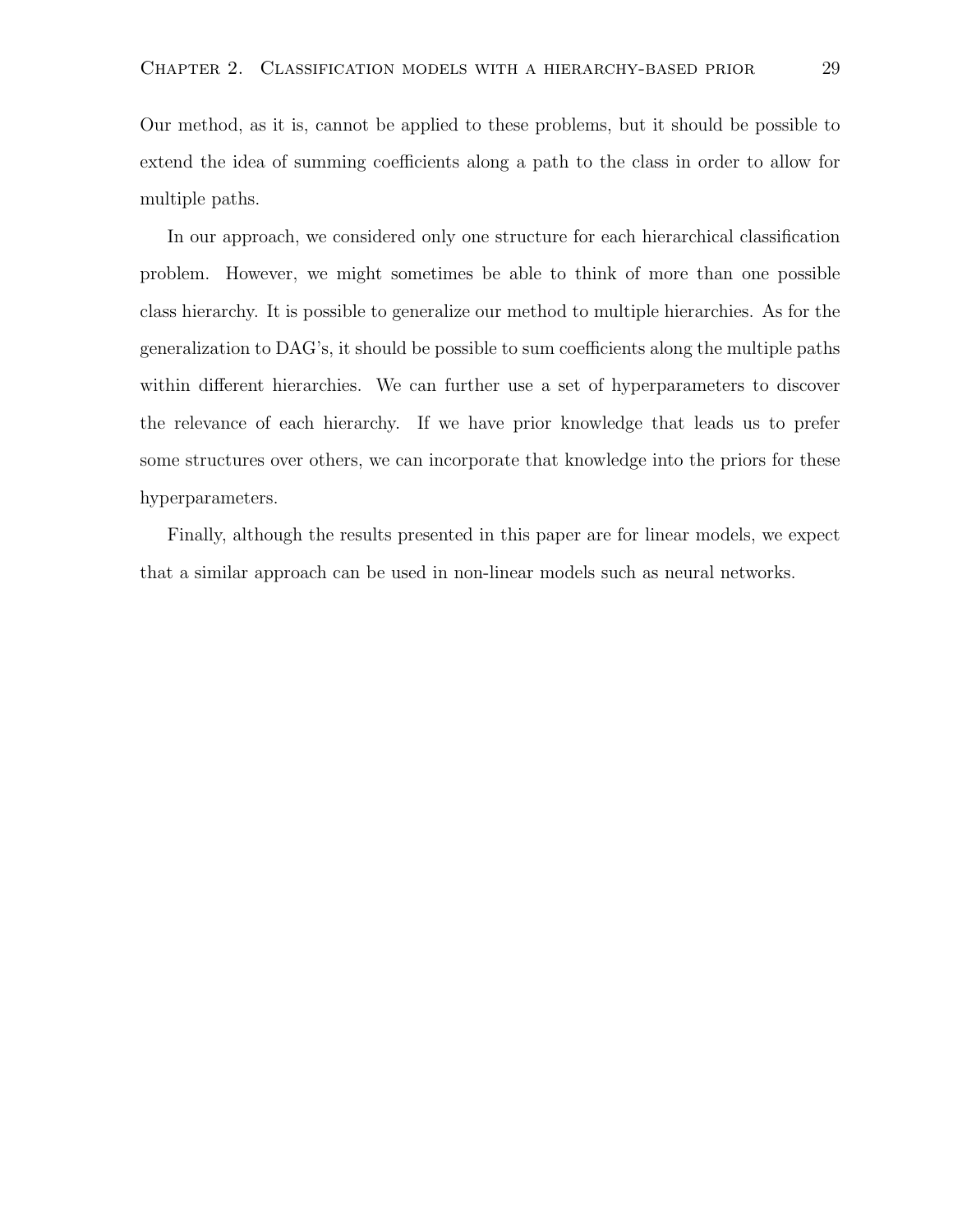Our method, as it is, cannot be applied to these problems, but it should be possible to extend the idea of summing coefficients along a path to the class in order to allow for multiple paths.

In our approach, we considered only one structure for each hierarchical classification problem. However, we might sometimes be able to think of more than one possible class hierarchy. It is possible to generalize our method to multiple hierarchies. As for the generalization to DAG's, it should be possible to sum coefficients along the multiple paths within different hierarchies. We can further use a set of hyperparameters to discover the relevance of each hierarchy. If we have prior knowledge that leads us to prefer some structures over others, we can incorporate that knowledge into the priors for these hyperparameters.

Finally, although the results presented in this paper are for linear models, we expect that a similar approach can be used in non-linear models such as neural networks.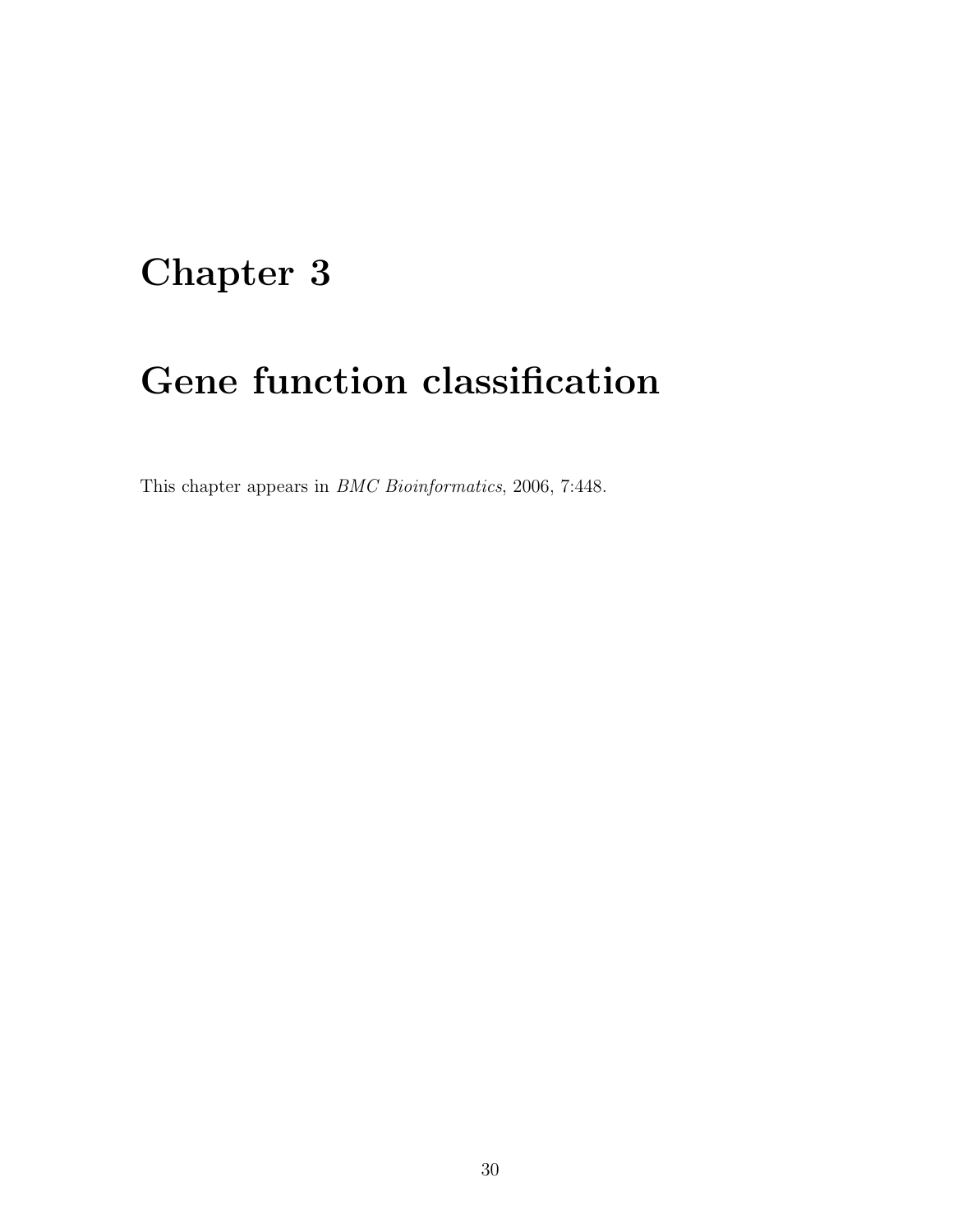## Chapter 3

## Gene function classification

This chapter appears in BMC Bioinformatics, 2006, 7:448.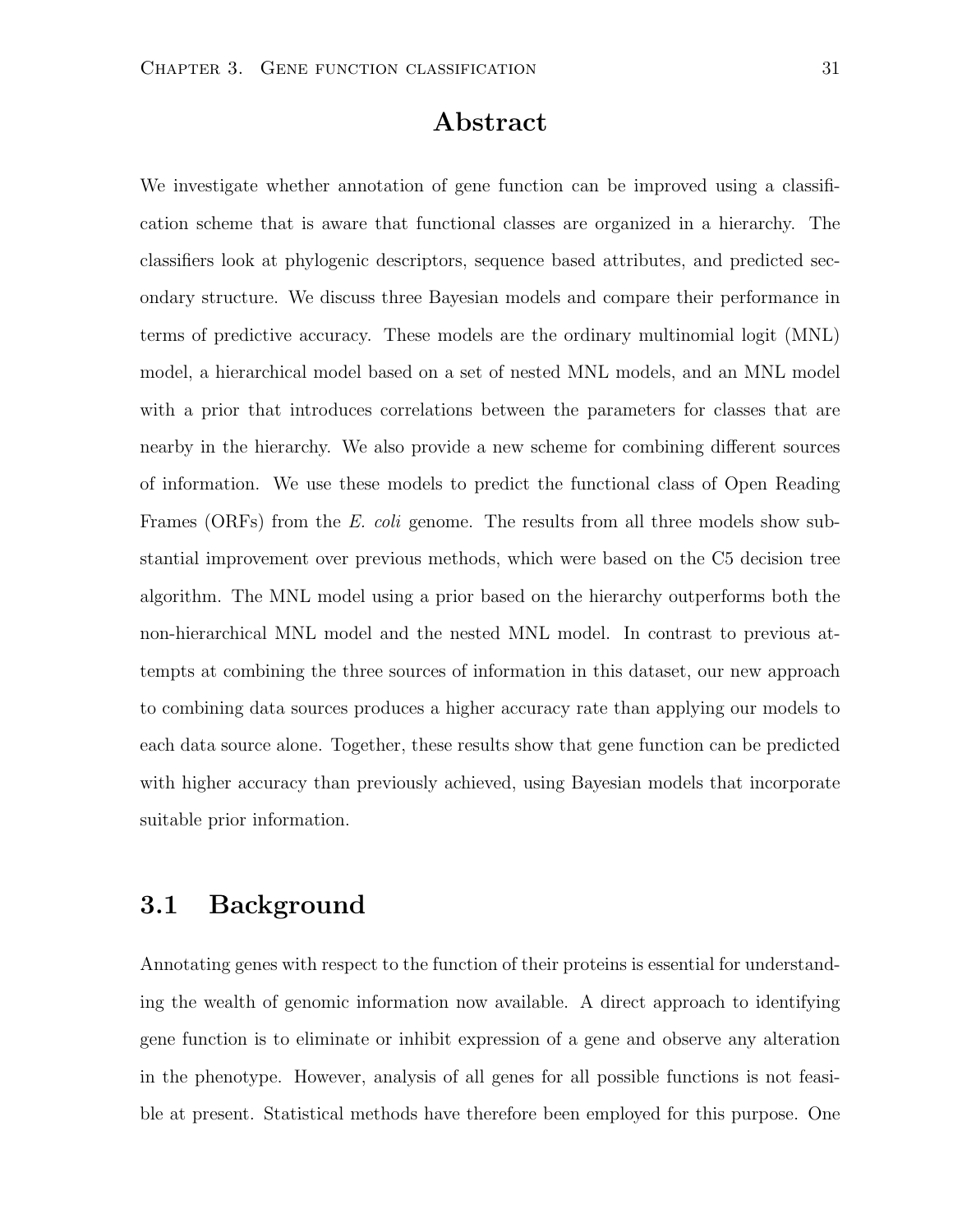#### Abstract

We investigate whether annotation of gene function can be improved using a classification scheme that is aware that functional classes are organized in a hierarchy. The classifiers look at phylogenic descriptors, sequence based attributes, and predicted secondary structure. We discuss three Bayesian models and compare their performance in terms of predictive accuracy. These models are the ordinary multinomial logit (MNL) model, a hierarchical model based on a set of nested MNL models, and an MNL model with a prior that introduces correlations between the parameters for classes that are nearby in the hierarchy. We also provide a new scheme for combining different sources of information. We use these models to predict the functional class of Open Reading Frames (ORFs) from the E. coli genome. The results from all three models show substantial improvement over previous methods, which were based on the C5 decision tree algorithm. The MNL model using a prior based on the hierarchy outperforms both the non-hierarchical MNL model and the nested MNL model. In contrast to previous attempts at combining the three sources of information in this dataset, our new approach to combining data sources produces a higher accuracy rate than applying our models to each data source alone. Together, these results show that gene function can be predicted with higher accuracy than previously achieved, using Bayesian models that incorporate suitable prior information.

#### 3.1 Background

Annotating genes with respect to the function of their proteins is essential for understanding the wealth of genomic information now available. A direct approach to identifying gene function is to eliminate or inhibit expression of a gene and observe any alteration in the phenotype. However, analysis of all genes for all possible functions is not feasible at present. Statistical methods have therefore been employed for this purpose. One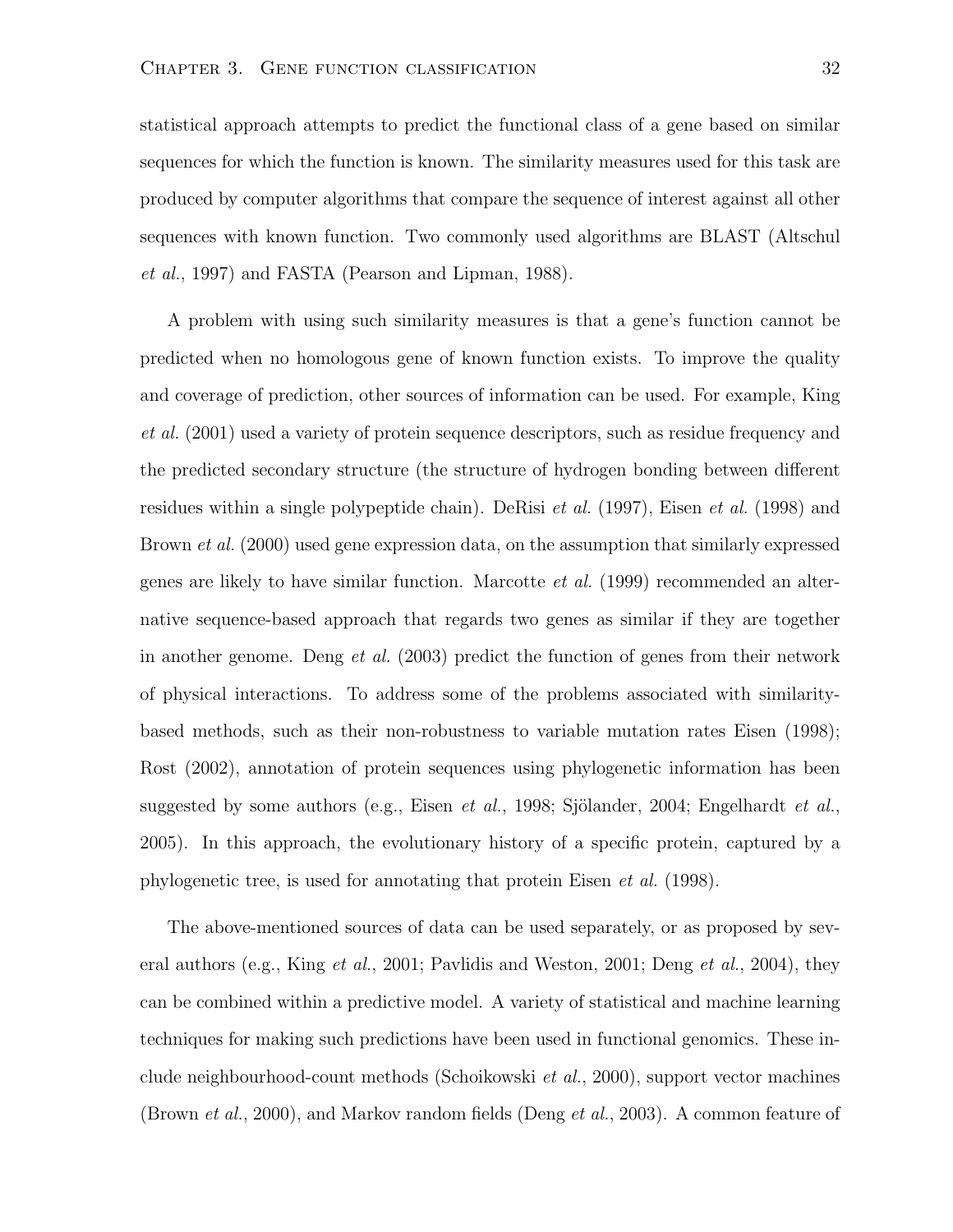statistical approach attempts to predict the functional class of a gene based on similar sequences for which the function is known. The similarity measures used for this task are produced by computer algorithms that compare the sequence of interest against all other sequences with known function. Two commonly used algorithms are BLAST (Altschul et al., 1997) and FASTA (Pearson and Lipman, 1988).

A problem with using such similarity measures is that a gene's function cannot be predicted when no homologous gene of known function exists. To improve the quality and coverage of prediction, other sources of information can be used. For example, King et al. (2001) used a variety of protein sequence descriptors, such as residue frequency and the predicted secondary structure (the structure of hydrogen bonding between different residues within a single polypeptide chain). DeRisi *et al.* (1997), Eisen *et al.* (1998) and Brown *et al.* (2000) used gene expression data, on the assumption that similarly expressed genes are likely to have similar function. Marcotte et al. (1999) recommended an alternative sequence-based approach that regards two genes as similar if they are together in another genome. Deng *et al.* (2003) predict the function of genes from their network of physical interactions. To address some of the problems associated with similaritybased methods, such as their non-robustness to variable mutation rates Eisen (1998); Rost (2002), annotation of protein sequences using phylogenetic information has been suggested by some authors (e.g., Eisen *et al.*, 1998; Sjölander, 2004; Engelhardt *et al.*, 2005). In this approach, the evolutionary history of a specific protein, captured by a phylogenetic tree, is used for annotating that protein Eisen et al. (1998).

The above-mentioned sources of data can be used separately, or as proposed by several authors (e.g., King *et al.*, 2001; Pavlidis and Weston, 2001; Deng *et al.*, 2004), they can be combined within a predictive model. A variety of statistical and machine learning techniques for making such predictions have been used in functional genomics. These include neighbourhood-count methods (Schoikowski et al., 2000), support vector machines (Brown *et al.*, 2000), and Markov random fields (Deng *et al.*, 2003). A common feature of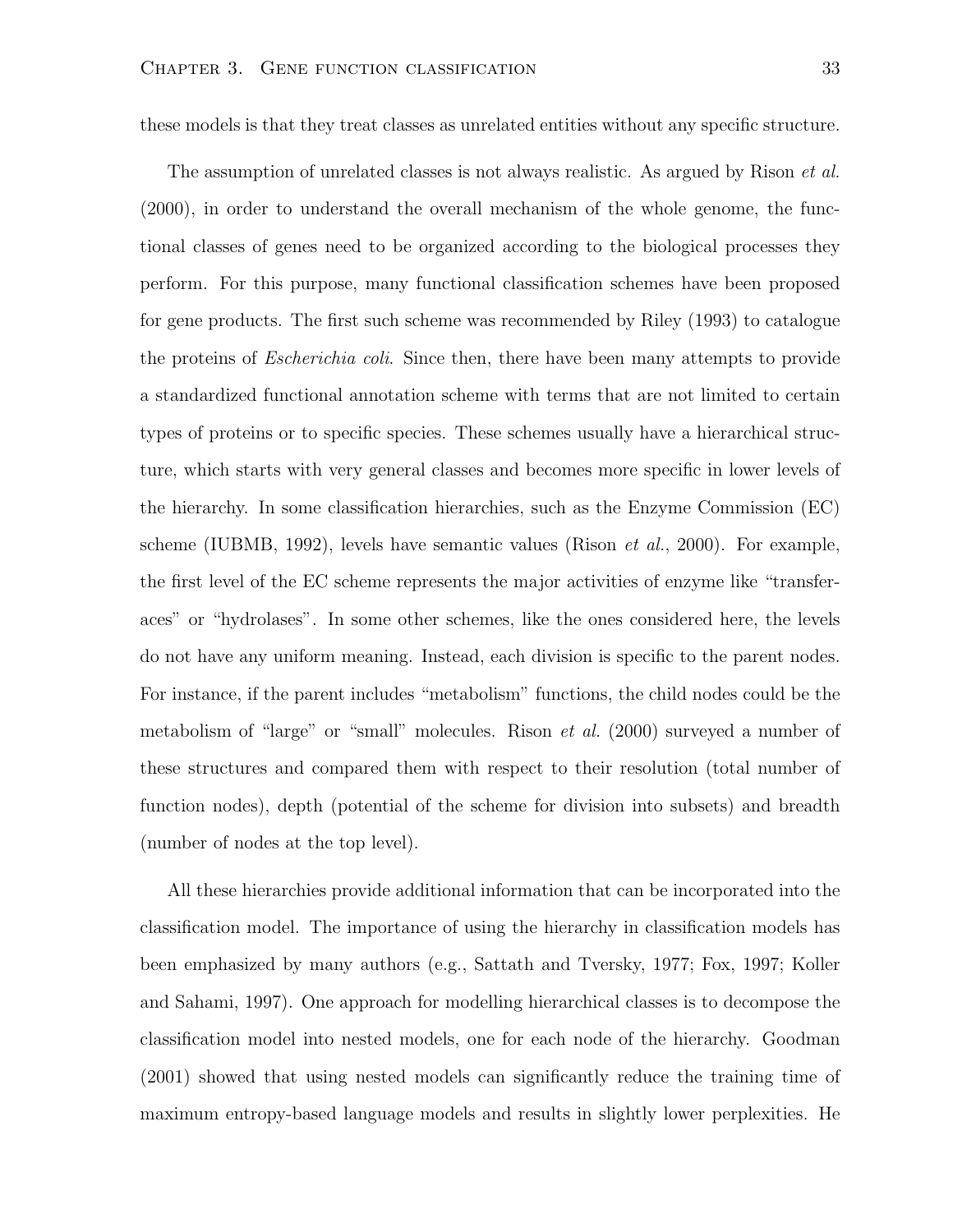these models is that they treat classes as unrelated entities without any specific structure.

The assumption of unrelated classes is not always realistic. As argued by Rison *et al.* (2000), in order to understand the overall mechanism of the whole genome, the functional classes of genes need to be organized according to the biological processes they perform. For this purpose, many functional classification schemes have been proposed for gene products. The first such scheme was recommended by Riley (1993) to catalogue the proteins of *Escherichia coli.* Since then, there have been many attempts to provide a standardized functional annotation scheme with terms that are not limited to certain types of proteins or to specific species. These schemes usually have a hierarchical structure, which starts with very general classes and becomes more specific in lower levels of the hierarchy. In some classification hierarchies, such as the Enzyme Commission (EC) scheme (IUBMB, 1992), levels have semantic values (Rison *et al.*, 2000). For example, the first level of the EC scheme represents the major activities of enzyme like "transferaces" or "hydrolases". In some other schemes, like the ones considered here, the levels do not have any uniform meaning. Instead, each division is specific to the parent nodes. For instance, if the parent includes "metabolism" functions, the child nodes could be the metabolism of "large" or "small" molecules. Rison *et al.* (2000) surveyed a number of these structures and compared them with respect to their resolution (total number of function nodes), depth (potential of the scheme for division into subsets) and breadth (number of nodes at the top level).

All these hierarchies provide additional information that can be incorporated into the classification model. The importance of using the hierarchy in classification models has been emphasized by many authors (e.g., Sattath and Tversky, 1977; Fox, 1997; Koller and Sahami, 1997). One approach for modelling hierarchical classes is to decompose the classification model into nested models, one for each node of the hierarchy. Goodman (2001) showed that using nested models can significantly reduce the training time of maximum entropy-based language models and results in slightly lower perplexities. He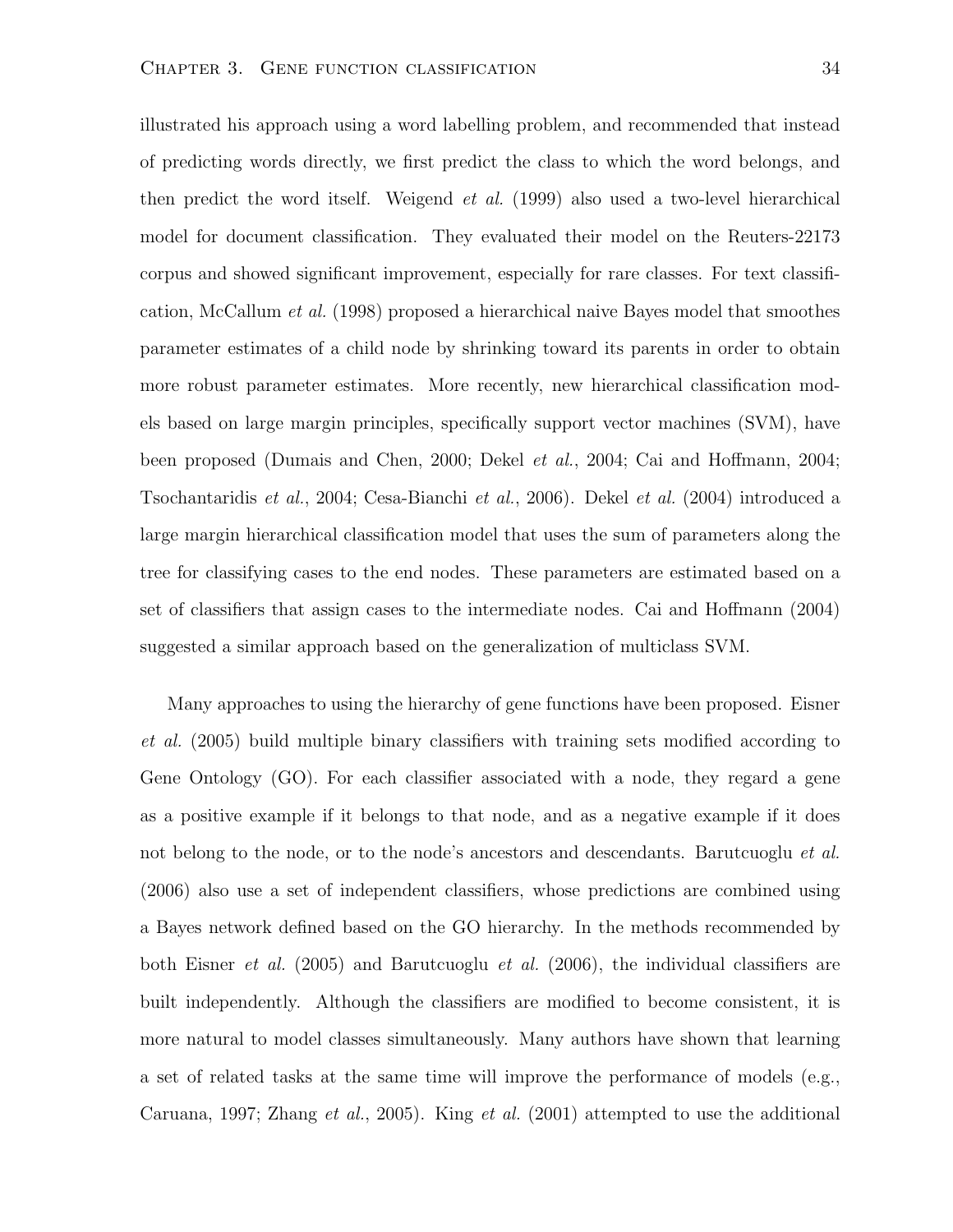illustrated his approach using a word labelling problem, and recommended that instead of predicting words directly, we first predict the class to which the word belongs, and then predict the word itself. Weigend et al. (1999) also used a two-level hierarchical model for document classification. They evaluated their model on the Reuters-22173 corpus and showed significant improvement, especially for rare classes. For text classification, McCallum et al. (1998) proposed a hierarchical naive Bayes model that smoothes parameter estimates of a child node by shrinking toward its parents in order to obtain more robust parameter estimates. More recently, new hierarchical classification models based on large margin principles, specifically support vector machines (SVM), have been proposed (Dumais and Chen, 2000; Dekel et al., 2004; Cai and Hoffmann, 2004; Tsochantaridis et al., 2004; Cesa-Bianchi et al., 2006). Dekel et al. (2004) introduced a large margin hierarchical classification model that uses the sum of parameters along the tree for classifying cases to the end nodes. These parameters are estimated based on a set of classifiers that assign cases to the intermediate nodes. Cai and Hoffmann (2004) suggested a similar approach based on the generalization of multiclass SVM.

Many approaches to using the hierarchy of gene functions have been proposed. Eisner et al. (2005) build multiple binary classifiers with training sets modified according to Gene Ontology (GO). For each classifier associated with a node, they regard a gene as a positive example if it belongs to that node, and as a negative example if it does not belong to the node, or to the node's ancestors and descendants. Barutcuoglu *et al.* (2006) also use a set of independent classifiers, whose predictions are combined using a Bayes network defined based on the GO hierarchy. In the methods recommended by both Eisner *et al.* (2005) and Barutcuoglu *et al.* (2006), the individual classifiers are built independently. Although the classifiers are modified to become consistent, it is more natural to model classes simultaneously. Many authors have shown that learning a set of related tasks at the same time will improve the performance of models (e.g., Caruana, 1997; Zhang et al., 2005). King et al.  $(2001)$  attempted to use the additional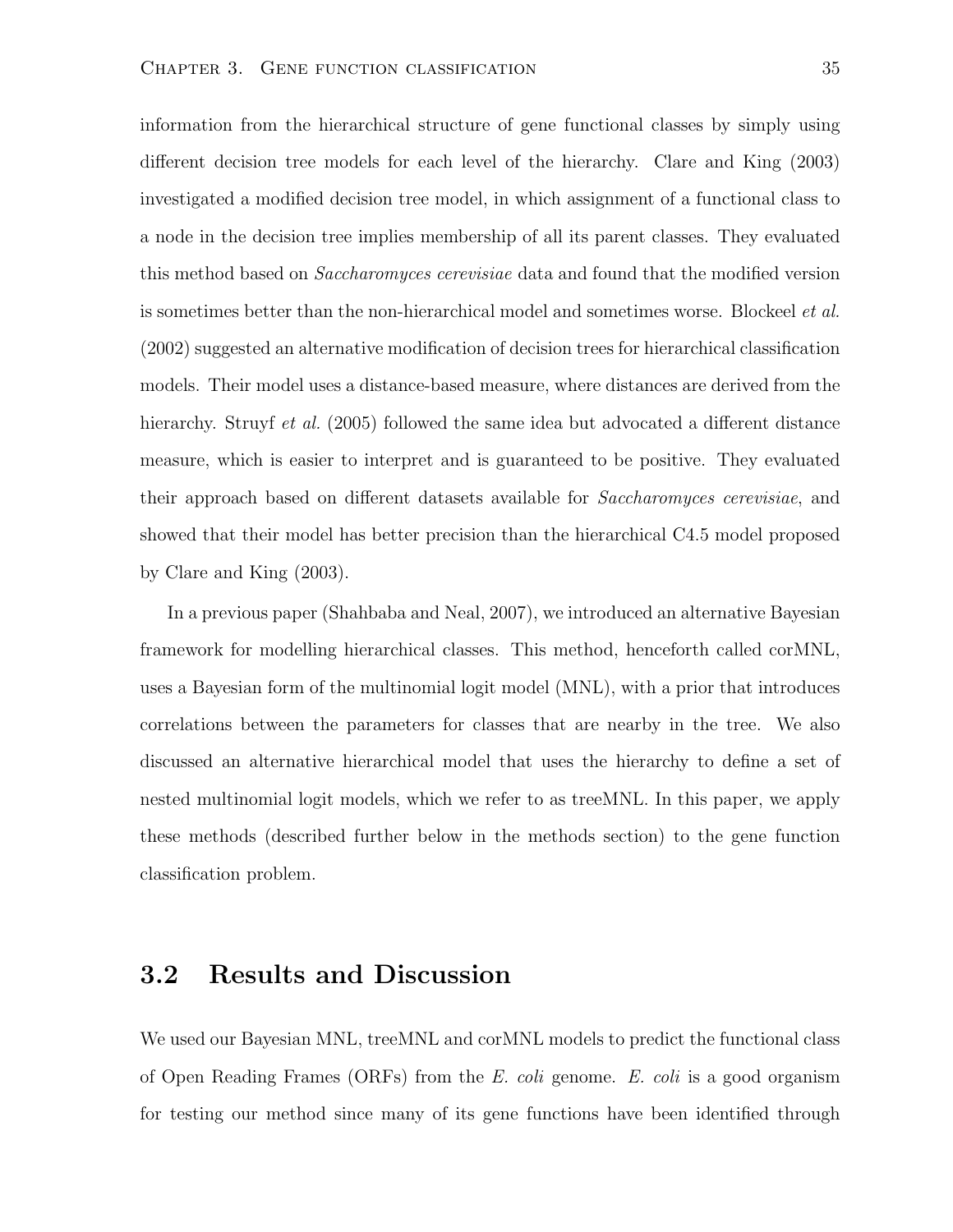information from the hierarchical structure of gene functional classes by simply using different decision tree models for each level of the hierarchy. Clare and King (2003) investigated a modified decision tree model, in which assignment of a functional class to a node in the decision tree implies membership of all its parent classes. They evaluated this method based on *Saccharomyces cerevisiae* data and found that the modified version is sometimes better than the non-hierarchical model and sometimes worse. Blockeel *et al.* (2002) suggested an alternative modification of decision trees for hierarchical classification models. Their model uses a distance-based measure, where distances are derived from the hierarchy. Struyf *et al.* (2005) followed the same idea but advocated a different distance measure, which is easier to interpret and is guaranteed to be positive. They evaluated their approach based on different datasets available for Saccharomyces cerevisiae, and showed that their model has better precision than the hierarchical C4.5 model proposed by Clare and King (2003).

In a previous paper (Shahbaba and Neal, 2007), we introduced an alternative Bayesian framework for modelling hierarchical classes. This method, henceforth called corMNL, uses a Bayesian form of the multinomial logit model (MNL), with a prior that introduces correlations between the parameters for classes that are nearby in the tree. We also discussed an alternative hierarchical model that uses the hierarchy to define a set of nested multinomial logit models, which we refer to as treeMNL. In this paper, we apply these methods (described further below in the methods section) to the gene function classification problem.

#### 3.2 Results and Discussion

We used our Bayesian MNL, treeMNL and corMNL models to predict the functional class of Open Reading Frames (ORFs) from the E. coli genome. E. coli is a good organism for testing our method since many of its gene functions have been identified through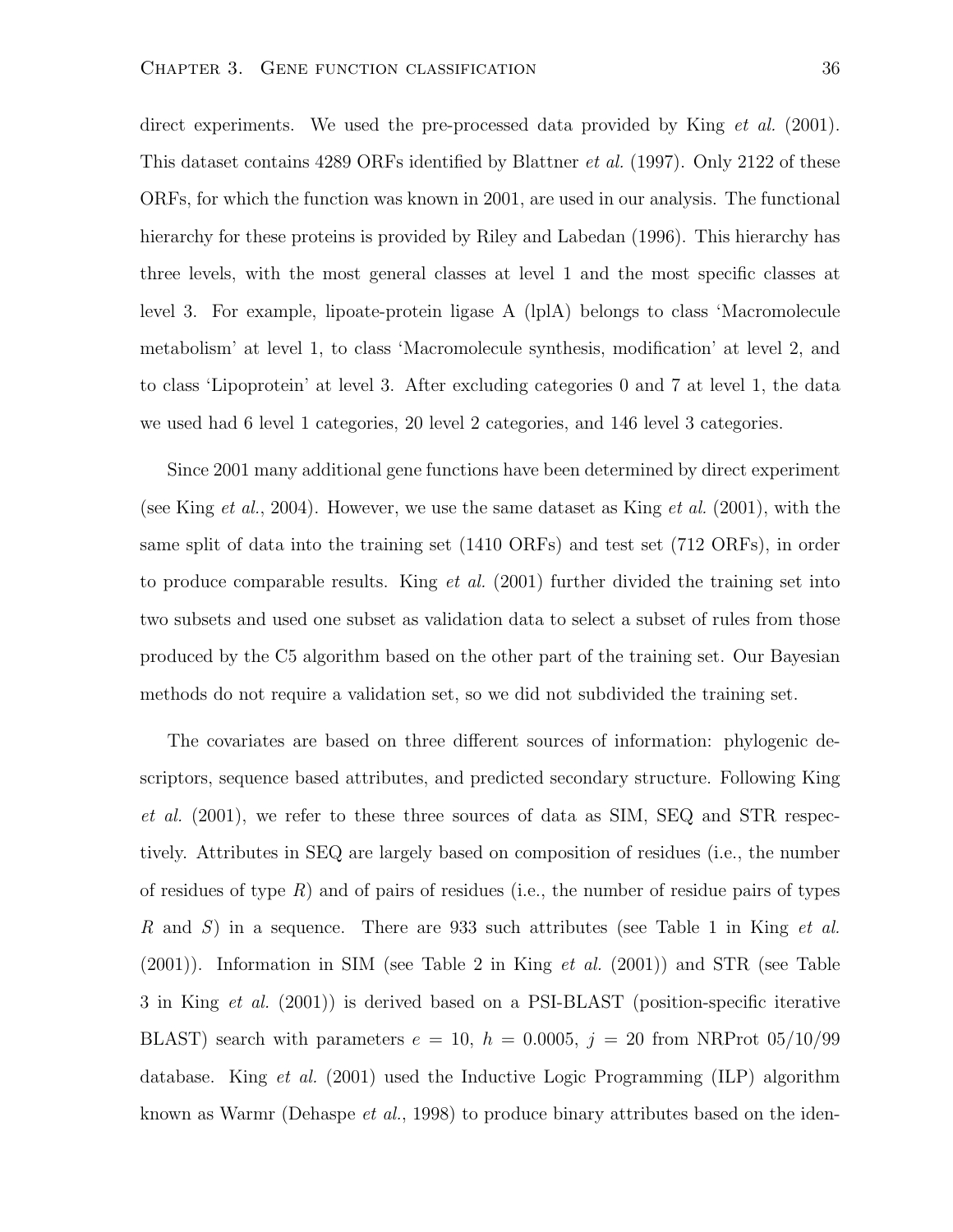direct experiments. We used the pre-processed data provided by King *et al.* (2001). This dataset contains 4289 ORFs identified by Blattner *et al.* (1997). Only 2122 of these ORFs, for which the function was known in 2001, are used in our analysis. The functional hierarchy for these proteins is provided by Riley and Labedan (1996). This hierarchy has three levels, with the most general classes at level 1 and the most specific classes at level 3. For example, lipoate-protein ligase A (lplA) belongs to class 'Macromolecule metabolism' at level 1, to class 'Macromolecule synthesis, modification' at level 2, and to class 'Lipoprotein' at level 3. After excluding categories 0 and 7 at level 1, the data we used had 6 level 1 categories, 20 level 2 categories, and 146 level 3 categories.

Since 2001 many additional gene functions have been determined by direct experiment (see King *et al.*, 2004). However, we use the same dataset as King *et al.* (2001), with the same split of data into the training set (1410 ORFs) and test set (712 ORFs), in order to produce comparable results. King  $et$  al. (2001) further divided the training set into two subsets and used one subset as validation data to select a subset of rules from those produced by the C5 algorithm based on the other part of the training set. Our Bayesian methods do not require a validation set, so we did not subdivided the training set.

The covariates are based on three different sources of information: phylogenic descriptors, sequence based attributes, and predicted secondary structure. Following King et al. (2001), we refer to these three sources of data as SIM, SEQ and STR respectively. Attributes in SEQ are largely based on composition of residues (i.e., the number of residues of type  $R$ ) and of pairs of residues (i.e., the number of residue pairs of types R and S) in a sequence. There are 933 such attributes (see Table 1 in King *et al.*  $(2001)$ ). Information in SIM (see Table 2 in King *et al.*  $(2001)$ ) and STR (see Table 3 in King et al. (2001)) is derived based on a PSI-BLAST (position-specific iterative BLAST) search with parameters  $e = 10$ ,  $h = 0.0005$ ,  $j = 20$  from NRProt 05/10/99 database. King et al. (2001) used the Inductive Logic Programming (ILP) algorithm known as Warmr (Dehaspe *et al.*, 1998) to produce binary attributes based on the iden-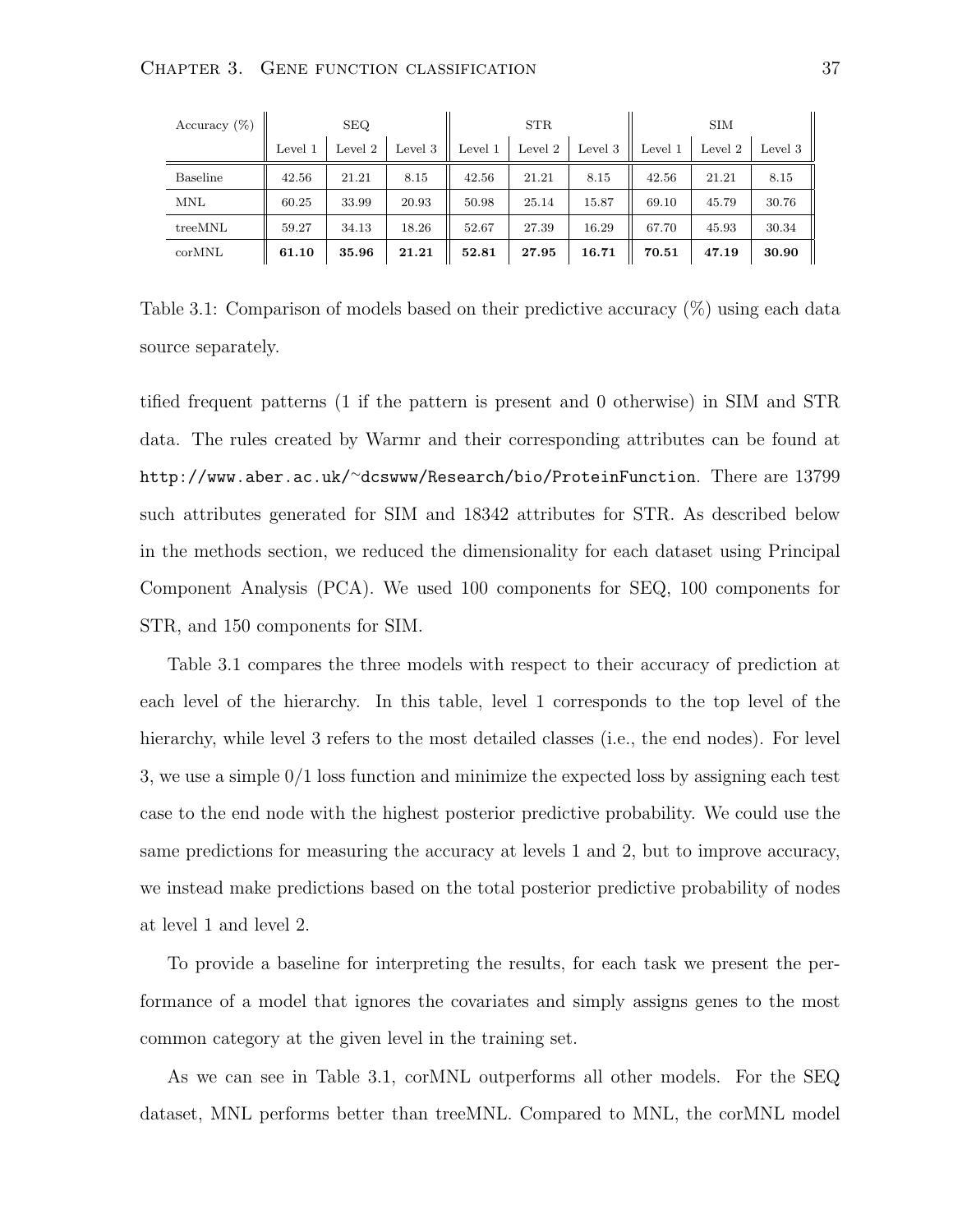| Accuracy $(\%)$ | <b>SEQ</b> |         | <b>STR</b> |         |         | <b>SIM</b> |         |         |         |
|-----------------|------------|---------|------------|---------|---------|------------|---------|---------|---------|
|                 | Level 1    | Level 2 | Level 3    | Level 1 | Level 2 | Level 3    | Level 1 | Level 2 | Level 3 |
| Baseline        | 42.56      | 21.21   | 8.15       | 42.56   | 21.21   | 8.15       | 42.56   | 21.21   | 8.15    |
| <b>MNL</b>      | 60.25      | 33.99   | 20.93      | 50.98   | 25.14   | 15.87      | 69.10   | 45.79   | 30.76   |
| treeMNL         | 59.27      | 34.13   | 18.26      | 52.67   | 27.39   | 16.29      | 67.70   | 45.93   | 30.34   |
| corMNL          | 61.10      | 35.96   | 21.21      | 52.81   | 27.95   | 16.71      | 70.51   | 47.19   | 30.90   |

Table 3.1: Comparison of models based on their predictive accuracy (%) using each data source separately.

tified frequent patterns (1 if the pattern is present and 0 otherwise) in SIM and STR data. The rules created by Warmr and their corresponding attributes can be found at http://www.aber.ac.uk/<sup>∼</sup>dcswww/Research/bio/ProteinFunction. There are 13799 such attributes generated for SIM and 18342 attributes for STR. As described below in the methods section, we reduced the dimensionality for each dataset using Principal Component Analysis (PCA). We used 100 components for SEQ, 100 components for STR, and 150 components for SIM.

Table 3.1 compares the three models with respect to their accuracy of prediction at each level of the hierarchy. In this table, level 1 corresponds to the top level of the hierarchy, while level 3 refers to the most detailed classes (i.e., the end nodes). For level 3, we use a simple 0/1 loss function and minimize the expected loss by assigning each test case to the end node with the highest posterior predictive probability. We could use the same predictions for measuring the accuracy at levels 1 and 2, but to improve accuracy, we instead make predictions based on the total posterior predictive probability of nodes at level 1 and level 2.

To provide a baseline for interpreting the results, for each task we present the performance of a model that ignores the covariates and simply assigns genes to the most common category at the given level in the training set.

As we can see in Table 3.1, corMNL outperforms all other models. For the SEQ dataset, MNL performs better than treeMNL. Compared to MNL, the corMNL model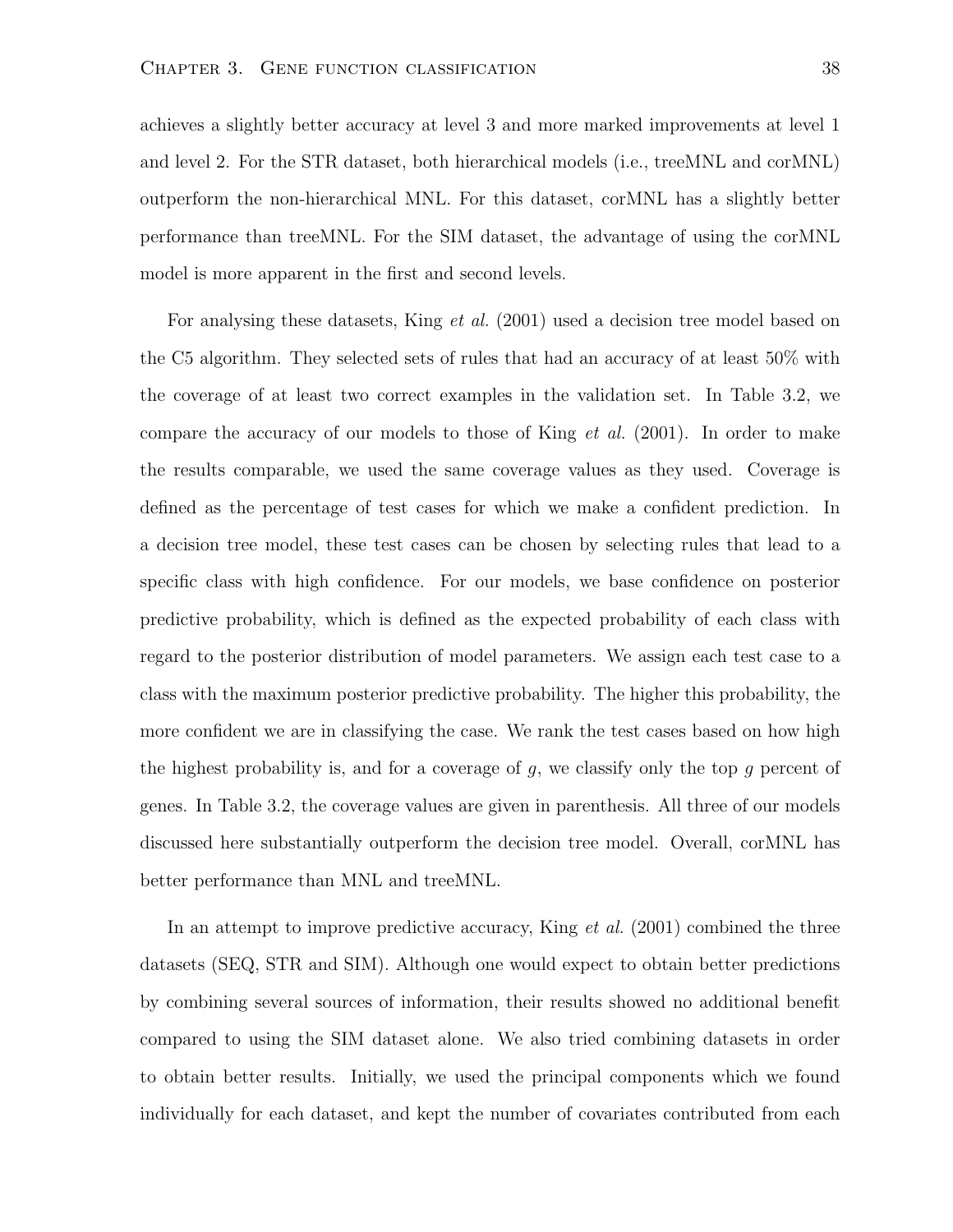achieves a slightly better accuracy at level 3 and more marked improvements at level 1 and level 2. For the STR dataset, both hierarchical models (i.e., treeMNL and corMNL) outperform the non-hierarchical MNL. For this dataset, corMNL has a slightly better performance than treeMNL. For the SIM dataset, the advantage of using the corMNL model is more apparent in the first and second levels.

For analysing these datasets, King et al. (2001) used a decision tree model based on the C5 algorithm. They selected sets of rules that had an accuracy of at least 50% with the coverage of at least two correct examples in the validation set. In Table 3.2, we compare the accuracy of our models to those of King  $et \ al.$  (2001). In order to make the results comparable, we used the same coverage values as they used. Coverage is defined as the percentage of test cases for which we make a confident prediction. In a decision tree model, these test cases can be chosen by selecting rules that lead to a specific class with high confidence. For our models, we base confidence on posterior predictive probability, which is defined as the expected probability of each class with regard to the posterior distribution of model parameters. We assign each test case to a class with the maximum posterior predictive probability. The higher this probability, the more confident we are in classifying the case. We rank the test cases based on how high the highest probability is, and for a coverage of  $g$ , we classify only the top  $g$  percent of genes. In Table 3.2, the coverage values are given in parenthesis. All three of our models discussed here substantially outperform the decision tree model. Overall, corMNL has better performance than MNL and treeMNL.

In an attempt to improve predictive accuracy, King et al. (2001) combined the three datasets (SEQ, STR and SIM). Although one would expect to obtain better predictions by combining several sources of information, their results showed no additional benefit compared to using the SIM dataset alone. We also tried combining datasets in order to obtain better results. Initially, we used the principal components which we found individually for each dataset, and kept the number of covariates contributed from each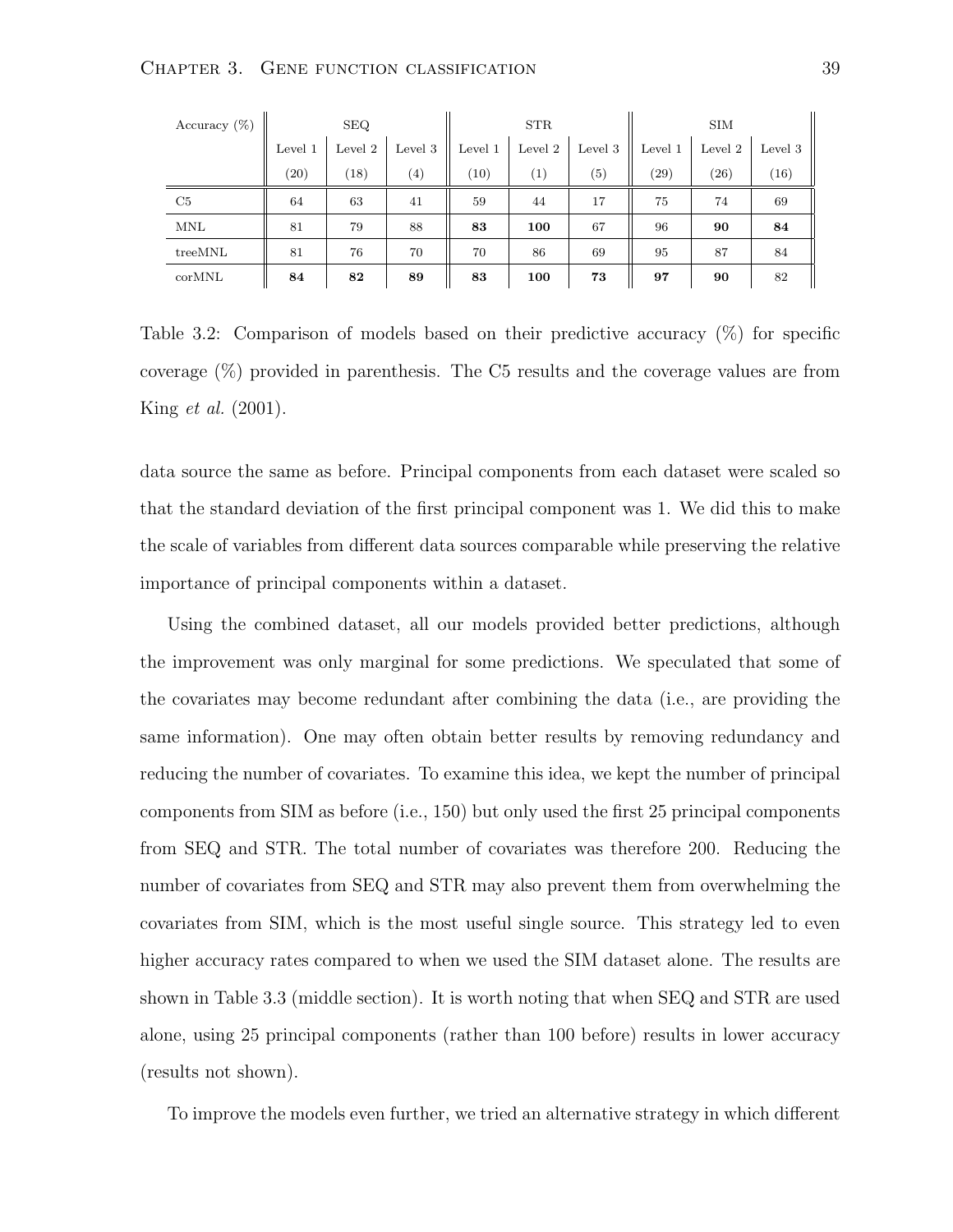| Accuracy $(\%)$ | <b>SEQ</b> |         |                  |         | <b>STR</b> |         |         | <b>SIM</b> |         |  |
|-----------------|------------|---------|------------------|---------|------------|---------|---------|------------|---------|--|
|                 | Level 1    | Level 2 | Level 3          | Level 1 | Level 2    | Level 3 | Level 1 | Level 2    | Level 3 |  |
|                 | (20)       | (18)    | $\left(4\right)$ | (10)    | $^{(1)}$   | (5)     | (29)    | (26)       | (16)    |  |
| C5              | 64         | 63      | 41               | 59      | 44         | 17      | 75      | 74         | 69      |  |
| MNL             | 81         | 79      | 88               | 83      | 100        | 67      | 96      | 90         | 84      |  |
| treeMNL         | 81         | 76      | 70               | 70      | 86         | 69      | 95      | 87         | 84      |  |
| corMNL          | 84         | 82      | 89               | 83      | 100        | 73      | 97      | 90         | 82      |  |

Table 3.2: Comparison of models based on their predictive accuracy  $(\%)$  for specific coverage (%) provided in parenthesis. The C5 results and the coverage values are from King et al. (2001).

data source the same as before. Principal components from each dataset were scaled so that the standard deviation of the first principal component was 1. We did this to make the scale of variables from different data sources comparable while preserving the relative importance of principal components within a dataset.

Using the combined dataset, all our models provided better predictions, although the improvement was only marginal for some predictions. We speculated that some of the covariates may become redundant after combining the data (i.e., are providing the same information). One may often obtain better results by removing redundancy and reducing the number of covariates. To examine this idea, we kept the number of principal components from SIM as before (i.e., 150) but only used the first 25 principal components from SEQ and STR. The total number of covariates was therefore 200. Reducing the number of covariates from SEQ and STR may also prevent them from overwhelming the covariates from SIM, which is the most useful single source. This strategy led to even higher accuracy rates compared to when we used the SIM dataset alone. The results are shown in Table 3.3 (middle section). It is worth noting that when SEQ and STR are used alone, using 25 principal components (rather than 100 before) results in lower accuracy (results not shown).

To improve the models even further, we tried an alternative strategy in which different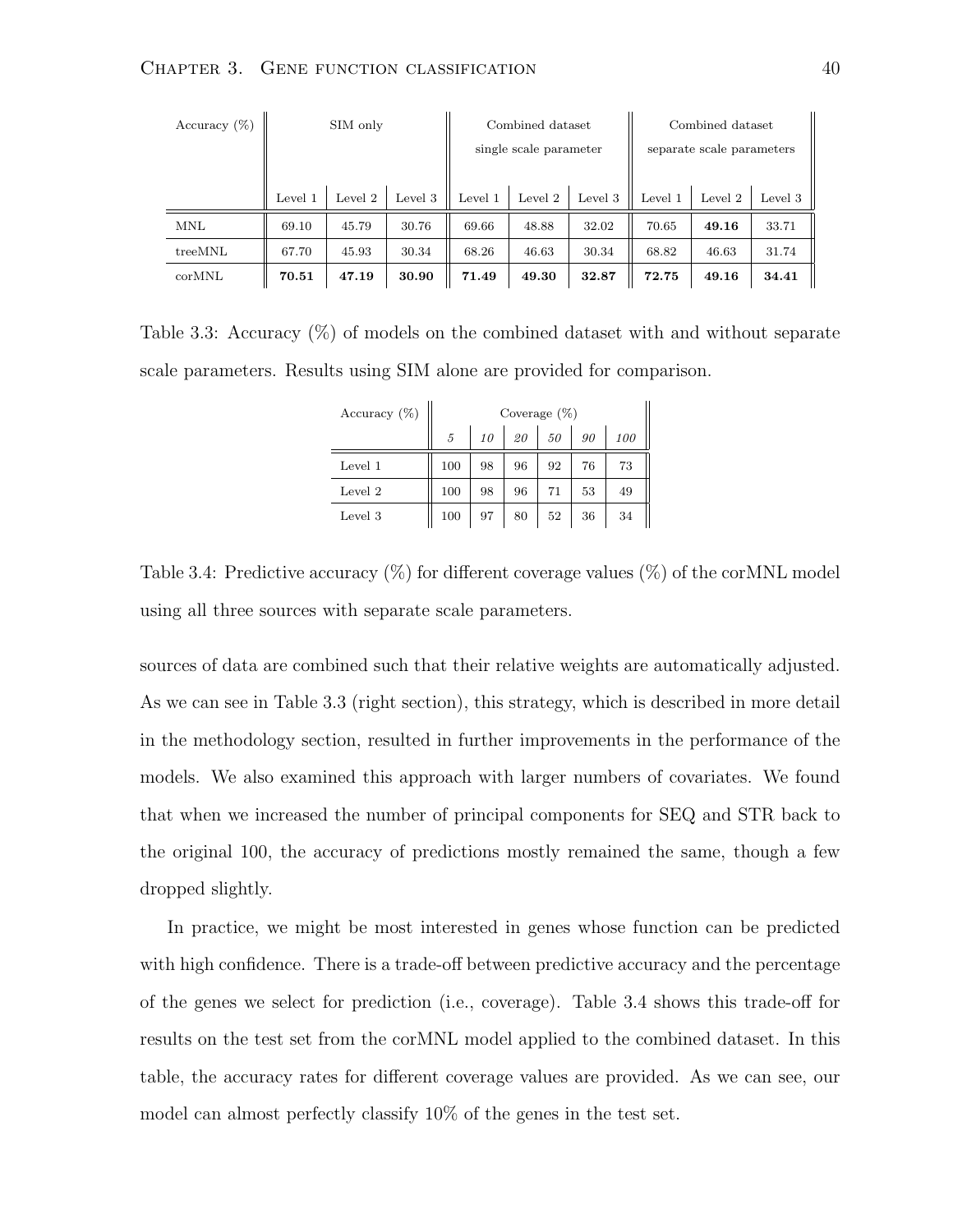| Accuracy $(\%)$ | SIM only |         | Combined dataset       |         |         | Combined dataset          |         |         |         |
|-----------------|----------|---------|------------------------|---------|---------|---------------------------|---------|---------|---------|
|                 |          |         | single scale parameter |         |         | separate scale parameters |         |         |         |
|                 |          |         |                        |         |         |                           |         |         |         |
|                 | Level 1  | Level 2 | Level 3                | Level 1 | Level 2 | Level 3                   | Level 1 | Level 2 | Level 3 |
| <b>MNL</b>      | 69.10    | 45.79   | 30.76                  | 69.66   | 48.88   | 32.02                     | 70.65   | 49.16   | 33.71   |
| treeMNL         | 67.70    | 45.93   | 30.34                  | 68.26   | 46.63   | 30.34                     | 68.82   | 46.63   | 31.74   |
| corMNL          | 70.51    | 47.19   | 30.90                  | 71.49   | 49.30   | 32.87                     | 72.75   | 49.16   | 34.41   |

Table 3.3: Accuracy (%) of models on the combined dataset with and without separate scale parameters. Results using SIM alone are provided for comparison.

| Accuracy $(\%)$ | Coverage $(\%)$ |    |    |    |    |     |  |
|-----------------|-----------------|----|----|----|----|-----|--|
|                 | 5               | 10 | 20 | 50 | 90 | 100 |  |
| Level 1         | 100             | 98 | 96 | 92 | 76 | 73  |  |
| Level 2         | 100             | 98 | 96 | 71 | 53 | 49  |  |
| Level 3         | 100             | 97 | 80 | 52 | 36 | 34  |  |

Table 3.4: Predictive accuracy  $(\%)$  for different coverage values  $(\%)$  of the corMNL model using all three sources with separate scale parameters.

sources of data are combined such that their relative weights are automatically adjusted. As we can see in Table 3.3 (right section), this strategy, which is described in more detail in the methodology section, resulted in further improvements in the performance of the models. We also examined this approach with larger numbers of covariates. We found that when we increased the number of principal components for SEQ and STR back to the original 100, the accuracy of predictions mostly remained the same, though a few dropped slightly.

In practice, we might be most interested in genes whose function can be predicted with high confidence. There is a trade-off between predictive accuracy and the percentage of the genes we select for prediction (i.e., coverage). Table 3.4 shows this trade-off for results on the test set from the corMNL model applied to the combined dataset. In this table, the accuracy rates for different coverage values are provided. As we can see, our model can almost perfectly classify 10% of the genes in the test set.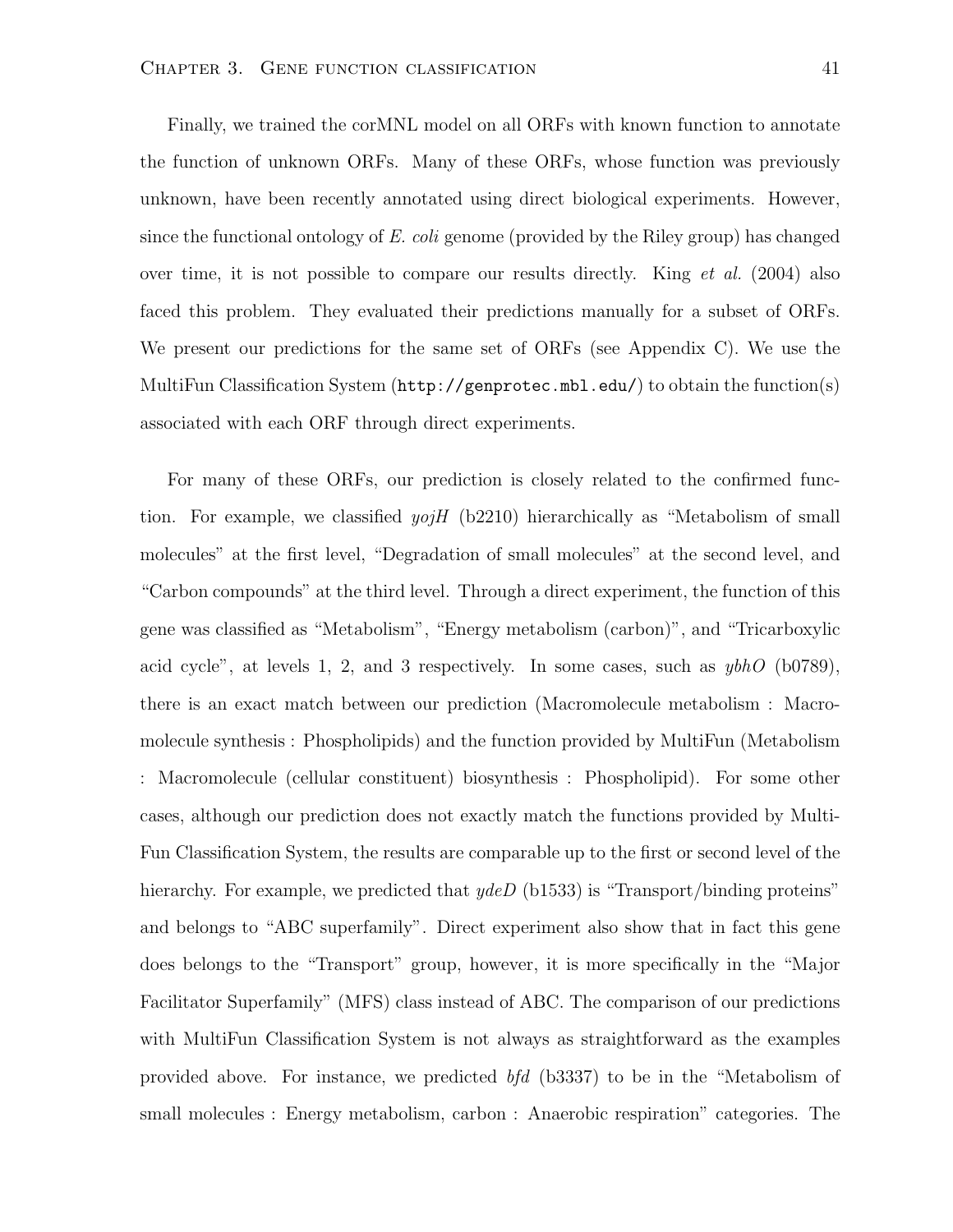Finally, we trained the corMNL model on all ORFs with known function to annotate the function of unknown ORFs. Many of these ORFs, whose function was previously unknown, have been recently annotated using direct biological experiments. However, since the functional ontology of E. coli genome (provided by the Riley group) has changed over time, it is not possible to compare our results directly. King  $et \ al.$  (2004) also faced this problem. They evaluated their predictions manually for a subset of ORFs. We present our predictions for the same set of ORFs (see Appendix C). We use the MultiFun Classification System (http://genprotec.mbl.edu/) to obtain the function(s) associated with each ORF through direct experiments.

For many of these ORFs, our prediction is closely related to the confirmed function. For example, we classified  $yojH$  (b2210) hierarchically as "Metabolism of small molecules" at the first level, "Degradation of small molecules" at the second level, and "Carbon compounds" at the third level. Through a direct experiment, the function of this gene was classified as "Metabolism", "Energy metabolism (carbon)", and "Tricarboxylic acid cycle", at levels 1, 2, and 3 respectively. In some cases, such as  $y b h O$  (b0789), there is an exact match between our prediction (Macromolecule metabolism : Macromolecule synthesis : Phospholipids) and the function provided by MultiFun (Metabolism : Macromolecule (cellular constituent) biosynthesis : Phospholipid). For some other cases, although our prediction does not exactly match the functions provided by Multi-Fun Classification System, the results are comparable up to the first or second level of the hierarchy. For example, we predicted that  $ydeD$  (b1533) is "Transport/binding proteins" and belongs to "ABC superfamily". Direct experiment also show that in fact this gene does belongs to the "Transport" group, however, it is more specifically in the "Major Facilitator Superfamily" (MFS) class instead of ABC. The comparison of our predictions with MultiFun Classification System is not always as straightforward as the examples provided above. For instance, we predicted bfd (b3337) to be in the "Metabolism of small molecules : Energy metabolism, carbon : Anaerobic respiration" categories. The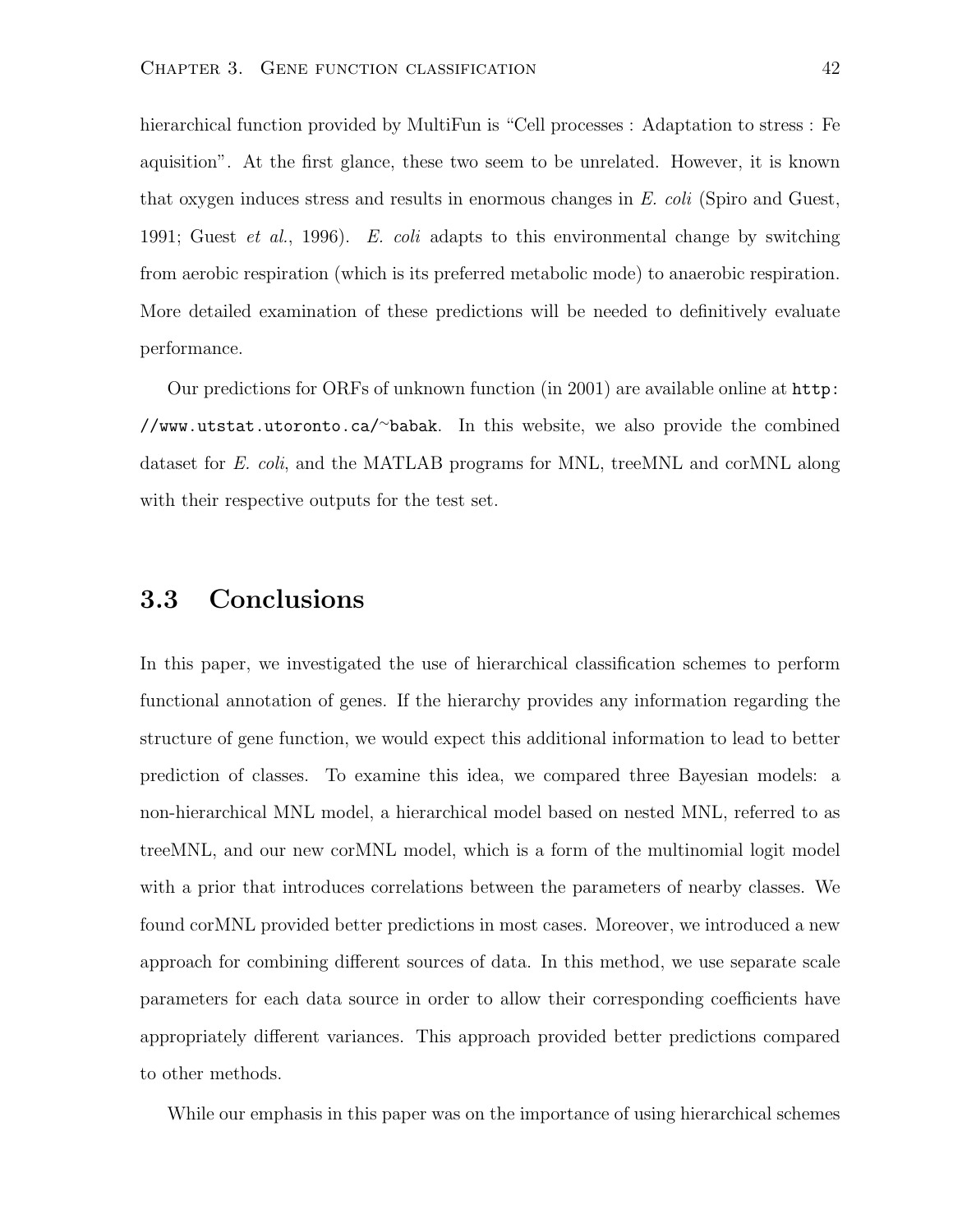hierarchical function provided by MultiFun is "Cell processes : Adaptation to stress : Fe aquisition". At the first glance, these two seem to be unrelated. However, it is known that oxygen induces stress and results in enormous changes in E. coli (Spiro and Guest, 1991; Guest *et al.*, 1996). E. coli adapts to this environmental change by switching from aerobic respiration (which is its preferred metabolic mode) to anaerobic respiration. More detailed examination of these predictions will be needed to definitively evaluate performance.

Our predictions for ORFs of unknown function (in 2001) are available online at http: //www.utstat.utoronto.ca/<sup>∼</sup>babak. In this website, we also provide the combined dataset for E. coli, and the MATLAB programs for MNL, treeMNL and corMNL along with their respective outputs for the test set.

#### 3.3 Conclusions

In this paper, we investigated the use of hierarchical classification schemes to perform functional annotation of genes. If the hierarchy provides any information regarding the structure of gene function, we would expect this additional information to lead to better prediction of classes. To examine this idea, we compared three Bayesian models: a non-hierarchical MNL model, a hierarchical model based on nested MNL, referred to as treeMNL, and our new corMNL model, which is a form of the multinomial logit model with a prior that introduces correlations between the parameters of nearby classes. We found corMNL provided better predictions in most cases. Moreover, we introduced a new approach for combining different sources of data. In this method, we use separate scale parameters for each data source in order to allow their corresponding coefficients have appropriately different variances. This approach provided better predictions compared to other methods.

While our emphasis in this paper was on the importance of using hierarchical schemes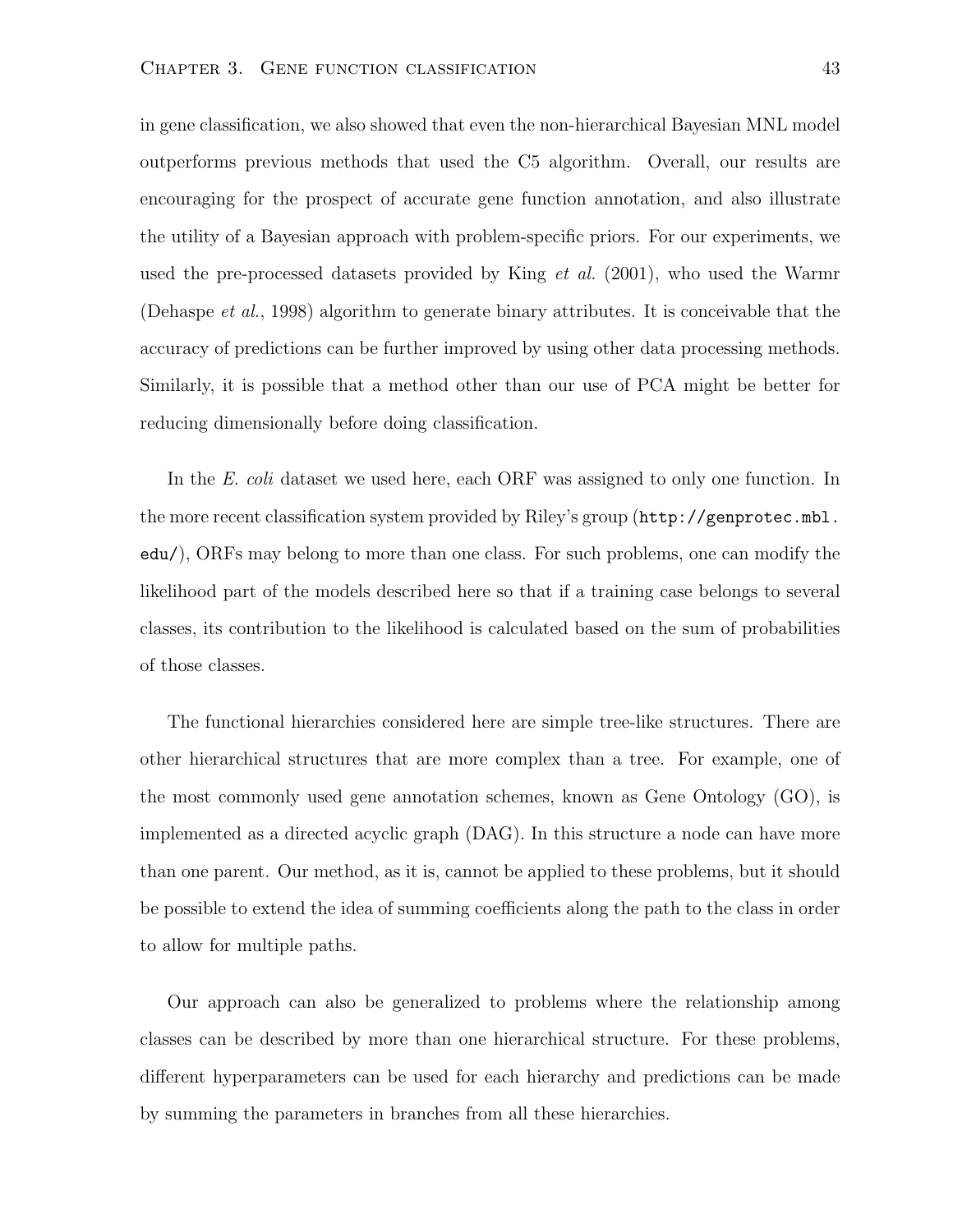in gene classification, we also showed that even the non-hierarchical Bayesian MNL model outperforms previous methods that used the C5 algorithm. Overall, our results are encouraging for the prospect of accurate gene function annotation, and also illustrate the utility of a Bayesian approach with problem-specific priors. For our experiments, we used the pre-processed datasets provided by King  $et \, al.$  (2001), who used the Warmr (Dehaspe et al., 1998) algorithm to generate binary attributes. It is conceivable that the accuracy of predictions can be further improved by using other data processing methods. Similarly, it is possible that a method other than our use of PCA might be better for reducing dimensionally before doing classification.

In the E. coli dataset we used here, each ORF was assigned to only one function. In the more recent classification system provided by Riley's group (http://genprotec.mbl. edu/), ORFs may belong to more than one class. For such problems, one can modify the likelihood part of the models described here so that if a training case belongs to several classes, its contribution to the likelihood is calculated based on the sum of probabilities of those classes.

The functional hierarchies considered here are simple tree-like structures. There are other hierarchical structures that are more complex than a tree. For example, one of the most commonly used gene annotation schemes, known as Gene Ontology (GO), is implemented as a directed acyclic graph (DAG). In this structure a node can have more than one parent. Our method, as it is, cannot be applied to these problems, but it should be possible to extend the idea of summing coefficients along the path to the class in order to allow for multiple paths.

Our approach can also be generalized to problems where the relationship among classes can be described by more than one hierarchical structure. For these problems, different hyperparameters can be used for each hierarchy and predictions can be made by summing the parameters in branches from all these hierarchies.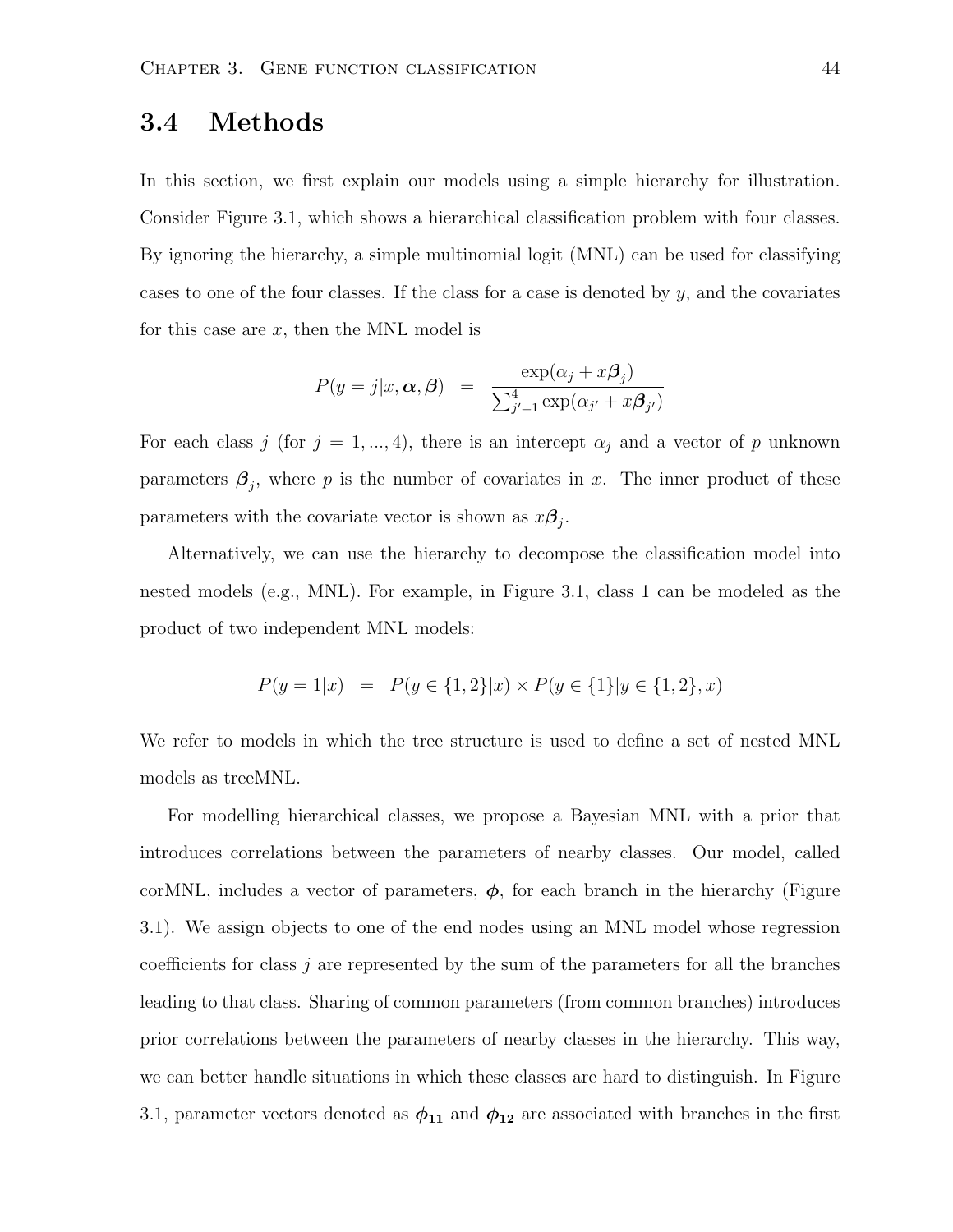#### 3.4 Methods

In this section, we first explain our models using a simple hierarchy for illustration. Consider Figure 3.1, which shows a hierarchical classification problem with four classes. By ignoring the hierarchy, a simple multinomial logit (MNL) can be used for classifying cases to one of the four classes. If the class for a case is denoted by  $y$ , and the covariates for this case are  $x$ , then the MNL model is

$$
P(y = j|x, \alpha, \beta) = \frac{\exp(\alpha_j + x\beta_j)}{\sum_{j'=1}^4 \exp(\alpha_{j'} + x\beta_{j'})}
$$

For each class j (for  $j = 1, ..., 4$ ), there is an intercept  $\alpha_j$  and a vector of p unknown parameters  $\beta_j$ , where p is the number of covariates in x. The inner product of these parameters with the covariate vector is shown as  $x\beta_j$ .

Alternatively, we can use the hierarchy to decompose the classification model into nested models (e.g., MNL). For example, in Figure 3.1, class 1 can be modeled as the product of two independent MNL models:

$$
P(y = 1|x) = P(y \in \{1, 2\}|x) \times P(y \in \{1\}|y \in \{1, 2\}, x)
$$

We refer to models in which the tree structure is used to define a set of nested MNL models as treeMNL.

For modelling hierarchical classes, we propose a Bayesian MNL with a prior that introduces correlations between the parameters of nearby classes. Our model, called corMNL, includes a vector of parameters,  $\phi$ , for each branch in the hierarchy (Figure 3.1). We assign objects to one of the end nodes using an MNL model whose regression coefficients for class  $j$  are represented by the sum of the parameters for all the branches leading to that class. Sharing of common parameters (from common branches) introduces prior correlations between the parameters of nearby classes in the hierarchy. This way, we can better handle situations in which these classes are hard to distinguish. In Figure 3.1, parameter vectors denoted as  $\phi_{11}$  and  $\phi_{12}$  are associated with branches in the first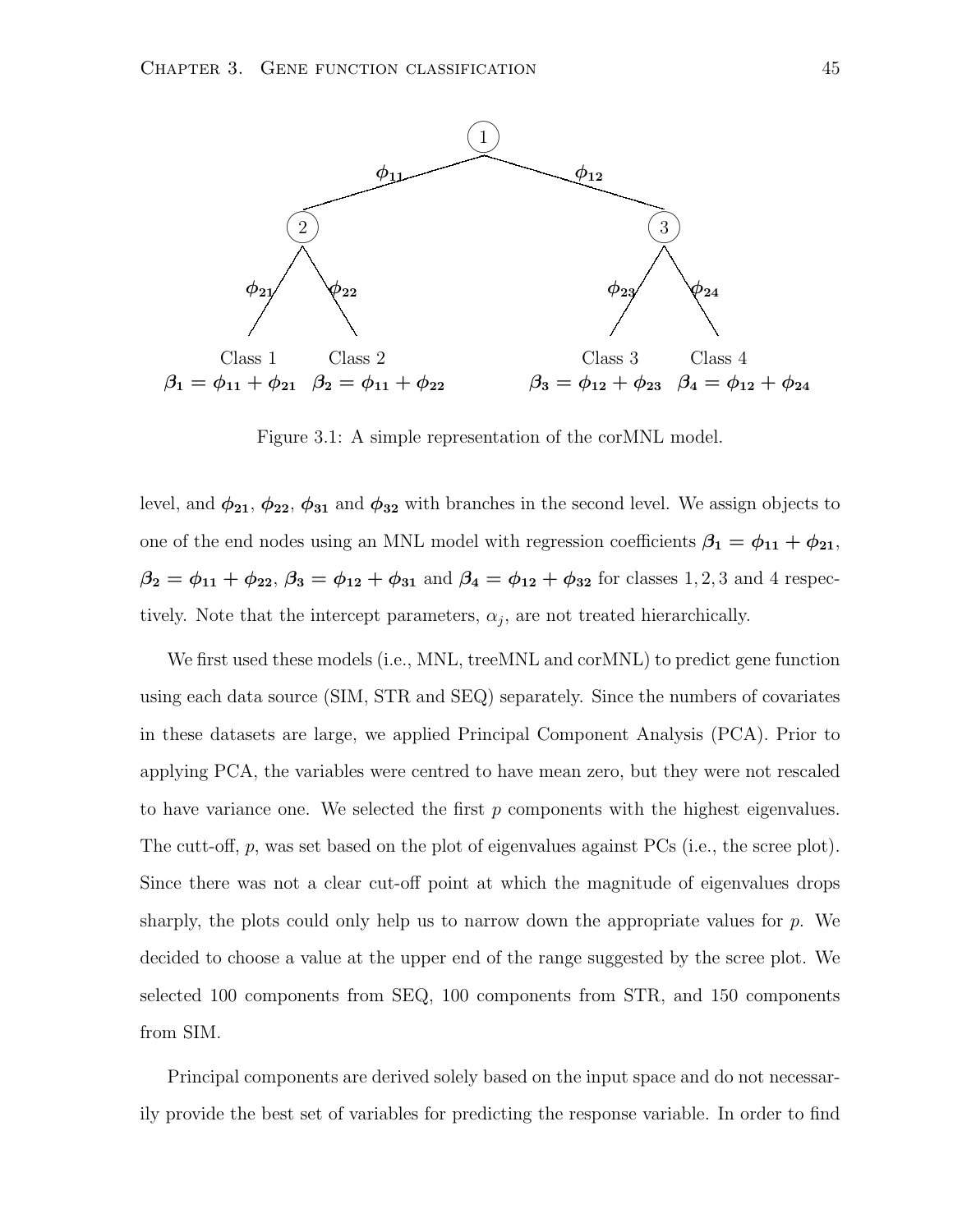

Figure 3.1: A simple representation of the corMNL model.

level, and  $\phi_{21}, \phi_{22}, \phi_{31}$  and  $\phi_{32}$  with branches in the second level. We assign objects to one of the end nodes using an MNL model with regression coefficients  $\beta_1 = \phi_{11} + \phi_{21}$ ,  $\beta_2 = \phi_{11} + \phi_{22}, \beta_3 = \phi_{12} + \phi_{31}$  and  $\beta_4 = \phi_{12} + \phi_{32}$  for classes 1, 2, 3 and 4 respectively. Note that the intercept parameters,  $\alpha_j$ , are not treated hierarchically.

We first used these models (i.e., MNL, treeMNL and corMNL) to predict gene function using each data source (SIM, STR and SEQ) separately. Since the numbers of covariates in these datasets are large, we applied Principal Component Analysis (PCA). Prior to applying PCA, the variables were centred to have mean zero, but they were not rescaled to have variance one. We selected the first  $p$  components with the highest eigenvalues. The cutt-off, p, was set based on the plot of eigenvalues against PCs (i.e., the scree plot). Since there was not a clear cut-off point at which the magnitude of eigenvalues drops sharply, the plots could only help us to narrow down the appropriate values for  $p$ . We decided to choose a value at the upper end of the range suggested by the scree plot. We selected 100 components from SEQ, 100 components from STR, and 150 components from SIM.

Principal components are derived solely based on the input space and do not necessarily provide the best set of variables for predicting the response variable. In order to find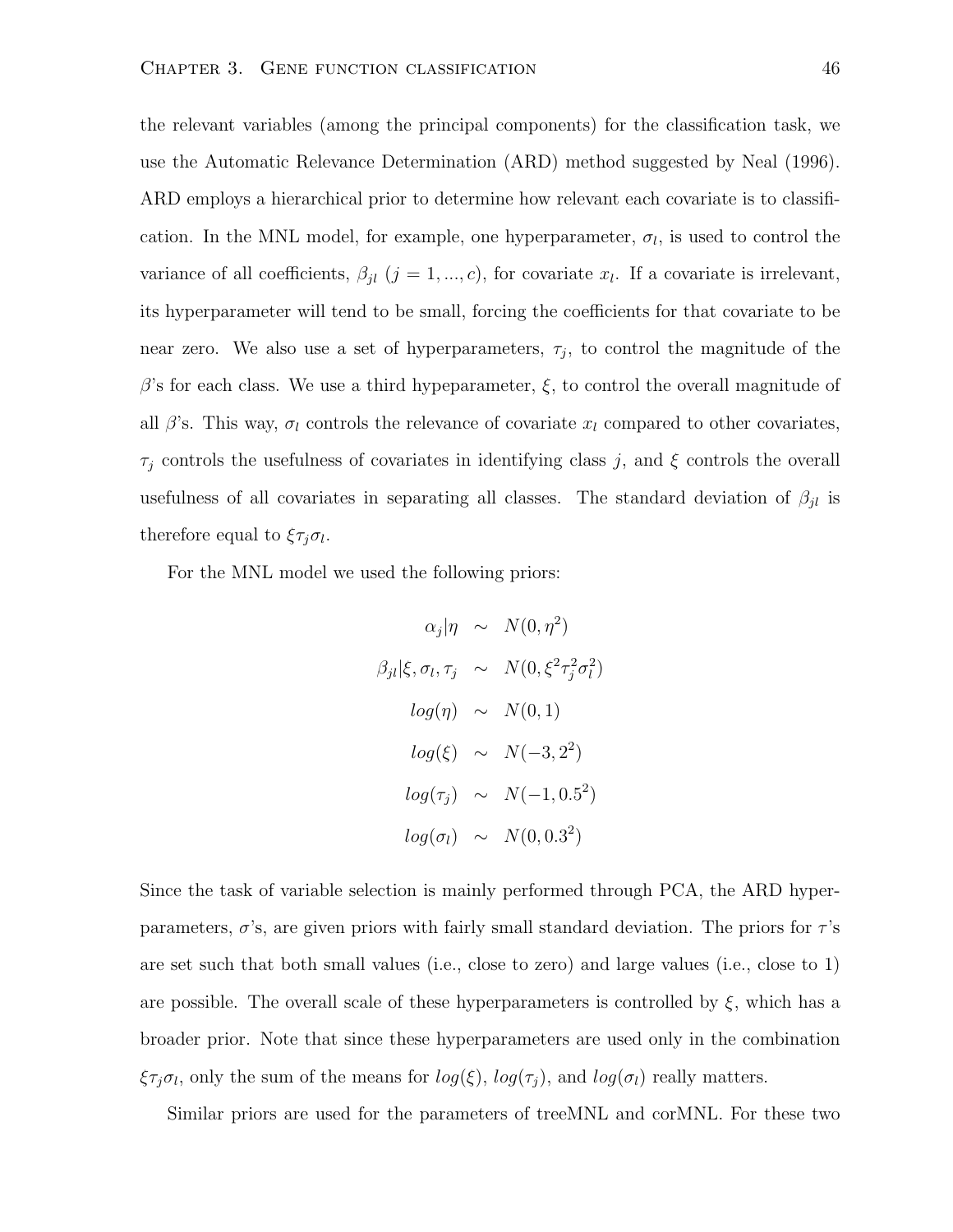the relevant variables (among the principal components) for the classification task, we use the Automatic Relevance Determination (ARD) method suggested by Neal (1996). ARD employs a hierarchical prior to determine how relevant each covariate is to classification. In the MNL model, for example, one hyperparameter,  $\sigma_l$ , is used to control the variance of all coefficients,  $\beta_{jl}$   $(j = 1, ..., c)$ , for covariate  $x_l$ . If a covariate is irrelevant, its hyperparameter will tend to be small, forcing the coefficients for that covariate to be near zero. We also use a set of hyperparameters,  $\tau_j$ , to control the magnitude of the β's for each class. We use a third hypeparameter,  $\xi$ , to control the overall magnitude of all  $\beta$ 's. This way,  $\sigma_l$  controls the relevance of covariate  $x_l$  compared to other covariates,  $\tau_j$  controls the usefulness of covariates in identifying class j, and  $\xi$  controls the overall usefulness of all covariates in separating all classes. The standard deviation of  $\beta_{jl}$  is therefore equal to  $\xi \tau_j \sigma_l$ .

For the MNL model we used the following priors:

$$
\alpha_j |\eta \sim N(0, \eta^2)
$$
  
\n
$$
\beta_{jl} |\xi, \sigma_l, \tau_j \sim N(0, \xi^2 \tau_j^2 \sigma_l^2)
$$
  
\n
$$
log(\eta) \sim N(0, 1)
$$
  
\n
$$
log(\xi) \sim N(-3, 2^2)
$$
  
\n
$$
log(\tau_j) \sim N(-1, 0.5^2)
$$
  
\n
$$
log(\sigma_l) \sim N(0, 0.3^2)
$$

Since the task of variable selection is mainly performed through PCA, the ARD hyperparameters,  $\sigma$ 's, are given priors with fairly small standard deviation. The priors for  $\tau$ 's are set such that both small values (i.e., close to zero) and large values (i.e., close to 1) are possible. The overall scale of these hyperparameters is controlled by  $\xi$ , which has a broader prior. Note that since these hyperparameters are used only in the combination  $\xi \tau_j \sigma_l$ , only the sum of the means for  $log(\xi)$ ,  $log(\tau_j)$ , and  $log(\sigma_l)$  really matters.

Similar priors are used for the parameters of treeMNL and corMNL. For these two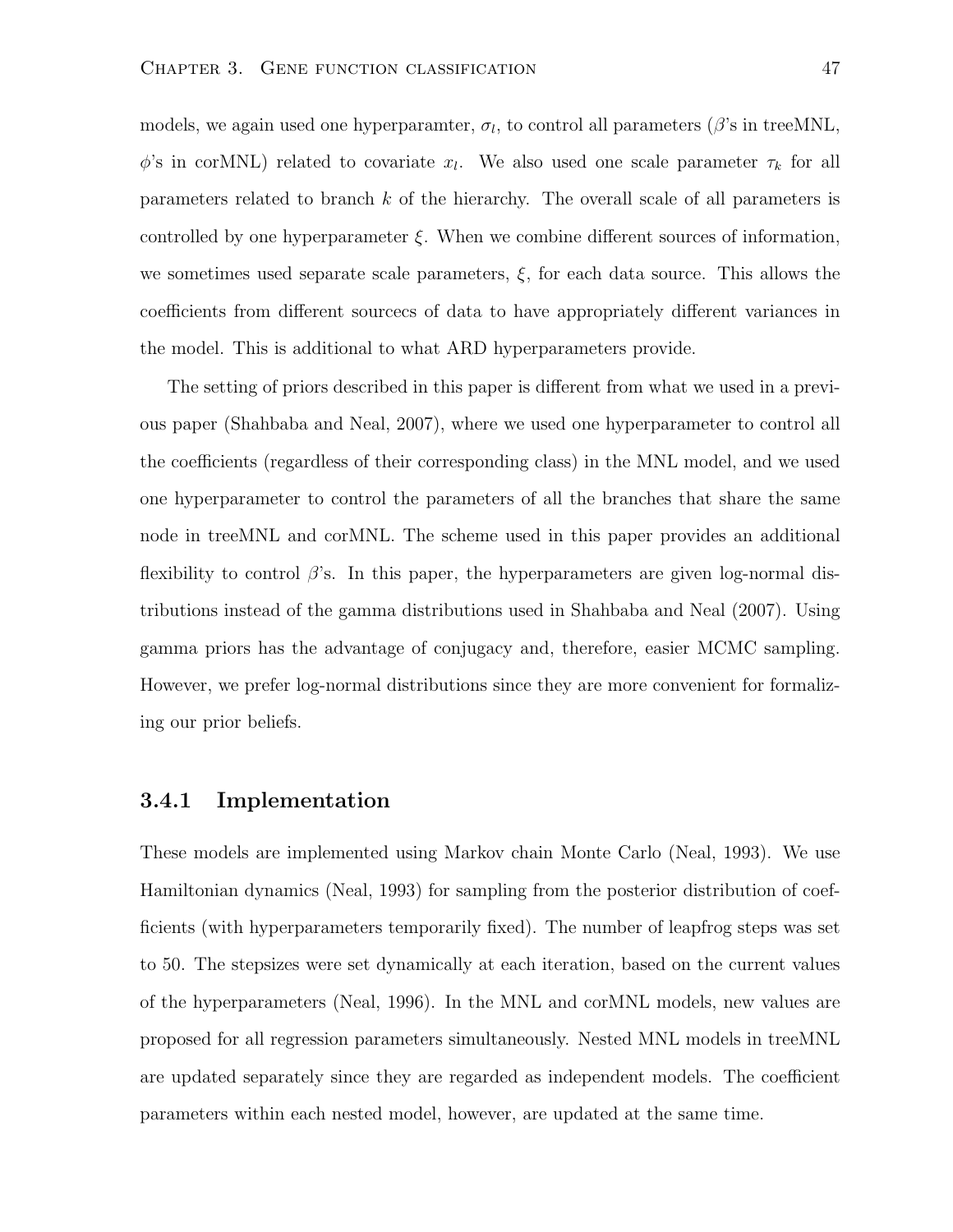models, we again used one hyperparamter,  $\sigma_l$ , to control all parameters ( $\beta$ 's in treeMNL,  $\phi$ 's in corMNL) related to covariate  $x_l$ . We also used one scale parameter  $\tau_k$  for all parameters related to branch k of the hierarchy. The overall scale of all parameters is controlled by one hyperparameter  $\xi$ . When we combine different sources of information, we sometimes used separate scale parameters,  $\xi$ , for each data source. This allows the coefficients from different sourcecs of data to have appropriately different variances in the model. This is additional to what ARD hyperparameters provide.

The setting of priors described in this paper is different from what we used in a previous paper (Shahbaba and Neal, 2007), where we used one hyperparameter to control all the coefficients (regardless of their corresponding class) in the MNL model, and we used one hyperparameter to control the parameters of all the branches that share the same node in treeMNL and corMNL. The scheme used in this paper provides an additional flexibility to control  $\beta$ 's. In this paper, the hyperparameters are given log-normal distributions instead of the gamma distributions used in Shahbaba and Neal (2007). Using gamma priors has the advantage of conjugacy and, therefore, easier MCMC sampling. However, we prefer log-normal distributions since they are more convenient for formalizing our prior beliefs.

#### 3.4.1 Implementation

These models are implemented using Markov chain Monte Carlo (Neal, 1993). We use Hamiltonian dynamics (Neal, 1993) for sampling from the posterior distribution of coefficients (with hyperparameters temporarily fixed). The number of leapfrog steps was set to 50. The stepsizes were set dynamically at each iteration, based on the current values of the hyperparameters (Neal, 1996). In the MNL and corMNL models, new values are proposed for all regression parameters simultaneously. Nested MNL models in treeMNL are updated separately since they are regarded as independent models. The coefficient parameters within each nested model, however, are updated at the same time.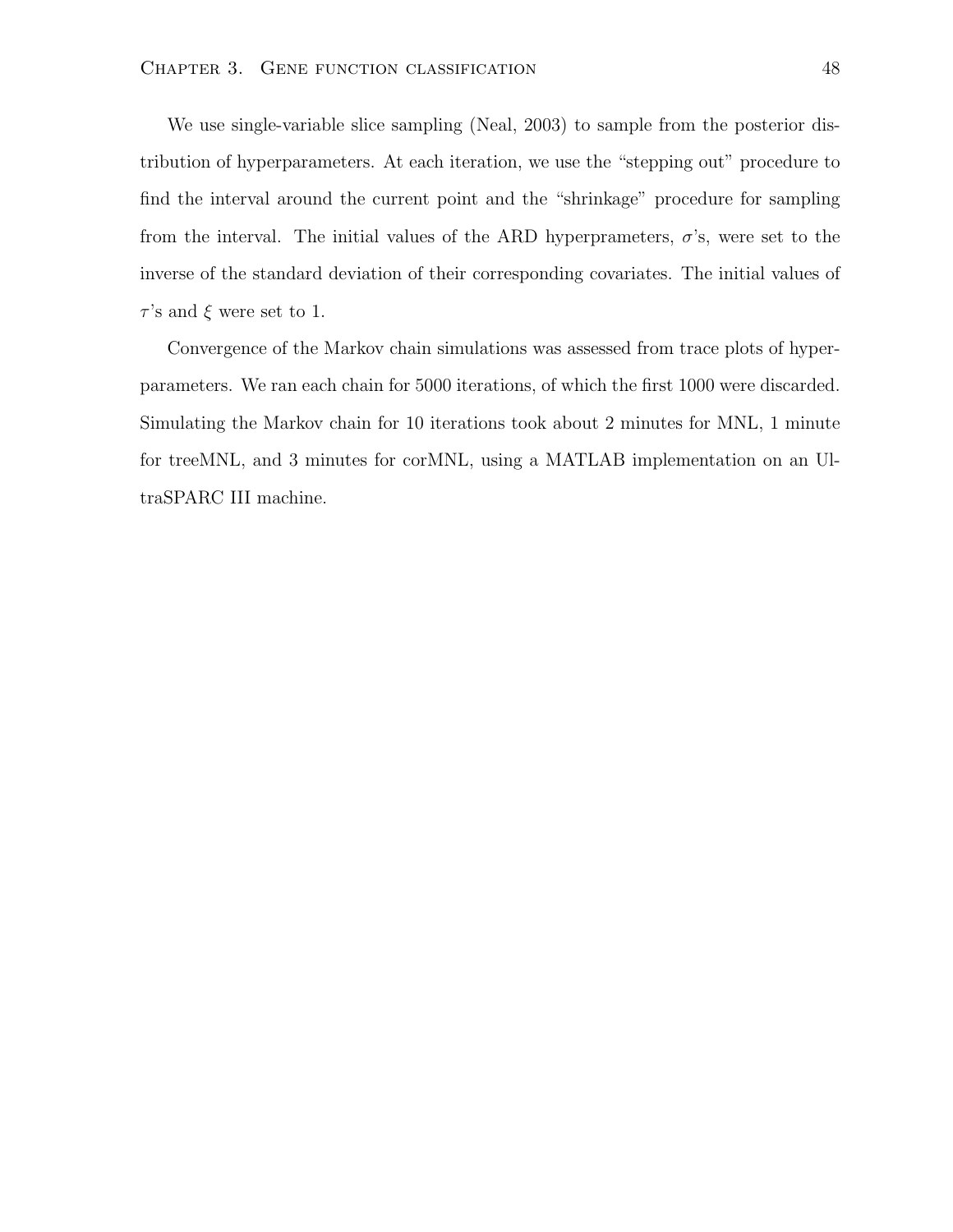We use single-variable slice sampling (Neal, 2003) to sample from the posterior distribution of hyperparameters. At each iteration, we use the "stepping out" procedure to find the interval around the current point and the "shrinkage" procedure for sampling from the interval. The initial values of the ARD hyperprameters,  $\sigma$ 's, were set to the inverse of the standard deviation of their corresponding covariates. The initial values of  $\tau$ 's and  $\xi$  were set to 1.

Convergence of the Markov chain simulations was assessed from trace plots of hyperparameters. We ran each chain for 5000 iterations, of which the first 1000 were discarded. Simulating the Markov chain for 10 iterations took about 2 minutes for MNL, 1 minute for treeMNL, and 3 minutes for corMNL, using a MATLAB implementation on an UltraSPARC III machine.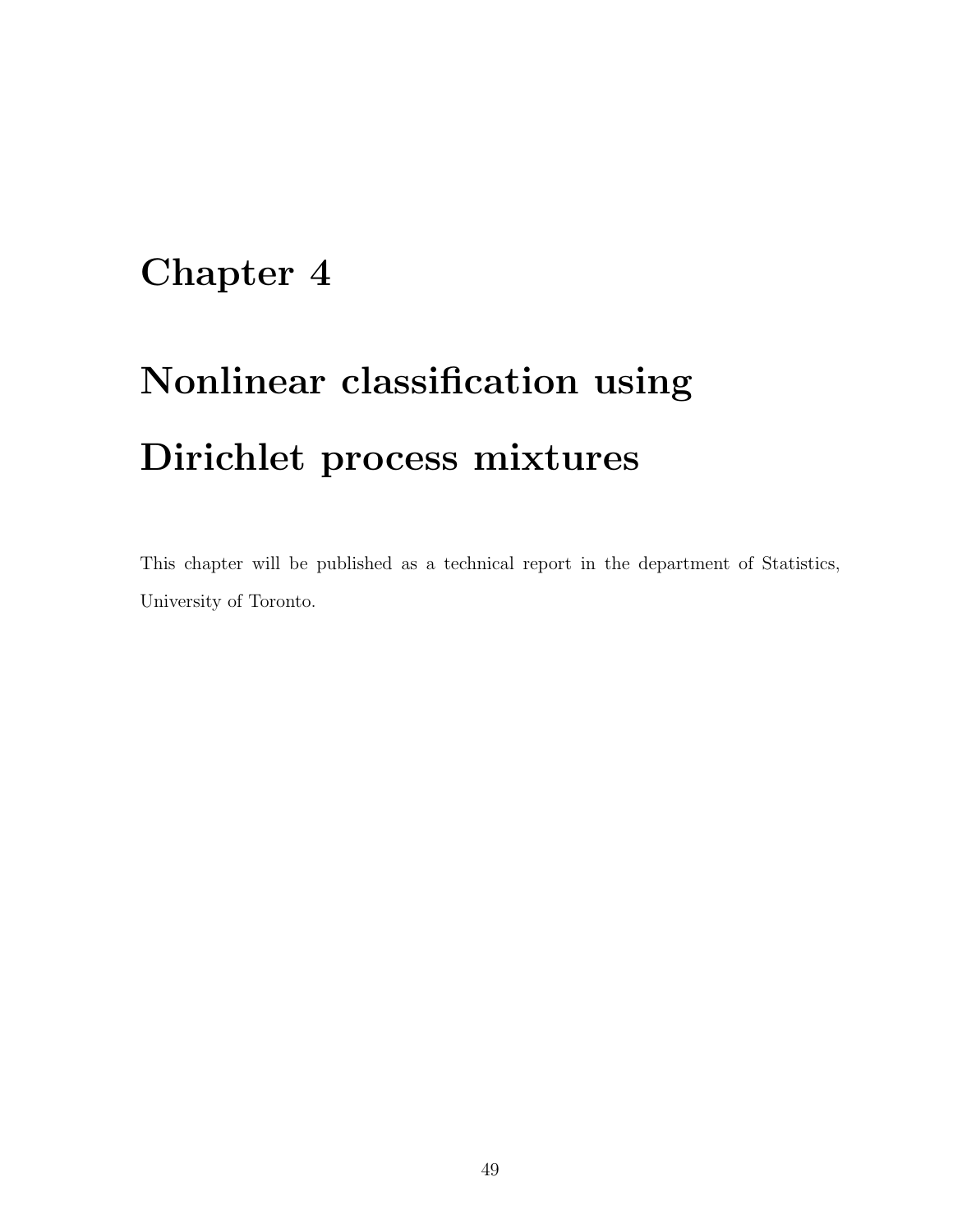### Chapter 4

# Nonlinear classification using Dirichlet process mixtures

This chapter will be published as a technical report in the department of Statistics, University of Toronto.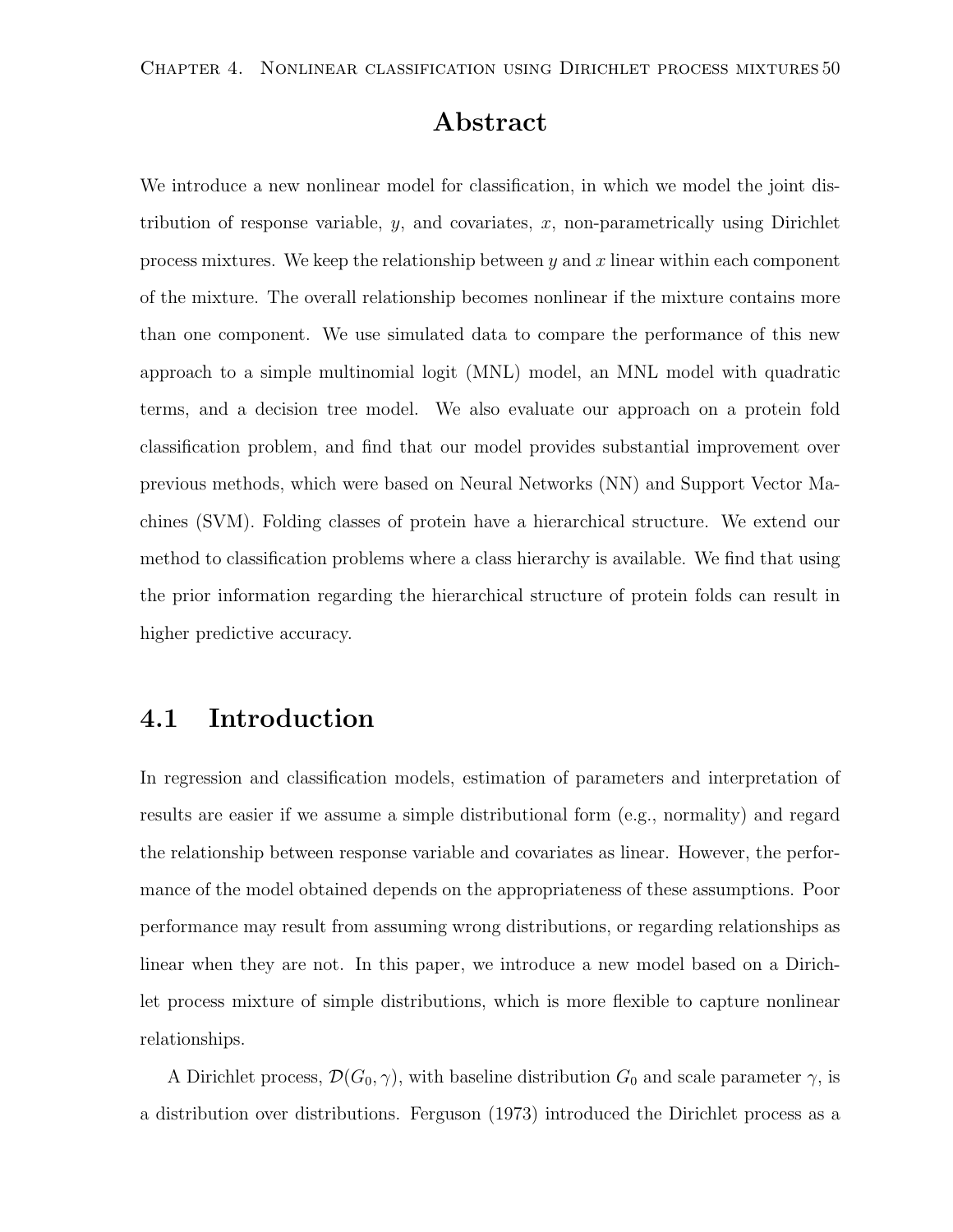#### Abstract

We introduce a new nonlinear model for classification, in which we model the joint distribution of response variable,  $y$ , and covariates,  $x$ , non-parametrically using Dirichlet process mixtures. We keep the relationship between  $y$  and  $x$  linear within each component of the mixture. The overall relationship becomes nonlinear if the mixture contains more than one component. We use simulated data to compare the performance of this new approach to a simple multinomial logit (MNL) model, an MNL model with quadratic terms, and a decision tree model. We also evaluate our approach on a protein fold classification problem, and find that our model provides substantial improvement over previous methods, which were based on Neural Networks (NN) and Support Vector Machines (SVM). Folding classes of protein have a hierarchical structure. We extend our method to classification problems where a class hierarchy is available. We find that using the prior information regarding the hierarchical structure of protein folds can result in higher predictive accuracy.

#### 4.1 Introduction

In regression and classification models, estimation of parameters and interpretation of results are easier if we assume a simple distributional form (e.g., normality) and regard the relationship between response variable and covariates as linear. However, the performance of the model obtained depends on the appropriateness of these assumptions. Poor performance may result from assuming wrong distributions, or regarding relationships as linear when they are not. In this paper, we introduce a new model based on a Dirichlet process mixture of simple distributions, which is more flexible to capture nonlinear relationships.

A Dirichlet process,  $\mathcal{D}(G_0, \gamma)$ , with baseline distribution  $G_0$  and scale parameter  $\gamma$ , is a distribution over distributions. Ferguson (1973) introduced the Dirichlet process as a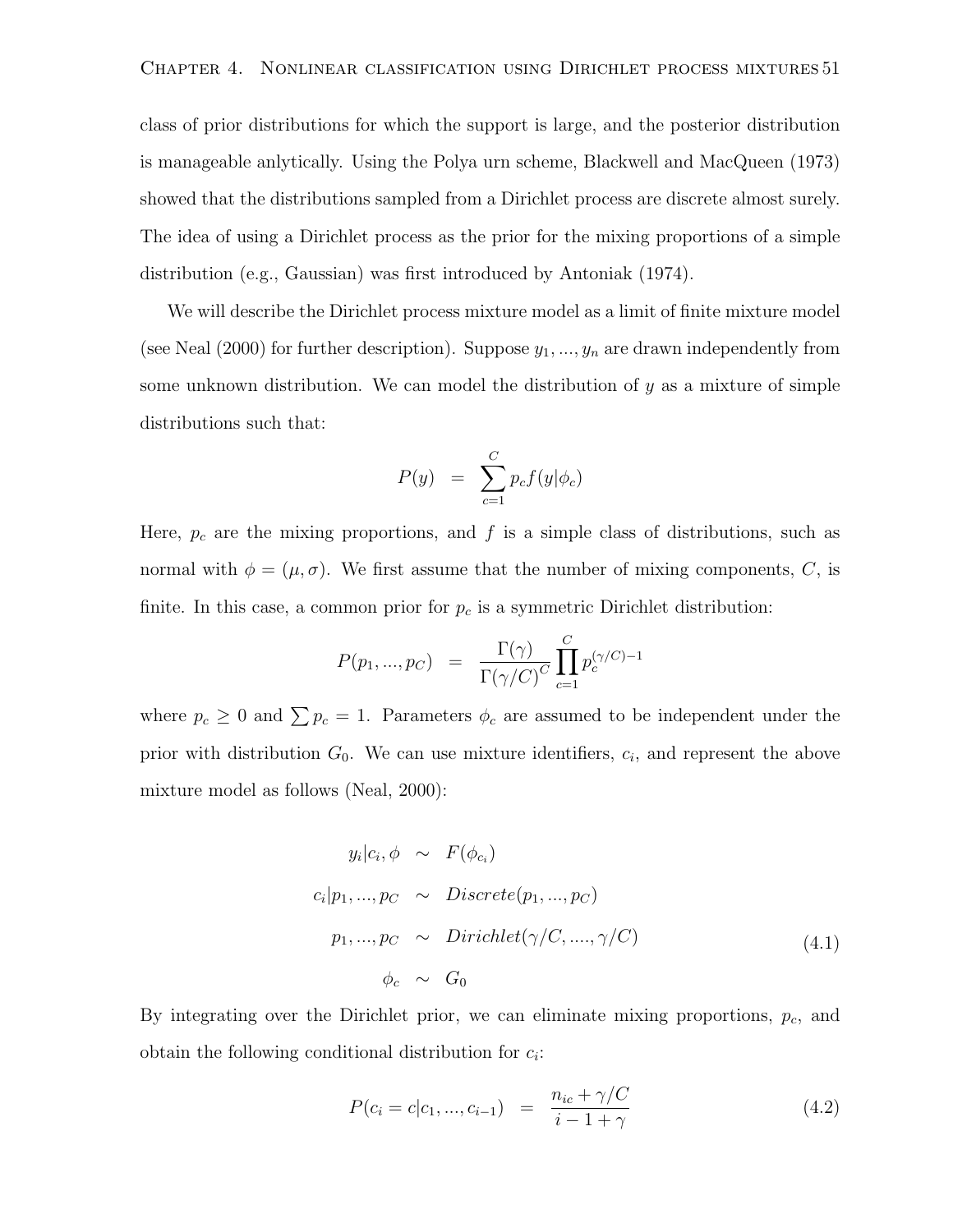class of prior distributions for which the support is large, and the posterior distribution is manageable anlytically. Using the Polya urn scheme, Blackwell and MacQueen (1973) showed that the distributions sampled from a Dirichlet process are discrete almost surely. The idea of using a Dirichlet process as the prior for the mixing proportions of a simple distribution (e.g., Gaussian) was first introduced by Antoniak (1974).

We will describe the Dirichlet process mixture model as a limit of finite mixture model (see Neal (2000) for further description). Suppose  $y_1, ..., y_n$  are drawn independently from some unknown distribution. We can model the distribution of  $y$  as a mixture of simple distributions such that:

$$
P(y) = \sum_{c=1}^{C} p_c f(y | \phi_c)
$$

Here,  $p_c$  are the mixing proportions, and  $f$  is a simple class of distributions, such as normal with  $\phi = (\mu, \sigma)$ . We first assume that the number of mixing components, C, is finite. In this case, a common prior for  $p_c$  is a symmetric Dirichlet distribution:

$$
P(p_1, ..., p_C) = \frac{\Gamma(\gamma)}{\Gamma(\gamma/C)^C} \prod_{c=1}^C p_c^{(\gamma/C)-1}
$$

where  $p_c \geq 0$  and  $\sum p_c = 1$ . Parameters  $\phi_c$  are assumed to be independent under the prior with distribution  $G_0$ . We can use mixture identifiers,  $c_i$ , and represent the above mixture model as follows (Neal, 2000):

$$
y_i|c_i, \phi \sim F(\phi_{c_i})
$$
  
\n
$$
c_i|p_1, ..., p_C \sim Discrete(p_1, ..., p_C)
$$
  
\n
$$
p_1, ..., p_C \sim Dirichlet(\gamma/C, ..., \gamma/C)
$$
  
\n
$$
\phi_c \sim G_0
$$
\n(4.1)

By integrating over the Dirichlet prior, we can eliminate mixing proportions,  $p_c$ , and obtain the following conditional distribution for  $c_i$ :

 $\epsilon$ 

$$
P(c_i = c | c_1, ..., c_{i-1}) = \frac{n_{ic} + \gamma / C}{i - 1 + \gamma}
$$
\n(4.2)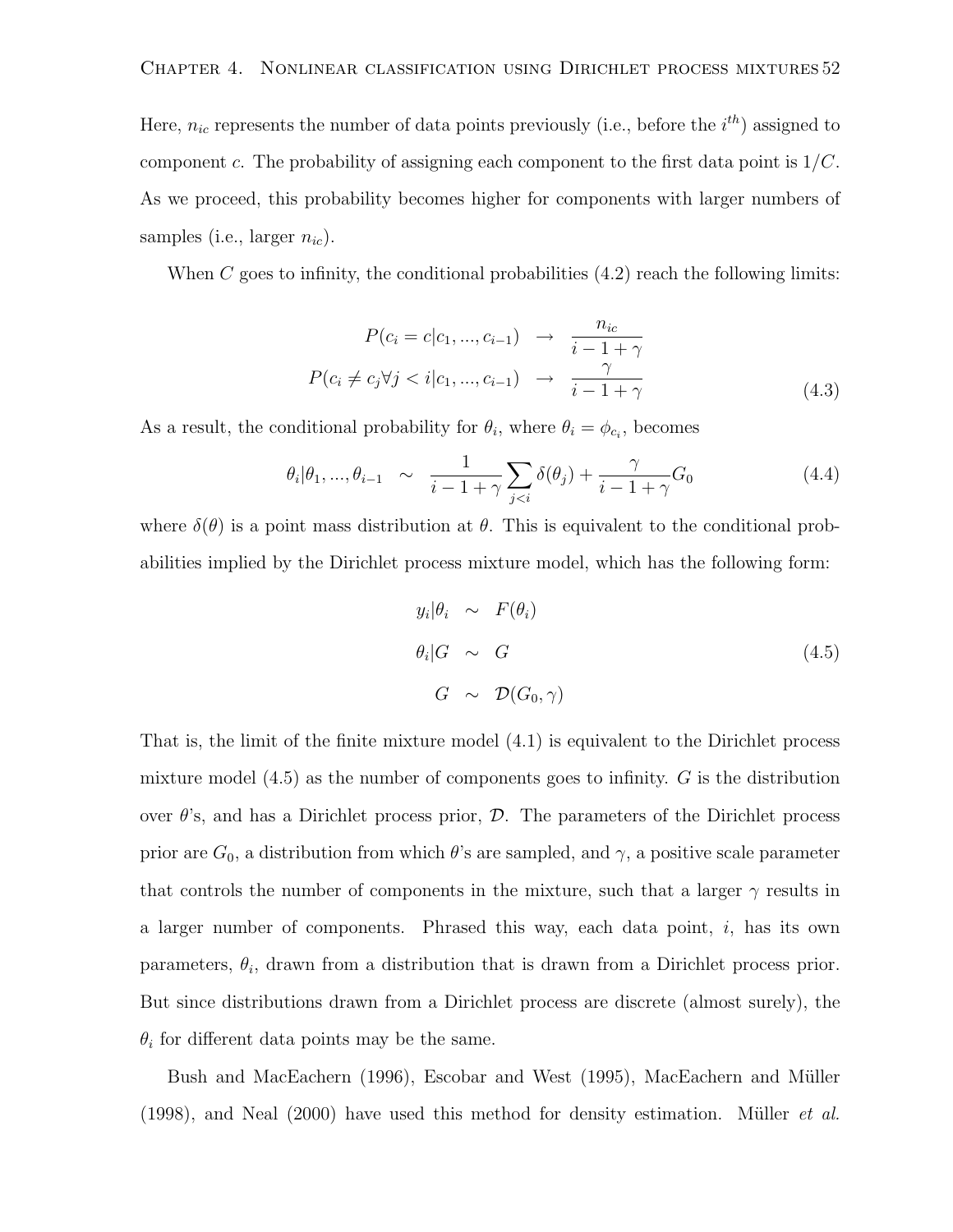Here,  $n_{ic}$  represents the number of data points previously (i.e., before the  $i^{th}$ ) assigned to component c. The probability of assigning each component to the first data point is  $1/C$ . As we proceed, this probability becomes higher for components with larger numbers of samples (i.e., larger  $n_{ic}$ ).

When C goes to infinity, the conditional probabilities  $(4.2)$  reach the following limits:

$$
P(c_i = c | c_1, ..., c_{i-1}) \rightarrow \frac{n_{ic}}{i - 1 + \gamma}
$$

$$
P(c_i \neq c_j \forall j < i | c_1, ..., c_{i-1}) \rightarrow \frac{\gamma}{i - 1 + \gamma}
$$
(4.3)

As a result, the conditional probability for  $\theta_i$ , where  $\theta_i = \phi_{c_i}$ , becomes

$$
\theta_i | \theta_1, ..., \theta_{i-1} \sim \frac{1}{i-1+\gamma} \sum_{j < i} \delta(\theta_j) + \frac{\gamma}{i-1+\gamma} G_0 \tag{4.4}
$$

where  $\delta(\theta)$  is a point mass distribution at  $\theta$ . This is equivalent to the conditional probabilities implied by the Dirichlet process mixture model, which has the following form:

$$
y_i|\theta_i \sim F(\theta_i)
$$
  
\n
$$
\theta_i|G \sim G
$$
  
\n
$$
G \sim \mathcal{D}(G_0, \gamma)
$$
\n(4.5)

That is, the limit of the finite mixture model (4.1) is equivalent to the Dirichlet process mixture model  $(4.5)$  as the number of components goes to infinity. G is the distribution over  $\theta$ 's, and has a Dirichlet process prior,  $\mathcal{D}$ . The parameters of the Dirichlet process prior are  $G_0$ , a distribution from which  $\theta$ 's are sampled, and  $\gamma$ , a positive scale parameter that controls the number of components in the mixture, such that a larger  $\gamma$  results in a larger number of components. Phrased this way, each data point, i, has its own parameters,  $\theta_i$ , drawn from a distribution that is drawn from a Dirichlet process prior. But since distributions drawn from a Dirichlet process are discrete (almost surely), the  $\theta_i$  for different data points may be the same.

Bush and MacEachern (1996), Escobar and West (1995), MacEachern and Müller (1998), and Neal  $(2000)$  have used this method for density estimation. Müller *et al.*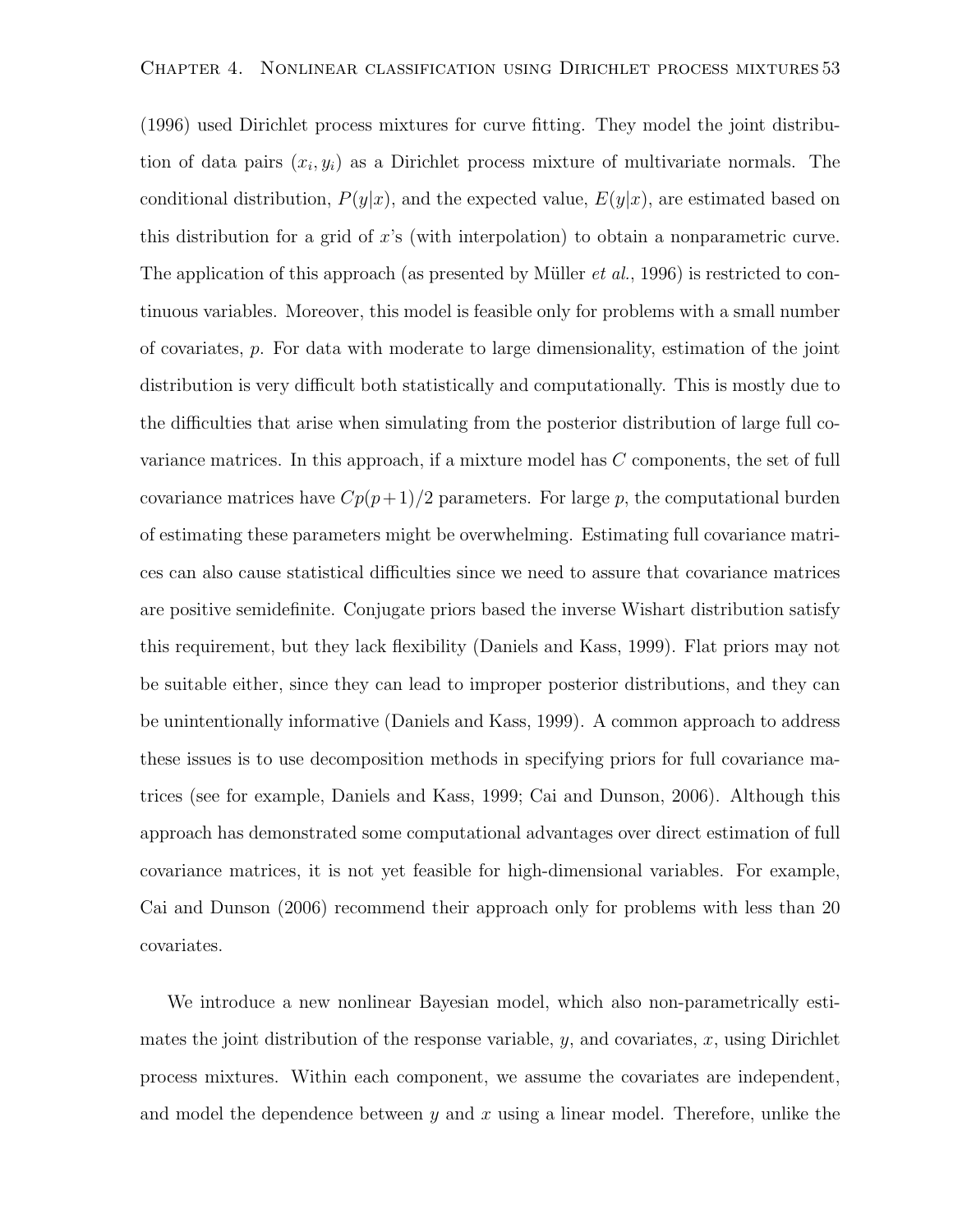(1996) used Dirichlet process mixtures for curve fitting. They model the joint distribution of data pairs  $(x_i, y_i)$  as a Dirichlet process mixture of multivariate normals. The conditional distribution,  $P(y|x)$ , and the expected value,  $E(y|x)$ , are estimated based on this distribution for a grid of x's (with interpolation) to obtain a nonparametric curve. The application of this approach (as presented by Müller *et al.*, 1996) is restricted to continuous variables. Moreover, this model is feasible only for problems with a small number of covariates, p. For data with moderate to large dimensionality, estimation of the joint distribution is very difficult both statistically and computationally. This is mostly due to the difficulties that arise when simulating from the posterior distribution of large full covariance matrices. In this approach, if a mixture model has C components, the set of full covariance matrices have  $Cp(p+1)/2$  parameters. For large p, the computational burden of estimating these parameters might be overwhelming. Estimating full covariance matrices can also cause statistical difficulties since we need to assure that covariance matrices are positive semidefinite. Conjugate priors based the inverse Wishart distribution satisfy this requirement, but they lack flexibility (Daniels and Kass, 1999). Flat priors may not be suitable either, since they can lead to improper posterior distributions, and they can be unintentionally informative (Daniels and Kass, 1999). A common approach to address these issues is to use decomposition methods in specifying priors for full covariance matrices (see for example, Daniels and Kass, 1999; Cai and Dunson, 2006). Although this approach has demonstrated some computational advantages over direct estimation of full covariance matrices, it is not yet feasible for high-dimensional variables. For example, Cai and Dunson (2006) recommend their approach only for problems with less than 20 covariates.

We introduce a new nonlinear Bayesian model, which also non-parametrically estimates the joint distribution of the response variable,  $y$ , and covariates,  $x$ , using Dirichlet process mixtures. Within each component, we assume the covariates are independent, and model the dependence between  $y$  and  $x$  using a linear model. Therefore, unlike the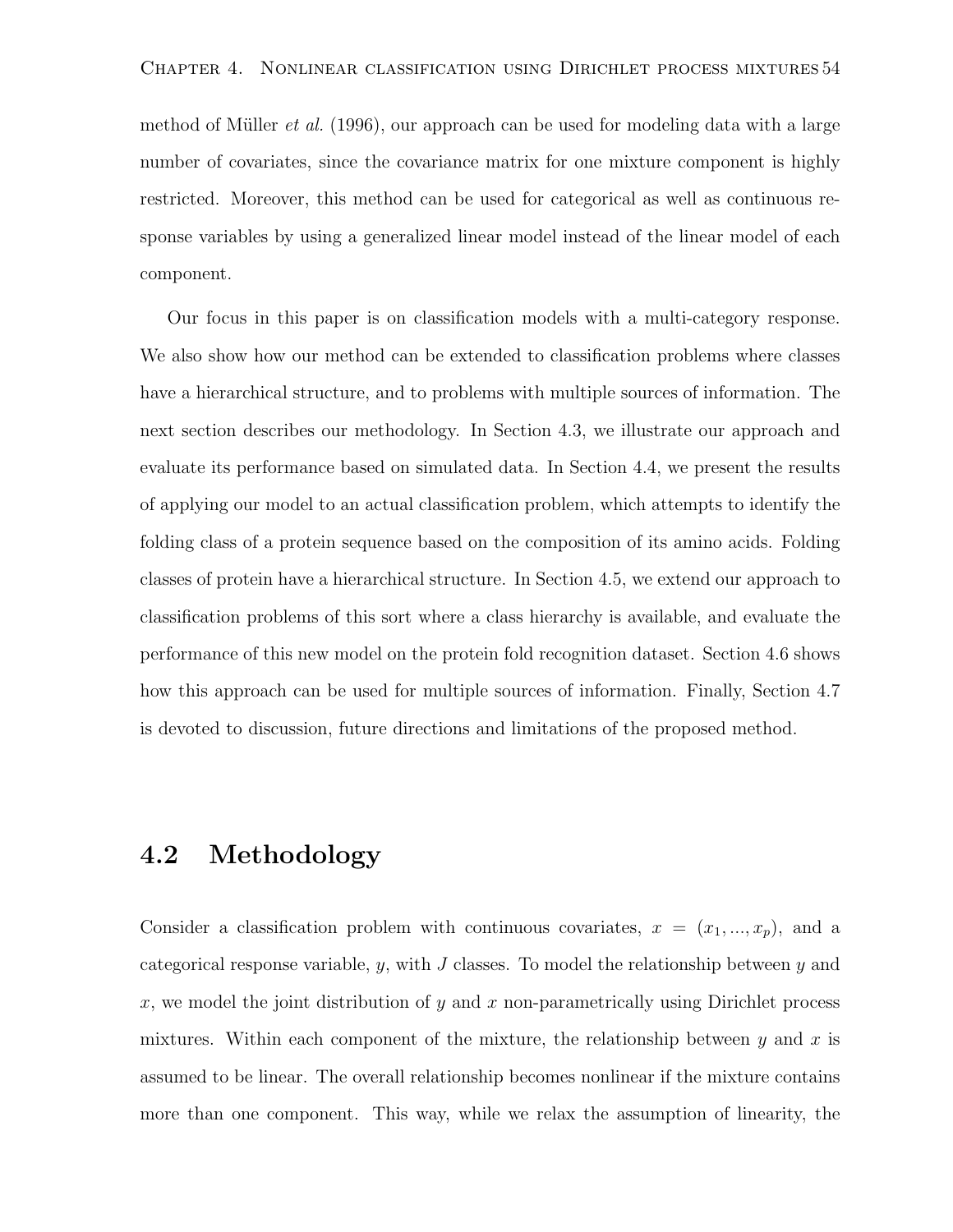method of Müller *et al.* (1996), our approach can be used for modeling data with a large number of covariates, since the covariance matrix for one mixture component is highly restricted. Moreover, this method can be used for categorical as well as continuous response variables by using a generalized linear model instead of the linear model of each component.

Our focus in this paper is on classification models with a multi-category response. We also show how our method can be extended to classification problems where classes have a hierarchical structure, and to problems with multiple sources of information. The next section describes our methodology. In Section 4.3, we illustrate our approach and evaluate its performance based on simulated data. In Section 4.4, we present the results of applying our model to an actual classification problem, which attempts to identify the folding class of a protein sequence based on the composition of its amino acids. Folding classes of protein have a hierarchical structure. In Section 4.5, we extend our approach to classification problems of this sort where a class hierarchy is available, and evaluate the performance of this new model on the protein fold recognition dataset. Section 4.6 shows how this approach can be used for multiple sources of information. Finally, Section 4.7 is devoted to discussion, future directions and limitations of the proposed method.

#### 4.2 Methodology

Consider a classification problem with continuous covariates,  $x = (x_1, ..., x_p)$ , and a categorical response variable,  $y$ , with  $J$  classes. To model the relationship between  $y$  and x, we model the joint distribution of  $y$  and x non-parametrically using Dirichlet process mixtures. Within each component of the mixture, the relationship between  $y$  and  $x$  is assumed to be linear. The overall relationship becomes nonlinear if the mixture contains more than one component. This way, while we relax the assumption of linearity, the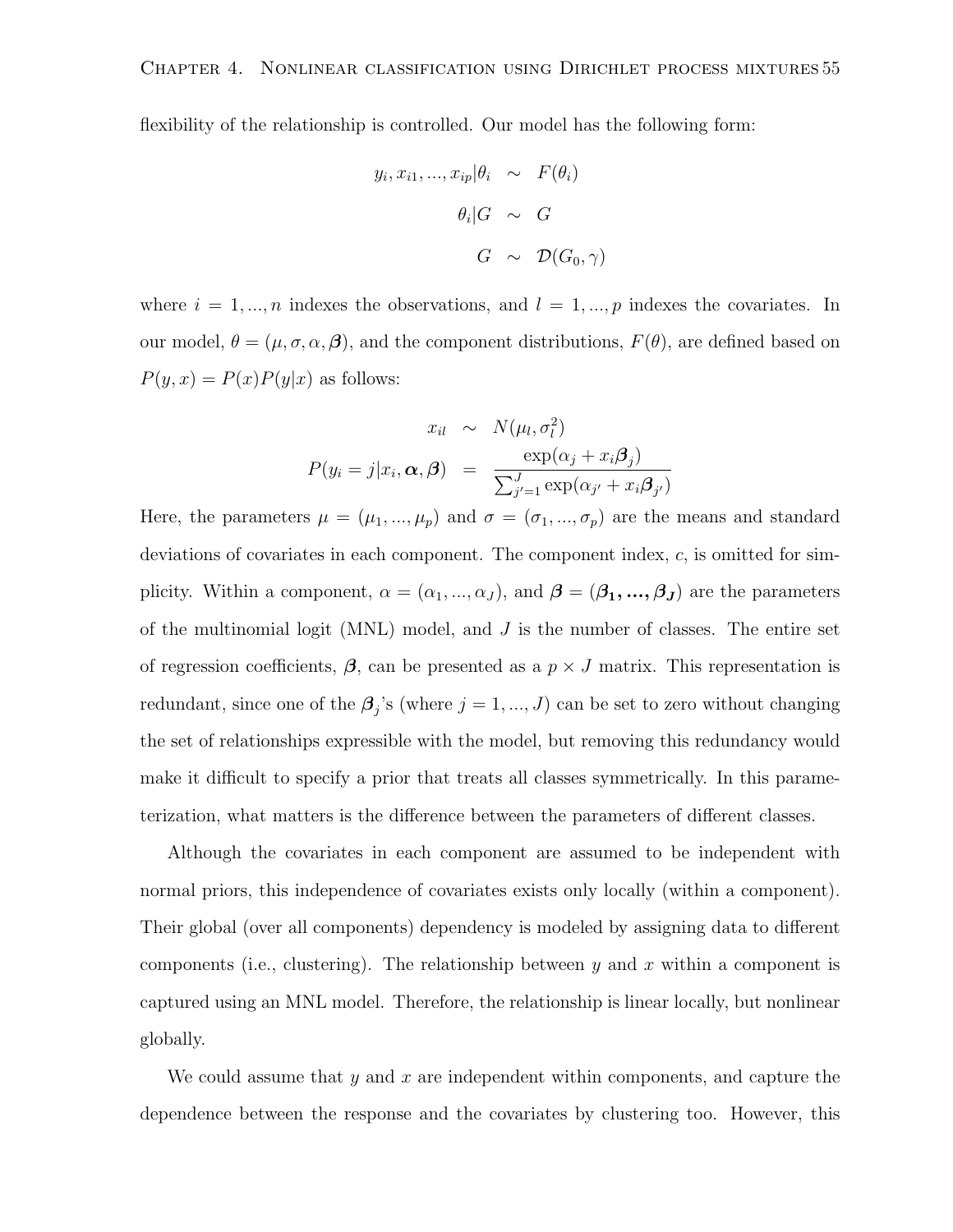flexibility of the relationship is controlled. Our model has the following form:

$$
y_i, x_{i1}, ..., x_{ip} | \theta_i \sim F(\theta_i)
$$

$$
\theta_i | G \sim G
$$

$$
G \sim \mathcal{D}(G_0, \gamma)
$$

where  $i = 1, ..., n$  indexes the observations, and  $l = 1, ..., p$  indexes the covariates. In our model,  $\theta = (\mu, \sigma, \alpha, \beta)$ , and the component distributions,  $F(\theta)$ , are defined based on  $P(y, x) = P(x)P(y|x)$  as follows:

$$
x_{il} \sim N(\mu_l, \sigma_l^2)
$$

$$
P(y_i = j | x_i, \alpha, \beta) = \frac{\exp(\alpha_j + x_i \beta_j)}{\sum_{j'=1}^J \exp(\alpha_{j'} + x_i \beta_{j'})}
$$

Here, the parameters  $\mu = (\mu_1, ..., \mu_p)$  and  $\sigma = (\sigma_1, ..., \sigma_p)$  are the means and standard deviations of covariates in each component. The component index,  $c$ , is omitted for simplicity. Within a component,  $\alpha = (\alpha_1, ..., \alpha_J)$ , and  $\boldsymbol{\beta} = (\beta_1, ..., \beta_J)$  are the parameters of the multinomial logit (MNL) model, and  $J$  is the number of classes. The entire set of regression coefficients,  $\beta$ , can be presented as a  $p \times J$  matrix. This representation is redundant, since one of the  $\beta_j$ 's (where  $j = 1, ..., J$ ) can be set to zero without changing the set of relationships expressible with the model, but removing this redundancy would make it difficult to specify a prior that treats all classes symmetrically. In this parameterization, what matters is the difference between the parameters of different classes.

Although the covariates in each component are assumed to be independent with normal priors, this independence of covariates exists only locally (within a component). Their global (over all components) dependency is modeled by assigning data to different components (i.e., clustering). The relationship between  $y$  and  $x$  within a component is captured using an MNL model. Therefore, the relationship is linear locally, but nonlinear globally.

We could assume that  $y$  and  $x$  are independent within components, and capture the dependence between the response and the covariates by clustering too. However, this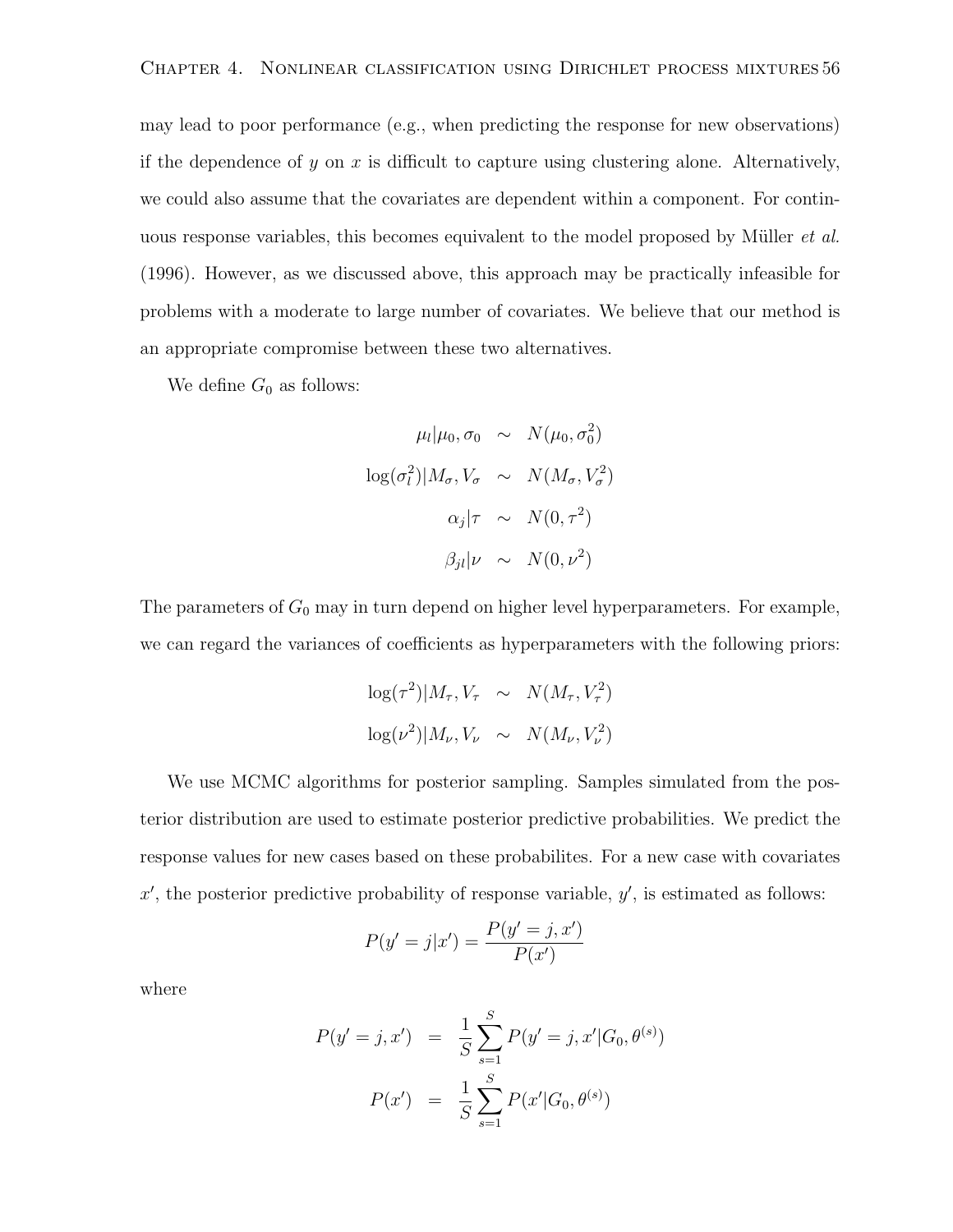may lead to poor performance (e.g., when predicting the response for new observations) if the dependence of y on x is difficult to capture using clustering alone. Alternatively, we could also assume that the covariates are dependent within a component. For continuous response variables, this becomes equivalent to the model proposed by Müller *et al.* (1996). However, as we discussed above, this approach may be practically infeasible for problems with a moderate to large number of covariates. We believe that our method is an appropriate compromise between these two alternatives.

We define  $G_0$  as follows:

$$
\mu_l | \mu_0, \sigma_0 \sim N(\mu_0, \sigma_0^2)
$$
  

$$
\log(\sigma_l^2) | M_{\sigma}, V_{\sigma} \sim N(M_{\sigma}, V_{\sigma}^2)
$$
  

$$
\alpha_j | \tau \sim N(0, \tau^2)
$$
  

$$
\beta_{jl} | \nu \sim N(0, \nu^2)
$$

The parameters of  $G_0$  may in turn depend on higher level hyperparameters. For example, we can regard the variances of coefficients as hyperparameters with the following priors:

$$
\log(\tau^2)|M_{\tau}, V_{\tau} \sim N(M_{\tau}, V_{\tau}^2)
$$
  

$$
\log(\nu^2)|M_{\nu}, V_{\nu} \sim N(M_{\nu}, V_{\nu}^2)
$$

We use MCMC algorithms for posterior sampling. Samples simulated from the posterior distribution are used to estimate posterior predictive probabilities. We predict the response values for new cases based on these probabilites. For a new case with covariates  $x'$ , the posterior predictive probability of response variable,  $y'$ , is estimated as follows:

$$
P(y' = j|x') = \frac{P(y' = j, x')}{P(x')}
$$

where

$$
P(y'=j, x') = \frac{1}{S} \sum_{s=1}^{S} P(y'=j, x'|G_0, \theta^{(s)})
$$

$$
P(x') = \frac{1}{S} \sum_{s=1}^{S} P(x'|G_0, \theta^{(s)})
$$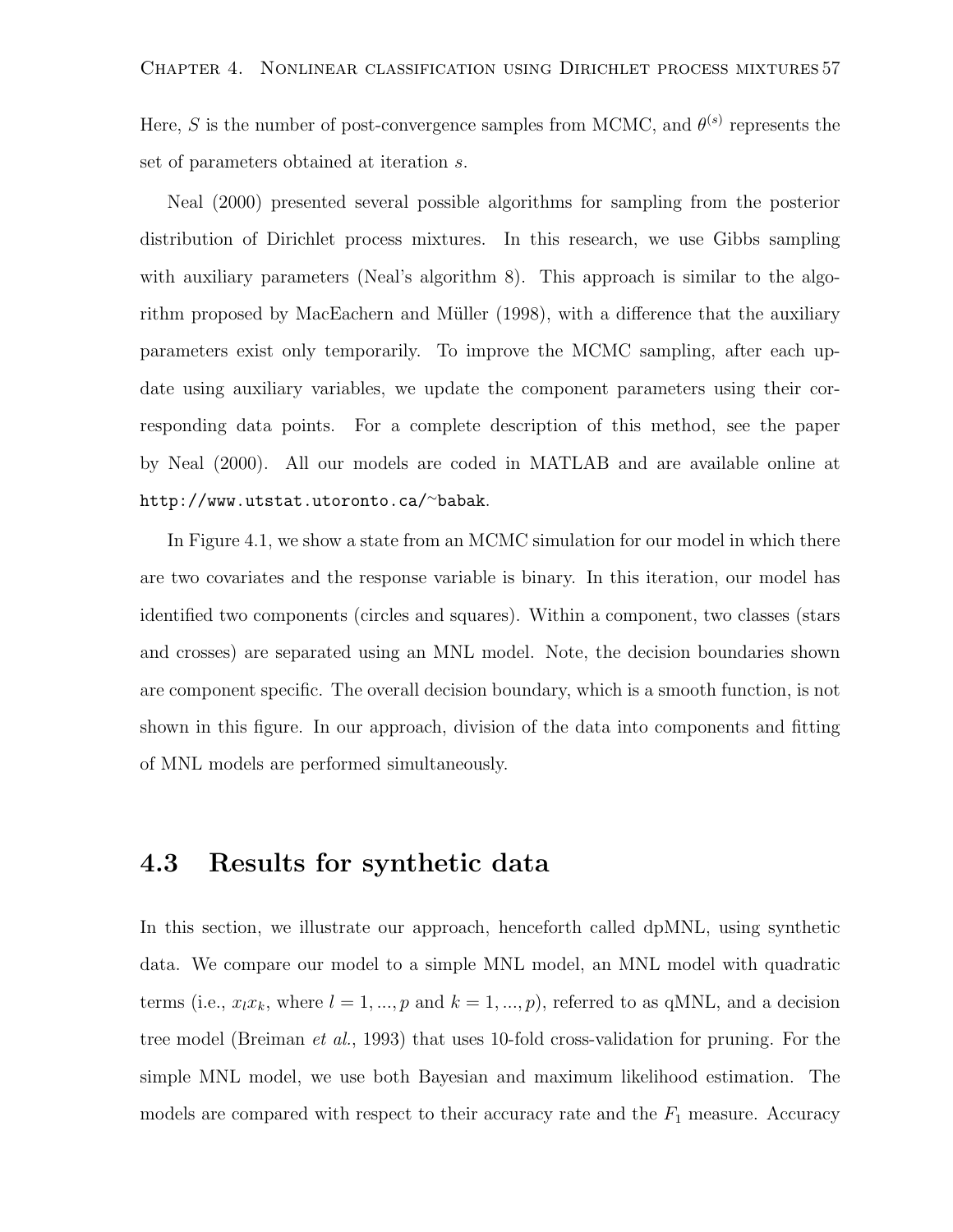Here, S is the number of post-convergence samples from MCMC, and  $\theta^{(s)}$  represents the set of parameters obtained at iteration s.

Neal (2000) presented several possible algorithms for sampling from the posterior distribution of Dirichlet process mixtures. In this research, we use Gibbs sampling with auxiliary parameters (Neal's algorithm 8). This approach is similar to the algorithm proposed by MacEachern and Müller (1998), with a difference that the auxiliary parameters exist only temporarily. To improve the MCMC sampling, after each update using auxiliary variables, we update the component parameters using their corresponding data points. For a complete description of this method, see the paper by Neal (2000). All our models are coded in MATLAB and are available online at http://www.utstat.utoronto.ca/<sup>∼</sup>babak.

In Figure 4.1, we show a state from an MCMC simulation for our model in which there are two covariates and the response variable is binary. In this iteration, our model has identified two components (circles and squares). Within a component, two classes (stars and crosses) are separated using an MNL model. Note, the decision boundaries shown are component specific. The overall decision boundary, which is a smooth function, is not shown in this figure. In our approach, division of the data into components and fitting of MNL models are performed simultaneously.

#### 4.3 Results for synthetic data

In this section, we illustrate our approach, henceforth called dpMNL, using synthetic data. We compare our model to a simple MNL model, an MNL model with quadratic terms (i.e.,  $x_l x_k$ , where  $l = 1, ..., p$  and  $k = 1, ..., p$ ), referred to as qMNL, and a decision tree model (Breiman *et al.*, 1993) that uses 10-fold cross-validation for pruning. For the simple MNL model, we use both Bayesian and maximum likelihood estimation. The models are compared with respect to their accuracy rate and the  $F_1$  measure. Accuracy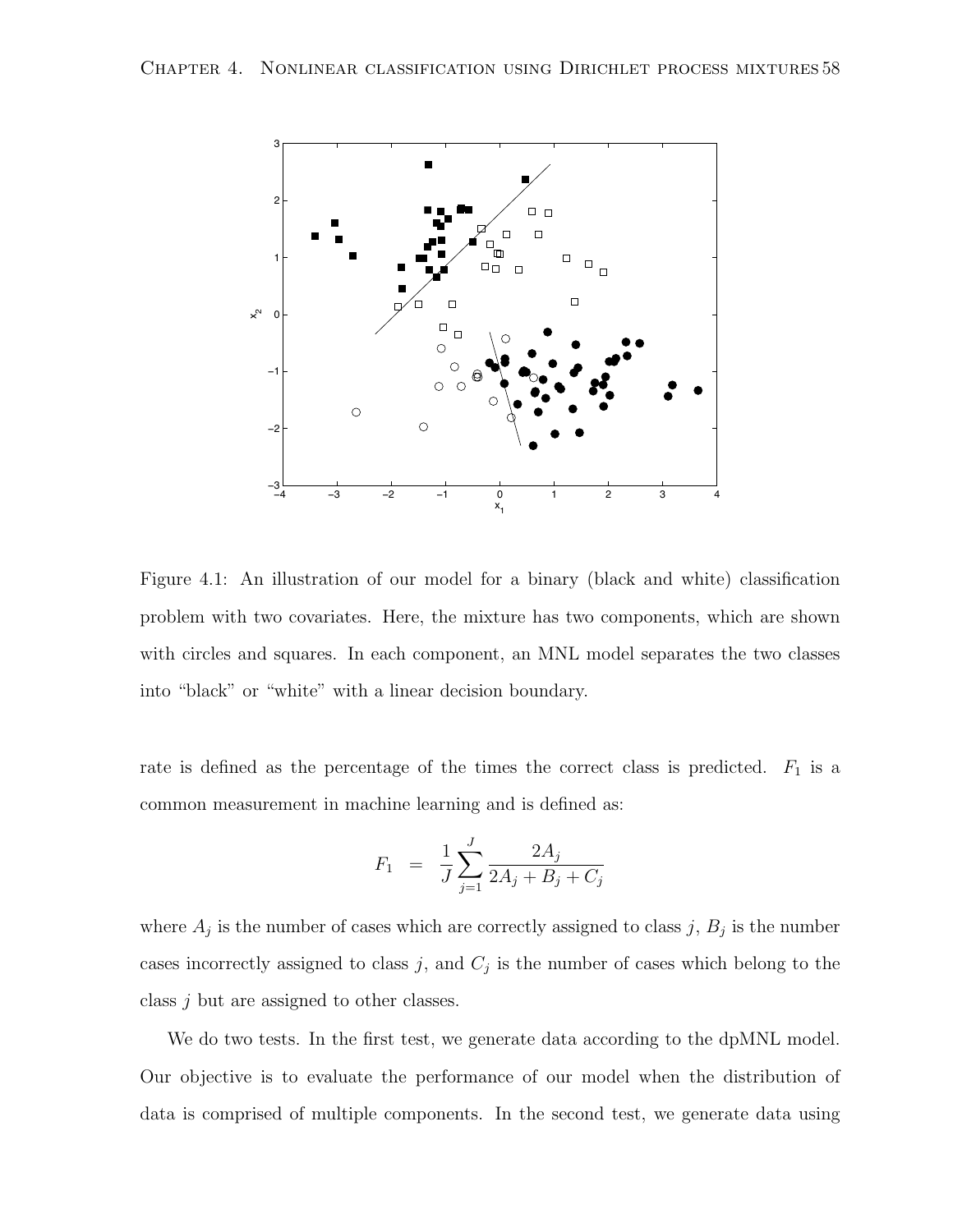

Figure 4.1: An illustration of our model for a binary (black and white) classification problem with two covariates. Here, the mixture has two components, which are shown with circles and squares. In each component, an MNL model separates the two classes into "black" or "white" with a linear decision boundary.

rate is defined as the percentage of the times the correct class is predicted.  $F_1$  is a common measurement in machine learning and is defined as:

$$
F_1 = \frac{1}{J} \sum_{j=1}^{J} \frac{2A_j}{2A_j + B_j + C_j}
$$

where  $A_j$  is the number of cases which are correctly assigned to class j,  $B_j$  is the number cases incorrectly assigned to class j, and  $C_j$  is the number of cases which belong to the class j but are assigned to other classes.

We do two tests. In the first test, we generate data according to the dpMNL model. Our objective is to evaluate the performance of our model when the distribution of data is comprised of multiple components. In the second test, we generate data using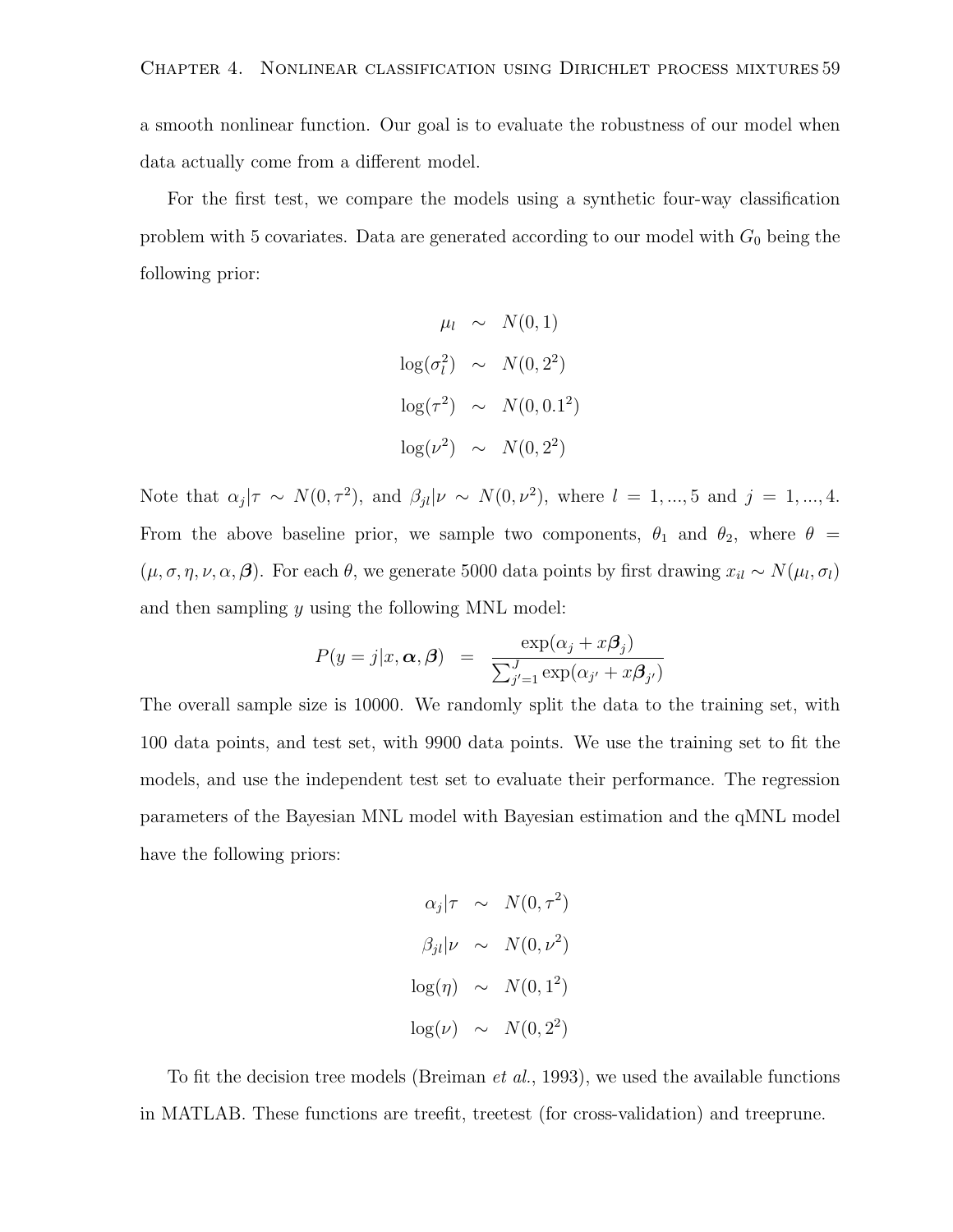a smooth nonlinear function. Our goal is to evaluate the robustness of our model when data actually come from a different model.

For the first test, we compare the models using a synthetic four-way classification problem with 5 covariates. Data are generated according to our model with  $G_0$  being the following prior:

$$
\mu_l \sim N(0, 1)
$$
  

$$
\log(\sigma_l^2) \sim N(0, 2^2)
$$
  

$$
\log(\tau^2) \sim N(0, 0.1^2)
$$
  

$$
\log(\nu^2) \sim N(0, 2^2)
$$

Note that  $\alpha_j|\tau \sim N(0, \tau^2)$ , and  $\beta_{jl}|\nu \sim N(0, \nu^2)$ , where  $l = 1, ..., 5$  and  $j = 1, ..., 4$ . From the above baseline prior, we sample two components,  $\theta_1$  and  $\theta_2$ , where  $\theta =$  $(\mu, \sigma, \eta, \nu, \alpha, \beta)$ . For each  $\theta$ , we generate 5000 data points by first drawing  $x_{il} \sim N(\mu_l, \sigma_l)$ and then sampling  $y$  using the following MNL model:

$$
P(y = j | x, \alpha, \beta) = \frac{\exp(\alpha_j + x\beta_j)}{\sum_{j'=1}^{J} \exp(\alpha_{j'} + x\beta_{j'})}
$$

The overall sample size is 10000. We randomly split the data to the training set, with 100 data points, and test set, with 9900 data points. We use the training set to fit the models, and use the independent test set to evaluate their performance. The regression parameters of the Bayesian MNL model with Bayesian estimation and the qMNL model have the following priors:

$$
\alpha_j|\tau \sim N(0, \tau^2)
$$
  

$$
\beta_{jl}|\nu \sim N(0, \nu^2)
$$
  

$$
\log(\eta) \sim N(0, 1^2)
$$
  

$$
\log(\nu) \sim N(0, 2^2)
$$

To fit the decision tree models (Breiman et al., 1993), we used the available functions in MATLAB. These functions are treefit, treetest (for cross-validation) and treeprune.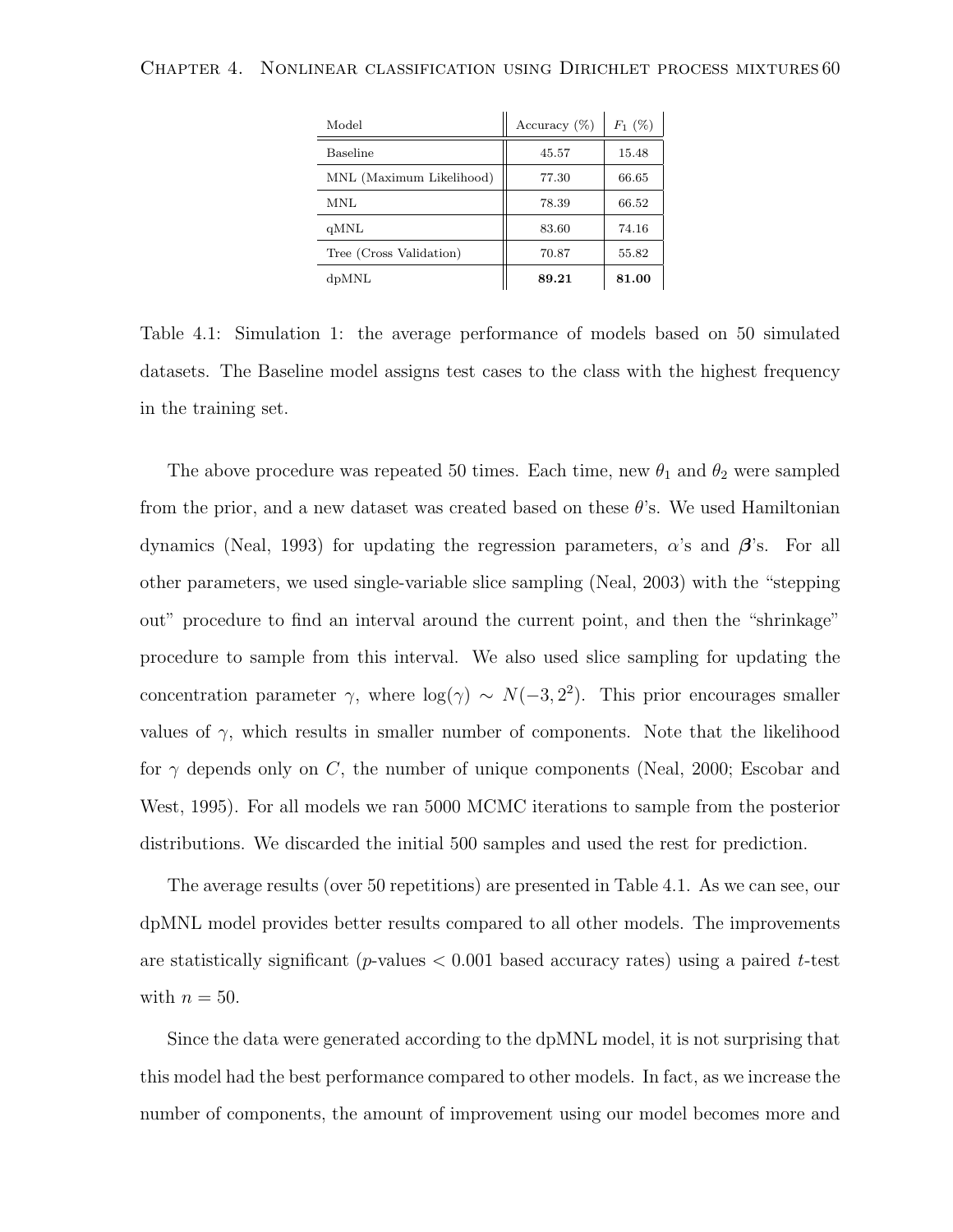| Model                    | Accuracy $(\%)$ | $F_1(%)$ |
|--------------------------|-----------------|----------|
| Baseline                 | 45.57           | 15.48    |
| MNL (Maximum Likelihood) | 77.30           | 66.65    |
| <b>MNL</b>               | 78.39           | 66.52    |
| qMNL                     | 83.60           | 74.16    |
| Tree (Cross Validation)  | 70.87           | 55.82    |
| dpMNL                    | 89.21           | 81.00    |

Table 4.1: Simulation 1: the average performance of models based on 50 simulated datasets. The Baseline model assigns test cases to the class with the highest frequency in the training set.

The above procedure was repeated 50 times. Each time, new  $\theta_1$  and  $\theta_2$  were sampled from the prior, and a new dataset was created based on these  $\theta$ 's. We used Hamiltonian dynamics (Neal, 1993) for updating the regression parameters,  $\alpha$ 's and  $\beta$ 's. For all other parameters, we used single-variable slice sampling (Neal, 2003) with the "stepping out" procedure to find an interval around the current point, and then the "shrinkage" procedure to sample from this interval. We also used slice sampling for updating the concentration parameter  $\gamma$ , where  $log(\gamma) \sim N(-3, 2^2)$ . This prior encourages smaller values of  $\gamma$ , which results in smaller number of components. Note that the likelihood for  $\gamma$  depends only on C, the number of unique components (Neal, 2000; Escobar and West, 1995). For all models we ran 5000 MCMC iterations to sample from the posterior distributions. We discarded the initial 500 samples and used the rest for prediction.

The average results (over 50 repetitions) are presented in Table 4.1. As we can see, our dpMNL model provides better results compared to all other models. The improvements are statistically significant (p-values  $< 0.001$  based accuracy rates) using a paired t-test with  $n = 50$ .

Since the data were generated according to the dpMNL model, it is not surprising that this model had the best performance compared to other models. In fact, as we increase the number of components, the amount of improvement using our model becomes more and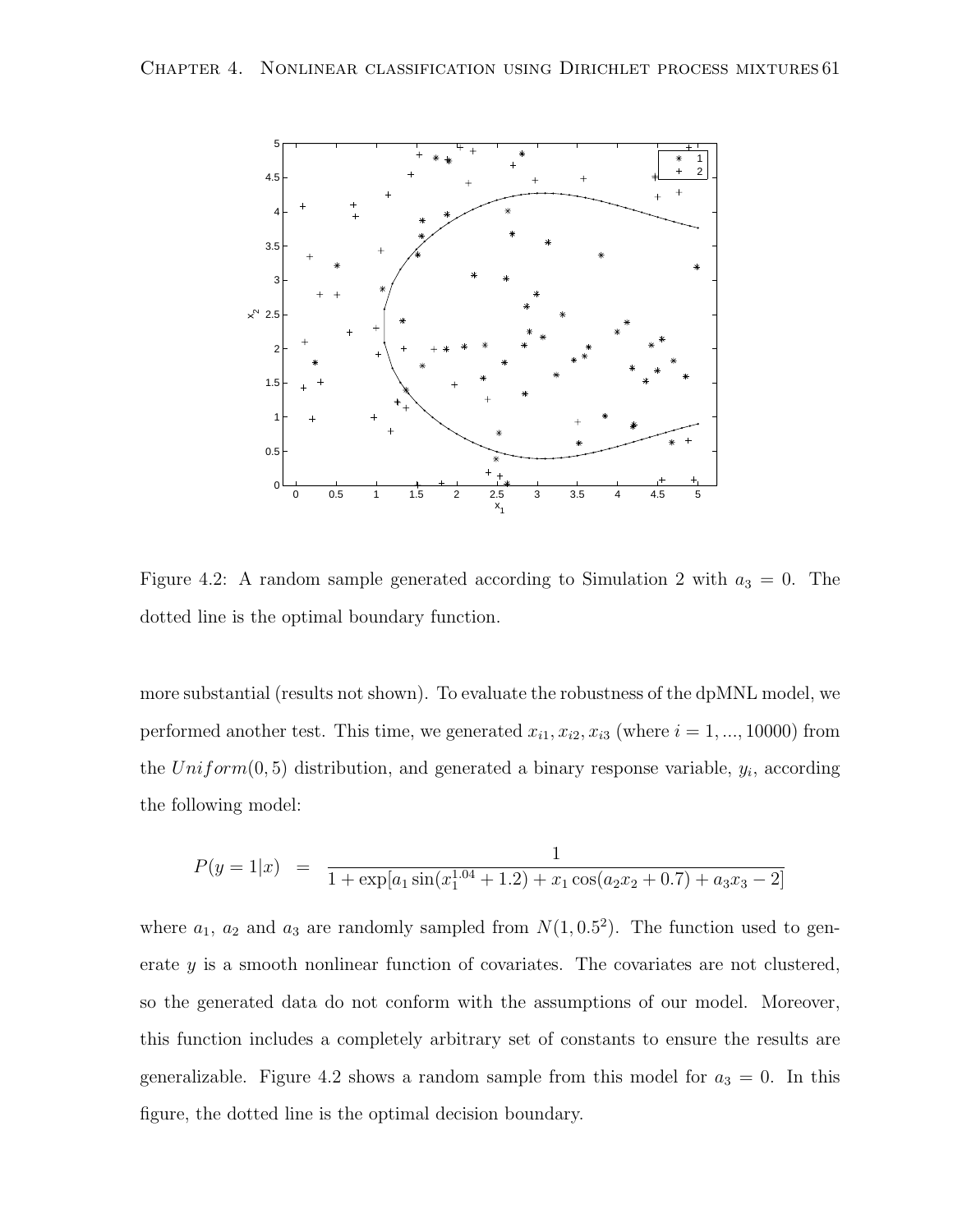

Figure 4.2: A random sample generated according to Simulation 2 with  $a_3 = 0$ . The dotted line is the optimal boundary function.

more substantial (results not shown). To evaluate the robustness of the dpMNL model, we performed another test. This time, we generated  $x_{i1}, x_{i2}, x_{i3}$  (where  $i = 1, ..., 10000$ ) from the  $Uniform(0, 5)$  distribution, and generated a binary response variable,  $y_i$ , according the following model:

$$
P(y = 1|x) = \frac{1}{1 + \exp[a_1 \sin(x_1^{1.04} + 1.2) + x_1 \cos(a_2 x_2 + 0.7) + a_3 x_3 - 2]}
$$

where  $a_1$ ,  $a_2$  and  $a_3$  are randomly sampled from  $N(1, 0.5^2)$ . The function used to generate y is a smooth nonlinear function of covariates. The covariates are not clustered, so the generated data do not conform with the assumptions of our model. Moreover, this function includes a completely arbitrary set of constants to ensure the results are generalizable. Figure 4.2 shows a random sample from this model for  $a_3 = 0$ . In this figure, the dotted line is the optimal decision boundary.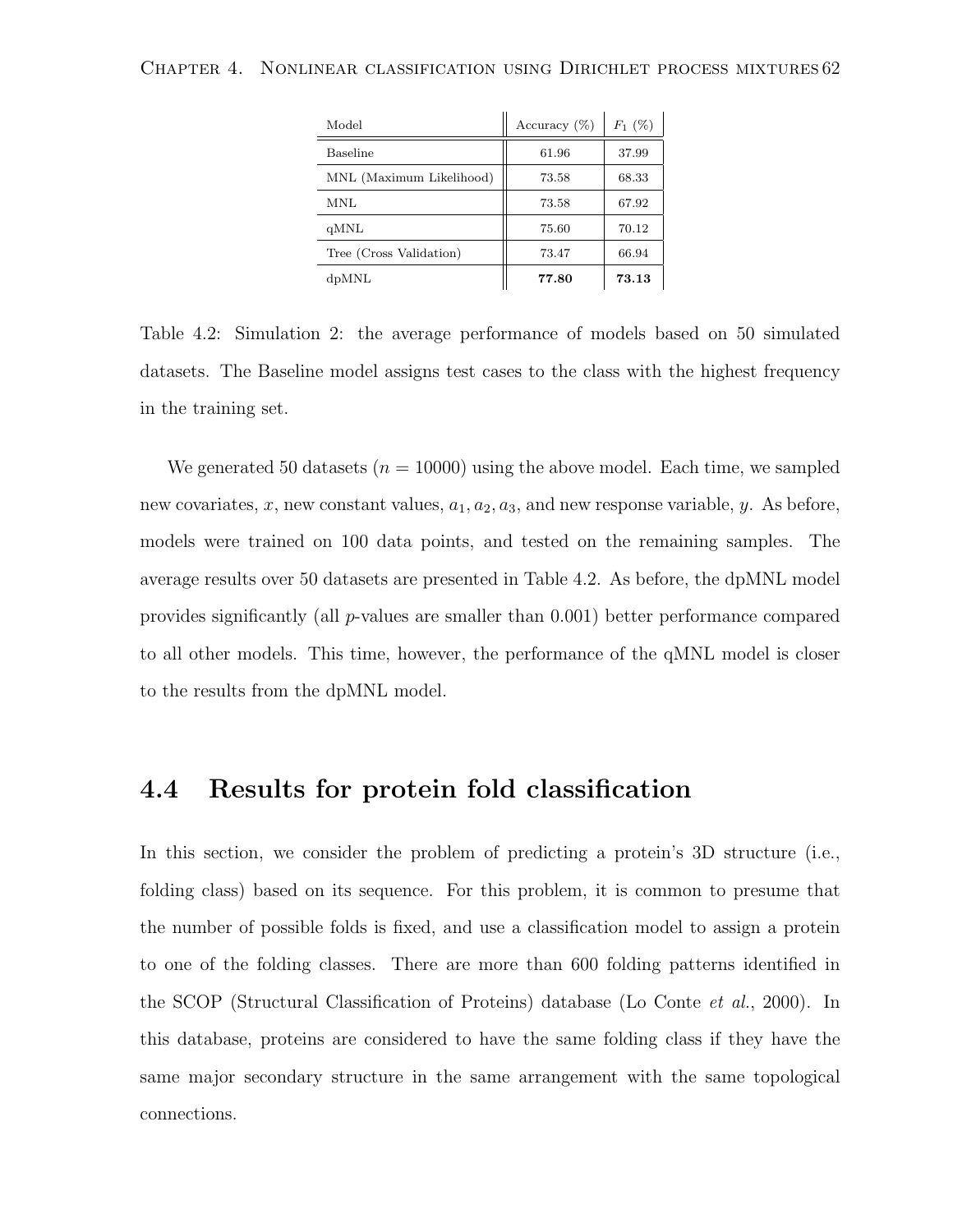| Model                    | Accuracy $(\%)$ | $F_1(%)$ |
|--------------------------|-----------------|----------|
| Baseline                 | 61.96           | 37.99    |
| MNL (Maximum Likelihood) | 73.58           | 68.33    |
| MNL                      | 73.58           | 67.92    |
| qMNL                     | 75.60           | 70.12    |
| Tree (Cross Validation)  | 73.47           | 66.94    |
| dpMNL                    | 77.80           | 73.13    |

Table 4.2: Simulation 2: the average performance of models based on 50 simulated datasets. The Baseline model assigns test cases to the class with the highest frequency in the training set.

We generated 50 datasets ( $n = 10000$ ) using the above model. Each time, we sampled new covariates, x, new constant values,  $a_1, a_2, a_3$ , and new response variable, y. As before, models were trained on 100 data points, and tested on the remaining samples. The average results over 50 datasets are presented in Table 4.2. As before, the dpMNL model provides significantly (all p-values are smaller than 0.001) better performance compared to all other models. This time, however, the performance of the qMNL model is closer to the results from the dpMNL model.

### 4.4 Results for protein fold classification

In this section, we consider the problem of predicting a protein's 3D structure (i.e., folding class) based on its sequence. For this problem, it is common to presume that the number of possible folds is fixed, and use a classification model to assign a protein to one of the folding classes. There are more than 600 folding patterns identified in the SCOP (Structural Classification of Proteins) database (Lo Conte et al., 2000). In this database, proteins are considered to have the same folding class if they have the same major secondary structure in the same arrangement with the same topological connections.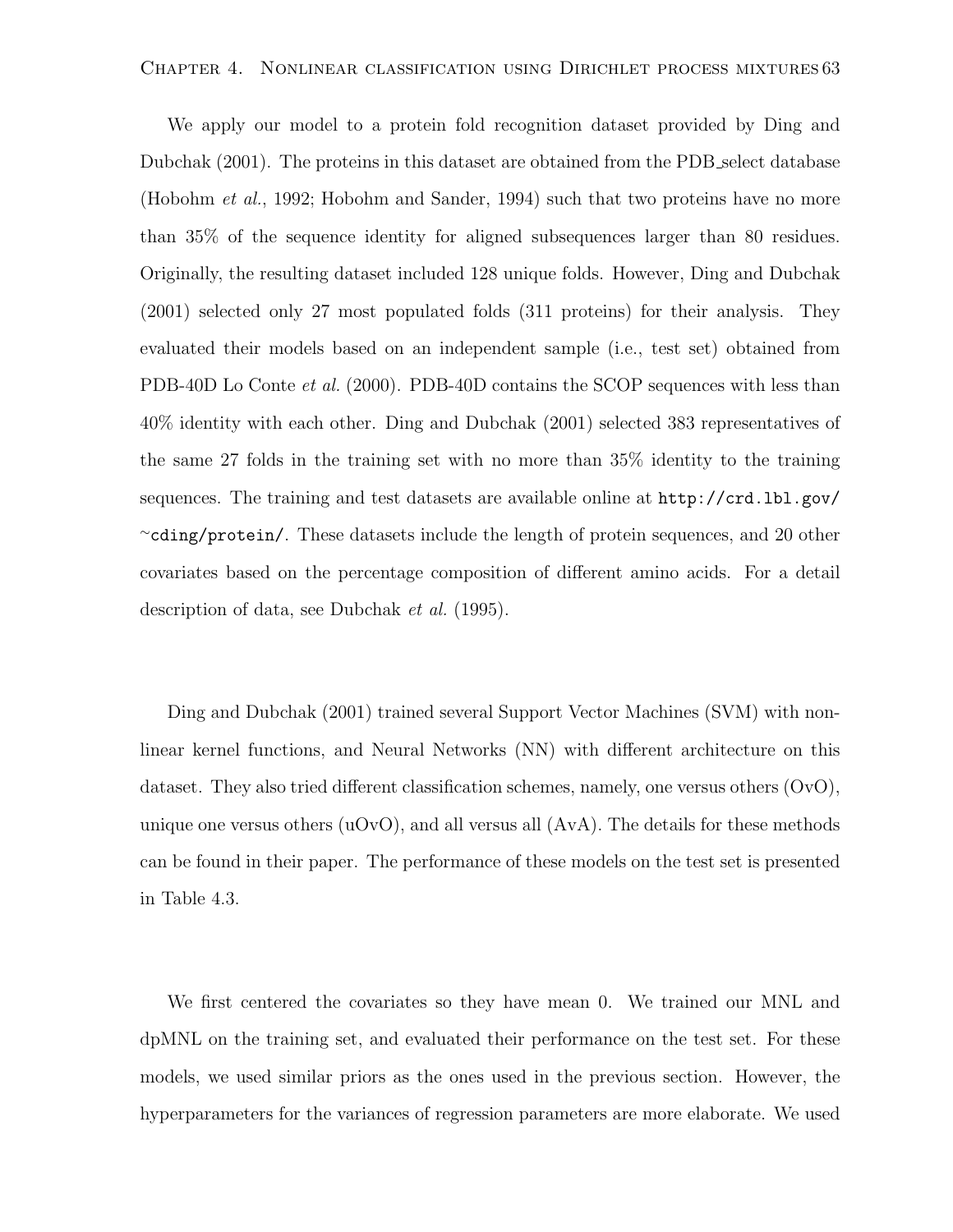We apply our model to a protein fold recognition dataset provided by Ding and Dubchak (2001). The proteins in this dataset are obtained from the PDB select database (Hobohm et al., 1992; Hobohm and Sander, 1994) such that two proteins have no more than 35% of the sequence identity for aligned subsequences larger than 80 residues. Originally, the resulting dataset included 128 unique folds. However, Ding and Dubchak (2001) selected only 27 most populated folds (311 proteins) for their analysis. They evaluated their models based on an independent sample (i.e., test set) obtained from PDB-40D Lo Conte *et al.* (2000). PDB-40D contains the SCOP sequences with less than 40% identity with each other. Ding and Dubchak (2001) selected 383 representatives of the same 27 folds in the training set with no more than 35% identity to the training sequences. The training and test datasets are available online at http://crd.lbl.gov/ <sup>∼</sup>cding/protein/. These datasets include the length of protein sequences, and 20 other covariates based on the percentage composition of different amino acids. For a detail description of data, see Dubchak et al. (1995).

Ding and Dubchak (2001) trained several Support Vector Machines (SVM) with nonlinear kernel functions, and Neural Networks (NN) with different architecture on this dataset. They also tried different classification schemes, namely, one versus others (OvO), unique one versus others  $(uOvO)$ , and all versus all  $(AvA)$ . The details for these methods can be found in their paper. The performance of these models on the test set is presented in Table 4.3.

We first centered the covariates so they have mean 0. We trained our MNL and dpMNL on the training set, and evaluated their performance on the test set. For these models, we used similar priors as the ones used in the previous section. However, the hyperparameters for the variances of regression parameters are more elaborate. We used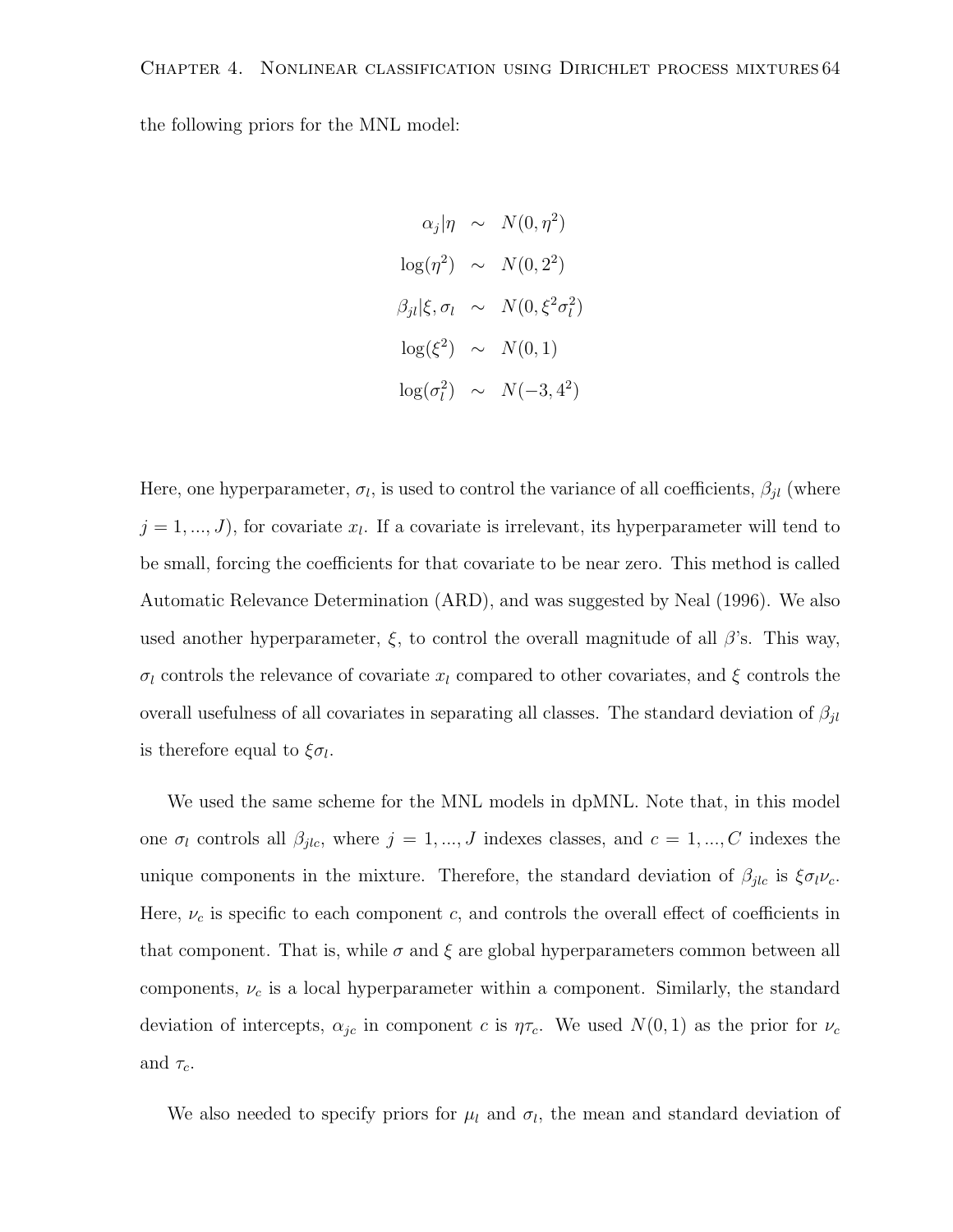the following priors for the MNL model:

$$
\alpha_j |\eta \sim N(0, \eta^2)
$$
  
\n
$$
\log(\eta^2) \sim N(0, 2^2)
$$
  
\n
$$
\beta_{jl} |\xi, \sigma_l \sim N(0, \xi^2 \sigma_l^2)
$$
  
\n
$$
\log(\xi^2) \sim N(0, 1)
$$
  
\n
$$
\log(\sigma_l^2) \sim N(-3, 4^2)
$$

Here, one hyperparameter,  $\sigma_l$ , is used to control the variance of all coefficients,  $\beta_{jl}$  (where  $j = 1, ..., J$ , for covariate  $x_l$ . If a covariate is irrelevant, its hyperparameter will tend to be small, forcing the coefficients for that covariate to be near zero. This method is called Automatic Relevance Determination (ARD), and was suggested by Neal (1996). We also used another hyperparameter,  $\xi$ , to control the overall magnitude of all  $\beta$ 's. This way,  $\sigma_l$  controls the relevance of covariate  $x_l$  compared to other covariates, and  $\xi$  controls the overall usefulness of all covariates in separating all classes. The standard deviation of  $\beta_{jl}$ is therefore equal to  $\xi \sigma_l$ .

We used the same scheme for the MNL models in dpMNL. Note that, in this model one  $\sigma_l$  controls all  $\beta_{jlc}$ , where  $j = 1, ..., J$  indexes classes, and  $c = 1, ..., C$  indexes the unique components in the mixture. Therefore, the standard deviation of  $\beta_{jlc}$  is  $\xi \sigma_l \nu_c$ . Here,  $\nu_c$  is specific to each component c, and controls the overall effect of coefficients in that component. That is, while  $\sigma$  and  $\xi$  are global hyperparameters common between all components,  $\nu_c$  is a local hyperparameter within a component. Similarly, the standard deviation of intercepts,  $\alpha_{jc}$  in component c is  $\eta\tau_c$ . We used  $N(0, 1)$  as the prior for  $\nu_c$ and  $\tau_c$ .

We also needed to specify priors for  $\mu_l$  and  $\sigma_l$ , the mean and standard deviation of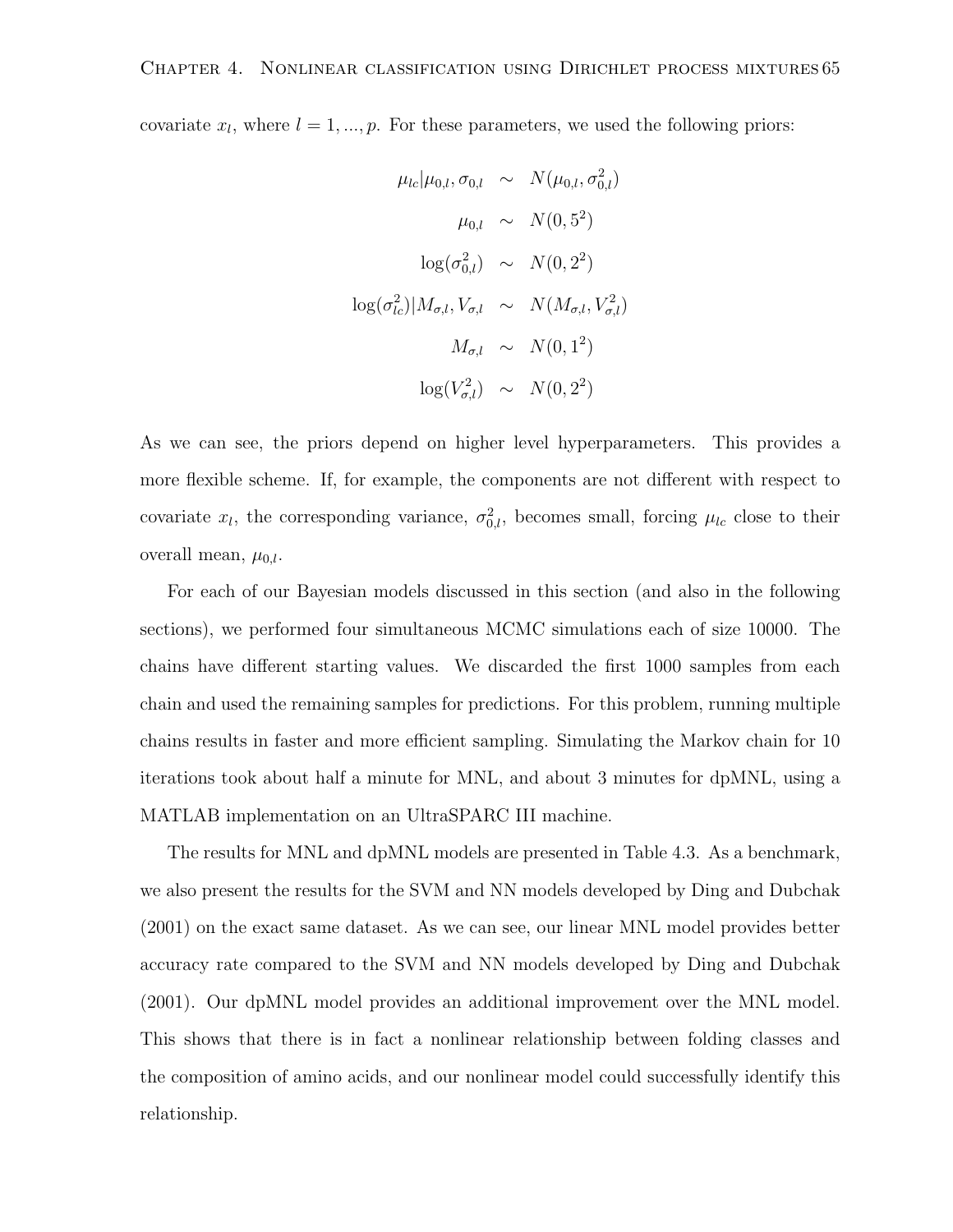covariate  $x_l$ , where  $l = 1, ..., p$ . For these parameters, we used the following priors:

$$
\mu_{lc}|\mu_{0,l}, \sigma_{0,l} \sim N(\mu_{0,l}, \sigma_{0,l}^2)
$$

$$
\mu_{0,l} \sim N(0, 5^2)
$$

$$
\log(\sigma_{0,l}^2) \sim N(0, 2^2)
$$

$$
\log(\sigma_{lc}^2)|M_{\sigma,l}, V_{\sigma,l} \sim N(M_{\sigma,l}, V_{\sigma,l}^2)
$$

$$
M_{\sigma,l} \sim N(0, 1^2)
$$

$$
\log(V_{\sigma,l}^2) \sim N(0, 2^2)
$$

As we can see, the priors depend on higher level hyperparameters. This provides a more flexible scheme. If, for example, the components are not different with respect to covariate  $x_l$ , the corresponding variance,  $\sigma_{0,l}^2$ , becomes small, forcing  $\mu_{lc}$  close to their overall mean,  $\mu_{0,l}$ .

For each of our Bayesian models discussed in this section (and also in the following sections), we performed four simultaneous MCMC simulations each of size 10000. The chains have different starting values. We discarded the first 1000 samples from each chain and used the remaining samples for predictions. For this problem, running multiple chains results in faster and more efficient sampling. Simulating the Markov chain for 10 iterations took about half a minute for MNL, and about 3 minutes for dpMNL, using a MATLAB implementation on an UltraSPARC III machine.

The results for MNL and dpMNL models are presented in Table 4.3. As a benchmark, we also present the results for the SVM and NN models developed by Ding and Dubchak (2001) on the exact same dataset. As we can see, our linear MNL model provides better accuracy rate compared to the SVM and NN models developed by Ding and Dubchak (2001). Our dpMNL model provides an additional improvement over the MNL model. This shows that there is in fact a nonlinear relationship between folding classes and the composition of amino acids, and our nonlinear model could successfully identify this relationship.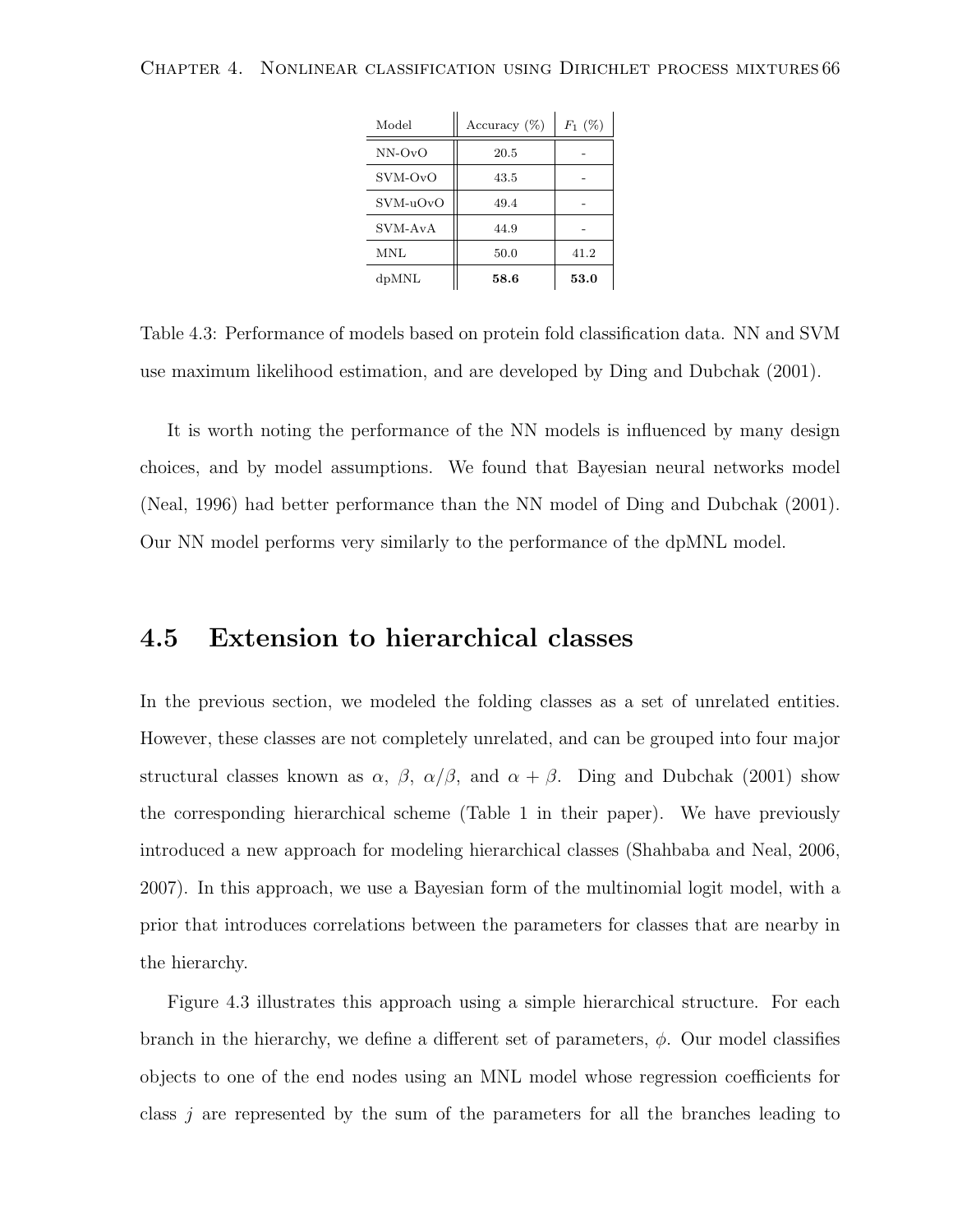| Model      | Accuracy $(\%)$ | $F_1(%)$ |
|------------|-----------------|----------|
| $NN-OvO$   | 20.5            |          |
| SVM-OvO    | 43.5            |          |
| $SVM-uOvO$ | 49.4            |          |
| SVM-AvA    | 44.9            |          |
| <b>MNL</b> | 50.0            | 41.2     |
| dpMNL      | 58.6            | 53.0     |

Table 4.3: Performance of models based on protein fold classification data. NN and SVM use maximum likelihood estimation, and are developed by Ding and Dubchak (2001).

It is worth noting the performance of the NN models is influenced by many design choices, and by model assumptions. We found that Bayesian neural networks model (Neal, 1996) had better performance than the NN model of Ding and Dubchak (2001). Our NN model performs very similarly to the performance of the dpMNL model.

### 4.5 Extension to hierarchical classes

In the previous section, we modeled the folding classes as a set of unrelated entities. However, these classes are not completely unrelated, and can be grouped into four major structural classes known as  $\alpha$ ,  $\beta$ ,  $\alpha/\beta$ , and  $\alpha + \beta$ . Ding and Dubchak (2001) show the corresponding hierarchical scheme (Table 1 in their paper). We have previously introduced a new approach for modeling hierarchical classes (Shahbaba and Neal, 2006, 2007). In this approach, we use a Bayesian form of the multinomial logit model, with a prior that introduces correlations between the parameters for classes that are nearby in the hierarchy.

Figure 4.3 illustrates this approach using a simple hierarchical structure. For each branch in the hierarchy, we define a different set of parameters,  $\phi$ . Our model classifies objects to one of the end nodes using an MNL model whose regression coefficients for class  $j$  are represented by the sum of the parameters for all the branches leading to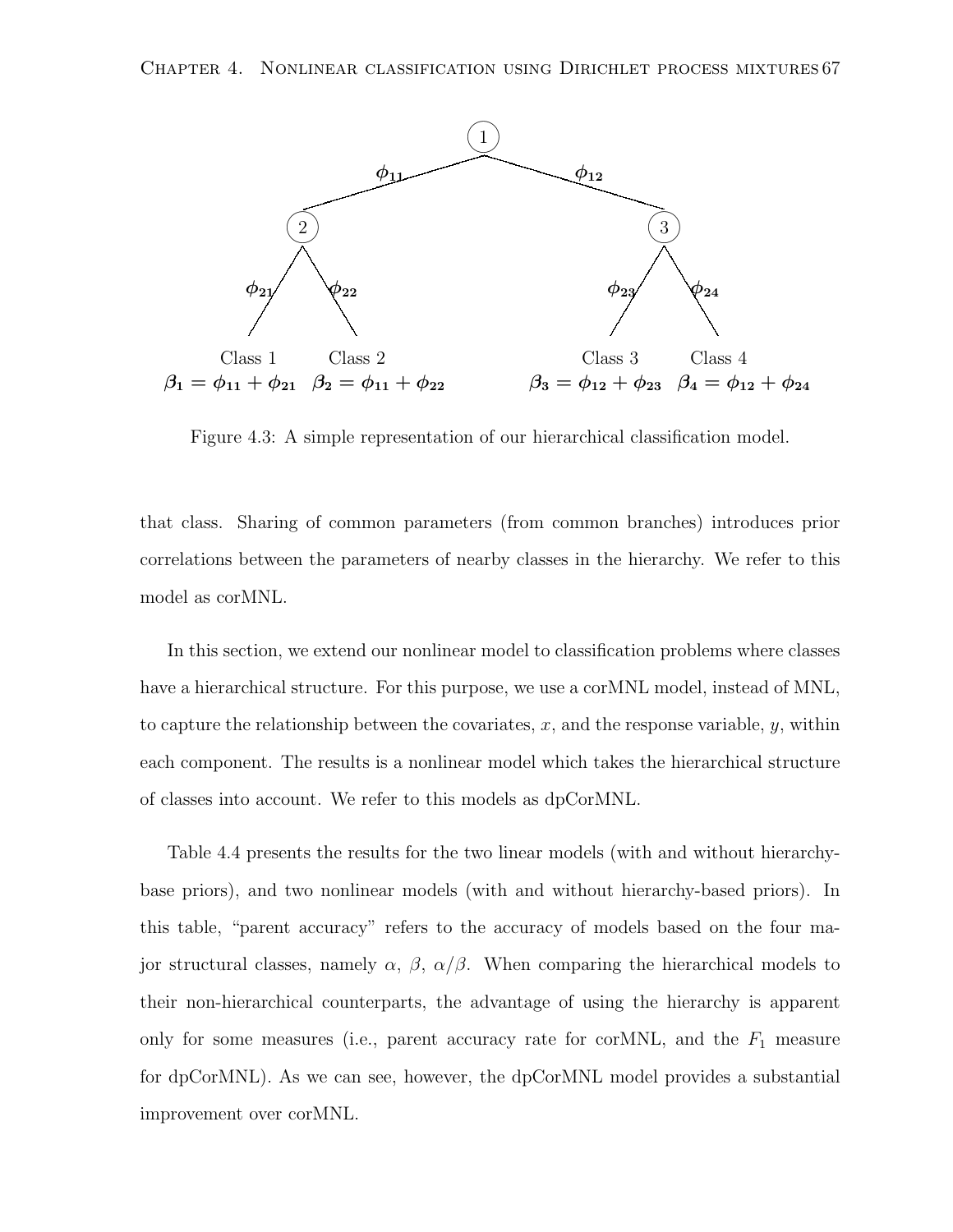

Figure 4.3: A simple representation of our hierarchical classification model.

that class. Sharing of common parameters (from common branches) introduces prior correlations between the parameters of nearby classes in the hierarchy. We refer to this model as corMNL.

In this section, we extend our nonlinear model to classification problems where classes have a hierarchical structure. For this purpose, we use a corMNL model, instead of MNL, to capture the relationship between the covariates,  $x$ , and the response variable,  $y$ , within each component. The results is a nonlinear model which takes the hierarchical structure of classes into account. We refer to this models as dpCorMNL.

Table 4.4 presents the results for the two linear models (with and without hierarchybase priors), and two nonlinear models (with and without hierarchy-based priors). In this table, "parent accuracy" refers to the accuracy of models based on the four major structural classes, namely  $\alpha$ ,  $\beta$ ,  $\alpha/\beta$ . When comparing the hierarchical models to their non-hierarchical counterparts, the advantage of using the hierarchy is apparent only for some measures (i.e., parent accuracy rate for corMNL, and the  $F_1$  measure for dpCorMNL). As we can see, however, the dpCorMNL model provides a substantial improvement over corMNL.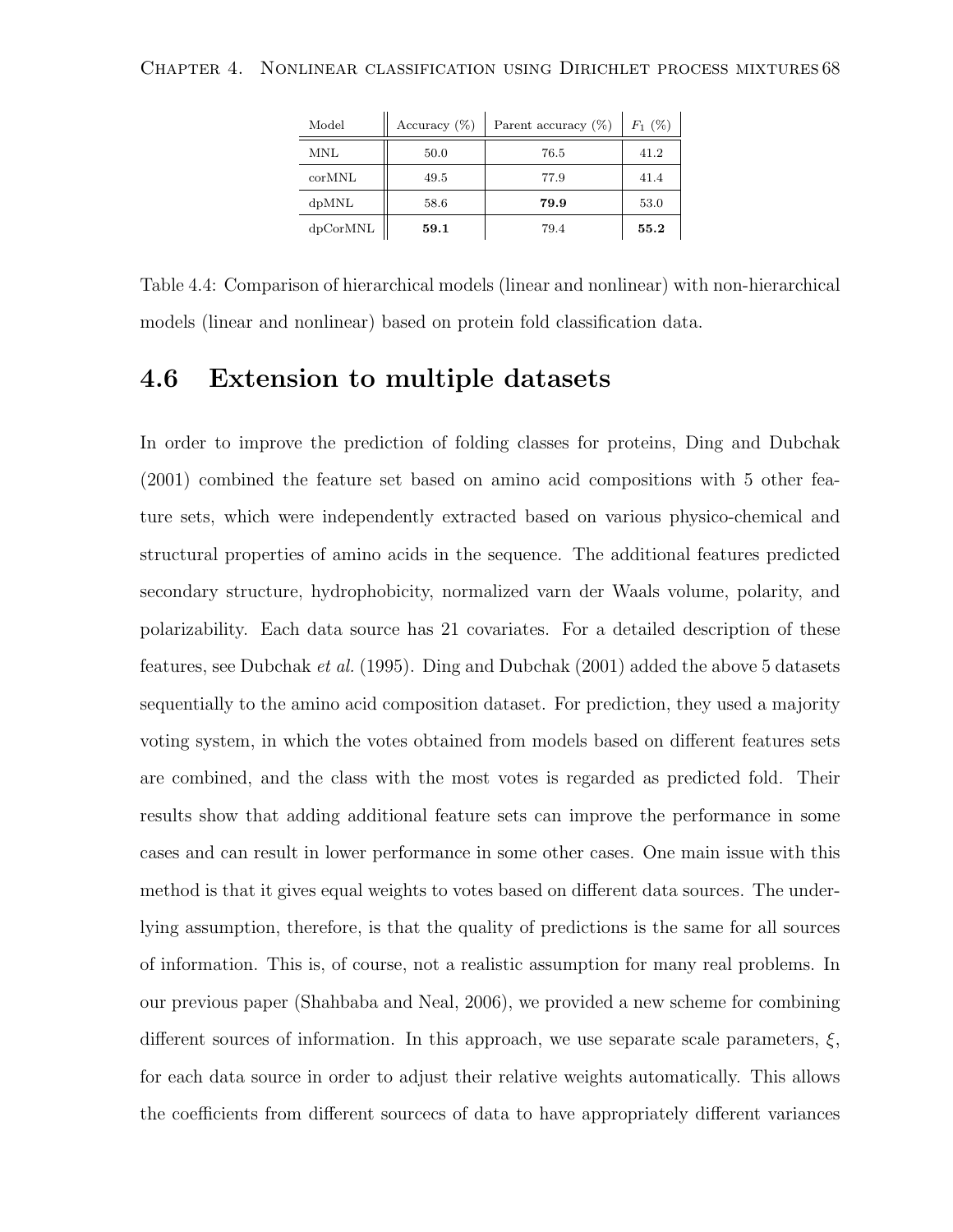| Model    | Accuracy $(\%)$ | Parent accuracy $(\%)$ | $F_1$ (%) |
|----------|-----------------|------------------------|-----------|
| MNL      | 50.0            | 76.5                   | 41.2      |
| corMNL   | 49.5            | 77.9                   | 41.4      |
| dpMNL    | 58.6            | 79.9                   | 53.0      |
| dpCorMNL | 59.1            | 79.4                   | 55.2      |

Table 4.4: Comparison of hierarchical models (linear and nonlinear) with non-hierarchical models (linear and nonlinear) based on protein fold classification data.

### 4.6 Extension to multiple datasets

In order to improve the prediction of folding classes for proteins, Ding and Dubchak (2001) combined the feature set based on amino acid compositions with 5 other feature sets, which were independently extracted based on various physico-chemical and structural properties of amino acids in the sequence. The additional features predicted secondary structure, hydrophobicity, normalized varn der Waals volume, polarity, and polarizability. Each data source has 21 covariates. For a detailed description of these features, see Dubchak et al. (1995). Ding and Dubchak (2001) added the above 5 datasets sequentially to the amino acid composition dataset. For prediction, they used a majority voting system, in which the votes obtained from models based on different features sets are combined, and the class with the most votes is regarded as predicted fold. Their results show that adding additional feature sets can improve the performance in some cases and can result in lower performance in some other cases. One main issue with this method is that it gives equal weights to votes based on different data sources. The underlying assumption, therefore, is that the quality of predictions is the same for all sources of information. This is, of course, not a realistic assumption for many real problems. In our previous paper (Shahbaba and Neal, 2006), we provided a new scheme for combining different sources of information. In this approach, we use separate scale parameters,  $\xi$ , for each data source in order to adjust their relative weights automatically. This allows the coefficients from different sourcecs of data to have appropriately different variances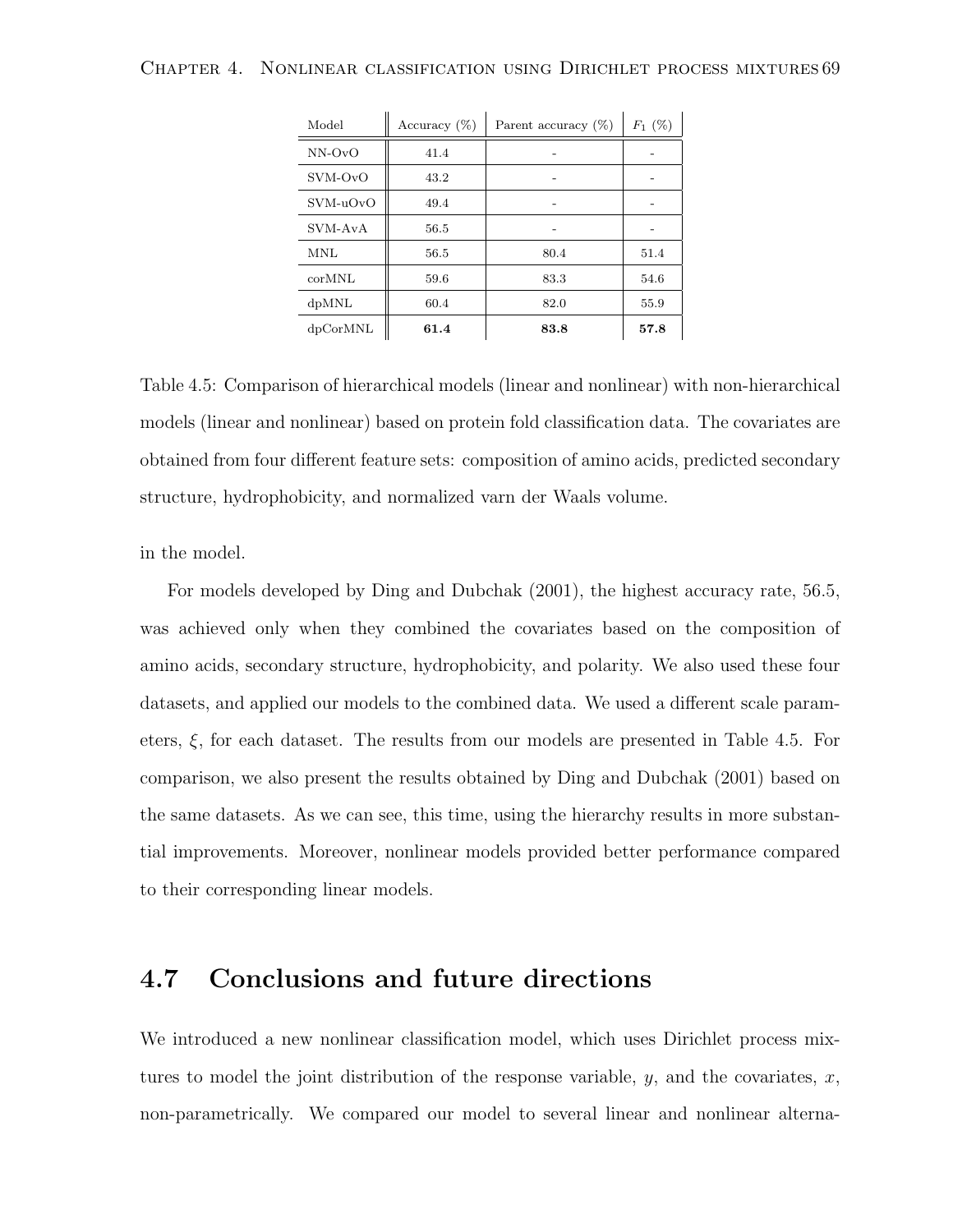| Model      | Accuracy $(\%)$ | Parent accuracy $(\%)$ | $F_1(%)$ |
|------------|-----------------|------------------------|----------|
| $NN-OvO$   | 41.4            |                        |          |
| SVM-OvO    | 43.2            |                        |          |
| $SVM-uOvO$ | 49.4            |                        |          |
| SVM-AvA    | 56.5            |                        |          |
| MNL        | 56.5            | 80.4                   | 51.4     |
| corMNL     | 59.6            | 83.3                   | 54.6     |
| dpMNL      | 60.4            | 82.0                   | 55.9     |
| dpCorMNL   | 61.4            | 83.8                   | 57.8     |

Table 4.5: Comparison of hierarchical models (linear and nonlinear) with non-hierarchical models (linear and nonlinear) based on protein fold classification data. The covariates are obtained from four different feature sets: composition of amino acids, predicted secondary structure, hydrophobicity, and normalized varn der Waals volume.

in the model.

For models developed by Ding and Dubchak (2001), the highest accuracy rate, 56.5, was achieved only when they combined the covariates based on the composition of amino acids, secondary structure, hydrophobicity, and polarity. We also used these four datasets, and applied our models to the combined data. We used a different scale parameters,  $\xi$ , for each dataset. The results from our models are presented in Table 4.5. For comparison, we also present the results obtained by Ding and Dubchak (2001) based on the same datasets. As we can see, this time, using the hierarchy results in more substantial improvements. Moreover, nonlinear models provided better performance compared to their corresponding linear models.

### 4.7 Conclusions and future directions

We introduced a new nonlinear classification model, which uses Dirichlet process mixtures to model the joint distribution of the response variable,  $y$ , and the covariates,  $x$ , non-parametrically. We compared our model to several linear and nonlinear alterna-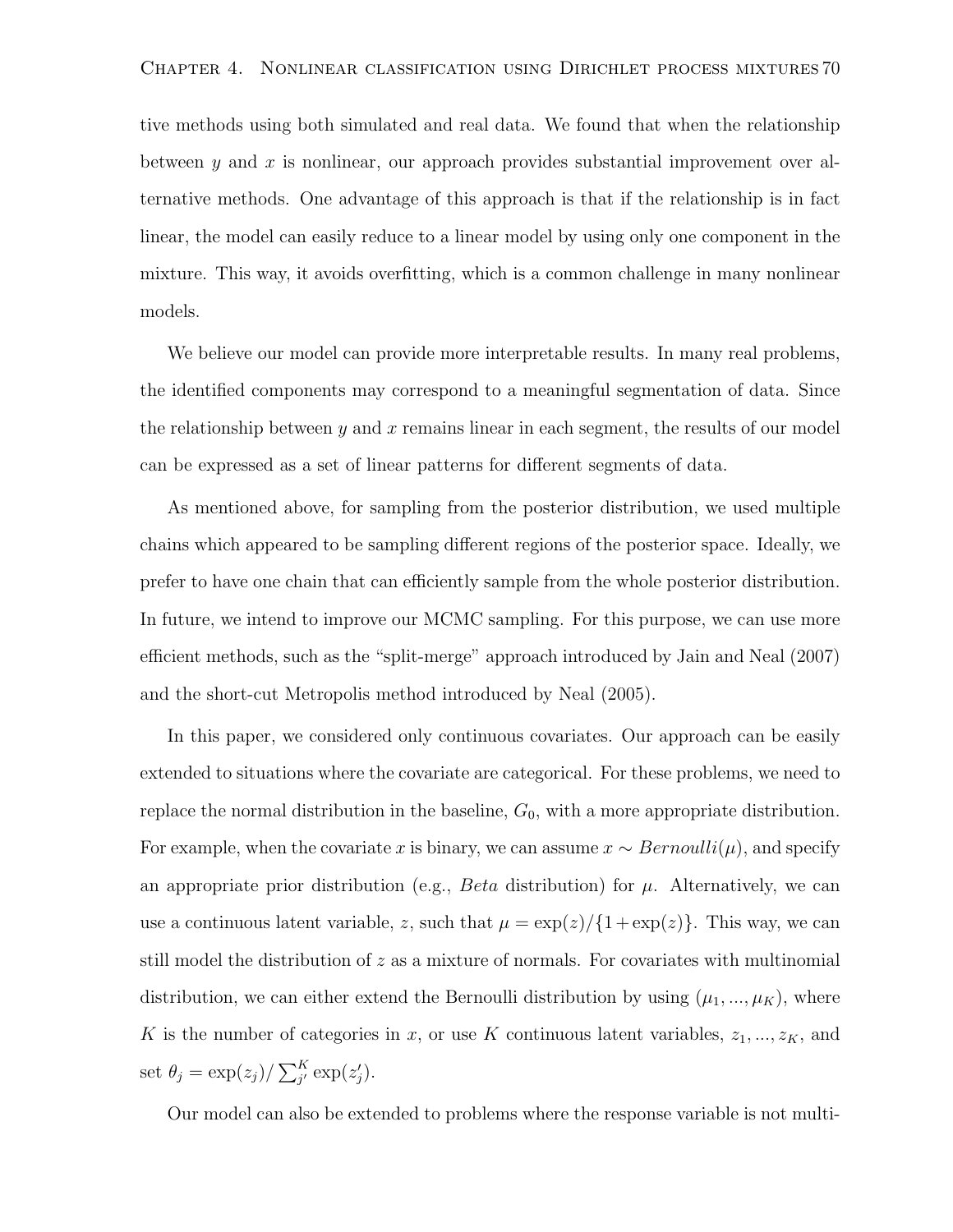#### Chapter 4. Nonlinear classification using Dirichlet process mixtures 70

tive methods using both simulated and real data. We found that when the relationship between y and x is nonlinear, our approach provides substantial improvement over alternative methods. One advantage of this approach is that if the relationship is in fact linear, the model can easily reduce to a linear model by using only one component in the mixture. This way, it avoids overfitting, which is a common challenge in many nonlinear models.

We believe our model can provide more interpretable results. In many real problems, the identified components may correspond to a meaningful segmentation of data. Since the relationship between  $y$  and  $x$  remains linear in each segment, the results of our model can be expressed as a set of linear patterns for different segments of data.

As mentioned above, for sampling from the posterior distribution, we used multiple chains which appeared to be sampling different regions of the posterior space. Ideally, we prefer to have one chain that can efficiently sample from the whole posterior distribution. In future, we intend to improve our MCMC sampling. For this purpose, we can use more efficient methods, such as the "split-merge" approach introduced by Jain and Neal (2007) and the short-cut Metropolis method introduced by Neal (2005).

In this paper, we considered only continuous covariates. Our approach can be easily extended to situations where the covariate are categorical. For these problems, we need to replace the normal distribution in the baseline,  $G_0$ , with a more appropriate distribution. For example, when the covariate x is binary, we can assume  $x \sim Bernoulli(\mu)$ , and specify an appropriate prior distribution (e.g.,  $Beta$  distribution) for  $\mu$ . Alternatively, we can use a continuous latent variable, z, such that  $\mu = \exp(z)/\{1 + \exp(z)\}\.$  This way, we can still model the distribution of z as a mixture of normals. For covariates with multinomial distribution, we can either extend the Bernoulli distribution by using  $(\mu_1, ..., \mu_K)$ , where K is the number of categories in x, or use K continuous latent variables,  $z_1, ..., z_K$ , and set  $\theta_j = \exp(z_j) / \sum_{j'}^{K} \exp(z'_j)$ .

Our model can also be extended to problems where the response variable is not multi-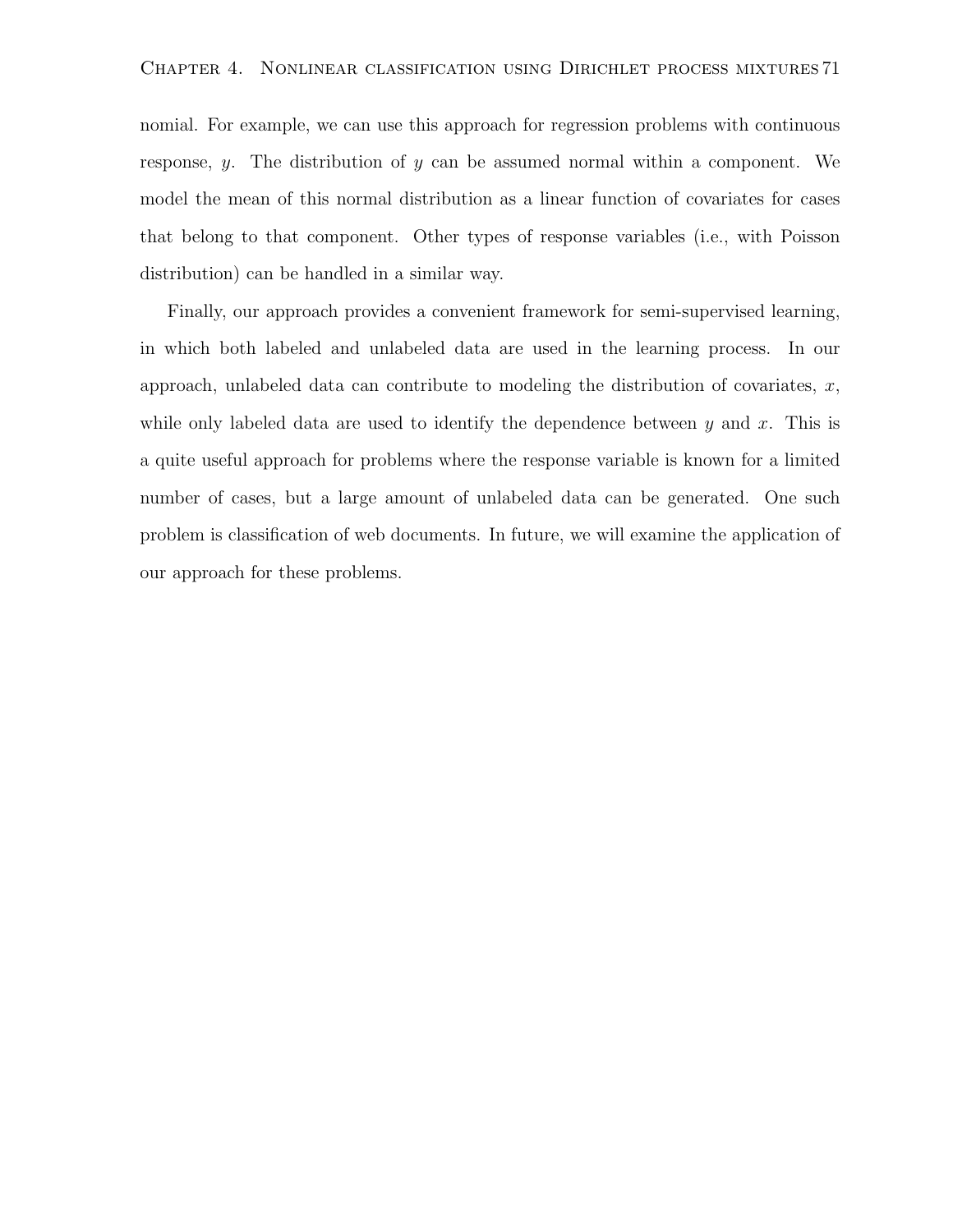nomial. For example, we can use this approach for regression problems with continuous response,  $y$ . The distribution of  $y$  can be assumed normal within a component. We model the mean of this normal distribution as a linear function of covariates for cases that belong to that component. Other types of response variables (i.e., with Poisson distribution) can be handled in a similar way.

Finally, our approach provides a convenient framework for semi-supervised learning, in which both labeled and unlabeled data are used in the learning process. In our approach, unlabeled data can contribute to modeling the distribution of covariates,  $x$ , while only labeled data are used to identify the dependence between  $y$  and  $x$ . This is a quite useful approach for problems where the response variable is known for a limited number of cases, but a large amount of unlabeled data can be generated. One such problem is classification of web documents. In future, we will examine the application of our approach for these problems.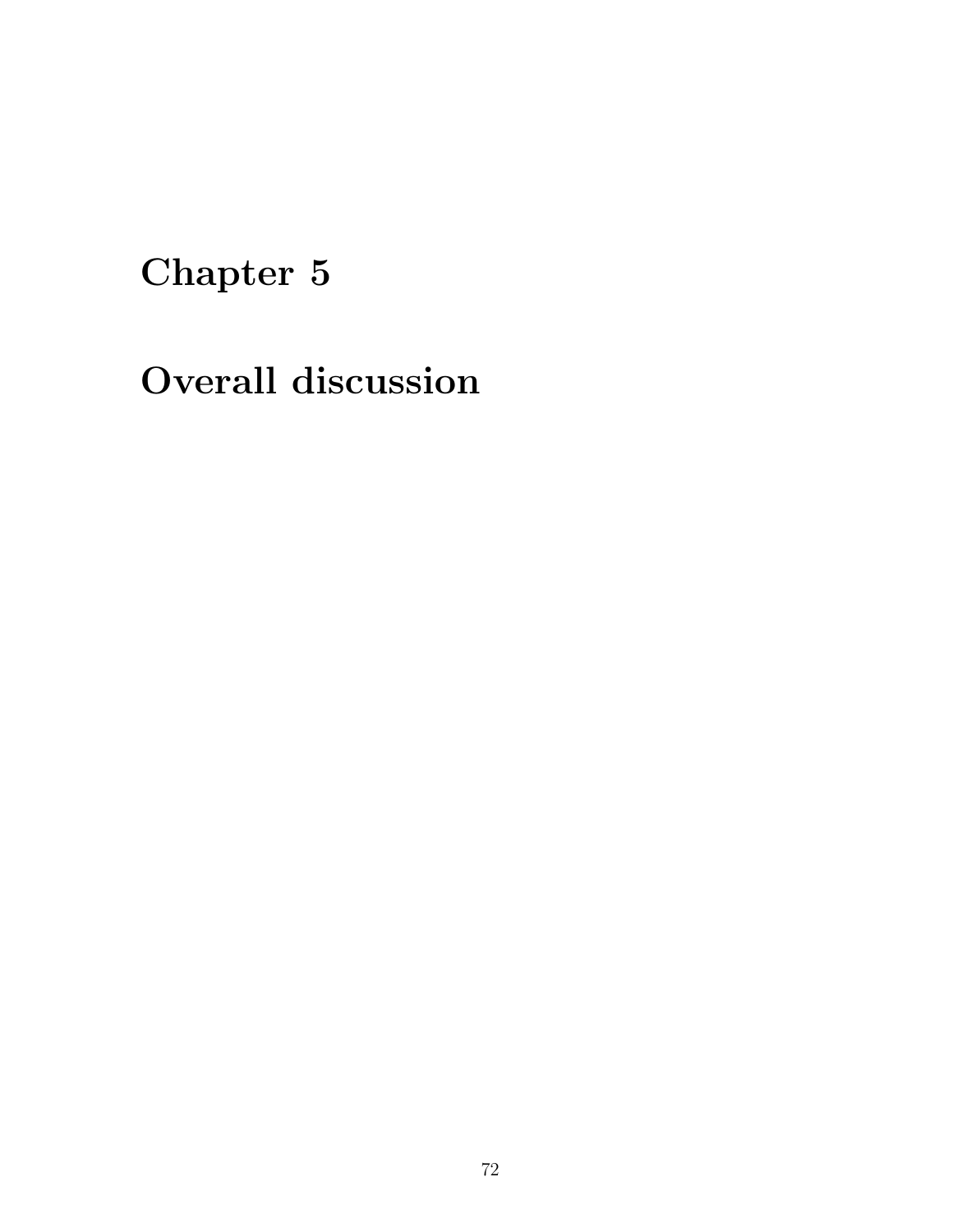# Chapter 5

Overall discussion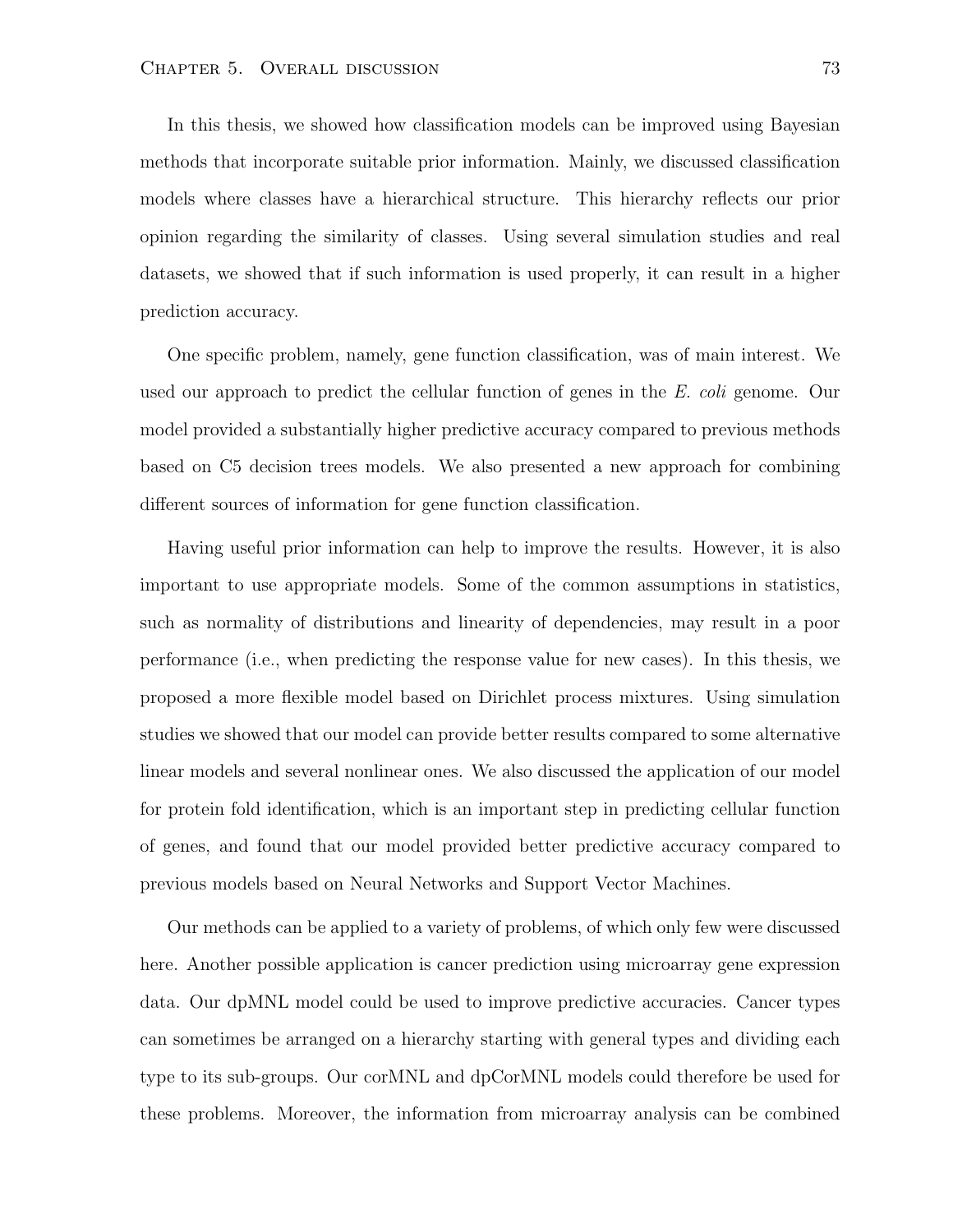In this thesis, we showed how classification models can be improved using Bayesian methods that incorporate suitable prior information. Mainly, we discussed classification models where classes have a hierarchical structure. This hierarchy reflects our prior opinion regarding the similarity of classes. Using several simulation studies and real datasets, we showed that if such information is used properly, it can result in a higher prediction accuracy.

One specific problem, namely, gene function classification, was of main interest. We used our approach to predict the cellular function of genes in the E. coli genome. Our model provided a substantially higher predictive accuracy compared to previous methods based on C5 decision trees models. We also presented a new approach for combining different sources of information for gene function classification.

Having useful prior information can help to improve the results. However, it is also important to use appropriate models. Some of the common assumptions in statistics, such as normality of distributions and linearity of dependencies, may result in a poor performance (i.e., when predicting the response value for new cases). In this thesis, we proposed a more flexible model based on Dirichlet process mixtures. Using simulation studies we showed that our model can provide better results compared to some alternative linear models and several nonlinear ones. We also discussed the application of our model for protein fold identification, which is an important step in predicting cellular function of genes, and found that our model provided better predictive accuracy compared to previous models based on Neural Networks and Support Vector Machines.

Our methods can be applied to a variety of problems, of which only few were discussed here. Another possible application is cancer prediction using microarray gene expression data. Our dpMNL model could be used to improve predictive accuracies. Cancer types can sometimes be arranged on a hierarchy starting with general types and dividing each type to its sub-groups. Our corMNL and dpCorMNL models could therefore be used for these problems. Moreover, the information from microarray analysis can be combined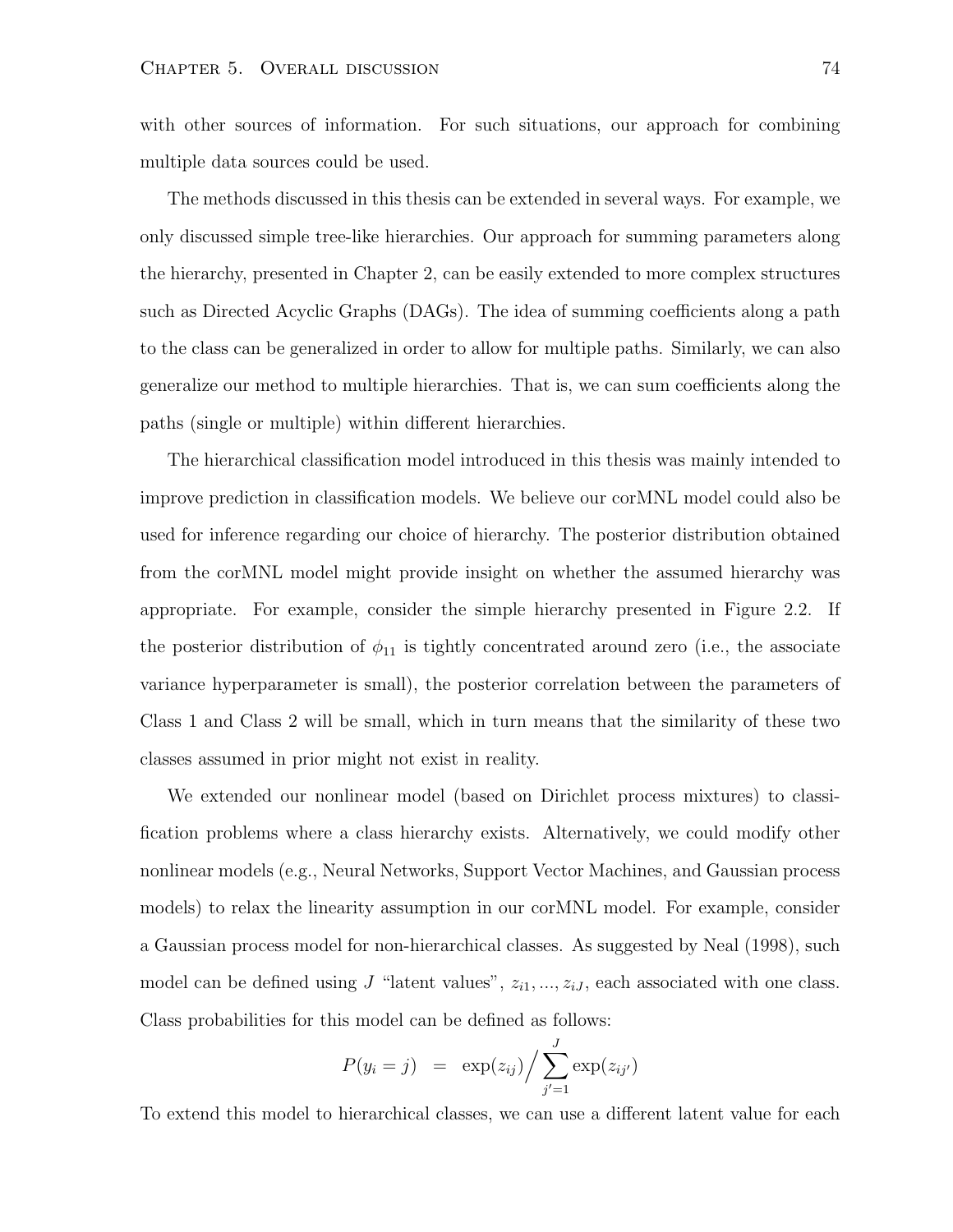with other sources of information. For such situations, our approach for combining multiple data sources could be used.

The methods discussed in this thesis can be extended in several ways. For example, we only discussed simple tree-like hierarchies. Our approach for summing parameters along the hierarchy, presented in Chapter 2, can be easily extended to more complex structures such as Directed Acyclic Graphs (DAGs). The idea of summing coefficients along a path to the class can be generalized in order to allow for multiple paths. Similarly, we can also generalize our method to multiple hierarchies. That is, we can sum coefficients along the paths (single or multiple) within different hierarchies.

The hierarchical classification model introduced in this thesis was mainly intended to improve prediction in classification models. We believe our corMNL model could also be used for inference regarding our choice of hierarchy. The posterior distribution obtained from the corMNL model might provide insight on whether the assumed hierarchy was appropriate. For example, consider the simple hierarchy presented in Figure 2.2. If the posterior distribution of  $\phi_{11}$  is tightly concentrated around zero (i.e., the associate variance hyperparameter is small), the posterior correlation between the parameters of Class 1 and Class 2 will be small, which in turn means that the similarity of these two classes assumed in prior might not exist in reality.

We extended our nonlinear model (based on Dirichlet process mixtures) to classification problems where a class hierarchy exists. Alternatively, we could modify other nonlinear models (e.g., Neural Networks, Support Vector Machines, and Gaussian process models) to relax the linearity assumption in our corMNL model. For example, consider a Gaussian process model for non-hierarchical classes. As suggested by Neal (1998), such model can be defined using J "latent values",  $z_{i1},..., z_{iJ}$ , each associated with one class. Class probabilities for this model can be defined as follows:

$$
P(y_i = j) = \exp(z_{ij}) / \sum_{j'=1}^{J} \exp(z_{ij'})
$$

To extend this model to hierarchical classes, we can use a different latent value for each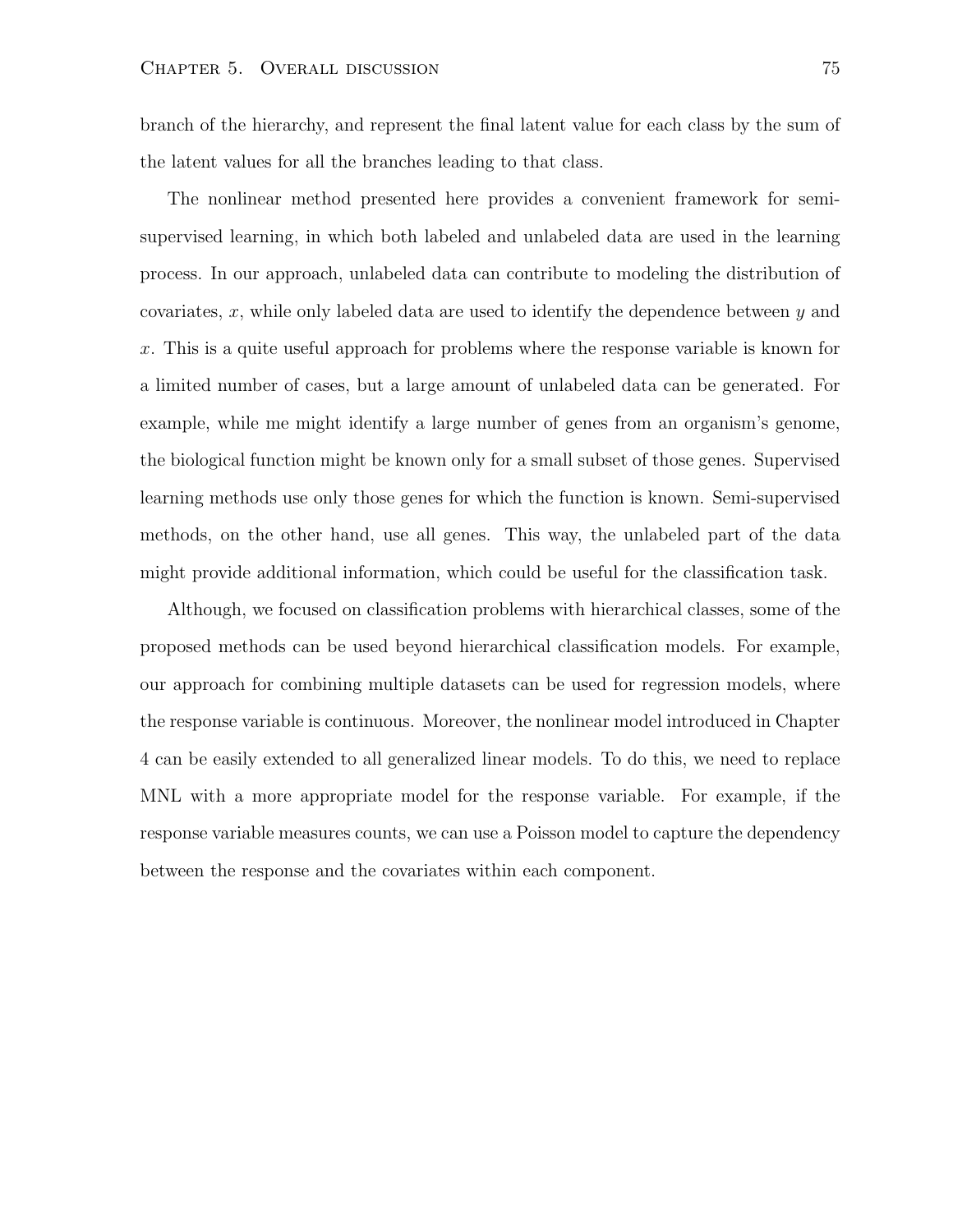branch of the hierarchy, and represent the final latent value for each class by the sum of the latent values for all the branches leading to that class.

The nonlinear method presented here provides a convenient framework for semisupervised learning, in which both labeled and unlabeled data are used in the learning process. In our approach, unlabeled data can contribute to modeling the distribution of covariates, x, while only labeled data are used to identify the dependence between  $\gamma$  and x. This is a quite useful approach for problems where the response variable is known for a limited number of cases, but a large amount of unlabeled data can be generated. For example, while me might identify a large number of genes from an organism's genome, the biological function might be known only for a small subset of those genes. Supervised learning methods use only those genes for which the function is known. Semi-supervised methods, on the other hand, use all genes. This way, the unlabeled part of the data might provide additional information, which could be useful for the classification task.

Although, we focused on classification problems with hierarchical classes, some of the proposed methods can be used beyond hierarchical classification models. For example, our approach for combining multiple datasets can be used for regression models, where the response variable is continuous. Moreover, the nonlinear model introduced in Chapter 4 can be easily extended to all generalized linear models. To do this, we need to replace MNL with a more appropriate model for the response variable. For example, if the response variable measures counts, we can use a Poisson model to capture the dependency between the response and the covariates within each component.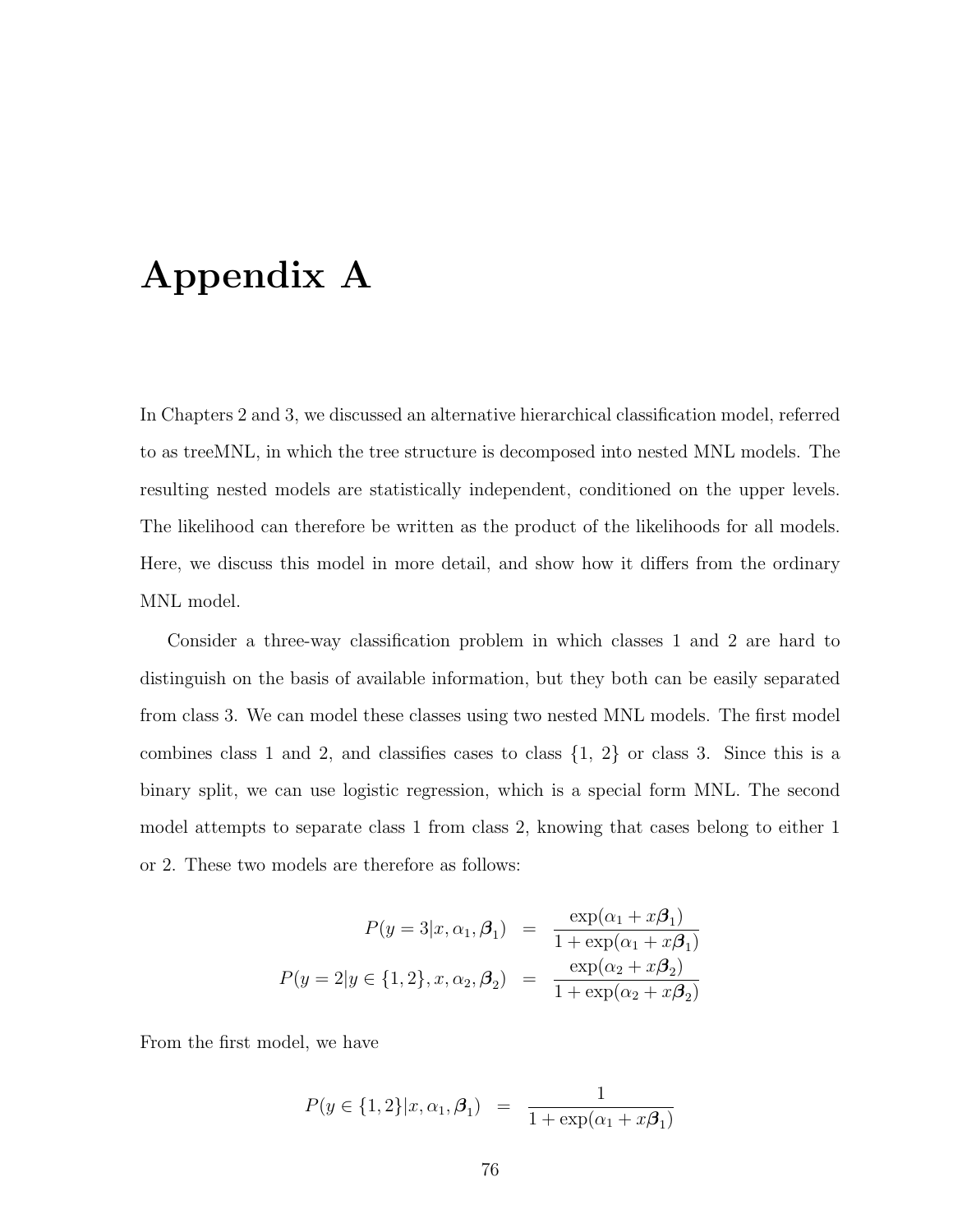## Appendix A

In Chapters 2 and 3, we discussed an alternative hierarchical classification model, referred to as treeMNL, in which the tree structure is decomposed into nested MNL models. The resulting nested models are statistically independent, conditioned on the upper levels. The likelihood can therefore be written as the product of the likelihoods for all models. Here, we discuss this model in more detail, and show how it differs from the ordinary MNL model.

Consider a three-way classification problem in which classes 1 and 2 are hard to distinguish on the basis of available information, but they both can be easily separated from class 3. We can model these classes using two nested MNL models. The first model combines class 1 and 2, and classifies cases to class  $\{1, 2\}$  or class 3. Since this is a binary split, we can use logistic regression, which is a special form MNL. The second model attempts to separate class 1 from class 2, knowing that cases belong to either 1 or 2. These two models are therefore as follows:

$$
P(y=3|x,\alpha_1,\beta_1) = \frac{\exp(\alpha_1 + x\beta_1)}{1 + \exp(\alpha_1 + x\beta_1)}
$$

$$
P(y=2|y \in \{1,2\}, x, \alpha_2, \beta_2) = \frac{\exp(\alpha_2 + x\beta_2)}{1 + \exp(\alpha_2 + x\beta_2)}
$$

From the first model, we have

$$
P(y \in \{1, 2\}|x, \alpha_1, \beta_1) = \frac{1}{1 + \exp(\alpha_1 + x\beta_1)}
$$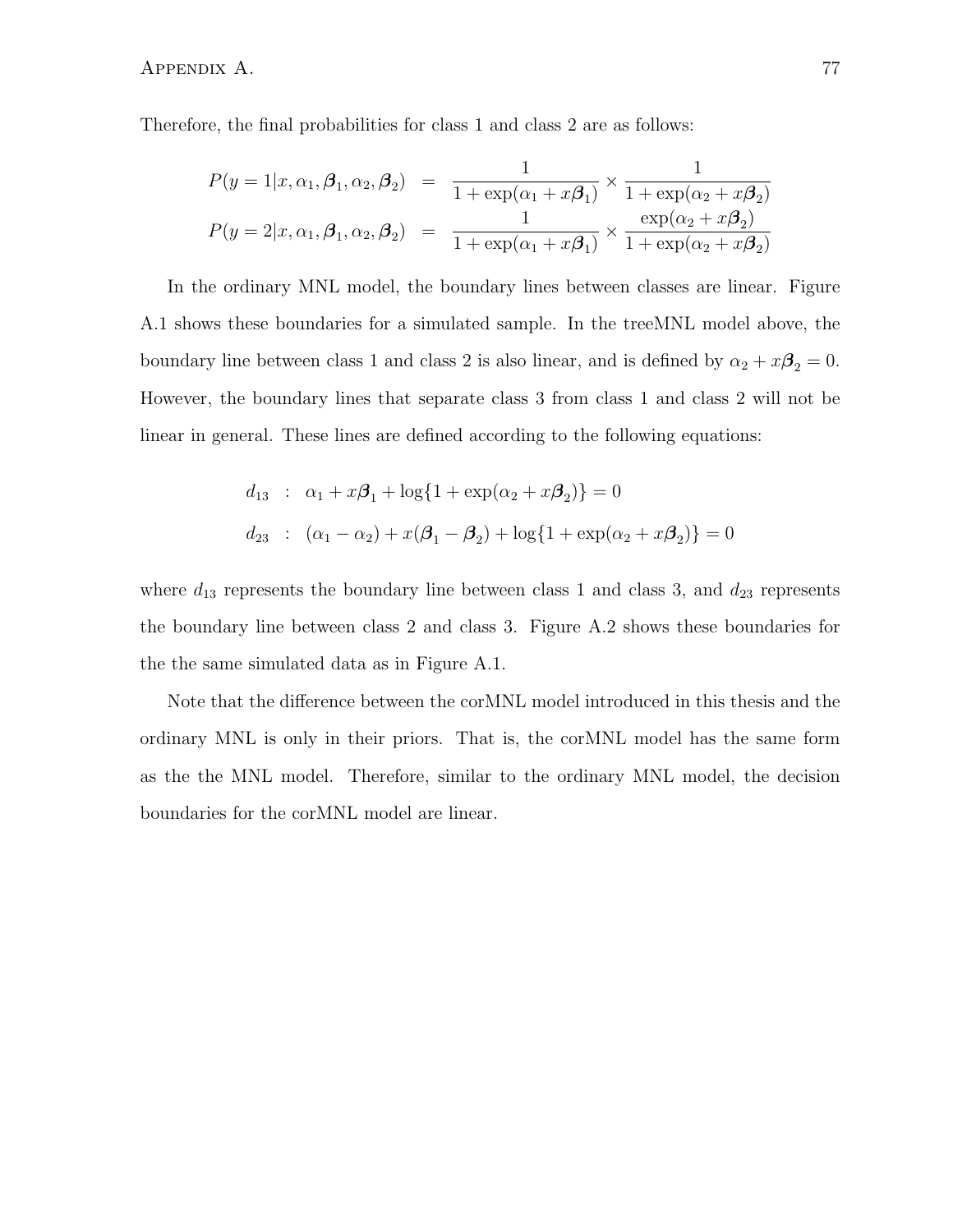Therefore, the final probabilities for class 1 and class 2 are as follows:

$$
P(y = 1|x, \alpha_1, \beta_1, \alpha_2, \beta_2) = \frac{1}{1 + \exp(\alpha_1 + x\beta_1)} \times \frac{1}{1 + \exp(\alpha_2 + x\beta_2)}
$$
  

$$
P(y = 2|x, \alpha_1, \beta_1, \alpha_2, \beta_2) = \frac{1}{1 + \exp(\alpha_1 + x\beta_1)} \times \frac{\exp(\alpha_2 + x\beta_2)}{1 + \exp(\alpha_2 + x\beta_2)}
$$

In the ordinary MNL model, the boundary lines between classes are linear. Figure A.1 shows these boundaries for a simulated sample. In the treeMNL model above, the boundary line between class 1 and class 2 is also linear, and is defined by  $\alpha_2 + x\beta_2 = 0$ . However, the boundary lines that separate class 3 from class 1 and class 2 will not be linear in general. These lines are defined according to the following equations:

$$
d_{13} : \alpha_1 + x\beta_1 + \log\{1 + \exp(\alpha_2 + x\beta_2)\} = 0
$$
  

$$
d_{23} : (\alpha_1 - \alpha_2) + x(\beta_1 - \beta_2) + \log\{1 + \exp(\alpha_2 + x\beta_2)\} = 0
$$

where  $d_{13}$  represents the boundary line between class 1 and class 3, and  $d_{23}$  represents the boundary line between class 2 and class 3. Figure A.2 shows these boundaries for the the same simulated data as in Figure A.1.

Note that the difference between the corMNL model introduced in this thesis and the ordinary MNL is only in their priors. That is, the corMNL model has the same form as the the MNL model. Therefore, similar to the ordinary MNL model, the decision boundaries for the corMNL model are linear.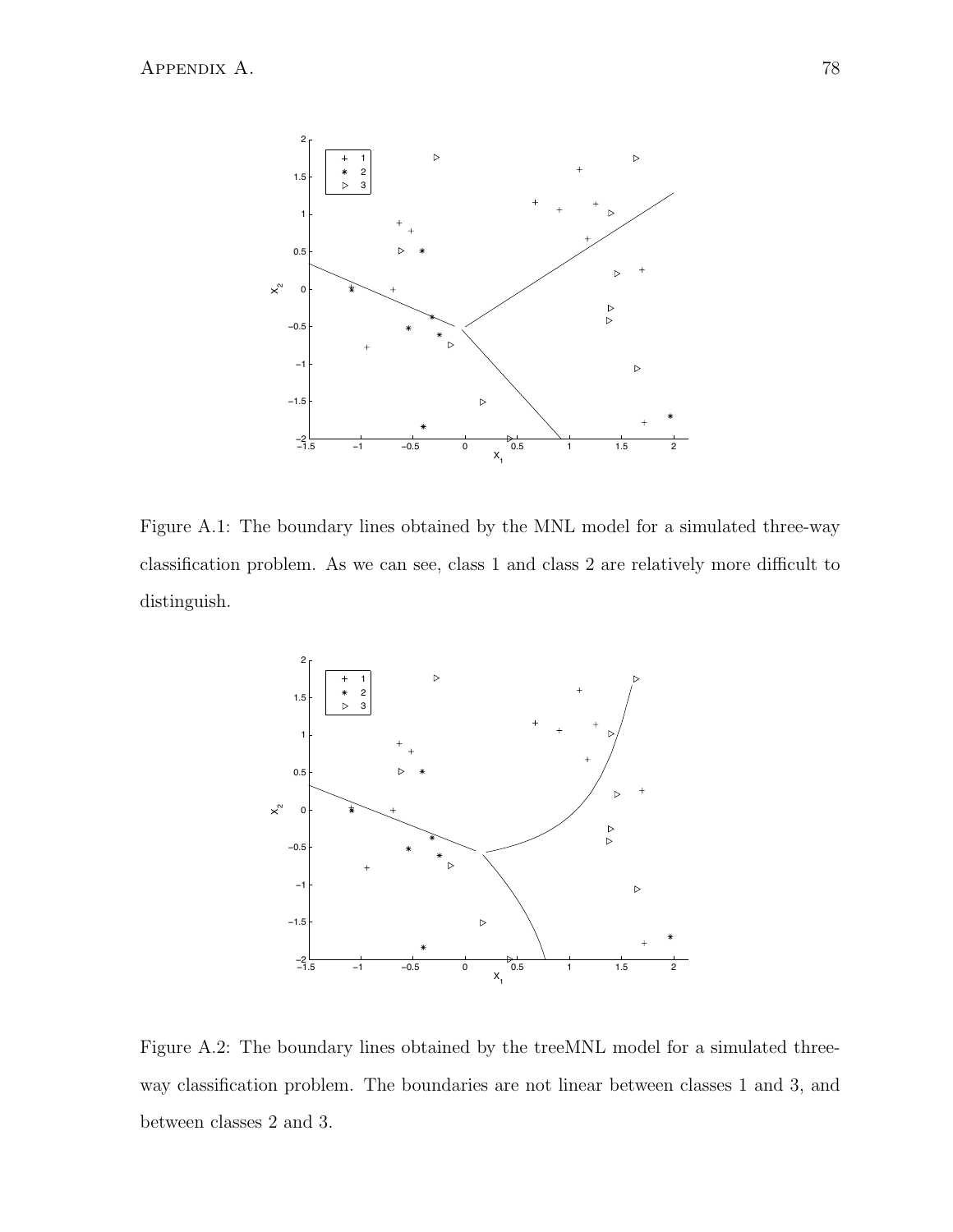

Figure A.1: The boundary lines obtained by the MNL model for a simulated three-way classification problem. As we can see, class 1 and class 2 are relatively more difficult to distinguish.



Figure A.2: The boundary lines obtained by the treeMNL model for a simulated threeway classification problem. The boundaries are not linear between classes 1 and 3, and between classes 2 and 3.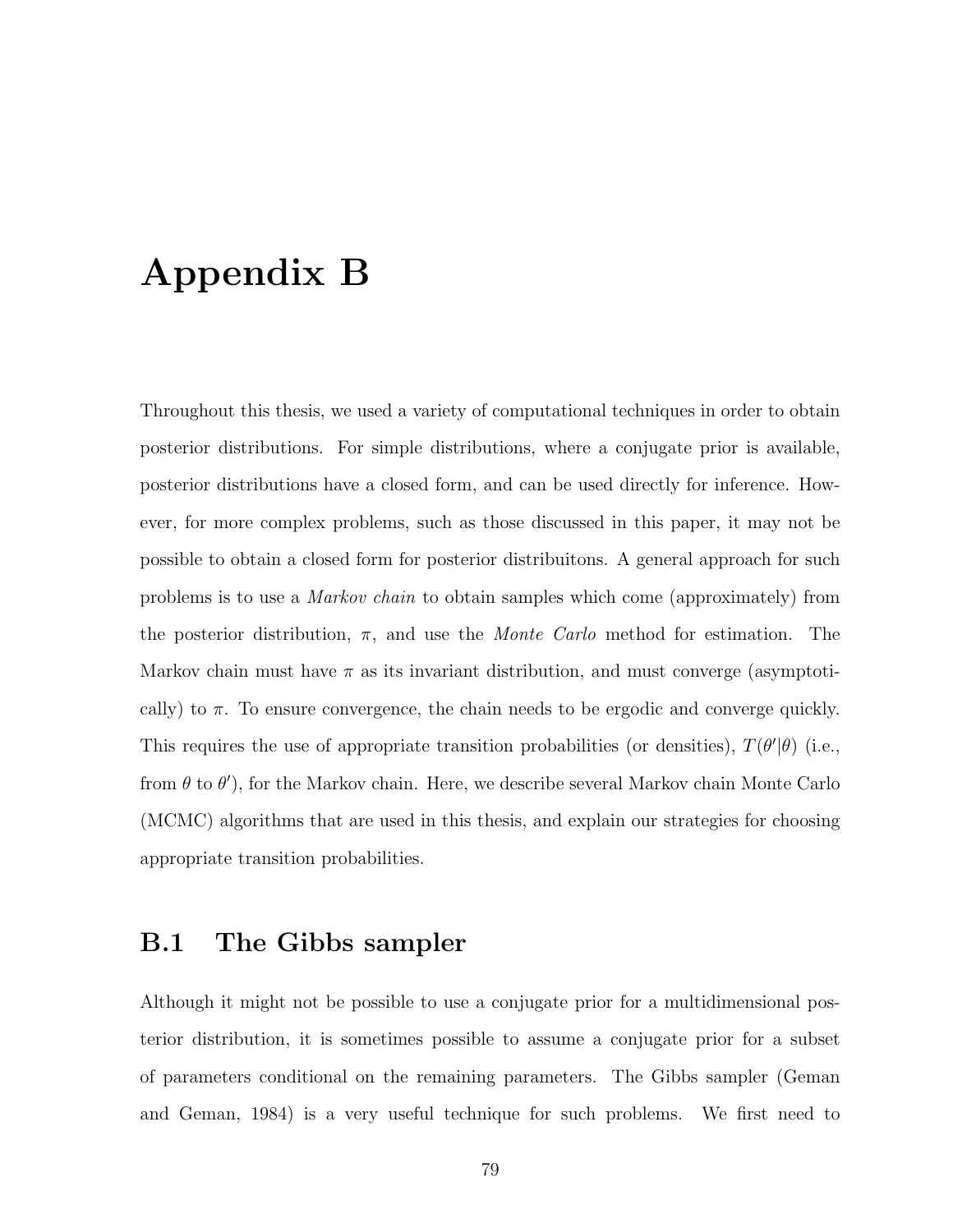## Appendix B

Throughout this thesis, we used a variety of computational techniques in order to obtain posterior distributions. For simple distributions, where a conjugate prior is available, posterior distributions have a closed form, and can be used directly for inference. However, for more complex problems, such as those discussed in this paper, it may not be possible to obtain a closed form for posterior distribuitons. A general approach for such problems is to use a Markov chain to obtain samples which come (approximately) from the posterior distribution,  $\pi$ , and use the *Monte Carlo* method for estimation. The Markov chain must have  $\pi$  as its invariant distribution, and must converge (asymptotically) to  $\pi$ . To ensure convergence, the chain needs to be ergodic and converge quickly. This requires the use of appropriate transition probabilities (or densities),  $T(\theta'|\theta)$  (i.e., from  $\theta$  to  $\theta'$ ), for the Markov chain. Here, we describe several Markov chain Monte Carlo (MCMC) algorithms that are used in this thesis, and explain our strategies for choosing appropriate transition probabilities.

### B.1 The Gibbs sampler

Although it might not be possible to use a conjugate prior for a multidimensional posterior distribution, it is sometimes possible to assume a conjugate prior for a subset of parameters conditional on the remaining parameters. The Gibbs sampler (Geman and Geman, 1984) is a very useful technique for such problems. We first need to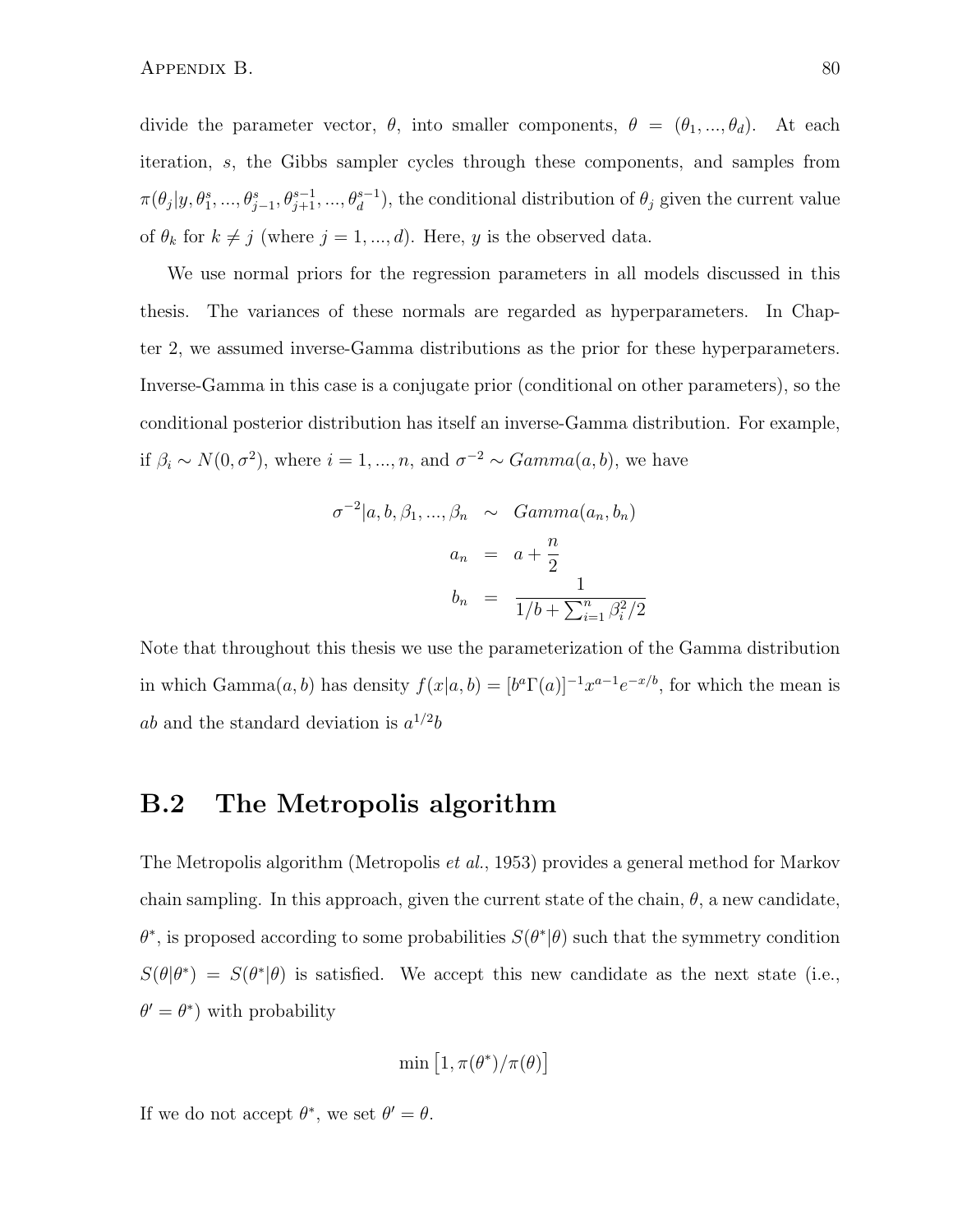divide the parameter vector,  $\theta$ , into smaller components,  $\theta = (\theta_1, ..., \theta_d)$ . At each iteration, s, the Gibbs sampler cycles through these components, and samples from  $\pi(\theta_j|y, \theta_1^s, ..., \theta_{j-1}^s, \theta_{j+1}^{s-1}, ..., \theta_d^{s-1}),$  the conditional distribution of  $\theta_j$  given the current value of  $\theta_k$  for  $k \neq j$  (where  $j = 1, ..., d$ ). Here, y is the observed data.

We use normal priors for the regression parameters in all models discussed in this thesis. The variances of these normals are regarded as hyperparameters. In Chapter 2, we assumed inverse-Gamma distributions as the prior for these hyperparameters. Inverse-Gamma in this case is a conjugate prior (conditional on other parameters), so the conditional posterior distribution has itself an inverse-Gamma distribution. For example, if  $\beta_i \sim N(0, \sigma^2)$ , where  $i = 1, ..., n$ , and  $\sigma^{-2} \sim Gamma(a, b)$ , we have

$$
\sigma^{-2}|a, b, \beta_1, ..., \beta_n \sim Gamma(a_n, b_n)
$$

$$
a_n = a + \frac{n}{2}
$$

$$
b_n = \frac{1}{1/b + \sum_{i=1}^n \beta_i^2/2}
$$

Note that throughout this thesis we use the parameterization of the Gamma distribution in which Gamma $(a, b)$  has density  $f(x|a, b) = [b^a \Gamma(a)]^{-1} x^{a-1} e^{-x/b}$ , for which the mean is ab and the standard deviation is  $a^{1/2}b$ 

### B.2 The Metropolis algorithm

The Metropolis algorithm (Metropolis et al., 1953) provides a general method for Markov chain sampling. In this approach, given the current state of the chain,  $\theta$ , a new candidate,  $\theta^*$ , is proposed according to some probabilities  $S(\theta^*|\theta)$  such that the symmetry condition  $S(\theta|\theta^*) = S(\theta^*|\theta)$  is satisfied. We accept this new candidate as the next state (i.e.,  $\theta' = \theta^*$  with probability

$$
\min\left[1,\pi(\theta^*)/\pi(\theta)\right]
$$

If we do not accept  $\theta^*$ , we set  $\theta' = \theta$ .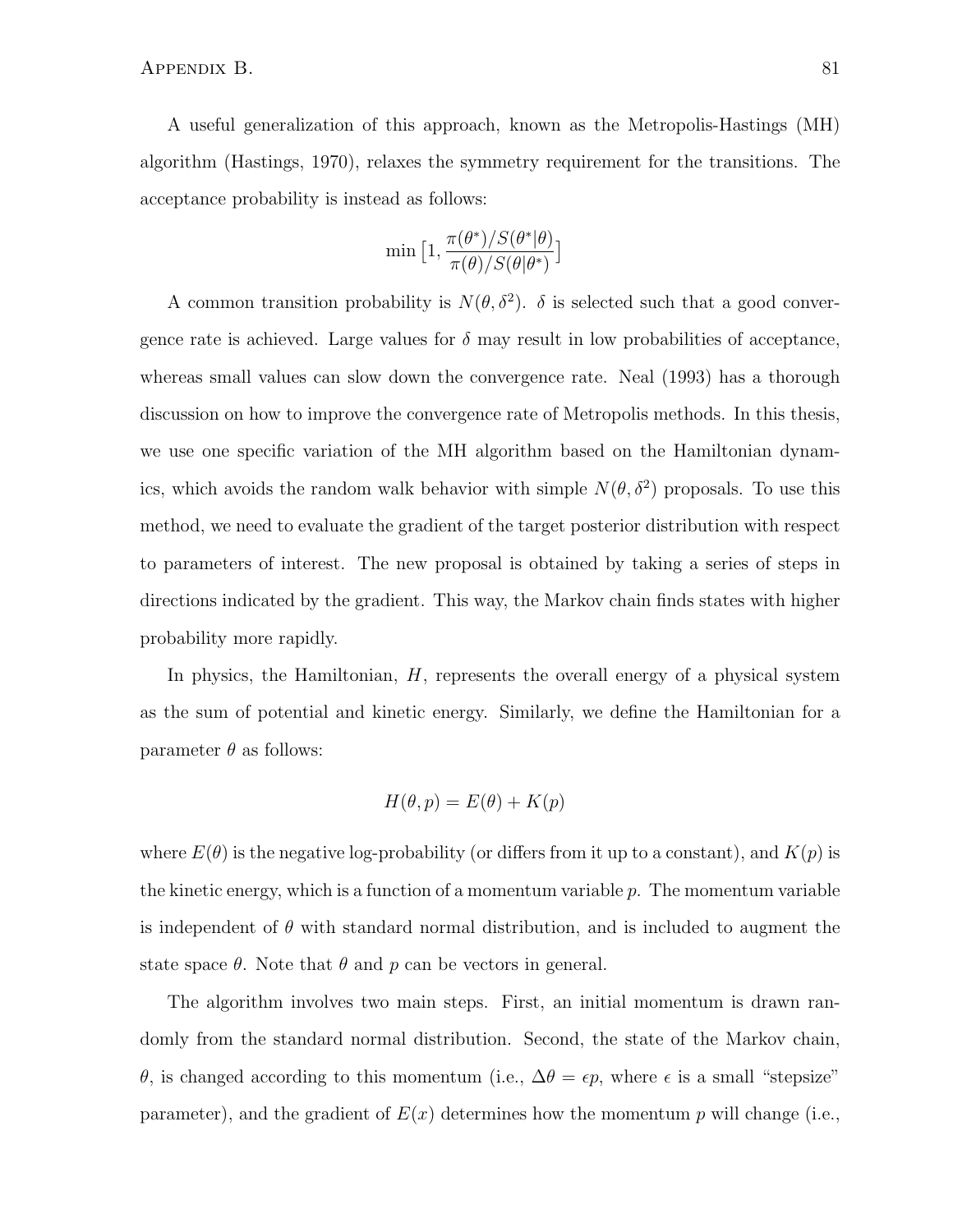A useful generalization of this approach, known as the Metropolis-Hastings (MH) algorithm (Hastings, 1970), relaxes the symmetry requirement for the transitions. The acceptance probability is instead as follows:

$$
\min\big[1,\frac{\pi(\theta^*)/S(\theta^*|\theta)}{\pi(\theta)/S(\theta|\theta^*)}\big]
$$

A common transition probability is  $N(\theta, \delta^2)$ .  $\delta$  is selected such that a good convergence rate is achieved. Large values for  $\delta$  may result in low probabilities of acceptance, whereas small values can slow down the convergence rate. Neal (1993) has a thorough discussion on how to improve the convergence rate of Metropolis methods. In this thesis, we use one specific variation of the MH algorithm based on the Hamiltonian dynamics, which avoids the random walk behavior with simple  $N(\theta, \delta^2)$  proposals. To use this method, we need to evaluate the gradient of the target posterior distribution with respect to parameters of interest. The new proposal is obtained by taking a series of steps in directions indicated by the gradient. This way, the Markov chain finds states with higher probability more rapidly.

In physics, the Hamiltonian,  $H$ , represents the overall energy of a physical system as the sum of potential and kinetic energy. Similarly, we define the Hamiltonian for a parameter  $\theta$  as follows:

$$
H(\theta, p) = E(\theta) + K(p)
$$

where  $E(\theta)$  is the negative log-probability (or differs from it up to a constant), and  $K(p)$  is the kinetic energy, which is a function of a momentum variable  $p$ . The momentum variable is independent of  $\theta$  with standard normal distribution, and is included to augment the state space  $\theta$ . Note that  $\theta$  and  $p$  can be vectors in general.

The algorithm involves two main steps. First, an initial momentum is drawn randomly from the standard normal distribution. Second, the state of the Markov chain, θ, is changed according to this momentum (i.e.,  $\Delta \theta = \epsilon p$ , where  $\epsilon$  is a small "stepsize" parameter), and the gradient of  $E(x)$  determines how the momentum p will change (i.e.,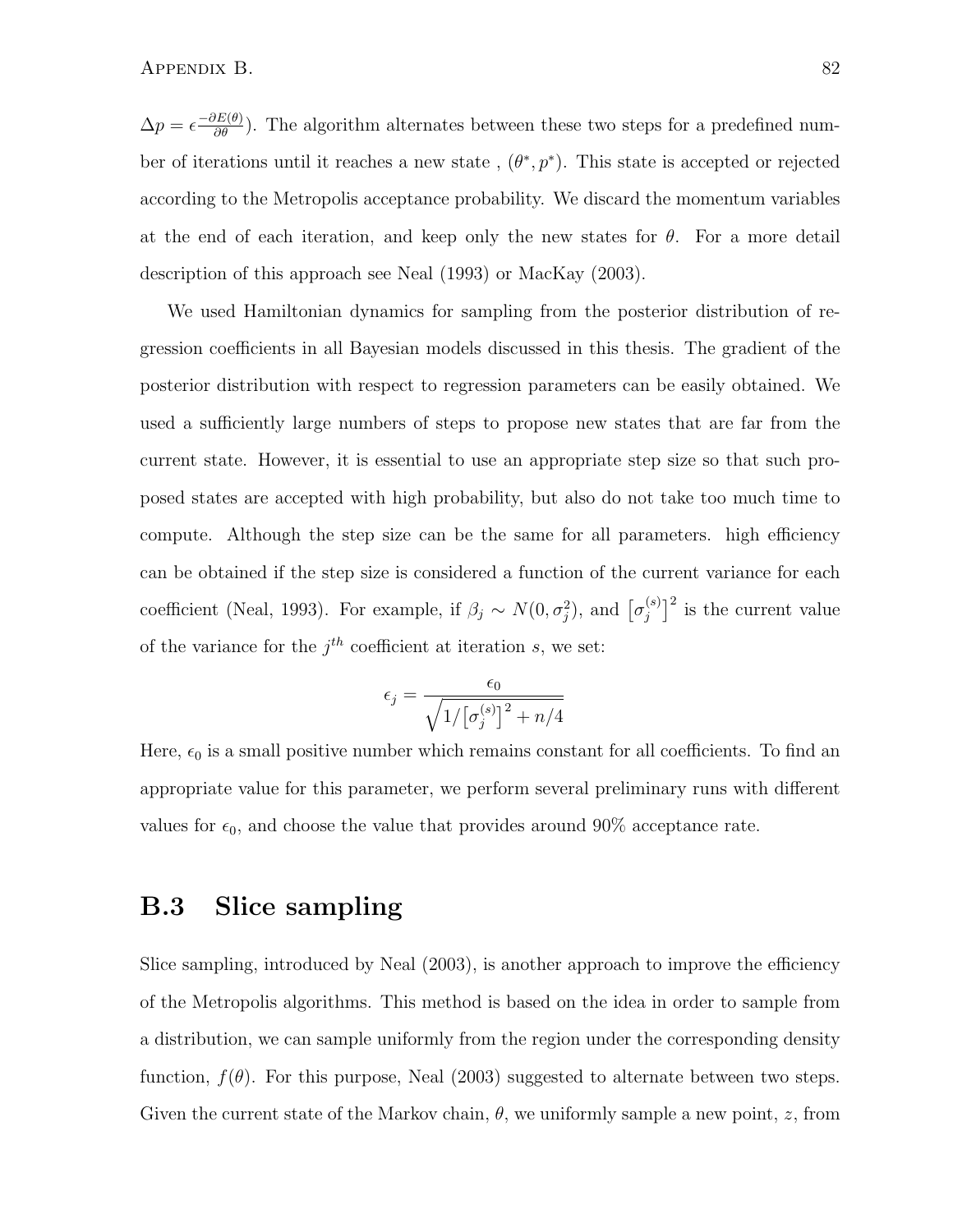$\Delta p = \epsilon \frac{-\partial E(\theta)}{\partial \theta}$ . The algorithm alternates between these two steps for a predefined number of iterations until it reaches a new state,  $(\theta^*, p^*)$ . This state is accepted or rejected according to the Metropolis acceptance probability. We discard the momentum variables at the end of each iteration, and keep only the new states for  $\theta$ . For a more detail description of this approach see Neal (1993) or MacKay (2003).

We used Hamiltonian dynamics for sampling from the posterior distribution of regression coefficients in all Bayesian models discussed in this thesis. The gradient of the posterior distribution with respect to regression parameters can be easily obtained. We used a sufficiently large numbers of steps to propose new states that are far from the current state. However, it is essential to use an appropriate step size so that such proposed states are accepted with high probability, but also do not take too much time to compute. Although the step size can be the same for all parameters. high efficiency can be obtained if the step size is considered a function of the current variance for each coefficient (Neal, 1993). For example, if  $\beta_j \sim N(0, \sigma_j^2)$ , and  $\left[\sigma_j^{(s)}\right]$  $\binom{s}{j}^2$  is the current value of the variance for the  $j<sup>th</sup>$  coefficient at iteration s, we set:

$$
\epsilon_j = \frac{\epsilon_0}{\sqrt{1/\left[\sigma_j^{(s)}\right]^2 + n/4}}
$$

Here,  $\epsilon_0$  is a small positive number which remains constant for all coefficients. To find an appropriate value for this parameter, we perform several preliminary runs with different values for  $\epsilon_0$ , and choose the value that provides around 90% acceptance rate.

### B.3 Slice sampling

Slice sampling, introduced by Neal (2003), is another approach to improve the efficiency of the Metropolis algorithms. This method is based on the idea in order to sample from a distribution, we can sample uniformly from the region under the corresponding density function,  $f(\theta)$ . For this purpose, Neal (2003) suggested to alternate between two steps. Given the current state of the Markov chain,  $\theta$ , we uniformly sample a new point, z, from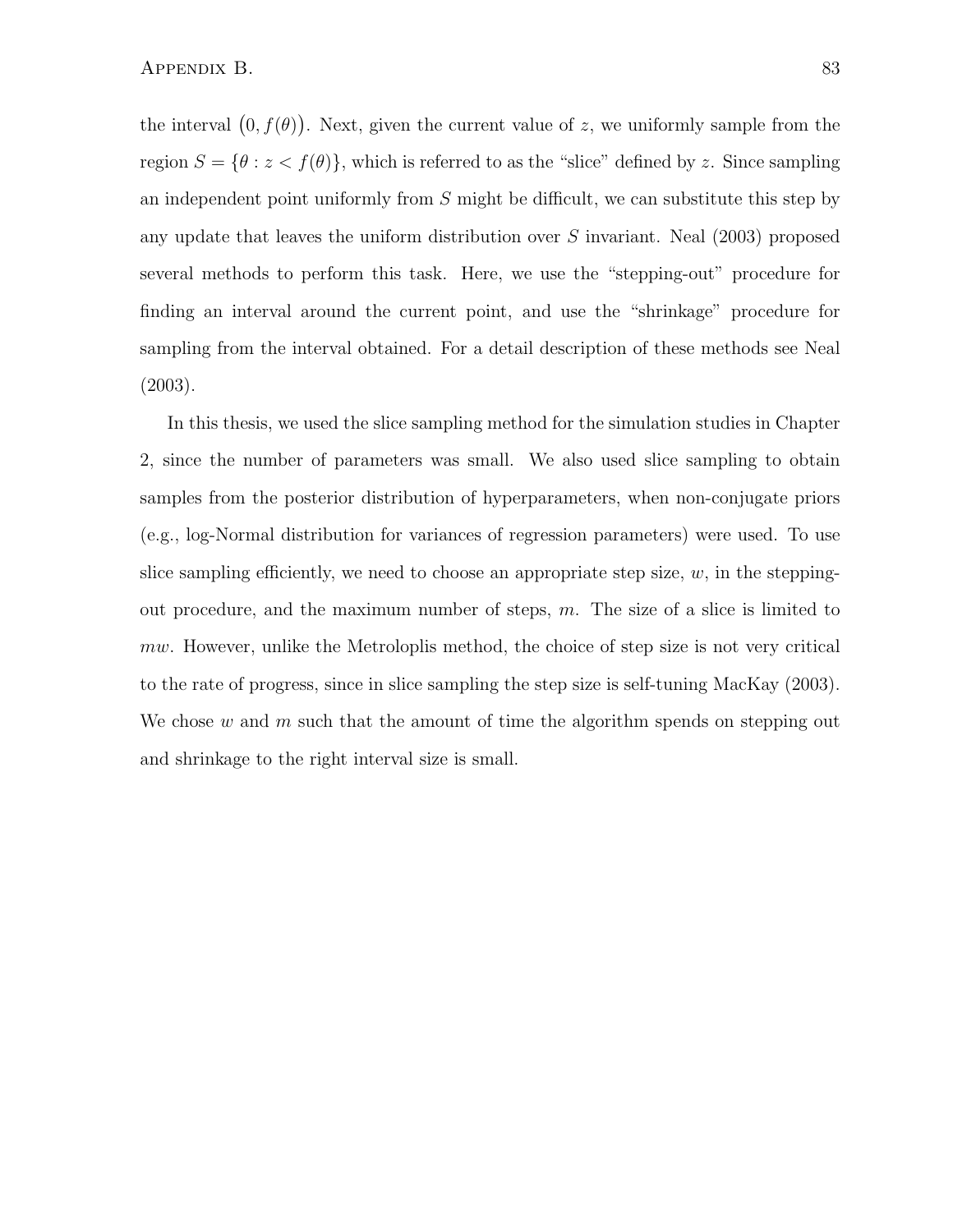the interval  $(0, f(\theta))$ . Next, given the current value of z, we uniformly sample from the region  $S = \{ \theta : z < f(\theta) \}$ , which is referred to as the "slice" defined by z. Since sampling an independent point uniformly from  $S$  might be difficult, we can substitute this step by any update that leaves the uniform distribution over S invariant. Neal (2003) proposed several methods to perform this task. Here, we use the "stepping-out" procedure for finding an interval around the current point, and use the "shrinkage" procedure for sampling from the interval obtained. For a detail description of these methods see Neal (2003).

In this thesis, we used the slice sampling method for the simulation studies in Chapter 2, since the number of parameters was small. We also used slice sampling to obtain samples from the posterior distribution of hyperparameters, when non-conjugate priors (e.g., log-Normal distribution for variances of regression parameters) were used. To use slice sampling efficiently, we need to choose an appropriate step size,  $w$ , in the steppingout procedure, and the maximum number of steps,  $m$ . The size of a slice is limited to mw. However, unlike the Metroloplis method, the choice of step size is not very critical to the rate of progress, since in slice sampling the step size is self-tuning MacKay (2003). We chose w and m such that the amount of time the algorithm spends on stepping out and shrinkage to the right interval size is small.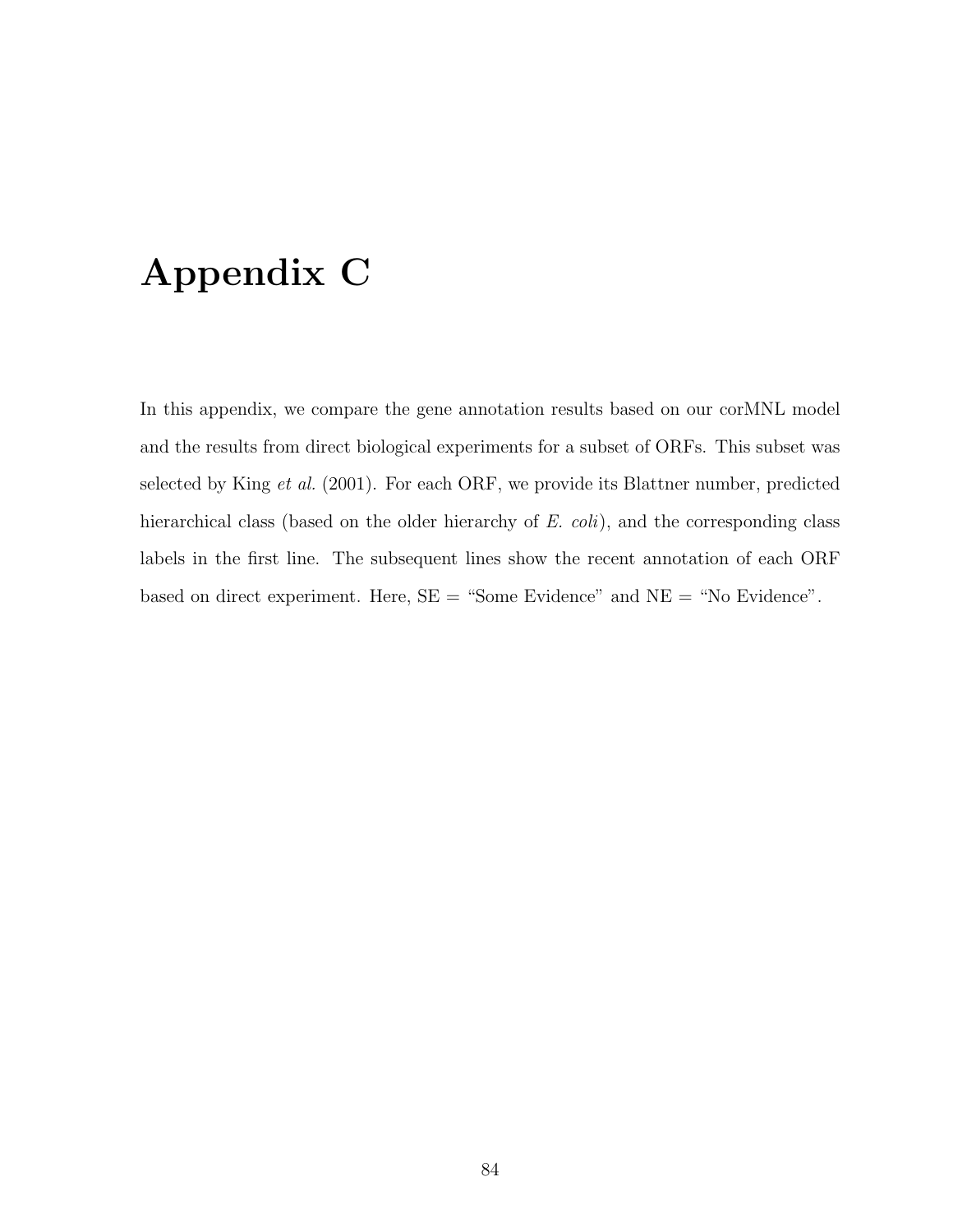## Appendix C

In this appendix, we compare the gene annotation results based on our corMNL model and the results from direct biological experiments for a subset of ORFs. This subset was selected by King et al. (2001). For each ORF, we provide its Blattner number, predicted hierarchical class (based on the older hierarchy of E. coli), and the corresponding class labels in the first line. The subsequent lines show the recent annotation of each ORF based on direct experiment. Here,  $SE =$  "Some Evidence" and  $NE =$  "No Evidence".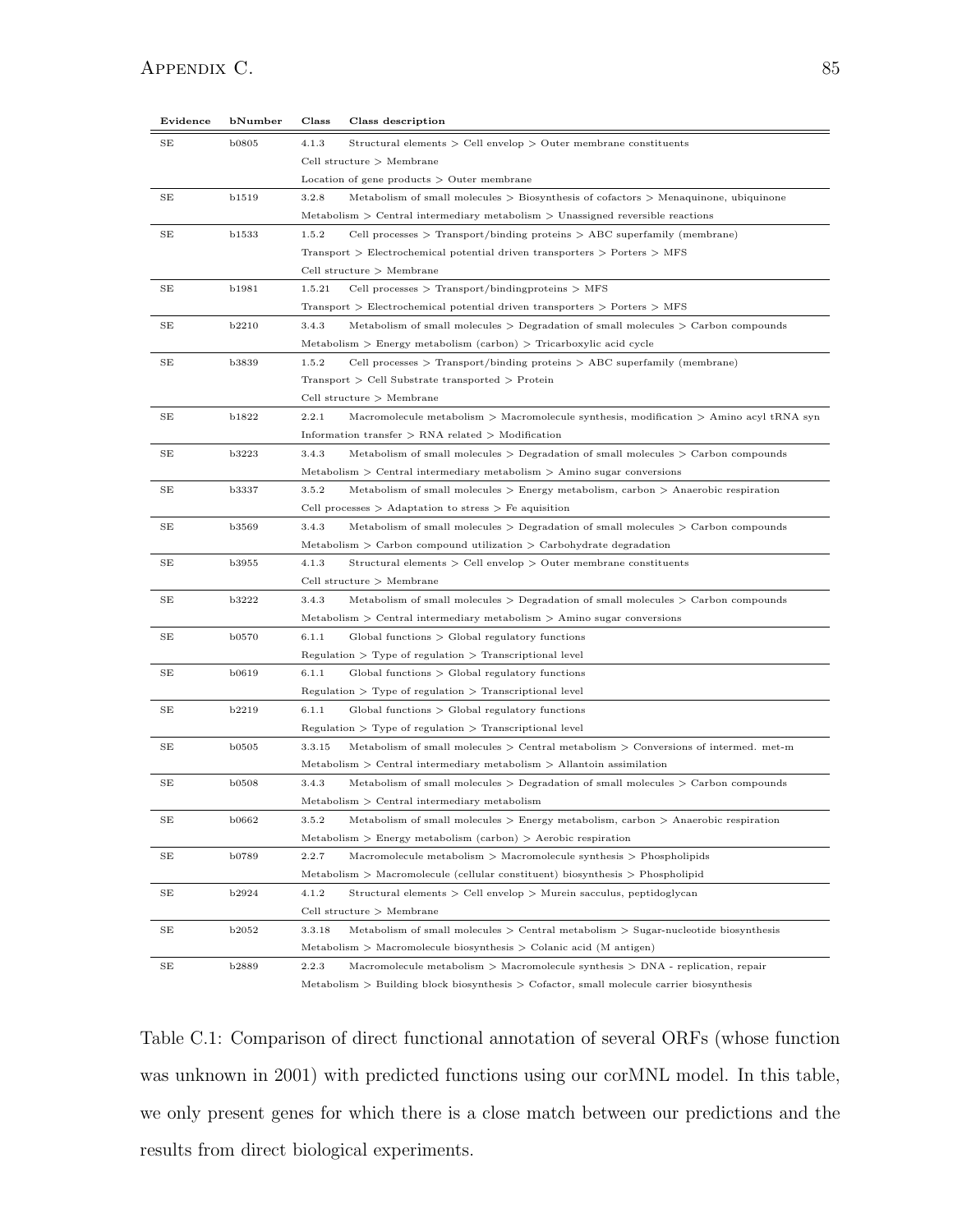| Evidence | bNumber      | Class                       | Class description                                                                                |
|----------|--------------|-----------------------------|--------------------------------------------------------------------------------------------------|
| SE       | <b>b0805</b> | 4.1.3                       | Structural elements $\ge$ Cell envelop $\ge$ Outer membrane constituents                         |
|          |              | Cell structure $>$ Membrane |                                                                                                  |
|          |              |                             | Location of gene products $>$ Outer membrane                                                     |
| SЕ       | b1519        | 3.2.8                       | Metabolism of small molecules $>$ Biosynthesis of cofactors $>$ Menaquinone, ubiquinone          |
|          |              |                             | Metabolism $\geq$ Central intermediary metabolism $\geq$ Unassigned reversible reactions         |
| SE       | <b>b1533</b> | 1.5.2                       | Cell processes $\geq$ Transport/binding proteins $\geq$ ABC superfamily (membrane)               |
|          |              |                             | Transport $\geq$ Electrochemical potential driven transporters $\geq$ Porters $\geq$ MFS         |
|          |              |                             | Cell structure $>$ Membrane                                                                      |
| SE       | b1981        | 1.5.21                      | Cell processes $\geq$ Transport/binding proteins $\geq$ MFS                                      |
|          |              |                             | Transport $\geq$ Electrochemical potential driven transporters $\geq$ Porters $\geq$ MFS         |
| SE       | <b>b2210</b> | 3.4.3                       | Metabolism of small molecules $\geq$ Degradation of small molecules $\geq$ Carbon compounds      |
|          |              |                             | $Metabolism > Energy metabolism (carbon) > Tricarboxylic acid cycle$                             |
| SE       | <b>b3839</b> | 1.5.2                       | Cell processes $\geq$ Transport/binding proteins $\geq$ ABC superfamily (membrane)               |
|          |              |                             | $Transport > Cell Substrate transported > Protein$                                               |
|          |              |                             | Cell structure $>$ Membrane                                                                      |
| SE       | b1822        | 2.2.1                       | Macromolecule metabolism $\geq$ Macromolecule synthesis, modification $\geq$ Amino acyl tRNA syn |
|          |              |                             | Information transfer $\geq$ RNA related $\geq$ Modification                                      |
| SE       | <b>b3223</b> | 3.4.3                       | Metabolism of small molecules $>$ Degradation of small molecules $>$ Carbon compounds            |
|          |              |                             | Metabolism $\geq$ Central intermediary metabolism $\geq$ Amino sugar conversions                 |
| SE       | <b>b3337</b> | 3.5.2                       | Metabolism of small molecules $\geq$ Energy metabolism, carbon $\geq$ Anaerobic respiration      |
|          |              |                             | Cell processes $>$ Adaptation to stress $>$ Fe aquisition                                        |
| SЕ       | <b>b3569</b> | 3.4.3                       | Metabolism of small molecules $>$ Degradation of small molecules $>$ Carbon compounds            |
|          |              |                             | $Metabolism > Carbon compound utilization > Carbonbydrate degradation$                           |
| SE       | <b>b3955</b> | 4.1.3                       | Structural elements $\ge$ Cell envelop $\ge$ Outer membrane constituents                         |
|          |              |                             | Cell structure $>$ Membrane                                                                      |
| SE       | <b>b3222</b> | 3.4.3                       | Metabolism of small molecules $\geq$ Degradation of small molecules $\geq$ Carbon compounds      |
|          |              |                             | $Metabolism > Central$ intermediary metabolism $\geq$ Amino sugar conversions                    |
| SЕ       | <b>b0570</b> | 6.1.1                       | $Global functions > Global regulatory functions$                                                 |
|          |              |                             | $Regularion > Type of regulation > Transcriptional level$                                        |
| SE       | b0619        | 6.1.1                       | $Global$ functions $\gt$ $Global$ regulatory functions                                           |
|          |              |                             | $Regularion > Type of regulation > Transcriptional level$                                        |
| SE       | b2219        | 6.1.1                       | $Global$ functions $\gt$ $Global$ regulatory functions                                           |
|          |              |                             | $Regularion > Type of regulation > Transcriptional level$                                        |
| SE       | <b>b0505</b> | 3.3.15                      | Metabolism of small molecules $>$ Central metabolism $>$ Conversions of intermed. met-m          |
|          |              |                             | $Metabolism > Central$ intermediary metabolism $>$ Allantoin assimilation                        |
| SE       | <b>b0508</b> | 3.4.3                       | Metabolism of small molecules $\geq$ Degradation of small molecules $\geq$ Carbon compounds      |
|          |              |                             | $Metabolism > Central$ intermediary metabolism                                                   |
| SЕ       | b0662        | 3.5.2                       | Metabolism of small molecules $>$ Energy metabolism, carbon $>$ Anaerobic respiration            |
|          |              |                             | $Metabolism > Energy metabolism (carbon) > Aerobic respiration$                                  |
| SE       | <b>b0789</b> | 2.2.7                       | $\text{Macromolecule}$ metabolism $\text{> Macromolecule}$ synthesis $\text{> Phospholipids}$    |
|          |              |                             | $Metabolism > Macromolecule (cellular constituent) biosynthesis > Phospholipid$                  |
| SЕ       | b2924        | 4.1.2                       | Structural elements $\ge$ Cell envelop $\geq$ Murein sacculus, peptidoglycan                     |
|          |              |                             | Cell structure $>$ Membrane                                                                      |
| SE       | <b>b2052</b> | 3.3.18                      | Metabolism of small molecules $\geq$ Central metabolism $\geq$ Sugar-nucleotide biosynthesis     |
|          |              |                             | $Metabolism > Macromolecule biosynthesis > Colanic acid (M antigen)$                             |
| SE       | <b>b2889</b> | 2.2.3                       | Macromolecule metabolism $\geq$ Macromolecule synthesis $\geq$ DNA - replication, repair         |

 $\operatorname{Metabolism}$   $>$  Building block biosynthesis  $>$  Cofactor, small molecule carrier biosynthesis

Table C.1: Comparison of direct functional annotation of several ORFs (whose function was unknown in 2001) with predicted functions using our corMNL model. In this table, we only present genes for which there is a close match between our predictions and the results from direct biological experiments.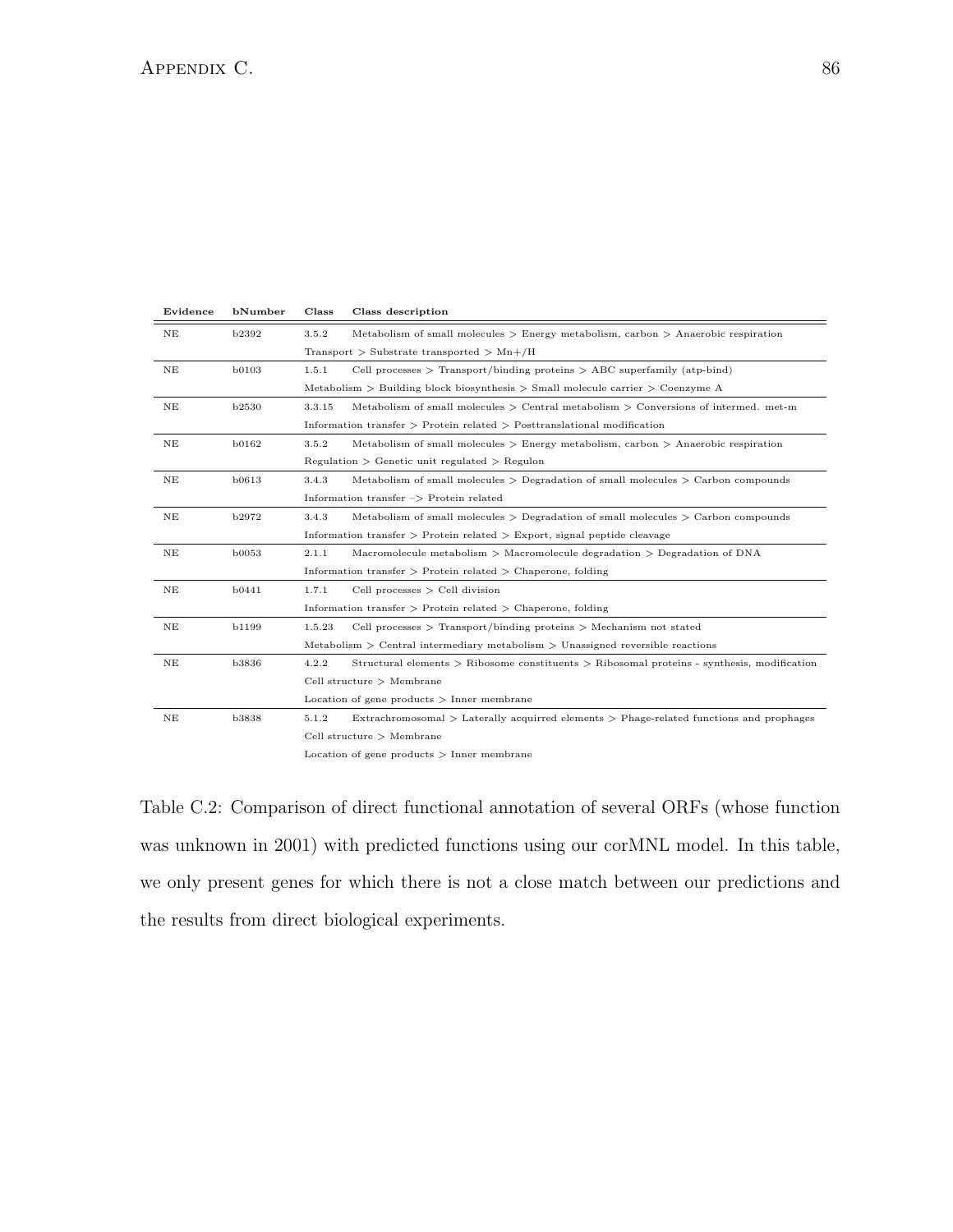| Evidence | bNumber      | Class                                                                 | Class description                                                                              |
|----------|--------------|-----------------------------------------------------------------------|------------------------------------------------------------------------------------------------|
| NE       | b2392        | 3.5.2                                                                 | Metabolism of small molecules $\geq$ Energy metabolism, carbon $\geq$ Anaerobic respiration    |
|          |              |                                                                       | Transport $>$ Substrate transported $>$ Mn+/H                                                  |
| NΕ       | <b>b0103</b> | 1.5.1                                                                 | Cell processes $\geq$ Transport/binding proteins $\geq$ ABC superfamily (atp-bind)             |
|          |              |                                                                       | Metabolism $>$ Building block biosynthesis $>$ Small molecule carrier $>$ Coenzyme A           |
| NE       | <b>b2530</b> | 3.3.15                                                                | Metabolism of small molecules $>$ Central metabolism $>$ Conversions of intermed. met-m        |
|          |              |                                                                       | Information transfer $\geq$ Protein related $\geq$ Posttranslational modification              |
| NΕ       | b0162        | 3.5.2                                                                 | Metabolism of small molecules $\geq$ Energy metabolism, carbon $\geq$ Anaerobic respiration    |
|          |              |                                                                       | $Regularion > Genetic unit regulated > Regular$                                                |
| NΕ       | <b>b0613</b> | 3.4.3                                                                 | Metabolism of small molecules $\geq$ Degradation of small molecules $\geq$ Carbon compounds    |
|          |              |                                                                       | Information transfer $\Rightarrow$ Protein related                                             |
| NΕ       | b2972        | 3.4.3                                                                 | Metabolism of small molecules $\geq$ Degradation of small molecules $\geq$ Carbon compounds    |
|          |              |                                                                       | Information transfer $\geq$ Protein related $\geq$ Export, signal peptide cleavage             |
| NE       | <b>b0053</b> | 2.1.1                                                                 | Macromolecule metabolism $>$ Macromolecule degradation $>$ Degradation of DNA                  |
|          |              | Information transfer $\geq$ Protein related $\geq$ Chaperone, folding |                                                                                                |
| NE       | b0441        | 1.7.1                                                                 | Cell processes $\ge$ Cell division                                                             |
|          |              | Information transfer $\geq$ Protein related $\geq$ Chaperone, folding |                                                                                                |
| NE       | b1199        | 1.5.23                                                                | Cell processes $\geq$ Transport/binding proteins $\geq$ Mechanism not stated                   |
|          |              |                                                                       | Metabolism $\geq$ Central intermediary metabolism $\geq$ Unassigned reversible reactions       |
| NE       | <b>b3836</b> | 4.2.2                                                                 | Structural elements $>$ Ribosome constituents $>$ Ribosomal proteins - synthesis, modification |
|          |              |                                                                       | Cell structure $>$ Membrane                                                                    |
|          |              |                                                                       | Location of gene products $>$ Inner membrane                                                   |
| NE       | <b>b3838</b> | 5.1.2                                                                 | Extrachromosomal > Laterally acquirred elements > Phage-related functions and prophages        |
|          |              | Cell structure $>$ Membrane                                           |                                                                                                |
|          |              | Location of gene products $>$ Inner membrane                          |                                                                                                |

Table C.2: Comparison of direct functional annotation of several ORFs (whose function was unknown in 2001) with predicted functions using our corMNL model. In this table, we only present genes for which there is not a close match between our predictions and the results from direct biological experiments.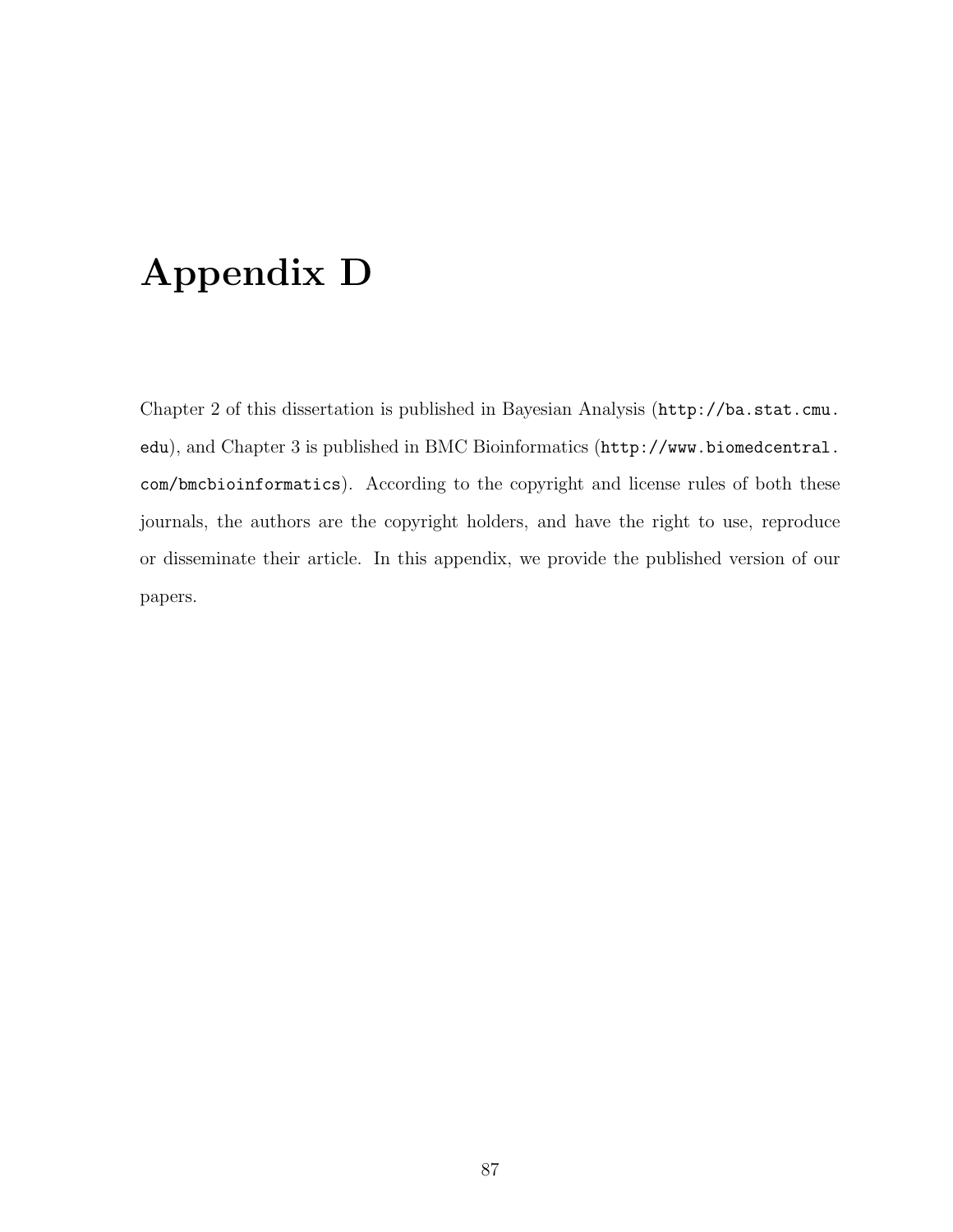## Appendix D

Chapter 2 of this dissertation is published in Bayesian Analysis (http://ba.stat.cmu. edu), and Chapter 3 is published in BMC Bioinformatics (http://www.biomedcentral. com/bmcbioinformatics). According to the copyright and license rules of both these journals, the authors are the copyright holders, and have the right to use, reproduce or disseminate their article. In this appendix, we provide the published version of our papers.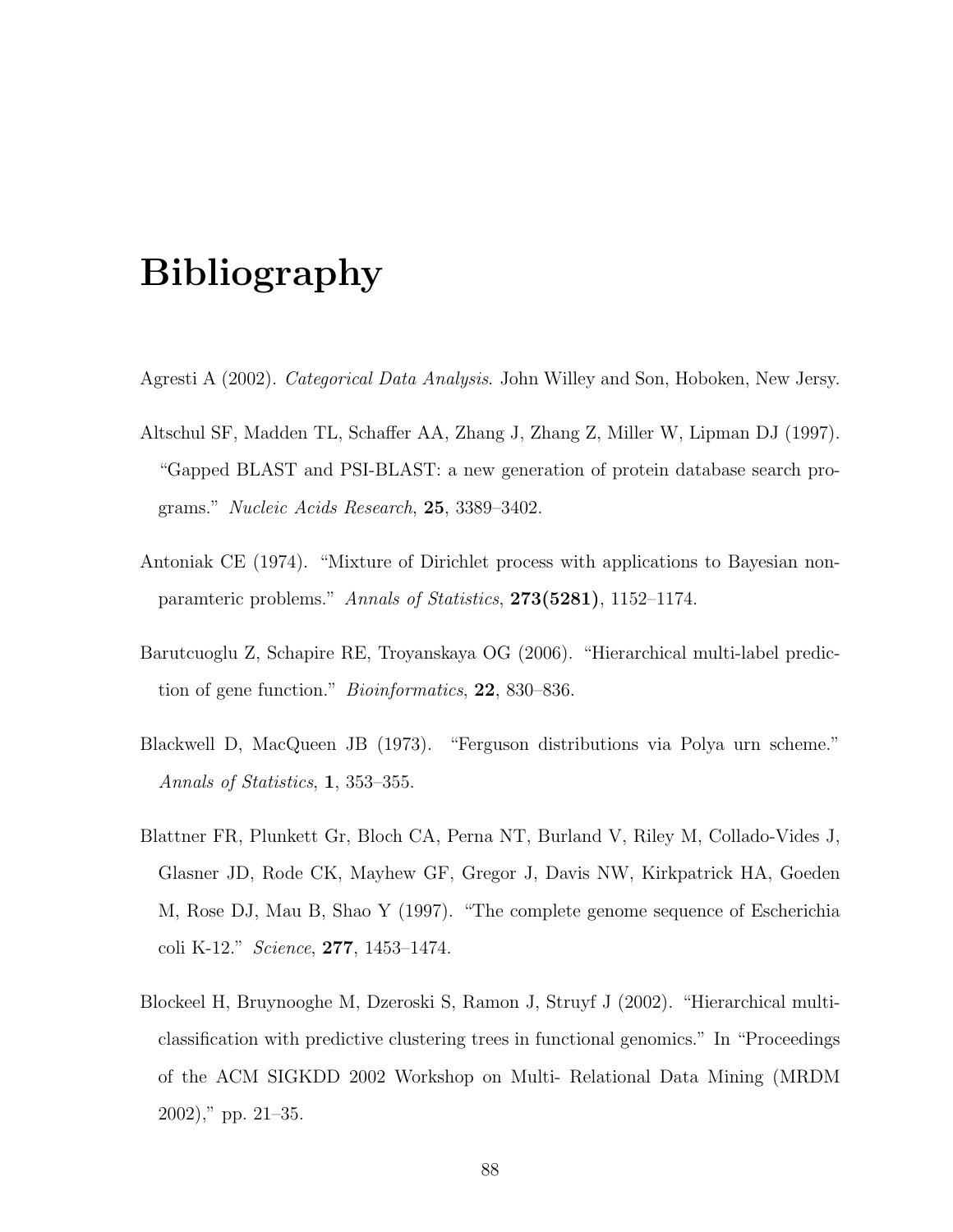## Bibliography

- Agresti A (2002). Categorical Data Analysis. John Willey and Son, Hoboken, New Jersy.
- Altschul SF, Madden TL, Schaffer AA, Zhang J, Zhang Z, Miller W, Lipman DJ (1997). "Gapped BLAST and PSI-BLAST: a new generation of protein database search programs." Nucleic Acids Research, 25, 3389–3402.
- Antoniak CE (1974). "Mixture of Dirichlet process with applications to Bayesian nonparamteric problems." Annals of Statistics, 273(5281), 1152–1174.
- Barutcuoglu Z, Schapire RE, Troyanskaya OG (2006). "Hierarchical multi-label prediction of gene function." Bioinformatics, 22, 830–836.
- Blackwell D, MacQueen JB (1973). "Ferguson distributions via Polya urn scheme." Annals of Statistics, 1, 353–355.
- Blattner FR, Plunkett Gr, Bloch CA, Perna NT, Burland V, Riley M, Collado-Vides J, Glasner JD, Rode CK, Mayhew GF, Gregor J, Davis NW, Kirkpatrick HA, Goeden M, Rose DJ, Mau B, Shao Y (1997). "The complete genome sequence of Escherichia coli K-12." Science, 277, 1453–1474.
- Blockeel H, Bruynooghe M, Dzeroski S, Ramon J, Struyf J (2002). "Hierarchical multiclassification with predictive clustering trees in functional genomics." In "Proceedings of the ACM SIGKDD 2002 Workshop on Multi- Relational Data Mining (MRDM 2002)," pp. 21–35.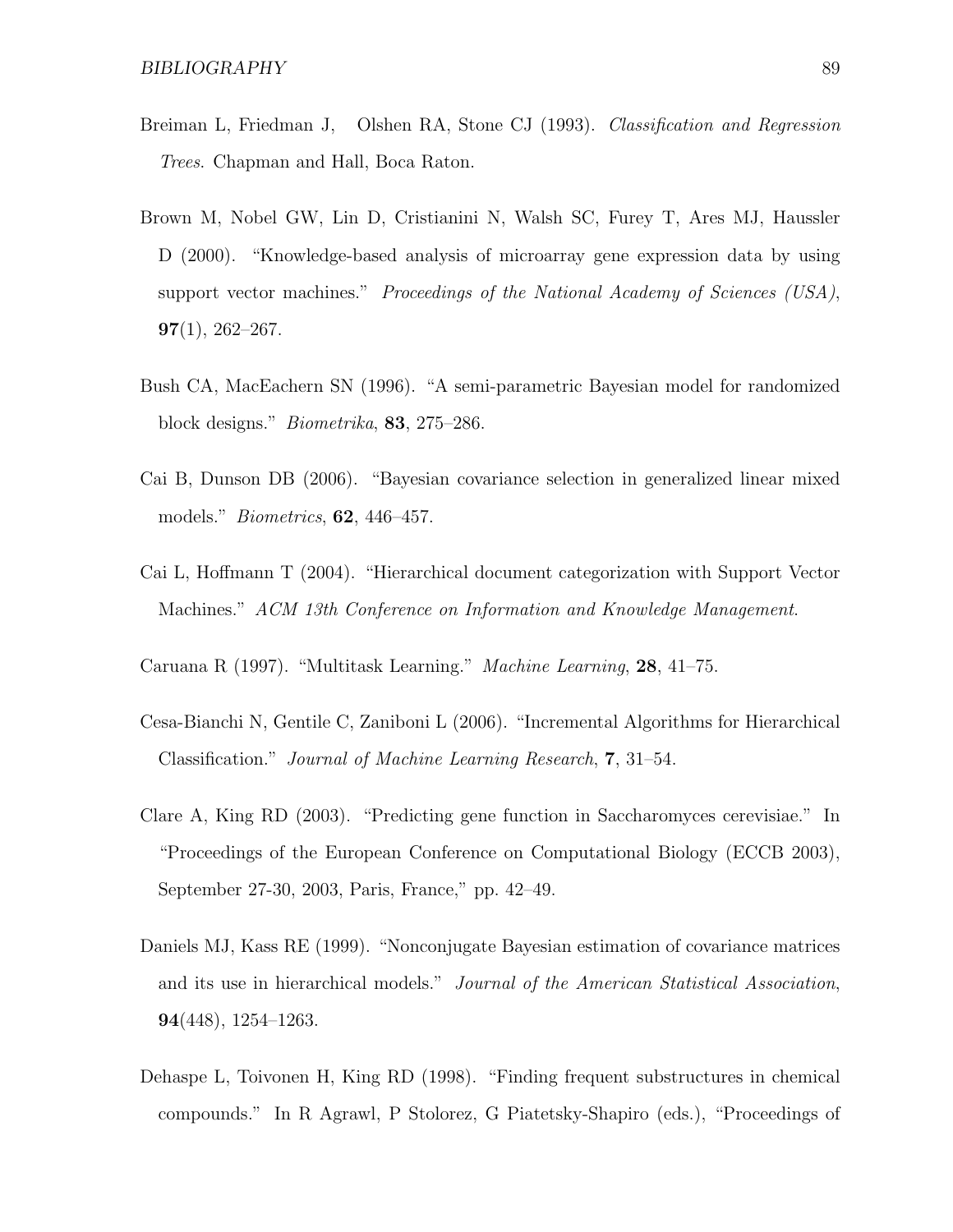- Breiman L, Friedman J, Olshen RA, Stone CJ (1993). Classification and Regression Trees. Chapman and Hall, Boca Raton.
- Brown M, Nobel GW, Lin D, Cristianini N, Walsh SC, Furey T, Ares MJ, Haussler D (2000). "Knowledge-based analysis of microarray gene expression data by using support vector machines." Proceedings of the National Academy of Sciences (USA),  $97(1), 262 - 267.$
- Bush CA, MacEachern SN (1996). "A semi-parametric Bayesian model for randomized block designs." Biometrika, 83, 275–286.
- Cai B, Dunson DB (2006). "Bayesian covariance selection in generalized linear mixed models." Biometrics, 62, 446–457.
- Cai L, Hoffmann T (2004). "Hierarchical document categorization with Support Vector Machines." ACM 13th Conference on Information and Knowledge Management.
- Caruana R (1997). "Multitask Learning." Machine Learning, 28, 41–75.
- Cesa-Bianchi N, Gentile C, Zaniboni L (2006). "Incremental Algorithms for Hierarchical Classification." Journal of Machine Learning Research, 7, 31–54.
- Clare A, King RD (2003). "Predicting gene function in Saccharomyces cerevisiae." In "Proceedings of the European Conference on Computational Biology (ECCB 2003), September 27-30, 2003, Paris, France," pp. 42–49.
- Daniels MJ, Kass RE (1999). "Nonconjugate Bayesian estimation of covariance matrices and its use in hierarchical models." Journal of the American Statistical Association, 94(448), 1254–1263.
- Dehaspe L, Toivonen H, King RD (1998). "Finding frequent substructures in chemical compounds." In R Agrawl, P Stolorez, G Piatetsky-Shapiro (eds.), "Proceedings of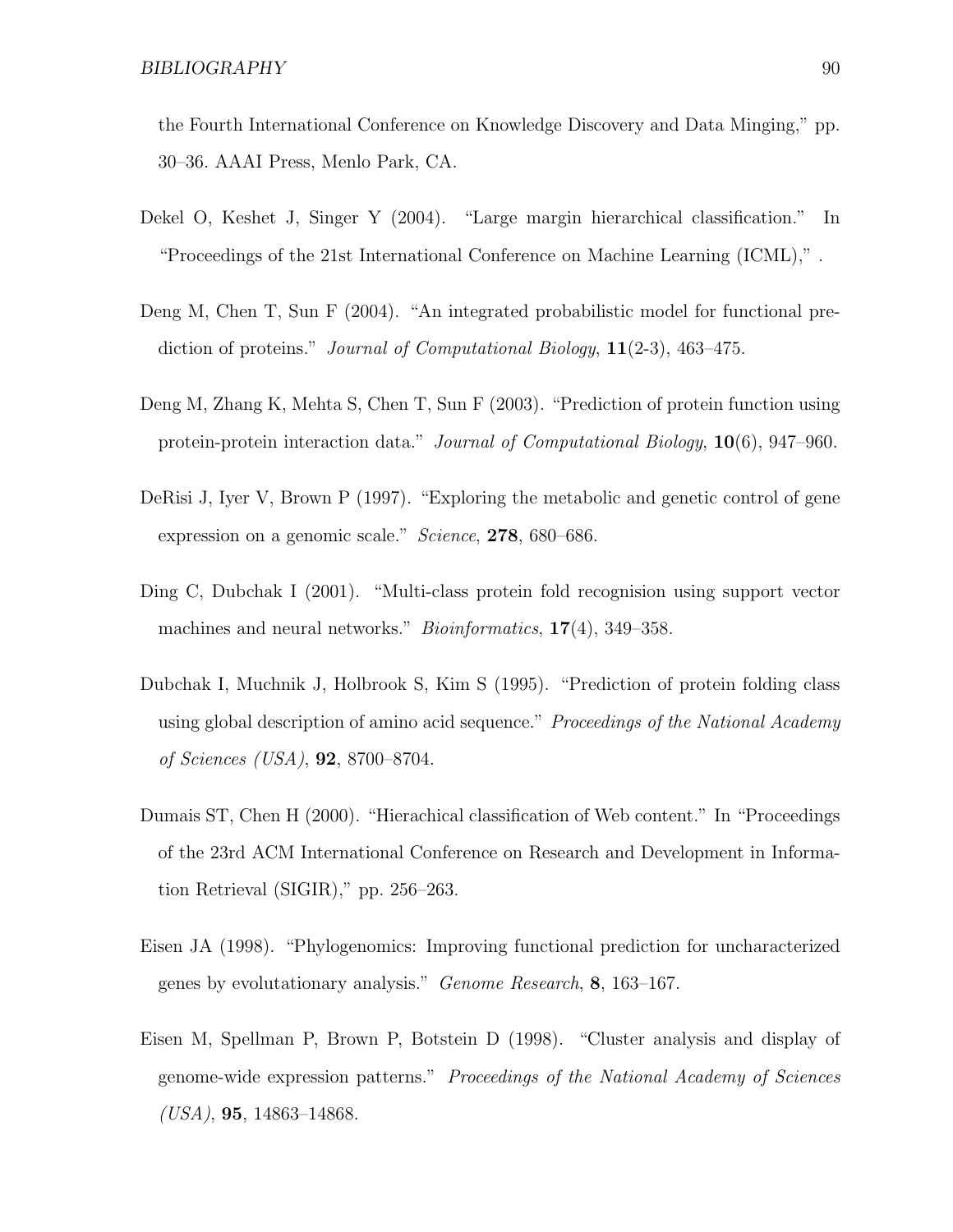the Fourth International Conference on Knowledge Discovery and Data Minging," pp. 30–36. AAAI Press, Menlo Park, CA.

- Dekel O, Keshet J, Singer Y (2004). "Large margin hierarchical classification." In "Proceedings of the 21st International Conference on Machine Learning (ICML)," .
- Deng M, Chen T, Sun F (2004). "An integrated probabilistic model for functional prediction of proteins." *Journal of Computational Biology*, **11**(2-3), 463–475.
- Deng M, Zhang K, Mehta S, Chen T, Sun F (2003). "Prediction of protein function using protein-protein interaction data." Journal of Computational Biology, 10(6), 947–960.
- DeRisi J, Iyer V, Brown P (1997). "Exploring the metabolic and genetic control of gene expression on a genomic scale." Science, 278, 680–686.
- Ding C, Dubchak I (2001). "Multi-class protein fold recognision using support vector machines and neural networks." *Bioinformatics*, 17(4), 349–358.
- Dubchak I, Muchnik J, Holbrook S, Kim S (1995). "Prediction of protein folding class using global description of amino acid sequence." *Proceedings of the National Academy* of Sciences (USA), 92, 8700–8704.
- Dumais ST, Chen H (2000). "Hierachical classification of Web content." In "Proceedings of the 23rd ACM International Conference on Research and Development in Information Retrieval (SIGIR)," pp. 256–263.
- Eisen JA (1998). "Phylogenomics: Improving functional prediction for uncharacterized genes by evolutationary analysis." Genome Research, 8, 163–167.
- Eisen M, Spellman P, Brown P, Botstein D (1998). "Cluster analysis and display of genome-wide expression patterns." Proceedings of the National Academy of Sciences  $(USA),$  95, 14863-14868.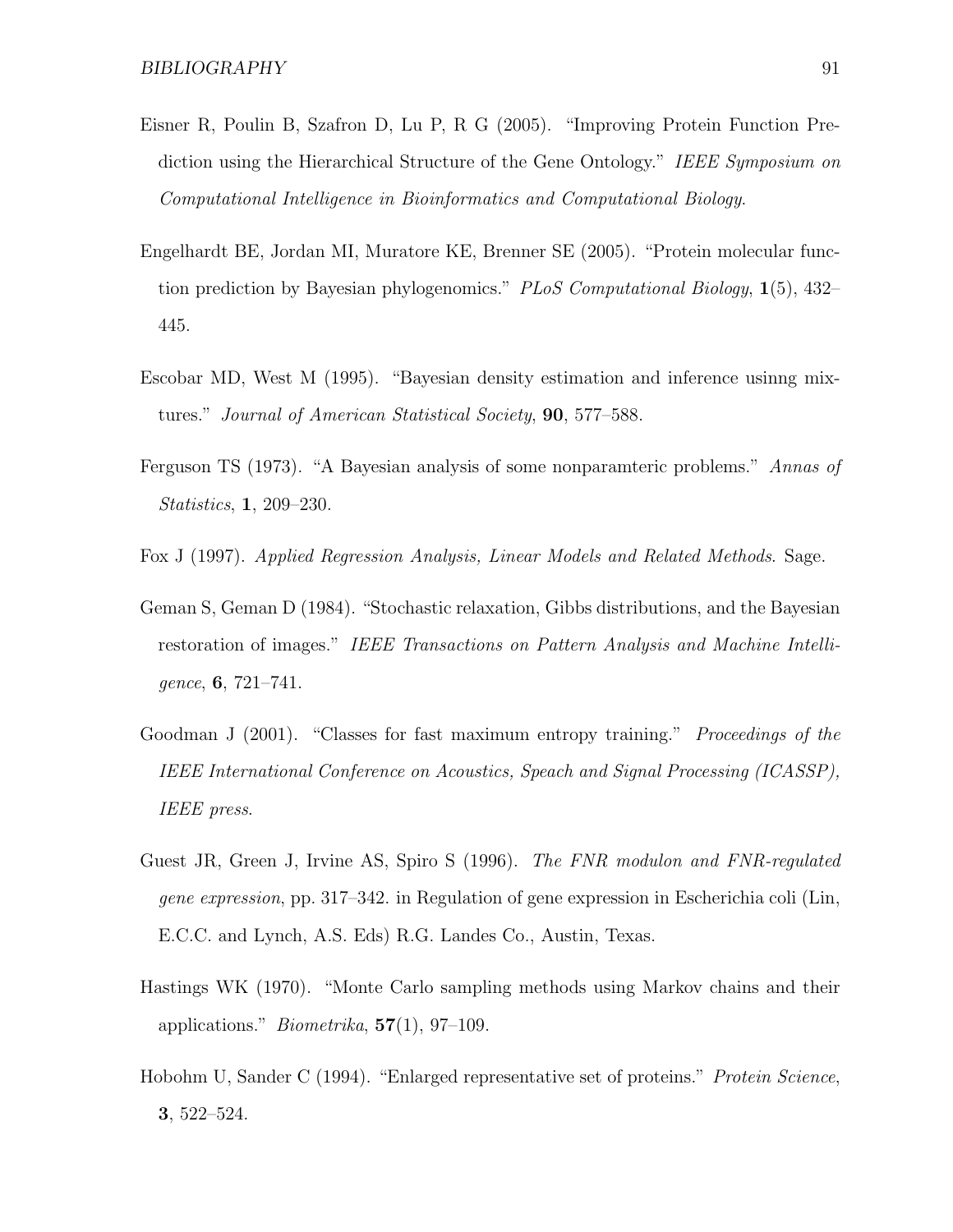- Eisner R, Poulin B, Szafron D, Lu P, R G (2005). "Improving Protein Function Prediction using the Hierarchical Structure of the Gene Ontology." IEEE Symposium on Computational Intelligence in Bioinformatics and Computational Biology.
- Engelhardt BE, Jordan MI, Muratore KE, Brenner SE (2005). "Protein molecular function prediction by Bayesian phylogenomics." PLoS Computational Biology,  $1(5)$ , 432– 445.
- Escobar MD, West M (1995). "Bayesian density estimation and inference usinng mixtures." Journal of American Statistical Society, 90, 577–588.
- Ferguson TS (1973). "A Bayesian analysis of some nonparamteric problems." Annas of Statistics, 1, 209–230.
- Fox J (1997). Applied Regression Analysis, Linear Models and Related Methods. Sage.
- Geman S, Geman D (1984). "Stochastic relaxation, Gibbs distributions, and the Bayesian restoration of images." IEEE Transactions on Pattern Analysis and Machine Intelligence, 6, 721–741.
- Goodman J (2001). "Classes for fast maximum entropy training." *Proceedings of the* IEEE International Conference on Acoustics, Speach and Signal Processing (ICASSP), IEEE press.
- Guest JR, Green J, Irvine AS, Spiro S (1996). The FNR modulon and FNR-regulated gene expression, pp. 317–342. in Regulation of gene expression in Escherichia coli (Lin, E.C.C. and Lynch, A.S. Eds) R.G. Landes Co., Austin, Texas.
- Hastings WK (1970). "Monte Carlo sampling methods using Markov chains and their applications." *Biometrika*,  $57(1)$ ,  $97-109$ .
- Hobohm U, Sander C (1994). "Enlarged representative set of proteins." Protein Science, 3, 522–524.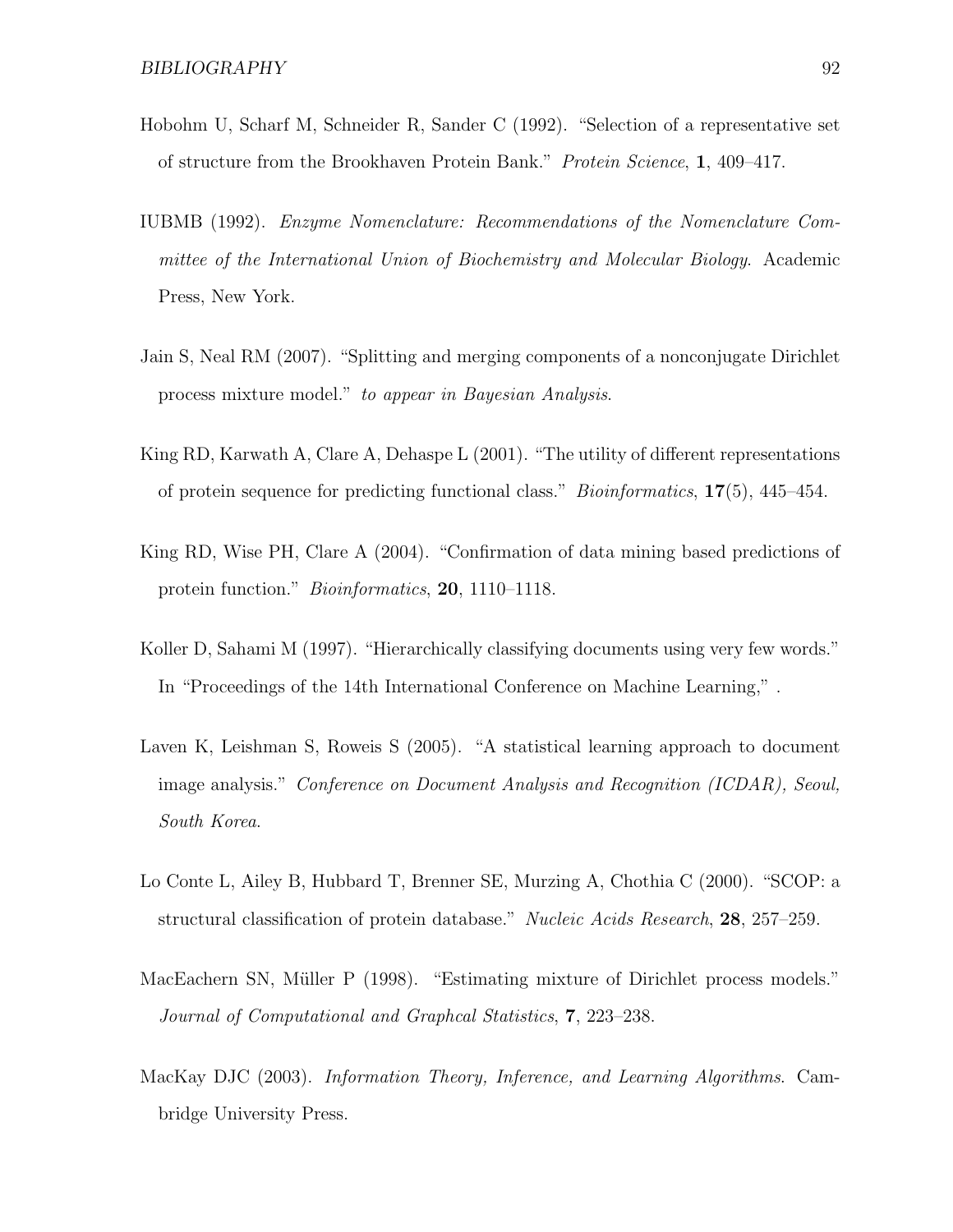- Hobohm U, Scharf M, Schneider R, Sander C (1992). "Selection of a representative set of structure from the Brookhaven Protein Bank." Protein Science, 1, 409–417.
- IUBMB (1992). Enzyme Nomenclature: Recommendations of the Nomenclature Committee of the International Union of Biochemistry and Molecular Biology. Academic Press, New York.
- Jain S, Neal RM (2007). "Splitting and merging components of a nonconjugate Dirichlet process mixture model." to appear in Bayesian Analysis.
- King RD, Karwath A, Clare A, Dehaspe L (2001). "The utility of different representations of protein sequence for predicting functional class." Bioinformatics, 17(5), 445–454.
- King RD, Wise PH, Clare A (2004). "Confirmation of data mining based predictions of protein function." Bioinformatics, 20, 1110–1118.
- Koller D, Sahami M (1997). "Hierarchically classifying documents using very few words." In "Proceedings of the 14th International Conference on Machine Learning," .
- Laven K, Leishman S, Roweis S (2005). "A statistical learning approach to document image analysis." Conference on Document Analysis and Recognition (ICDAR), Seoul, South Korea.
- Lo Conte L, Ailey B, Hubbard T, Brenner SE, Murzing A, Chothia C (2000). "SCOP: a structural classification of protein database." Nucleic Acids Research, 28, 257–259.
- MacEachern SN, Müller P (1998). "Estimating mixture of Dirichlet process models." Journal of Computational and Graphcal Statistics, 7, 223–238.
- MacKay DJC (2003). Information Theory, Inference, and Learning Algorithms. Cambridge University Press.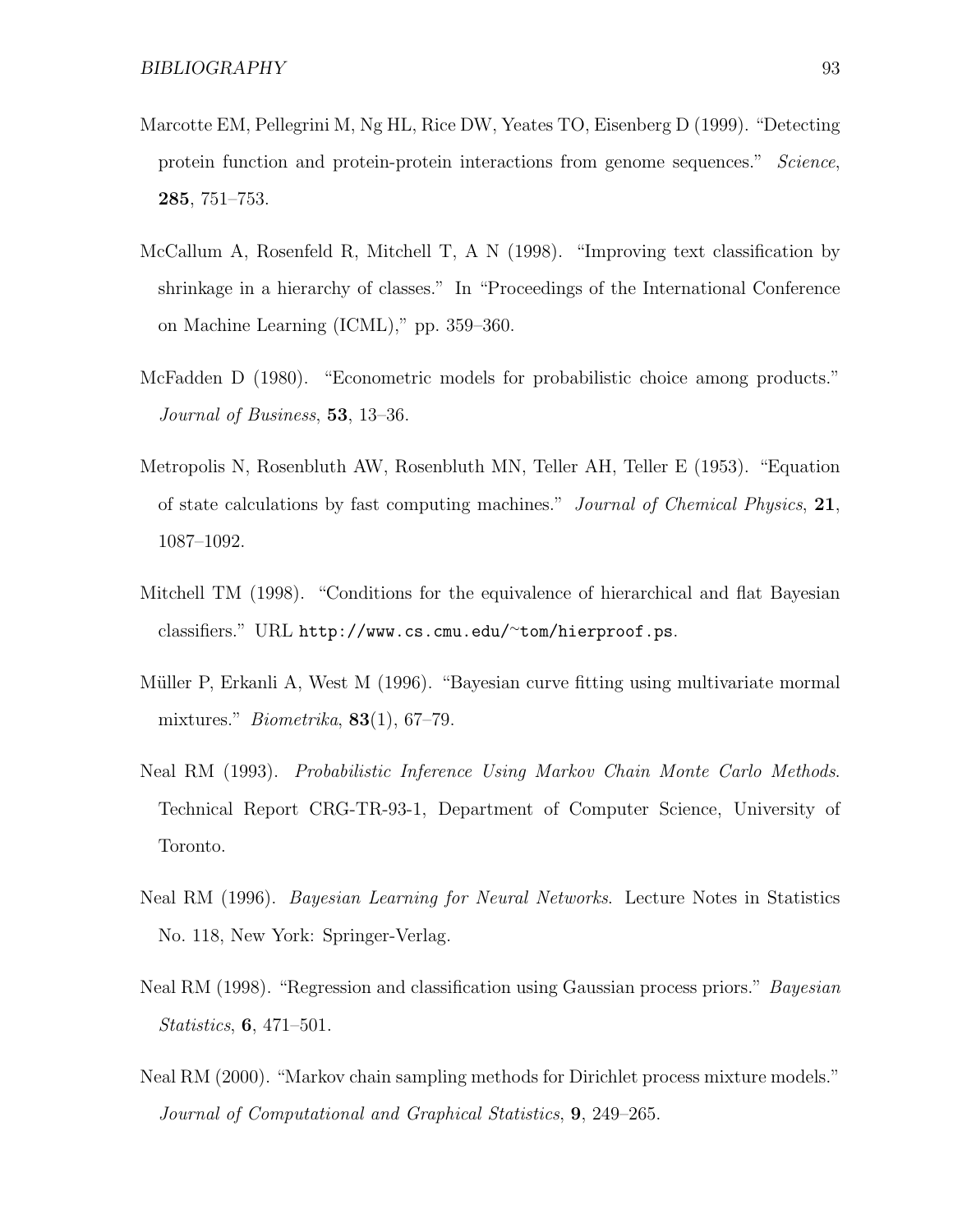- Marcotte EM, Pellegrini M, Ng HL, Rice DW, Yeates TO, Eisenberg D (1999). "Detecting protein function and protein-protein interactions from genome sequences." Science, 285, 751–753.
- McCallum A, Rosenfeld R, Mitchell T, A N (1998). "Improving text classification by shrinkage in a hierarchy of classes." In "Proceedings of the International Conference on Machine Learning (ICML)," pp. 359–360.
- McFadden D (1980). "Econometric models for probabilistic choice among products." Journal of Business, **53**, 13–36.
- Metropolis N, Rosenbluth AW, Rosenbluth MN, Teller AH, Teller E (1953). "Equation of state calculations by fast computing machines." Journal of Chemical Physics, 21, 1087–1092.
- Mitchell TM (1998). "Conditions for the equivalence of hierarchical and flat Bayesian classifiers." URL http://www.cs.cmu.edu/<sup>∼</sup>tom/hierproof.ps.
- Müller P, Erkanli A, West M (1996). "Bayesian curve fitting using multivariate mormal mixtures." *Biometrika*,  $83(1)$ ,  $67-79$ .
- Neal RM (1993). Probabilistic Inference Using Markov Chain Monte Carlo Methods. Technical Report CRG-TR-93-1, Department of Computer Science, University of Toronto.
- Neal RM (1996). Bayesian Learning for Neural Networks. Lecture Notes in Statistics No. 118, New York: Springer-Verlag.
- Neal RM (1998). "Regression and classification using Gaussian process priors." *Bayesian* Statistics, 6, 471–501.
- Neal RM (2000). "Markov chain sampling methods for Dirichlet process mixture models." Journal of Computational and Graphical Statistics, 9, 249–265.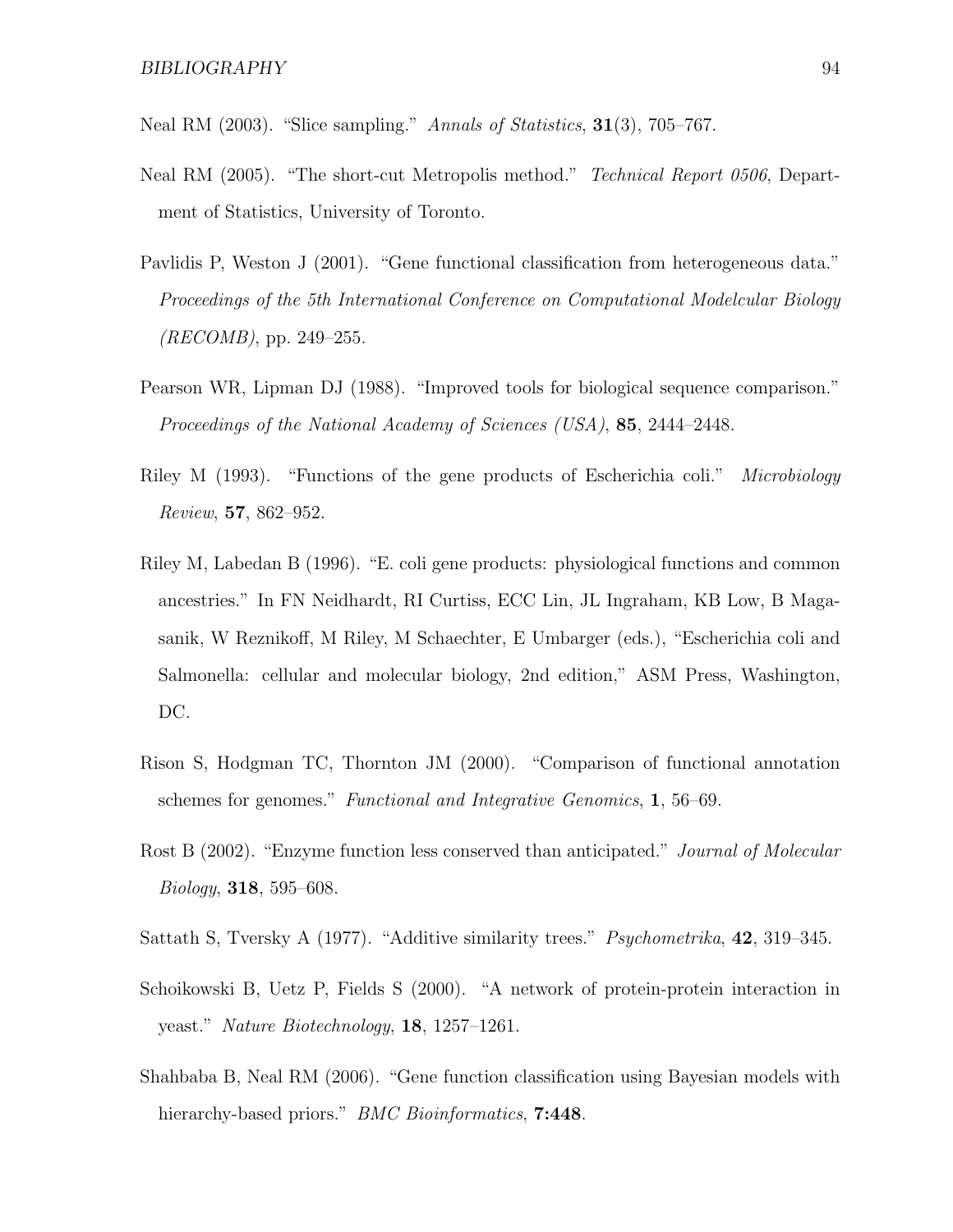Neal RM  $(2003)$ . "Slice sampling." Annals of Statistics,  $31(3)$ ,  $705-767$ .

- Neal RM (2005). "The short-cut Metropolis method." *Technical Report 0506*, Department of Statistics, University of Toronto.
- Pavlidis P, Weston J (2001). "Gene functional classification from heterogeneous data." Proceedings of the 5th International Conference on Computational Modelcular Biology  $(RECOMB)$ , pp. 249–255.
- Pearson WR, Lipman DJ (1988). "Improved tools for biological sequence comparison." Proceedings of the National Academy of Sciences (USA), 85, 2444–2448.
- Riley M (1993). "Functions of the gene products of Escherichia coli." *Microbiology* Review, 57, 862–952.
- Riley M, Labedan B (1996). "E. coli gene products: physiological functions and common ancestries." In FN Neidhardt, RI Curtiss, ECC Lin, JL Ingraham, KB Low, B Magasanik, W Reznikoff, M Riley, M Schaechter, E Umbarger (eds.), "Escherichia coli and Salmonella: cellular and molecular biology, 2nd edition," ASM Press, Washington, DC.
- Rison S, Hodgman TC, Thornton JM (2000). "Comparison of functional annotation schemes for genomes." Functional and Integrative Genomics, 1, 56–69.
- Rost B (2002). "Enzyme function less conserved than anticipated." Journal of Molecular Biology, 318, 595–608.
- Sattath S, Tversky A (1977). "Additive similarity trees." *Psychometrika*, **42**, 319–345.
- Schoikowski B, Uetz P, Fields S (2000). "A network of protein-protein interaction in yeast." Nature Biotechnology, 18, 1257–1261.
- Shahbaba B, Neal RM (2006). "Gene function classification using Bayesian models with hierarchy-based priors." *BMC Bioinformatics*, **7:448**.